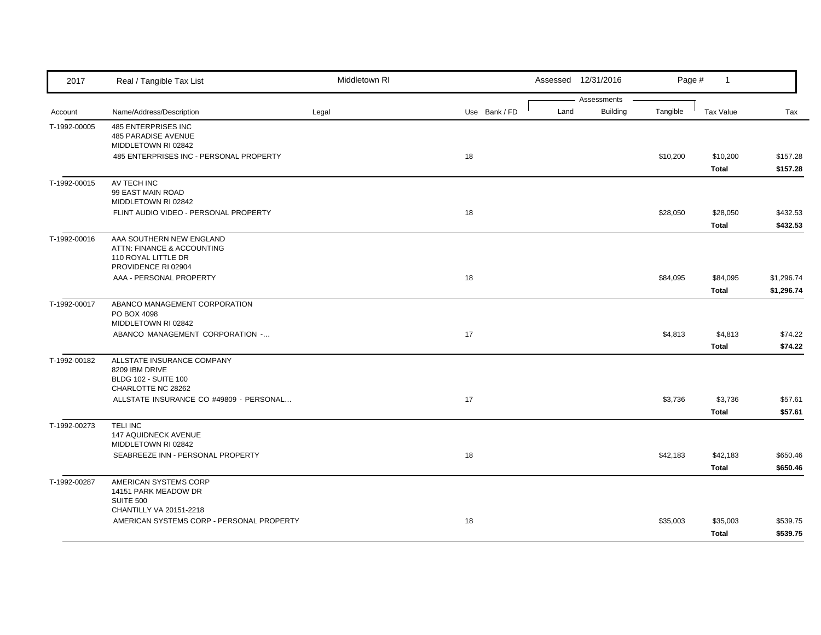| 2017         | Real / Tangible Tax List                                                                             | Middletown RI |               |      | Assessed 12/31/2016 | Page #   | $\mathbf{1}$             |                          |
|--------------|------------------------------------------------------------------------------------------------------|---------------|---------------|------|---------------------|----------|--------------------------|--------------------------|
|              |                                                                                                      |               |               |      | Assessments         |          |                          |                          |
| Account      | Name/Address/Description                                                                             | Legal         | Use Bank / FD | Land | <b>Building</b>     | Tangible | <b>Tax Value</b>         | Tax                      |
| T-1992-00005 | 485 ENTERPRISES INC<br>485 PARADISE AVENUE<br>MIDDLETOWN RI 02842                                    |               |               |      |                     |          |                          |                          |
|              | 485 ENTERPRISES INC - PERSONAL PROPERTY                                                              |               | 18            |      |                     | \$10,200 | \$10,200                 | \$157.28                 |
|              |                                                                                                      |               |               |      |                     |          | Total                    | \$157.28                 |
| T-1992-00015 | AV TECH INC<br>99 EAST MAIN ROAD<br>MIDDLETOWN RI 02842                                              |               |               |      |                     |          |                          |                          |
|              | FLINT AUDIO VIDEO - PERSONAL PROPERTY                                                                |               | 18            |      |                     | \$28,050 | \$28,050<br>Total        | \$432.53<br>\$432.53     |
| T-1992-00016 | AAA SOUTHERN NEW ENGLAND<br>ATTN: FINANCE & ACCOUNTING<br>110 ROYAL LITTLE DR<br>PROVIDENCE RI 02904 |               |               |      |                     |          |                          |                          |
|              | AAA - PERSONAL PROPERTY                                                                              |               | 18            |      |                     | \$84,095 | \$84,095<br><b>Total</b> | \$1,296.74<br>\$1,296.74 |
| T-1992-00017 | ABANCO MANAGEMENT CORPORATION<br>PO BOX 4098<br>MIDDLETOWN RI 02842                                  |               |               |      |                     |          |                          |                          |
|              | ABANCO MANAGEMENT CORPORATION -                                                                      |               | 17            |      |                     | \$4,813  | \$4,813<br>Total         | \$74.22<br>\$74.22       |
| T-1992-00182 | ALLSTATE INSURANCE COMPANY<br>8209 IBM DRIVE<br><b>BLDG 102 - SUITE 100</b>                          |               |               |      |                     |          |                          |                          |
|              | CHARLOTTE NC 28262<br>ALLSTATE INSURANCE CO #49809 - PERSONAL                                        |               | 17            |      |                     | \$3,736  | \$3,736<br><b>Total</b>  | \$57.61<br>\$57.61       |
| T-1992-00273 | <b>TELI INC</b><br>147 AQUIDNECK AVENUE<br>MIDDLETOWN RI 02842                                       |               |               |      |                     |          |                          |                          |
|              | SEABREEZE INN - PERSONAL PROPERTY                                                                    |               | 18            |      |                     | \$42,183 | \$42,183<br>Total        | \$650.46<br>\$650.46     |
| T-1992-00287 | AMERICAN SYSTEMS CORP<br>14151 PARK MEADOW DR<br><b>SUITE 500</b><br>CHANTILLY VA 20151-2218         |               |               |      |                     |          |                          |                          |
|              | AMERICAN SYSTEMS CORP - PERSONAL PROPERTY                                                            |               | 18            |      |                     | \$35,003 | \$35,003<br><b>Total</b> | \$539.75<br>\$539.75     |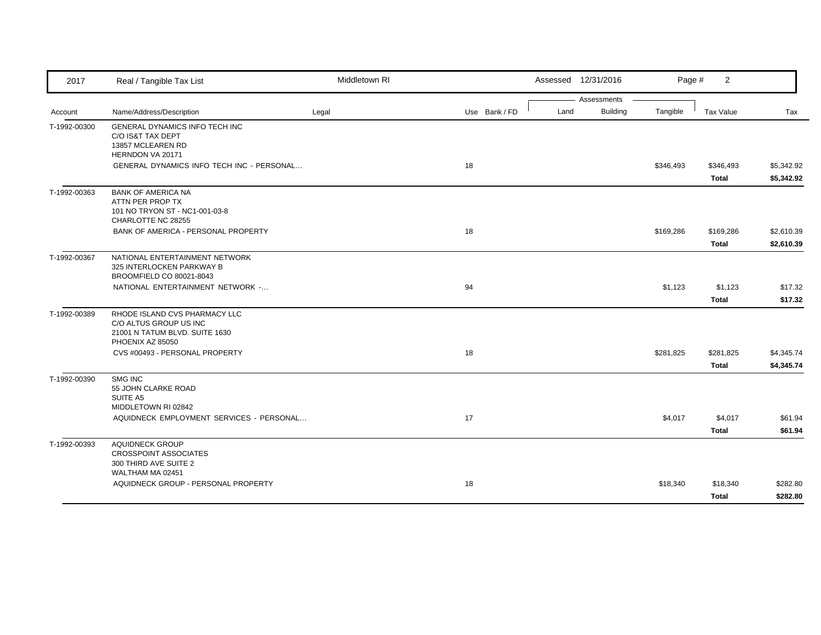| 2017         | Real / Tangible Tax List                                                                                      | Middletown RI |               |      | Assessed 12/31/2016            | Page #    | 2                  |                          |
|--------------|---------------------------------------------------------------------------------------------------------------|---------------|---------------|------|--------------------------------|-----------|--------------------|--------------------------|
| Account      | Name/Address/Description                                                                                      | Legal         | Use Bank / FD | Land | Assessments<br><b>Building</b> | Tangible  | <b>Tax Value</b>   | Tax                      |
| T-1992-00300 | GENERAL DYNAMICS INFO TECH INC<br>C/O IS&T TAX DEPT<br>13857 MCLEAREN RD<br>HERNDON VA 20171                  |               |               |      |                                |           |                    |                          |
|              | <b>GENERAL DYNAMICS INFO TECH INC - PERSONAL</b>                                                              |               | 18            |      |                                | \$346,493 | \$346,493<br>Total | \$5,342.92<br>\$5,342.92 |
| T-1992-00363 | <b>BANK OF AMERICA NA</b><br>ATTN PER PROP TX<br>101 NO TRYON ST - NC1-001-03-8<br>CHARLOTTE NC 28255         |               |               |      |                                |           |                    |                          |
|              | BANK OF AMERICA - PERSONAL PROPERTY                                                                           |               | 18            |      |                                | \$169,286 | \$169,286<br>Total | \$2,610.39<br>\$2,610.39 |
| T-1992-00367 | NATIONAL ENTERTAINMENT NETWORK<br>325 INTERLOCKEN PARKWAY B<br>BROOMFIELD CO 80021-8043                       |               |               |      |                                |           |                    |                          |
|              | NATIONAL ENTERTAINMENT NETWORK -                                                                              |               | 94            |      |                                | \$1,123   | \$1,123<br>Total   | \$17.32<br>\$17.32       |
| T-1992-00389 | RHODE ISLAND CVS PHARMACY LLC<br>C/O ALTUS GROUP US INC<br>21001 N TATUM BLVD. SUITE 1630<br>PHOENIX AZ 85050 |               |               |      |                                |           |                    |                          |
|              | CVS #00493 - PERSONAL PROPERTY                                                                                |               | 18            |      |                                | \$281,825 | \$281,825<br>Total | \$4,345.74<br>\$4,345.74 |
| T-1992-00390 | SMG INC<br>55 JOHN CLARKE ROAD<br>SUITE A5<br>MIDDLETOWN RI 02842                                             |               |               |      |                                |           |                    |                          |
|              | AQUIDNECK EMPLOYMENT SERVICES - PERSONAL                                                                      |               | 17            |      |                                | \$4,017   | \$4,017<br>Total   | \$61.94<br>\$61.94       |
| T-1992-00393 | <b>AQUIDNECK GROUP</b><br><b>CROSSPOINT ASSOCIATES</b><br>300 THIRD AVE SUITE 2<br>WALTHAM MA 02451           |               |               |      |                                |           |                    |                          |
|              | AQUIDNECK GROUP - PERSONAL PROPERTY                                                                           |               | 18            |      |                                | \$18,340  | \$18,340<br>Total  | \$282.80<br>\$282.80     |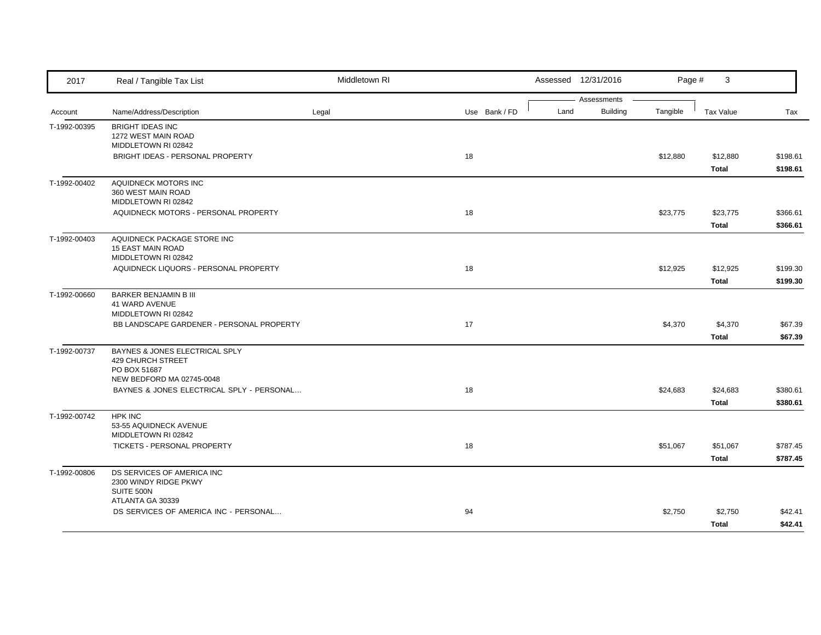| 2017         | Real / Tangible Tax List                                                                         | Middletown RI |               | Assessed 12/31/2016                    | Page #   | 3                        |                      |
|--------------|--------------------------------------------------------------------------------------------------|---------------|---------------|----------------------------------------|----------|--------------------------|----------------------|
| Account      | Name/Address/Description                                                                         | Legal         | Use Bank / FD | Assessments<br><b>Building</b><br>Land | Tangible | Tax Value                | Tax                  |
| T-1992-00395 | <b>BRIGHT IDEAS INC</b><br>1272 WEST MAIN ROAD<br>MIDDLETOWN RI 02842                            |               |               |                                        |          |                          |                      |
|              | BRIGHT IDEAS - PERSONAL PROPERTY                                                                 |               | 18            |                                        | \$12,880 | \$12,880<br><b>Total</b> | \$198.61<br>\$198.61 |
| T-1992-00402 | AQUIDNECK MOTORS INC<br>360 WEST MAIN ROAD<br>MIDDLETOWN RI 02842                                |               |               |                                        |          |                          |                      |
|              | AQUIDNECK MOTORS - PERSONAL PROPERTY                                                             |               | 18            |                                        | \$23,775 | \$23,775<br><b>Total</b> | \$366.61<br>\$366.61 |
| T-1992-00403 | AQUIDNECK PACKAGE STORE INC<br><b>15 EAST MAIN ROAD</b><br>MIDDLETOWN RI 02842                   |               |               |                                        |          |                          |                      |
|              | AQUIDNECK LIQUORS - PERSONAL PROPERTY                                                            |               | 18            |                                        | \$12,925 | \$12,925<br><b>Total</b> | \$199.30<br>\$199.30 |
| T-1992-00660 | BARKER BENJAMIN B III<br><b>41 WARD AVENUE</b><br>MIDDLETOWN RI 02842                            |               |               |                                        |          |                          |                      |
|              | BB LANDSCAPE GARDENER - PERSONAL PROPERTY                                                        |               | 17            |                                        | \$4,370  | \$4,370<br><b>Total</b>  | \$67.39<br>\$67.39   |
| T-1992-00737 | BAYNES & JONES ELECTRICAL SPLY<br>429 CHURCH STREET<br>PO BOX 51687<br>NEW BEDFORD MA 02745-0048 |               |               |                                        |          |                          |                      |
|              | BAYNES & JONES ELECTRICAL SPLY - PERSONAL                                                        |               | 18            |                                        | \$24,683 | \$24,683<br><b>Total</b> | \$380.61<br>\$380.61 |
| T-1992-00742 | <b>HPK INC</b><br>53-55 AQUIDNECK AVENUE<br>MIDDLETOWN RI 02842                                  |               |               |                                        |          |                          |                      |
|              | TICKETS - PERSONAL PROPERTY                                                                      |               | 18            |                                        | \$51,067 | \$51,067<br><b>Total</b> | \$787.45<br>\$787.45 |
| T-1992-00806 | DS SERVICES OF AMERICA INC<br>2300 WINDY RIDGE PKWY<br>SUITE 500N                                |               |               |                                        |          |                          |                      |
|              | ATLANTA GA 30339<br>DS SERVICES OF AMERICA INC - PERSONAL                                        |               | 94            |                                        | \$2,750  | \$2,750<br>Total         | \$42.41<br>\$42.41   |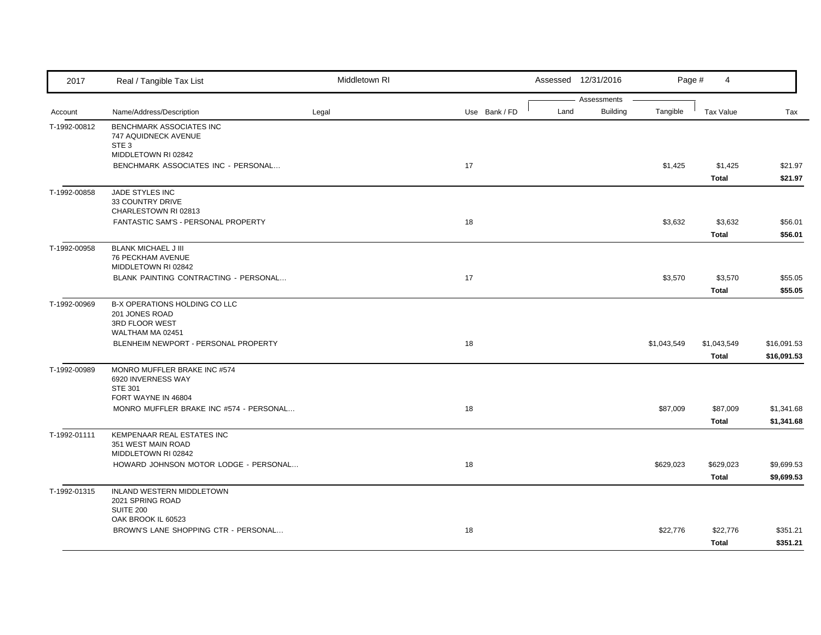| 2017         | Real / Tangible Tax List                                                                    | Middletown RI |               | Assessed 12/31/2016 | Page #                                     | 4                           |                            |
|--------------|---------------------------------------------------------------------------------------------|---------------|---------------|---------------------|--------------------------------------------|-----------------------------|----------------------------|
| Account      | Name/Address/Description                                                                    | Legal         | Use Bank / FD | Land                | Assessments<br><b>Building</b><br>Tangible | Tax Value                   | Tax                        |
| T-1992-00812 | BENCHMARK ASSOCIATES INC<br>747 AQUIDNECK AVENUE<br>STE <sub>3</sub><br>MIDDLETOWN RI 02842 |               |               |                     |                                            |                             |                            |
|              | BENCHMARK ASSOCIATES INC - PERSONAL                                                         |               | 17            |                     | \$1,425                                    | \$1,425<br><b>Total</b>     | \$21.97<br>\$21.97         |
| T-1992-00858 | JADE STYLES INC<br>33 COUNTRY DRIVE<br>CHARLESTOWN RI 02813                                 |               |               |                     |                                            |                             |                            |
|              | FANTASTIC SAM'S - PERSONAL PROPERTY                                                         |               | 18            |                     | \$3,632                                    | \$3,632<br><b>Total</b>     | \$56.01<br>\$56.01         |
| T-1992-00958 | <b>BLANK MICHAEL J III</b><br>76 PECKHAM AVENUE<br>MIDDLETOWN RI 02842                      |               |               |                     |                                            |                             |                            |
|              | BLANK PAINTING CONTRACTING - PERSONAL                                                       |               | 17            |                     | \$3,570                                    | \$3,570<br><b>Total</b>     | \$55.05<br>\$55.05         |
| T-1992-00969 | B-X OPERATIONS HOLDING CO LLC<br>201 JONES ROAD<br>3RD FLOOR WEST                           |               |               |                     |                                            |                             |                            |
|              | WALTHAM MA 02451<br>BLENHEIM NEWPORT - PERSONAL PROPERTY                                    |               | 18            |                     | \$1,043,549                                | \$1,043,549<br><b>Total</b> | \$16,091.53<br>\$16,091.53 |
| T-1992-00989 | MONRO MUFFLER BRAKE INC #574<br>6920 INVERNESS WAY<br><b>STE 301</b>                        |               |               |                     |                                            |                             |                            |
|              | FORT WAYNE IN 46804<br>MONRO MUFFLER BRAKE INC #574 - PERSONAL                              |               | 18            |                     | \$87,009                                   | \$87,009<br><b>Total</b>    | \$1,341.68<br>\$1,341.68   |
| T-1992-01111 | KEMPENAAR REAL ESTATES INC<br>351 WEST MAIN ROAD<br>MIDDLETOWN RI 02842                     |               |               |                     |                                            |                             |                            |
|              | HOWARD JOHNSON MOTOR LODGE - PERSONAL                                                       |               | 18            |                     | \$629,023                                  | \$629,023<br><b>Total</b>   | \$9,699.53<br>\$9,699.53   |
| T-1992-01315 | INLAND WESTERN MIDDLETOWN<br>2021 SPRING ROAD<br><b>SUITE 200</b>                           |               |               |                     |                                            |                             |                            |
|              | OAK BROOK IL 60523<br>BROWN'S LANE SHOPPING CTR - PERSONAL                                  |               | 18            |                     | \$22,776                                   | \$22,776<br><b>Total</b>    | \$351.21<br>\$351.21       |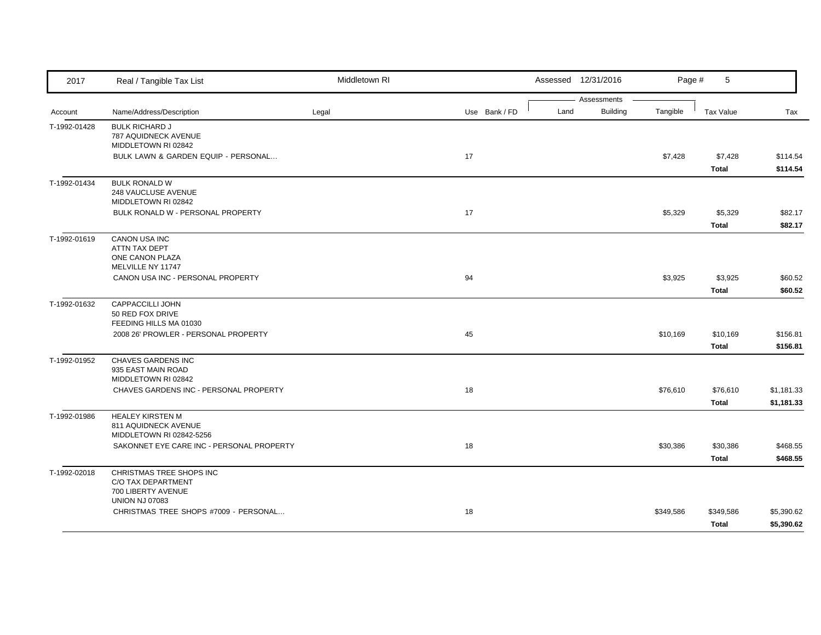| 2017         | Real / Tangible Tax List                                                    | Middletown RI |               | Assessed 12/31/2016                    |           | 5<br>Page #               |                          |
|--------------|-----------------------------------------------------------------------------|---------------|---------------|----------------------------------------|-----------|---------------------------|--------------------------|
| Account      | Name/Address/Description                                                    | Legal         | Use Bank / FD | Assessments<br><b>Building</b><br>Land | Tangible  | Tax Value                 | Tax                      |
| T-1992-01428 | <b>BULK RICHARD J</b><br>787 AQUIDNECK AVENUE<br>MIDDLETOWN RI 02842        |               |               |                                        |           |                           |                          |
|              | BULK LAWN & GARDEN EQUIP - PERSONAL                                         |               | 17            |                                        | \$7,428   | \$7,428<br><b>Total</b>   | \$114.54<br>\$114.54     |
| T-1992-01434 | <b>BULK RONALD W</b><br>248 VAUCLUSE AVENUE<br>MIDDLETOWN RI 02842          |               |               |                                        |           |                           |                          |
|              | BULK RONALD W - PERSONAL PROPERTY                                           |               | 17            |                                        | \$5,329   | \$5,329<br><b>Total</b>   | \$82.17<br>\$82.17       |
| T-1992-01619 | CANON USA INC<br>ATTN TAX DEPT<br>ONE CANON PLAZA<br>MELVILLE NY 11747      |               |               |                                        |           |                           |                          |
|              | CANON USA INC - PERSONAL PROPERTY                                           |               | 94            |                                        | \$3,925   | \$3,925<br><b>Total</b>   | \$60.52<br>\$60.52       |
| T-1992-01632 | CAPPACCILLI JOHN<br>50 RED FOX DRIVE<br>FEEDING HILLS MA 01030              |               |               |                                        |           |                           |                          |
|              | 2008 26' PROWLER - PERSONAL PROPERTY                                        |               | 45            |                                        | \$10,169  | \$10,169<br><b>Total</b>  | \$156.81<br>\$156.81     |
| T-1992-01952 | CHAVES GARDENS INC<br>935 EAST MAIN ROAD<br>MIDDLETOWN RI 02842             |               |               |                                        |           |                           |                          |
|              | CHAVES GARDENS INC - PERSONAL PROPERTY                                      |               | 18            |                                        | \$76,610  | \$76,610<br><b>Total</b>  | \$1,181.33<br>\$1,181.33 |
| T-1992-01986 | <b>HEALEY KIRSTEN M</b><br>811 AQUIDNECK AVENUE<br>MIDDLETOWN RI 02842-5256 |               |               |                                        |           |                           |                          |
|              | SAKONNET EYE CARE INC - PERSONAL PROPERTY                                   |               | 18            |                                        | \$30,386  | \$30,386<br><b>Total</b>  | \$468.55<br>\$468.55     |
| T-1992-02018 | CHRISTMAS TREE SHOPS INC<br>C/O TAX DEPARTMENT<br>700 LIBERTY AVENUE        |               |               |                                        |           |                           |                          |
|              | <b>UNION NJ 07083</b><br>CHRISTMAS TREE SHOPS #7009 - PERSONAL              |               | 18            |                                        | \$349,586 | \$349,586<br><b>Total</b> | \$5,390.62<br>\$5,390.62 |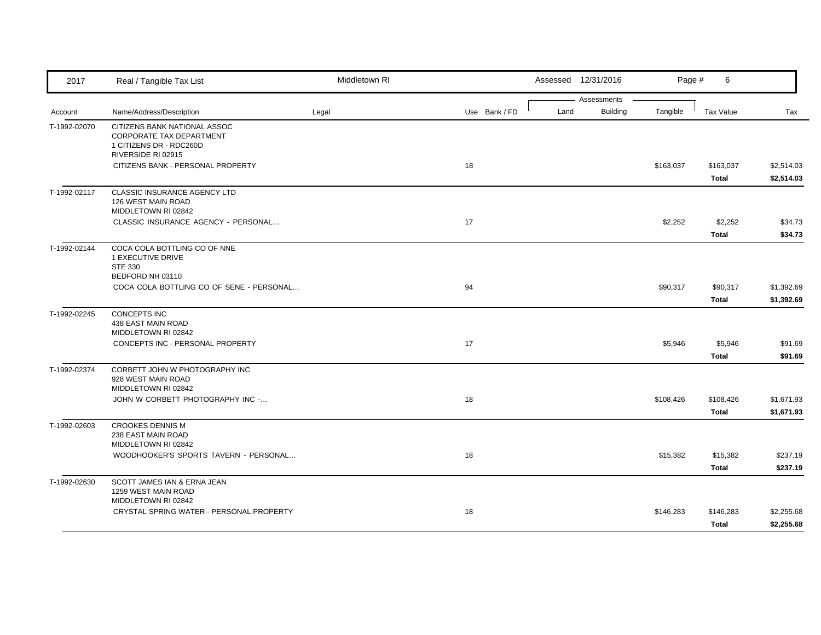| 2017         | Real / Tangible Tax List                                                                   | Middletown RI |               |      | Assessed 12/31/2016 | Page #    | 6                        |                          |
|--------------|--------------------------------------------------------------------------------------------|---------------|---------------|------|---------------------|-----------|--------------------------|--------------------------|
|              |                                                                                            |               |               |      | Assessments         |           |                          |                          |
| Account      | Name/Address/Description                                                                   | Legal         | Use Bank / FD | Land | <b>Building</b>     | Tangible  | <b>Tax Value</b>         | Tax                      |
| T-1992-02070 | CITIZENS BANK NATIONAL ASSOC<br><b>CORPORATE TAX DEPARTMENT</b><br>1 CITIZENS DR - RDC260D |               |               |      |                     |           |                          |                          |
|              | RIVERSIDE RI 02915<br>CITIZENS BANK - PERSONAL PROPERTY                                    |               | 18            |      |                     |           |                          | \$2,514.03               |
|              |                                                                                            |               |               |      |                     | \$163,037 | \$163,037<br>Total       | \$2,514.03               |
| T-1992-02117 | CLASSIC INSURANCE AGENCY LTD<br>126 WEST MAIN ROAD<br>MIDDLETOWN RI 02842                  |               |               |      |                     |           |                          |                          |
|              | CLASSIC INSURANCE AGENCY - PERSONAL                                                        |               | 17            |      |                     | \$2,252   | \$2,252                  | \$34.73                  |
|              |                                                                                            |               |               |      |                     |           | Total                    | \$34.73                  |
| T-1992-02144 | COCA COLA BOTTLING CO OF NNE<br>1 EXECUTIVE DRIVE<br><b>STE 330</b>                        |               |               |      |                     |           |                          |                          |
|              | BEDFORD NH 03110                                                                           |               |               |      |                     |           |                          |                          |
|              | COCA COLA BOTTLING CO OF SENE - PERSONAL                                                   |               | 94            |      |                     | \$90,317  | \$90,317<br><b>Total</b> | \$1,392.69<br>\$1,392.69 |
| T-1992-02245 | <b>CONCEPTS INC</b><br>438 EAST MAIN ROAD<br>MIDDLETOWN RI 02842                           |               |               |      |                     |           |                          |                          |
|              | CONCEPTS INC - PERSONAL PROPERTY                                                           |               | 17            |      |                     | \$5,946   | \$5,946                  | \$91.69                  |
|              |                                                                                            |               |               |      |                     |           | <b>Total</b>             | \$91.69                  |
| T-1992-02374 | CORBETT JOHN W PHOTOGRAPHY INC<br>928 WEST MAIN ROAD<br>MIDDLETOWN RI 02842                |               |               |      |                     |           |                          |                          |
|              | JOHN W CORBETT PHOTOGRAPHY INC -                                                           |               | 18            |      |                     | \$108,426 | \$108,426                | \$1,671.93               |
|              |                                                                                            |               |               |      |                     |           | Total                    | \$1,671.93               |
| T-1992-02603 | <b>CROOKES DENNIS M</b><br>238 EAST MAIN ROAD<br>MIDDLETOWN RI 02842                       |               |               |      |                     |           |                          |                          |
|              | WOODHOOKER'S SPORTS TAVERN - PERSONAL                                                      |               | 18            |      |                     | \$15,382  | \$15,382                 | \$237.19                 |
|              |                                                                                            |               |               |      |                     |           | Total                    | \$237.19                 |
| T-1992-02630 | SCOTT JAMES IAN & ERNA JEAN<br>1259 WEST MAIN ROAD<br>MIDDLETOWN RI 02842                  |               |               |      |                     |           |                          |                          |
|              | CRYSTAL SPRING WATER - PERSONAL PROPERTY                                                   |               | 18            |      |                     | \$146,283 | \$146,283<br>Total       | \$2,255.68<br>\$2,255.68 |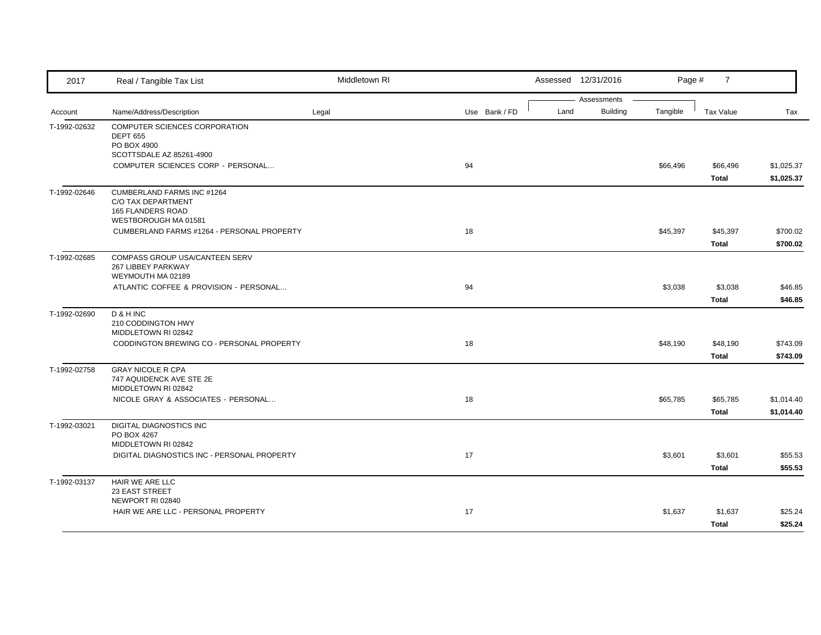| 2017         | Real / Tangible Tax List                    | Middletown RI |               |      | Assessed 12/31/2016 | Page #   | $\overline{7}$ |            |
|--------------|---------------------------------------------|---------------|---------------|------|---------------------|----------|----------------|------------|
|              |                                             |               |               |      | Assessments         |          |                |            |
| Account      | Name/Address/Description                    | Legal         | Use Bank / FD | Land | <b>Building</b>     | Tangible | Tax Value      | Tax        |
| T-1992-02632 | COMPUTER SCIENCES CORPORATION               |               |               |      |                     |          |                |            |
|              | <b>DEPT 655</b>                             |               |               |      |                     |          |                |            |
|              | PO BOX 4900<br>SCOTTSDALE AZ 85261-4900     |               |               |      |                     |          |                |            |
|              | COMPUTER SCIENCES CORP - PERSONAL           |               | 94            |      |                     | \$66,496 | \$66,496       | \$1,025.37 |
|              |                                             |               |               |      |                     |          | Total          | \$1,025.37 |
| T-1992-02646 | CUMBERLAND FARMS INC #1264                  |               |               |      |                     |          |                |            |
|              | C/O TAX DEPARTMENT                          |               |               |      |                     |          |                |            |
|              | <b>165 FLANDERS ROAD</b>                    |               |               |      |                     |          |                |            |
|              | WESTBOROUGH MA 01581                        |               |               |      |                     |          |                |            |
|              | CUMBERLAND FARMS #1264 - PERSONAL PROPERTY  |               | 18            |      |                     | \$45,397 | \$45,397       | \$700.02   |
|              |                                             |               |               |      |                     |          | Total          | \$700.02   |
| T-1992-02685 | COMPASS GROUP USA/CANTEEN SERV              |               |               |      |                     |          |                |            |
|              | 267 LIBBEY PARKWAY                          |               |               |      |                     |          |                |            |
|              | WEYMOUTH MA 02189                           |               |               |      |                     |          |                |            |
|              | ATLANTIC COFFEE & PROVISION - PERSONAL      |               | 94            |      |                     | \$3,038  | \$3,038        | \$46.85    |
|              |                                             |               |               |      |                     |          | Total          | \$46.85    |
| T-1992-02690 | D & H INC                                   |               |               |      |                     |          |                |            |
|              | 210 CODDINGTON HWY                          |               |               |      |                     |          |                |            |
|              | MIDDLETOWN RI 02842                         |               |               |      |                     |          |                |            |
|              | CODDINGTON BREWING CO - PERSONAL PROPERTY   |               | 18            |      |                     | \$48,190 | \$48,190       | \$743.09   |
|              |                                             |               |               |      |                     |          | <b>Total</b>   | \$743.09   |
| T-1992-02758 | <b>GRAY NICOLE R CPA</b>                    |               |               |      |                     |          |                |            |
|              | 747 AQUIDENCK AVE STE 2E                    |               |               |      |                     |          |                |            |
|              | MIDDLETOWN RI 02842                         |               |               |      |                     |          |                |            |
|              | NICOLE GRAY & ASSOCIATES - PERSONAL         |               | 18            |      |                     | \$65,785 | \$65,785       | \$1,014.40 |
|              |                                             |               |               |      |                     |          | <b>Total</b>   | \$1,014.40 |
| T-1992-03021 | DIGITAL DIAGNOSTICS INC                     |               |               |      |                     |          |                |            |
|              | PO BOX 4267                                 |               |               |      |                     |          |                |            |
|              | MIDDLETOWN RI 02842                         |               |               |      |                     |          |                |            |
|              | DIGITAL DIAGNOSTICS INC - PERSONAL PROPERTY |               | 17            |      |                     | \$3,601  | \$3,601        | \$55.53    |
|              |                                             |               |               |      |                     |          | Total          | \$55.53    |
| T-1992-03137 | HAIR WE ARE LLC                             |               |               |      |                     |          |                |            |
|              | 23 EAST STREET<br>NEWPORT RI 02840          |               |               |      |                     |          |                |            |
|              | HAIR WE ARE LLC - PERSONAL PROPERTY         |               | 17            |      |                     |          |                |            |
|              |                                             |               |               |      |                     | \$1,637  | \$1,637        | \$25.24    |
|              |                                             |               |               |      |                     |          | Total          | \$25.24    |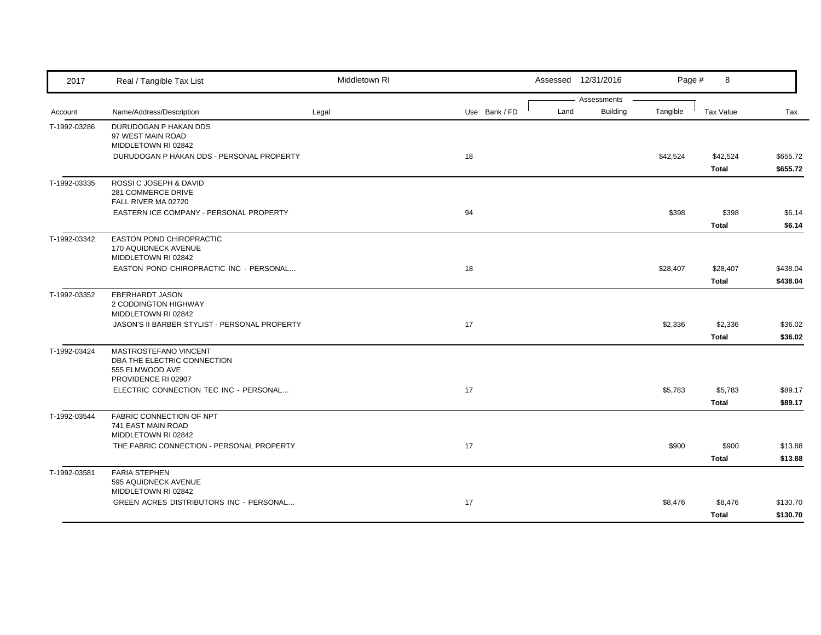| 2017         | Real / Tangible Tax List                                       | Middletown RI |               |      | Assessed 12/31/2016     | Page #   | 8            |          |
|--------------|----------------------------------------------------------------|---------------|---------------|------|-------------------------|----------|--------------|----------|
| Account      | Name/Address/Description                                       | Legal         | Use Bank / FD | Land | Assessments<br>Building | Tangible | Tax Value    | Tax      |
|              |                                                                |               |               |      |                         |          |              |          |
| T-1992-03286 | DURUDOGAN P HAKAN DDS<br>97 WEST MAIN ROAD                     |               |               |      |                         |          |              |          |
|              | MIDDLETOWN RI 02842                                            |               |               |      |                         |          |              |          |
|              | DURUDOGAN P HAKAN DDS - PERSONAL PROPERTY                      |               | 18            |      |                         | \$42,524 | \$42,524     | \$655.72 |
|              |                                                                |               |               |      |                         |          | Total        | \$655.72 |
| T-1992-03335 | ROSSI C JOSEPH & DAVID                                         |               |               |      |                         |          |              |          |
|              | 281 COMMERCE DRIVE                                             |               |               |      |                         |          |              |          |
|              | FALL RIVER MA 02720<br>EASTERN ICE COMPANY - PERSONAL PROPERTY |               | 94            |      |                         | \$398    | \$398        | \$6.14   |
|              |                                                                |               |               |      |                         |          | <b>Total</b> | \$6.14   |
|              |                                                                |               |               |      |                         |          |              |          |
| T-1992-03342 | EASTON POND CHIROPRACTIC<br><b>170 AQUIDNECK AVENUE</b>        |               |               |      |                         |          |              |          |
|              | MIDDLETOWN RI 02842                                            |               |               |      |                         |          |              |          |
|              | EASTON POND CHIROPRACTIC INC - PERSONAL                        |               | 18            |      |                         | \$28,407 | \$28,407     | \$438.04 |
|              |                                                                |               |               |      |                         |          | Total        | \$438.04 |
| T-1992-03352 | <b>EBERHARDT JASON</b>                                         |               |               |      |                         |          |              |          |
|              | 2 CODDINGTON HIGHWAY<br>MIDDLETOWN RI 02842                    |               |               |      |                         |          |              |          |
|              | JASON'S II BARBER STYLIST - PERSONAL PROPERTY                  |               | 17            |      |                         | \$2,336  | \$2,336      | \$36.02  |
|              |                                                                |               |               |      |                         |          | Total        | \$36.02  |
| T-1992-03424 | MASTROSTEFANO VINCENT                                          |               |               |      |                         |          |              |          |
|              | DBA THE ELECTRIC CONNECTION                                    |               |               |      |                         |          |              |          |
|              | 555 ELMWOOD AVE                                                |               |               |      |                         |          |              |          |
|              | PROVIDENCE RI 02907                                            |               |               |      |                         |          |              |          |
|              | ELECTRIC CONNECTION TEC INC - PERSONAL                         |               | 17            |      |                         | \$5,783  | \$5,783      | \$89.17  |
|              |                                                                |               |               |      |                         |          | Total        | \$89.17  |
| T-1992-03544 | FABRIC CONNECTION OF NPT<br>741 EAST MAIN ROAD                 |               |               |      |                         |          |              |          |
|              | MIDDLETOWN RI 02842                                            |               |               |      |                         |          |              |          |
|              | THE FABRIC CONNECTION - PERSONAL PROPERTY                      |               | 17            |      |                         | \$900    | \$900        | \$13.88  |
|              |                                                                |               |               |      |                         |          | <b>Total</b> | \$13.88  |
| T-1992-03581 | <b>FARIA STEPHEN</b>                                           |               |               |      |                         |          |              |          |
|              | 595 AQUIDNECK AVENUE                                           |               |               |      |                         |          |              |          |
|              | MIDDLETOWN RI 02842                                            |               |               |      |                         |          |              |          |
|              | GREEN ACRES DISTRIBUTORS INC - PERSONAL                        |               | 17            |      |                         | \$8,476  | \$8,476      | \$130.70 |
|              |                                                                |               |               |      |                         |          | <b>Total</b> | \$130.70 |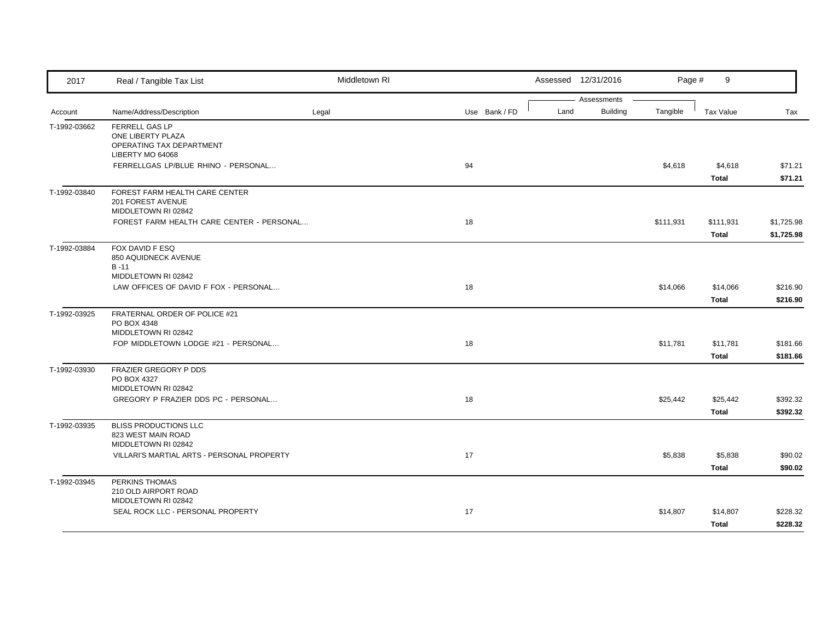| 2017         | Real / Tangible Tax List                                                            | Middletown RI |               |      | Assessed 12/31/2016 | Page #    | 9                        |                          |
|--------------|-------------------------------------------------------------------------------------|---------------|---------------|------|---------------------|-----------|--------------------------|--------------------------|
|              |                                                                                     |               |               |      | Assessments         |           |                          |                          |
| Account      | Name/Address/Description                                                            | Legal         | Use Bank / FD | Land | <b>Building</b>     | Tangible  | <b>Tax Value</b>         | Tax                      |
| T-1992-03662 | FERRELL GAS LP<br>ONE LIBERTY PLAZA<br>OPERATING TAX DEPARTMENT<br>LIBERTY MO 64068 |               |               |      |                     |           |                          |                          |
|              | FERRELLGAS LP/BLUE RHINO - PERSONAL                                                 |               | 94            |      |                     | \$4,618   | \$4,618<br><b>Total</b>  | \$71.21<br>\$71.21       |
| T-1992-03840 | FOREST FARM HEALTH CARE CENTER<br>201 FOREST AVENUE<br>MIDDLETOWN RI 02842          |               |               |      |                     |           |                          |                          |
|              | FOREST FARM HEALTH CARE CENTER - PERSONAL                                           |               | 18            |      |                     | \$111,931 | \$111,931<br>Total       | \$1,725.98<br>\$1,725.98 |
| T-1992-03884 | FOX DAVID F ESQ<br>850 AQUIDNECK AVENUE<br>$B - 11$<br>MIDDLETOWN RI 02842          |               |               |      |                     |           |                          |                          |
|              | LAW OFFICES OF DAVID F FOX - PERSONAL                                               |               | 18            |      |                     | \$14,066  | \$14,066<br><b>Total</b> | \$216.90<br>\$216.90     |
| T-1992-03925 | FRATERNAL ORDER OF POLICE #21<br>PO BOX 4348<br>MIDDLETOWN RI 02842                 |               |               |      |                     |           |                          |                          |
|              | FOP MIDDLETOWN LODGE #21 - PERSONAL                                                 |               | 18            |      |                     | \$11,781  | \$11,781<br><b>Total</b> | \$181.66<br>\$181.66     |
| T-1992-03930 | FRAZIER GREGORY P DDS<br>PO BOX 4327<br>MIDDLETOWN RI 02842                         |               |               |      |                     |           |                          |                          |
|              | GREGORY P FRAZIER DDS PC - PERSONAL                                                 |               | 18            |      |                     | \$25,442  | \$25,442<br>Total        | \$392.32<br>\$392.32     |
| T-1992-03935 | <b>BLISS PRODUCTIONS LLC</b><br>823 WEST MAIN ROAD<br>MIDDLETOWN RI 02842           |               |               |      |                     |           |                          |                          |
|              | VILLARI'S MARTIAL ARTS - PERSONAL PROPERTY                                          |               | 17            |      |                     | \$5,838   | \$5,838<br>Total         | \$90.02<br>\$90.02       |
| T-1992-03945 | PERKINS THOMAS<br>210 OLD AIRPORT ROAD<br>MIDDLETOWN RI 02842                       |               |               |      |                     |           |                          |                          |
|              | SEAL ROCK LLC - PERSONAL PROPERTY                                                   |               | 17            |      |                     | \$14,807  | \$14,807<br>Total        | \$228.32<br>\$228.32     |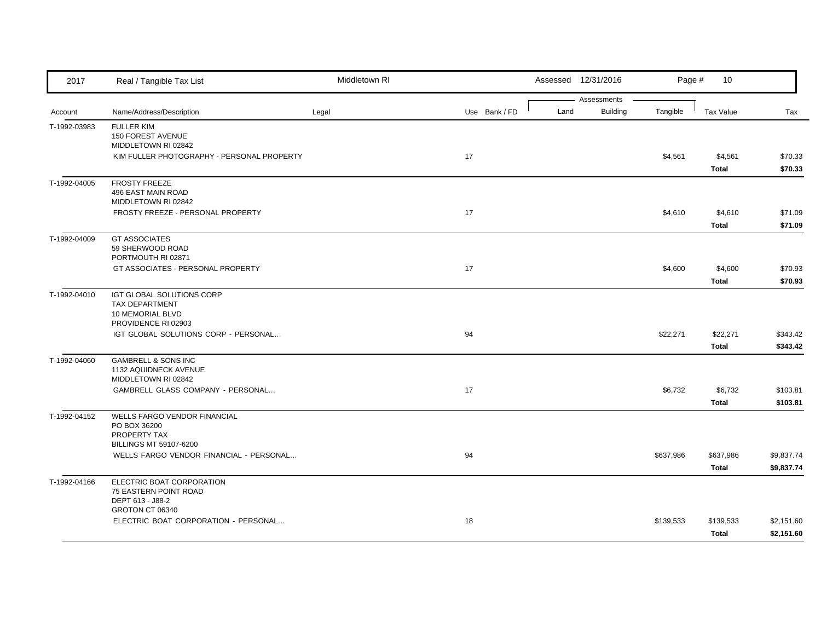| 2017         | Real / Tangible Tax List                                                                               | Middletown RI |               |      | Assessed 12/31/2016            | Page #    | 10                        |                          |
|--------------|--------------------------------------------------------------------------------------------------------|---------------|---------------|------|--------------------------------|-----------|---------------------------|--------------------------|
| Account      | Name/Address/Description                                                                               | Legal         | Use Bank / FD | Land | Assessments<br><b>Building</b> | Tangible  | <b>Tax Value</b>          | Tax                      |
| T-1992-03983 | <b>FULLER KIM</b><br>150 FOREST AVENUE<br>MIDDLETOWN RI 02842                                          |               |               |      |                                |           |                           |                          |
|              | KIM FULLER PHOTOGRAPHY - PERSONAL PROPERTY                                                             |               | 17            |      |                                | \$4,561   | \$4,561<br><b>Total</b>   | \$70.33<br>\$70.33       |
| T-1992-04005 | <b>FROSTY FREEZE</b><br>496 EAST MAIN ROAD<br>MIDDLETOWN RI 02842<br>FROSTY FREEZE - PERSONAL PROPERTY |               | 17            |      |                                | \$4,610   | \$4,610                   | \$71.09                  |
|              |                                                                                                        |               |               |      |                                |           | Total                     | \$71.09                  |
| T-1992-04009 | <b>GT ASSOCIATES</b><br>59 SHERWOOD ROAD<br>PORTMOUTH RI 02871                                         |               |               |      |                                |           |                           |                          |
|              | GT ASSOCIATES - PERSONAL PROPERTY                                                                      |               | 17            |      |                                | \$4,600   | \$4,600<br>Total          | \$70.93<br>\$70.93       |
| T-1992-04010 | IGT GLOBAL SOLUTIONS CORP<br><b>TAX DEPARTMENT</b><br>10 MEMORIAL BLVD<br>PROVIDENCE RI 02903          |               |               |      |                                |           |                           |                          |
|              | IGT GLOBAL SOLUTIONS CORP - PERSONAL                                                                   |               | 94            |      |                                | \$22,271  | \$22,271<br>Total         | \$343.42<br>\$343.42     |
| T-1992-04060 | <b>GAMBRELL &amp; SONS INC</b><br>1132 AQUIDNECK AVENUE<br>MIDDLETOWN RI 02842                         |               |               |      |                                |           |                           |                          |
|              | GAMBRELL GLASS COMPANY - PERSONAL                                                                      |               | 17            |      |                                | \$6,732   | \$6,732<br>Total          | \$103.81<br>\$103.81     |
| T-1992-04152 | WELLS FARGO VENDOR FINANCIAL<br>PO BOX 36200<br>PROPERTY TAX<br><b>BILLINGS MT 59107-6200</b>          |               |               |      |                                |           |                           |                          |
|              | WELLS FARGO VENDOR FINANCIAL - PERSONAL                                                                |               | 94            |      |                                | \$637,986 | \$637,986<br><b>Total</b> | \$9,837.74<br>\$9,837.74 |
| T-1992-04166 | ELECTRIC BOAT CORPORATION<br>75 EASTERN POINT ROAD<br>DEPT 613 - J88-2                                 |               |               |      |                                |           |                           |                          |
|              | GROTON CT 06340<br>ELECTRIC BOAT CORPORATION - PERSONAL                                                |               | 18            |      |                                | \$139,533 | \$139,533<br>Total        | \$2,151.60<br>\$2,151.60 |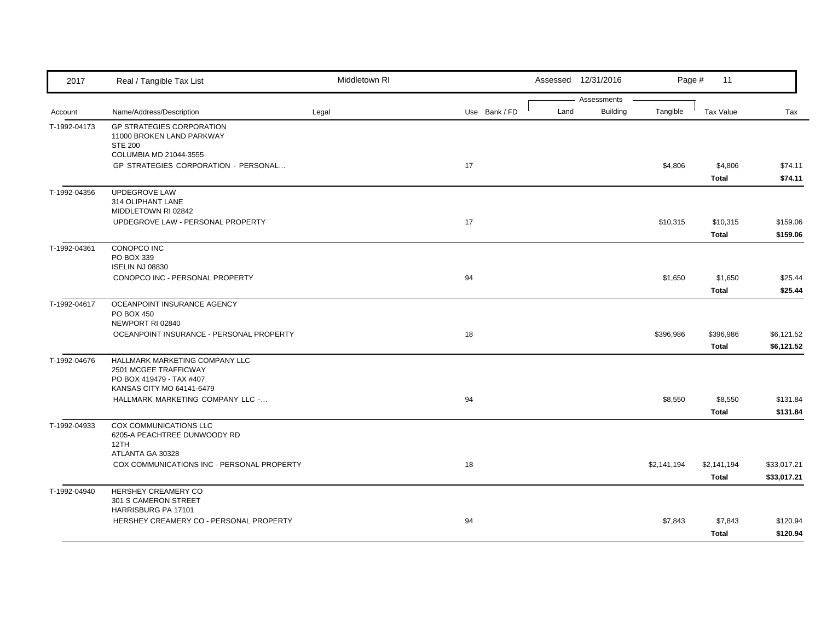| 2017         | Real / Tangible Tax List                                                                                         | Middletown RI |               |      | Assessed 12/31/2016            | Page #      | 11                       |                            |
|--------------|------------------------------------------------------------------------------------------------------------------|---------------|---------------|------|--------------------------------|-------------|--------------------------|----------------------------|
| Account      | Name/Address/Description                                                                                         | Legal         | Use Bank / FD | Land | Assessments<br><b>Building</b> | Tangible    | <b>Tax Value</b>         | Tax                        |
| T-1992-04173 | <b>GP STRATEGIES CORPORATION</b><br>11000 BROKEN LAND PARKWAY<br><b>STE 200</b>                                  |               |               |      |                                |             |                          |                            |
|              | COLUMBIA MD 21044-3555<br>GP STRATEGIES CORPORATION - PERSONAL                                                   |               | 17            |      |                                | \$4,806     | \$4,806<br><b>Total</b>  | \$74.11<br>\$74.11         |
| T-1992-04356 | UPDEGROVE LAW<br>314 OLIPHANT LANE<br>MIDDLETOWN RI 02842                                                        |               |               |      |                                |             |                          |                            |
|              | UPDEGROVE LAW - PERSONAL PROPERTY                                                                                |               | 17            |      |                                | \$10,315    | \$10,315<br><b>Total</b> | \$159.06<br>\$159.06       |
| T-1992-04361 | CONOPCO INC<br>PO BOX 339<br><b>ISELIN NJ 08830</b>                                                              |               |               |      |                                |             |                          |                            |
|              | CONOPCO INC - PERSONAL PROPERTY                                                                                  |               | 94            |      |                                | \$1,650     | \$1,650<br><b>Total</b>  | \$25.44<br>\$25.44         |
| T-1992-04617 | OCEANPOINT INSURANCE AGENCY<br><b>PO BOX 450</b><br>NEWPORT RI 02840                                             |               |               |      |                                |             |                          |                            |
|              | OCEANPOINT INSURANCE - PERSONAL PROPERTY                                                                         |               | 18            |      |                                | \$396,986   | \$396,986<br>Total       | \$6,121.52<br>\$6,121.52   |
| T-1992-04676 | HALLMARK MARKETING COMPANY LLC<br>2501 MCGEE TRAFFICWAY<br>PO BOX 419479 - TAX #407<br>KANSAS CITY MO 64141-6479 |               |               |      |                                |             |                          |                            |
|              | HALLMARK MARKETING COMPANY LLC -                                                                                 |               | 94            |      |                                | \$8,550     | \$8,550<br><b>Total</b>  | \$131.84<br>\$131.84       |
| T-1992-04933 | COX COMMUNICATIONS LLC<br>6205-A PEACHTREE DUNWOODY RD<br>12TH                                                   |               |               |      |                                |             |                          |                            |
|              | ATLANTA GA 30328<br>COX COMMUNICATIONS INC - PERSONAL PROPERTY                                                   |               | 18            |      |                                | \$2,141,194 | \$2,141,194<br>Total     | \$33,017.21<br>\$33,017.21 |
| T-1992-04940 | HERSHEY CREAMERY CO<br>301 S CAMERON STREET<br>HARRISBURG PA 17101                                               |               |               |      |                                |             |                          |                            |
|              | HERSHEY CREAMERY CO - PERSONAL PROPERTY                                                                          |               | 94            |      |                                | \$7,843     | \$7,843<br>Total         | \$120.94<br>\$120.94       |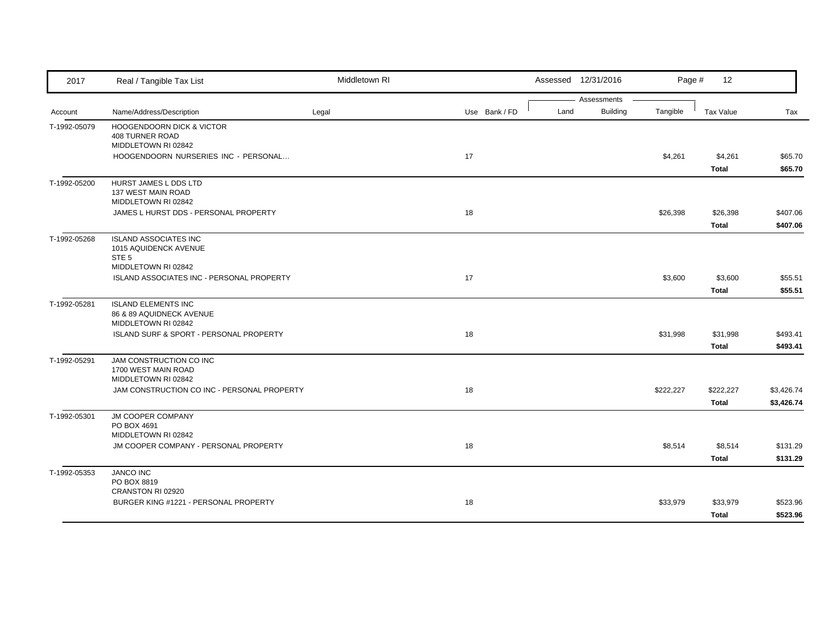| 2017         | Real / Tangible Tax List                               | Middletown RI |               |      | Assessed 12/31/2016            | Page #    | 12           |            |
|--------------|--------------------------------------------------------|---------------|---------------|------|--------------------------------|-----------|--------------|------------|
| Account      | Name/Address/Description                               | Legal         | Use Bank / FD | Land | Assessments<br><b>Building</b> | Tangible  | Tax Value    | Tax        |
| T-1992-05079 | <b>HOOGENDOORN DICK &amp; VICTOR</b>                   |               |               |      |                                |           |              |            |
|              | 408 TURNER ROAD                                        |               |               |      |                                |           |              |            |
|              | MIDDLETOWN RI 02842                                    |               |               |      |                                |           |              |            |
|              | HOOGENDOORN NURSERIES INC - PERSONAL                   |               | 17            |      |                                | \$4,261   | \$4,261      | \$65.70    |
|              |                                                        |               |               |      |                                |           | Total        | \$65.70    |
| T-1992-05200 | HURST JAMES L DDS LTD                                  |               |               |      |                                |           |              |            |
|              | 137 WEST MAIN ROAD                                     |               |               |      |                                |           |              |            |
|              | MIDDLETOWN RI 02842                                    |               |               |      |                                |           |              |            |
|              | JAMES L HURST DDS - PERSONAL PROPERTY                  |               | 18            |      |                                | \$26,398  | \$26,398     | \$407.06   |
|              |                                                        |               |               |      |                                |           | Total        | \$407.06   |
| T-1992-05268 | <b>ISLAND ASSOCIATES INC</b>                           |               |               |      |                                |           |              |            |
|              | 1015 AQUIDENCK AVENUE                                  |               |               |      |                                |           |              |            |
|              | STE <sub>5</sub><br>MIDDLETOWN RI 02842                |               |               |      |                                |           |              |            |
|              | ISLAND ASSOCIATES INC - PERSONAL PROPERTY              |               | 17            |      |                                | \$3,600   | \$3,600      | \$55.51    |
|              |                                                        |               |               |      |                                |           | Total        | \$55.51    |
|              |                                                        |               |               |      |                                |           |              |            |
| T-1992-05281 | <b>ISLAND ELEMENTS INC</b><br>86 & 89 AQUIDNECK AVENUE |               |               |      |                                |           |              |            |
|              | MIDDLETOWN RI 02842                                    |               |               |      |                                |           |              |            |
|              | ISLAND SURF & SPORT - PERSONAL PROPERTY                |               | 18            |      |                                | \$31,998  | \$31,998     | \$493.41   |
|              |                                                        |               |               |      |                                |           | Total        | \$493.41   |
| T-1992-05291 | JAM CONSTRUCTION CO INC                                |               |               |      |                                |           |              |            |
|              | 1700 WEST MAIN ROAD                                    |               |               |      |                                |           |              |            |
|              | MIDDLETOWN RI 02842                                    |               |               |      |                                |           |              |            |
|              | JAM CONSTRUCTION CO INC - PERSONAL PROPERTY            |               | 18            |      |                                | \$222,227 | \$222,227    | \$3,426.74 |
|              |                                                        |               |               |      |                                |           | <b>Total</b> | \$3,426.74 |
| T-1992-05301 | JM COOPER COMPANY                                      |               |               |      |                                |           |              |            |
|              | PO BOX 4691                                            |               |               |      |                                |           |              |            |
|              | MIDDLETOWN RI 02842                                    |               |               |      |                                |           |              |            |
|              | JM COOPER COMPANY - PERSONAL PROPERTY                  |               | 18            |      |                                | \$8,514   | \$8,514      | \$131.29   |
|              |                                                        |               |               |      |                                |           | Total        | \$131.29   |
| T-1992-05353 | <b>JANCO INC</b>                                       |               |               |      |                                |           |              |            |
|              | PO BOX 8819<br>CRANSTON RI 02920                       |               |               |      |                                |           |              |            |
|              | BURGER KING #1221 - PERSONAL PROPERTY                  |               | 18            |      |                                | \$33,979  | \$33,979     | \$523.96   |
|              |                                                        |               |               |      |                                |           |              |            |
|              |                                                        |               |               |      |                                |           | Total        | \$523.96   |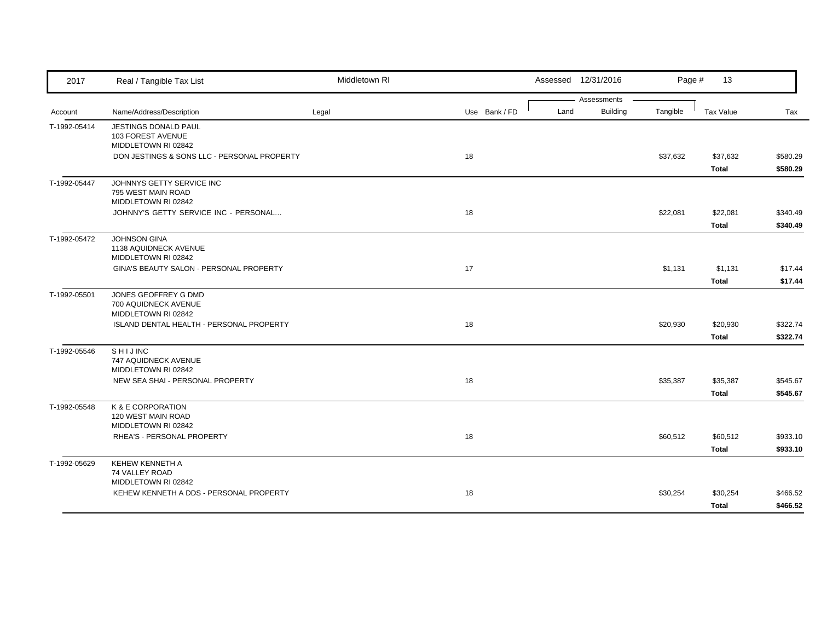| Assessments<br>Building<br>Tangible<br>Name/Address/Description<br>Use Bank / FD<br>Land<br>Tax Value<br>Tax<br>Legal<br>Account<br>JESTINGS DONALD PAUL<br>T-1992-05414<br>103 FOREST AVENUE<br>MIDDLETOWN RI 02842<br>DON JESTINGS & SONS LLC - PERSONAL PROPERTY<br>18<br>\$37,632<br>\$37,632<br>\$580.29<br>\$580.29<br>Total<br>JOHNNYS GETTY SERVICE INC<br>795 WEST MAIN ROAD<br>MIDDLETOWN RI 02842<br>18<br>\$22,081<br>\$340.49<br>JOHNNY'S GETTY SERVICE INC - PERSONAL<br>\$22,081<br><b>Total</b><br>\$340.49<br>T-1992-05472<br><b>JOHNSON GINA</b><br>1138 AQUIDNECK AVENUE<br>MIDDLETOWN RI 02842<br>17<br>GINA'S BEAUTY SALON - PERSONAL PROPERTY<br>\$1,131<br>\$1,131<br>\$17.44<br>\$17.44<br>Total<br>JONES GEOFFREY G DMD<br>700 AQUIDNECK AVENUE<br>MIDDLETOWN RI 02842<br>18<br>ISLAND DENTAL HEALTH - PERSONAL PROPERTY<br>\$20,930<br>\$322.74<br>\$20,930<br>Total<br>\$322.74<br>SHIJINC<br>747 AQUIDNECK AVENUE<br>MIDDLETOWN RI 02842<br>NEW SEA SHAI - PERSONAL PROPERTY<br>18<br>\$35,387<br>\$35,387<br>\$545.67<br>\$545.67<br>Total<br>K & E CORPORATION<br>T-1992-05548<br>120 WEST MAIN ROAD<br>MIDDLETOWN RI 02842<br>RHEA'S - PERSONAL PROPERTY<br>18<br>\$60,512<br>\$60,512<br>\$933.10<br>\$933.10<br>Total<br>KEHEW KENNETH A<br>74 VALLEY ROAD<br>MIDDLETOWN RI 02842<br>18<br>KEHEW KENNETH A DDS - PERSONAL PROPERTY<br>\$30,254<br>\$30,254<br>\$466.52 | 2017         | Real / Tangible Tax List | Middletown RI |  | Assessed 12/31/2016 | Page # | 13    |          |
|---------------------------------------------------------------------------------------------------------------------------------------------------------------------------------------------------------------------------------------------------------------------------------------------------------------------------------------------------------------------------------------------------------------------------------------------------------------------------------------------------------------------------------------------------------------------------------------------------------------------------------------------------------------------------------------------------------------------------------------------------------------------------------------------------------------------------------------------------------------------------------------------------------------------------------------------------------------------------------------------------------------------------------------------------------------------------------------------------------------------------------------------------------------------------------------------------------------------------------------------------------------------------------------------------------------------------------------------------------------------------------------------------------|--------------|--------------------------|---------------|--|---------------------|--------|-------|----------|
|                                                                                                                                                                                                                                                                                                                                                                                                                                                                                                                                                                                                                                                                                                                                                                                                                                                                                                                                                                                                                                                                                                                                                                                                                                                                                                                                                                                                         |              |                          |               |  |                     |        |       |          |
|                                                                                                                                                                                                                                                                                                                                                                                                                                                                                                                                                                                                                                                                                                                                                                                                                                                                                                                                                                                                                                                                                                                                                                                                                                                                                                                                                                                                         |              |                          |               |  |                     |        |       |          |
|                                                                                                                                                                                                                                                                                                                                                                                                                                                                                                                                                                                                                                                                                                                                                                                                                                                                                                                                                                                                                                                                                                                                                                                                                                                                                                                                                                                                         |              |                          |               |  |                     |        |       |          |
|                                                                                                                                                                                                                                                                                                                                                                                                                                                                                                                                                                                                                                                                                                                                                                                                                                                                                                                                                                                                                                                                                                                                                                                                                                                                                                                                                                                                         |              |                          |               |  |                     |        |       |          |
|                                                                                                                                                                                                                                                                                                                                                                                                                                                                                                                                                                                                                                                                                                                                                                                                                                                                                                                                                                                                                                                                                                                                                                                                                                                                                                                                                                                                         |              |                          |               |  |                     |        |       |          |
|                                                                                                                                                                                                                                                                                                                                                                                                                                                                                                                                                                                                                                                                                                                                                                                                                                                                                                                                                                                                                                                                                                                                                                                                                                                                                                                                                                                                         |              |                          |               |  |                     |        |       |          |
|                                                                                                                                                                                                                                                                                                                                                                                                                                                                                                                                                                                                                                                                                                                                                                                                                                                                                                                                                                                                                                                                                                                                                                                                                                                                                                                                                                                                         | T-1992-05447 |                          |               |  |                     |        |       |          |
|                                                                                                                                                                                                                                                                                                                                                                                                                                                                                                                                                                                                                                                                                                                                                                                                                                                                                                                                                                                                                                                                                                                                                                                                                                                                                                                                                                                                         |              |                          |               |  |                     |        |       |          |
|                                                                                                                                                                                                                                                                                                                                                                                                                                                                                                                                                                                                                                                                                                                                                                                                                                                                                                                                                                                                                                                                                                                                                                                                                                                                                                                                                                                                         |              |                          |               |  |                     |        |       |          |
|                                                                                                                                                                                                                                                                                                                                                                                                                                                                                                                                                                                                                                                                                                                                                                                                                                                                                                                                                                                                                                                                                                                                                                                                                                                                                                                                                                                                         |              |                          |               |  |                     |        |       |          |
|                                                                                                                                                                                                                                                                                                                                                                                                                                                                                                                                                                                                                                                                                                                                                                                                                                                                                                                                                                                                                                                                                                                                                                                                                                                                                                                                                                                                         |              |                          |               |  |                     |        |       |          |
|                                                                                                                                                                                                                                                                                                                                                                                                                                                                                                                                                                                                                                                                                                                                                                                                                                                                                                                                                                                                                                                                                                                                                                                                                                                                                                                                                                                                         |              |                          |               |  |                     |        |       |          |
|                                                                                                                                                                                                                                                                                                                                                                                                                                                                                                                                                                                                                                                                                                                                                                                                                                                                                                                                                                                                                                                                                                                                                                                                                                                                                                                                                                                                         |              |                          |               |  |                     |        |       |          |
|                                                                                                                                                                                                                                                                                                                                                                                                                                                                                                                                                                                                                                                                                                                                                                                                                                                                                                                                                                                                                                                                                                                                                                                                                                                                                                                                                                                                         |              |                          |               |  |                     |        |       |          |
|                                                                                                                                                                                                                                                                                                                                                                                                                                                                                                                                                                                                                                                                                                                                                                                                                                                                                                                                                                                                                                                                                                                                                                                                                                                                                                                                                                                                         |              |                          |               |  |                     |        |       |          |
|                                                                                                                                                                                                                                                                                                                                                                                                                                                                                                                                                                                                                                                                                                                                                                                                                                                                                                                                                                                                                                                                                                                                                                                                                                                                                                                                                                                                         | T-1992-05501 |                          |               |  |                     |        |       |          |
|                                                                                                                                                                                                                                                                                                                                                                                                                                                                                                                                                                                                                                                                                                                                                                                                                                                                                                                                                                                                                                                                                                                                                                                                                                                                                                                                                                                                         |              |                          |               |  |                     |        |       |          |
|                                                                                                                                                                                                                                                                                                                                                                                                                                                                                                                                                                                                                                                                                                                                                                                                                                                                                                                                                                                                                                                                                                                                                                                                                                                                                                                                                                                                         |              |                          |               |  |                     |        |       |          |
|                                                                                                                                                                                                                                                                                                                                                                                                                                                                                                                                                                                                                                                                                                                                                                                                                                                                                                                                                                                                                                                                                                                                                                                                                                                                                                                                                                                                         |              |                          |               |  |                     |        |       |          |
|                                                                                                                                                                                                                                                                                                                                                                                                                                                                                                                                                                                                                                                                                                                                                                                                                                                                                                                                                                                                                                                                                                                                                                                                                                                                                                                                                                                                         | T-1992-05546 |                          |               |  |                     |        |       |          |
|                                                                                                                                                                                                                                                                                                                                                                                                                                                                                                                                                                                                                                                                                                                                                                                                                                                                                                                                                                                                                                                                                                                                                                                                                                                                                                                                                                                                         |              |                          |               |  |                     |        |       |          |
|                                                                                                                                                                                                                                                                                                                                                                                                                                                                                                                                                                                                                                                                                                                                                                                                                                                                                                                                                                                                                                                                                                                                                                                                                                                                                                                                                                                                         |              |                          |               |  |                     |        |       |          |
|                                                                                                                                                                                                                                                                                                                                                                                                                                                                                                                                                                                                                                                                                                                                                                                                                                                                                                                                                                                                                                                                                                                                                                                                                                                                                                                                                                                                         |              |                          |               |  |                     |        |       |          |
|                                                                                                                                                                                                                                                                                                                                                                                                                                                                                                                                                                                                                                                                                                                                                                                                                                                                                                                                                                                                                                                                                                                                                                                                                                                                                                                                                                                                         |              |                          |               |  |                     |        |       |          |
|                                                                                                                                                                                                                                                                                                                                                                                                                                                                                                                                                                                                                                                                                                                                                                                                                                                                                                                                                                                                                                                                                                                                                                                                                                                                                                                                                                                                         |              |                          |               |  |                     |        |       |          |
|                                                                                                                                                                                                                                                                                                                                                                                                                                                                                                                                                                                                                                                                                                                                                                                                                                                                                                                                                                                                                                                                                                                                                                                                                                                                                                                                                                                                         |              |                          |               |  |                     |        |       |          |
|                                                                                                                                                                                                                                                                                                                                                                                                                                                                                                                                                                                                                                                                                                                                                                                                                                                                                                                                                                                                                                                                                                                                                                                                                                                                                                                                                                                                         |              |                          |               |  |                     |        |       |          |
|                                                                                                                                                                                                                                                                                                                                                                                                                                                                                                                                                                                                                                                                                                                                                                                                                                                                                                                                                                                                                                                                                                                                                                                                                                                                                                                                                                                                         |              |                          |               |  |                     |        |       |          |
|                                                                                                                                                                                                                                                                                                                                                                                                                                                                                                                                                                                                                                                                                                                                                                                                                                                                                                                                                                                                                                                                                                                                                                                                                                                                                                                                                                                                         | T-1992-05629 |                          |               |  |                     |        |       |          |
|                                                                                                                                                                                                                                                                                                                                                                                                                                                                                                                                                                                                                                                                                                                                                                                                                                                                                                                                                                                                                                                                                                                                                                                                                                                                                                                                                                                                         |              |                          |               |  |                     |        |       |          |
|                                                                                                                                                                                                                                                                                                                                                                                                                                                                                                                                                                                                                                                                                                                                                                                                                                                                                                                                                                                                                                                                                                                                                                                                                                                                                                                                                                                                         |              |                          |               |  |                     |        |       |          |
|                                                                                                                                                                                                                                                                                                                                                                                                                                                                                                                                                                                                                                                                                                                                                                                                                                                                                                                                                                                                                                                                                                                                                                                                                                                                                                                                                                                                         |              |                          |               |  |                     |        | Total | \$466.52 |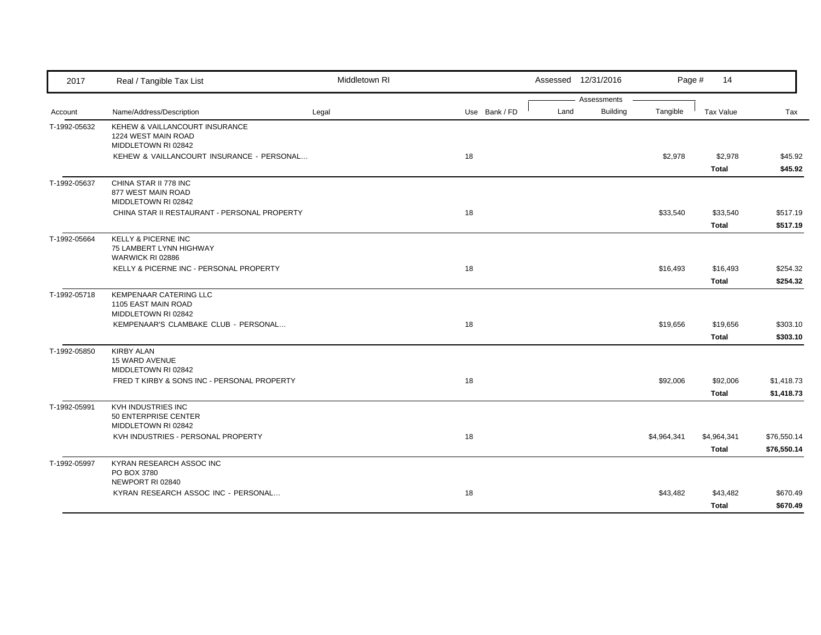| 2017         | Real / Tangible Tax List                                                                                                  | Middletown RI |               |      | Assessed 12/31/2016     | Page #      | 14                          |                            |
|--------------|---------------------------------------------------------------------------------------------------------------------------|---------------|---------------|------|-------------------------|-------------|-----------------------------|----------------------------|
| Account      | Name/Address/Description                                                                                                  | Legal         | Use Bank / FD | Land | Assessments<br>Building | Tangible    | Tax Value                   | Tax                        |
| T-1992-05632 | KEHEW & VAILLANCOURT INSURANCE<br>1224 WEST MAIN ROAD<br>MIDDLETOWN RI 02842<br>KEHEW & VAILLANCOURT INSURANCE - PERSONAL |               | 18            |      |                         | \$2,978     | \$2,978<br>Total            | \$45.92<br>\$45.92         |
| T-1992-05637 | CHINA STAR II 778 INC<br>877 WEST MAIN ROAD<br>MIDDLETOWN RI 02842<br>CHINA STAR II RESTAURANT - PERSONAL PROPERTY        |               | 18            |      |                         | \$33,540    | \$33,540<br><b>Total</b>    | \$517.19<br>\$517.19       |
| T-1992-05664 | <b>KELLY &amp; PICERNE INC</b><br>75 LAMBERT LYNN HIGHWAY<br>WARWICK RI 02886<br>KELLY & PICERNE INC - PERSONAL PROPERTY  |               | 18            |      |                         | \$16,493    | \$16,493<br>Total           | \$254.32<br>\$254.32       |
| T-1992-05718 | <b>KEMPENAAR CATERING LLC</b><br>1105 EAST MAIN ROAD<br>MIDDLETOWN RI 02842<br>KEMPENAAR'S CLAMBAKE CLUB - PERSONAL       |               | 18            |      |                         | \$19,656    | \$19,656<br><b>Total</b>    | \$303.10<br>\$303.10       |
| T-1992-05850 | <b>KIRBY ALAN</b><br><b>15 WARD AVENUE</b><br>MIDDLETOWN RI 02842<br>FRED T KIRBY & SONS INC - PERSONAL PROPERTY          |               | 18            |      |                         | \$92,006    | \$92,006<br><b>Total</b>    | \$1,418.73<br>\$1,418.73   |
| T-1992-05991 | KVH INDUSTRIES INC<br>50 ENTERPRISE CENTER<br>MIDDLETOWN RI 02842<br>KVH INDUSTRIES - PERSONAL PROPERTY                   |               | 18            |      |                         | \$4,964,341 | \$4,964,341<br><b>Total</b> | \$76,550.14<br>\$76,550.14 |
| T-1992-05997 | KYRAN RESEARCH ASSOC INC<br>PO BOX 3780<br>NEWPORT RI 02840<br>KYRAN RESEARCH ASSOC INC - PERSONAL                        |               | 18            |      |                         | \$43,482    | \$43,482<br>Total           | \$670.49<br>\$670.49       |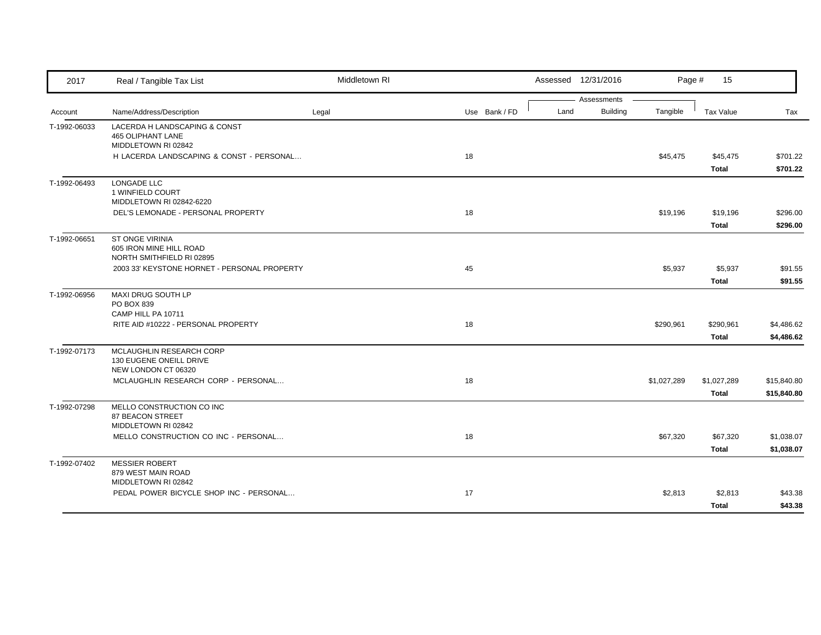| 2017         | Real / Tangible Tax List                                                         | Middletown RI |               |      | Assessed 12/31/2016     | Page #      | 15                       |                            |
|--------------|----------------------------------------------------------------------------------|---------------|---------------|------|-------------------------|-------------|--------------------------|----------------------------|
| Account      | Name/Address/Description                                                         | Legal         | Use Bank / FD | Land | Assessments<br>Building | Tangible    | <b>Tax Value</b>         | Tax                        |
| T-1992-06033 | LACERDA H LANDSCAPING & CONST<br><b>465 OLIPHANT LANE</b><br>MIDDLETOWN RI 02842 |               |               |      |                         |             |                          |                            |
|              | H LACERDA LANDSCAPING & CONST - PERSONAL                                         |               | 18            |      |                         | \$45,475    | \$45,475<br>Total        | \$701.22<br>\$701.22       |
| T-1992-06493 | LONGADE LLC<br>1 WINFIELD COURT<br>MIDDLETOWN RI 02842-6220                      |               |               |      |                         |             |                          |                            |
|              | DEL'S LEMONADE - PERSONAL PROPERTY                                               |               | 18            |      |                         | \$19,196    | \$19,196<br><b>Total</b> | \$296.00<br>\$296.00       |
| T-1992-06651 | ST ONGE VIRINIA<br>605 IRON MINE HILL ROAD<br>NORTH SMITHFIELD RI 02895          |               |               |      |                         |             |                          |                            |
|              | 2003 33' KEYSTONE HORNET - PERSONAL PROPERTY                                     |               | 45            |      |                         | \$5,937     | \$5,937<br><b>Total</b>  | \$91.55<br>\$91.55         |
| T-1992-06956 | MAXI DRUG SOUTH LP<br>PO BOX 839<br>CAMP HILL PA 10711                           |               |               |      |                         |             |                          |                            |
|              | RITE AID #10222 - PERSONAL PROPERTY                                              |               | 18            |      |                         | \$290,961   | \$290,961<br>Total       | \$4,486.62<br>\$4,486.62   |
| T-1992-07173 | MCLAUGHLIN RESEARCH CORP<br>130 EUGENE ONEILL DRIVE<br>NEW LONDON CT 06320       |               |               |      |                         |             |                          |                            |
|              | MCLAUGHLIN RESEARCH CORP - PERSONAL                                              |               | 18            |      |                         | \$1,027,289 | \$1,027,289<br>Total     | \$15,840.80<br>\$15,840.80 |
| T-1992-07298 | MELLO CONSTRUCTION CO INC<br>87 BEACON STREET<br>MIDDLETOWN RI 02842             |               |               |      |                         |             |                          |                            |
|              | MELLO CONSTRUCTION CO INC - PERSONAL                                             |               | 18            |      |                         | \$67,320    | \$67,320<br><b>Total</b> | \$1,038.07<br>\$1,038.07   |
| T-1992-07402 | <b>MESSIER ROBERT</b><br>879 WEST MAIN ROAD<br>MIDDLETOWN RI 02842               |               |               |      |                         |             |                          |                            |
|              | PEDAL POWER BICYCLE SHOP INC - PERSONAL                                          |               | 17            |      |                         | \$2,813     | \$2,813<br>Total         | \$43.38<br>\$43.38         |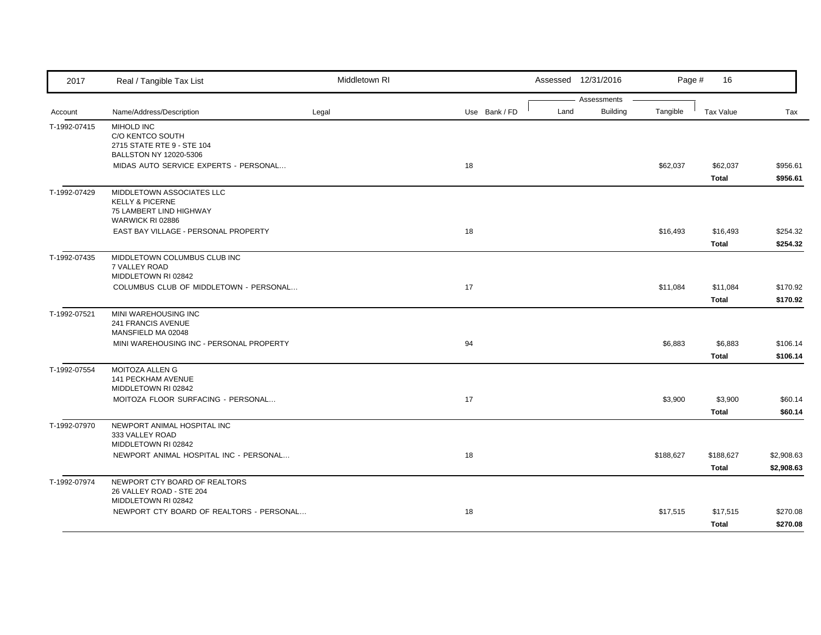| 2017         | Real / Tangible Tax List                                                           | Middletown RI |               |      | Assessed 12/31/2016 | Page #    | 16                       |                          |
|--------------|------------------------------------------------------------------------------------|---------------|---------------|------|---------------------|-----------|--------------------------|--------------------------|
|              |                                                                                    |               |               |      | Assessments         |           |                          |                          |
| Account      | Name/Address/Description                                                           | Legal         | Use Bank / FD | Land | <b>Building</b>     | Tangible  | <b>Tax Value</b>         | Tax                      |
| T-1992-07415 | <b>MIHOLD INC</b><br>C/O KENTCO SOUTH<br>2715 STATE RTE 9 - STE 104                |               |               |      |                     |           |                          |                          |
|              | BALLSTON NY 12020-5306<br>MIDAS AUTO SERVICE EXPERTS - PERSONAL                    |               | 18            |      |                     | \$62,037  | \$62,037<br><b>Total</b> | \$956.61<br>\$956.61     |
| T-1992-07429 | MIDDLETOWN ASSOCIATES LLC<br><b>KELLY &amp; PICERNE</b><br>75 LAMBERT LIND HIGHWAY |               |               |      |                     |           |                          |                          |
|              | WARWICK RI 02886<br>EAST BAY VILLAGE - PERSONAL PROPERTY                           |               | 18            |      |                     | \$16,493  | \$16,493<br>Total        | \$254.32<br>\$254.32     |
| T-1992-07435 | MIDDLETOWN COLUMBUS CLUB INC<br>7 VALLEY ROAD<br>MIDDLETOWN RI 02842               |               |               |      |                     |           |                          |                          |
|              | COLUMBUS CLUB OF MIDDLETOWN - PERSONAL                                             |               | 17            |      |                     | \$11,084  | \$11,084<br>Total        | \$170.92<br>\$170.92     |
| T-1992-07521 | MINI WAREHOUSING INC<br>241 FRANCIS AVENUE<br>MANSFIELD MA 02048                   |               |               |      |                     |           |                          |                          |
|              | MINI WAREHOUSING INC - PERSONAL PROPERTY                                           |               | 94            |      |                     | \$6,883   | \$6,883<br>Total         | \$106.14<br>\$106.14     |
| T-1992-07554 | MOITOZA ALLEN G<br>141 PECKHAM AVENUE<br>MIDDLETOWN RI 02842                       |               |               |      |                     |           |                          |                          |
|              | MOITOZA FLOOR SURFACING - PERSONAL                                                 |               | 17            |      |                     | \$3,900   | \$3,900<br><b>Total</b>  | \$60.14<br>\$60.14       |
| T-1992-07970 | NEWPORT ANIMAL HOSPITAL INC<br>333 VALLEY ROAD<br>MIDDLETOWN RI 02842              |               |               |      |                     |           |                          |                          |
|              | NEWPORT ANIMAL HOSPITAL INC - PERSONAL                                             |               | 18            |      |                     | \$188,627 | \$188,627<br>Total       | \$2,908.63<br>\$2,908.63 |
| T-1992-07974 | NEWPORT CTY BOARD OF REALTORS<br>26 VALLEY ROAD - STE 204<br>MIDDLETOWN RI 02842   |               |               |      |                     |           |                          |                          |
|              | NEWPORT CTY BOARD OF REALTORS - PERSONAL                                           |               | 18            |      |                     | \$17,515  | \$17,515<br>Total        | \$270.08<br>\$270.08     |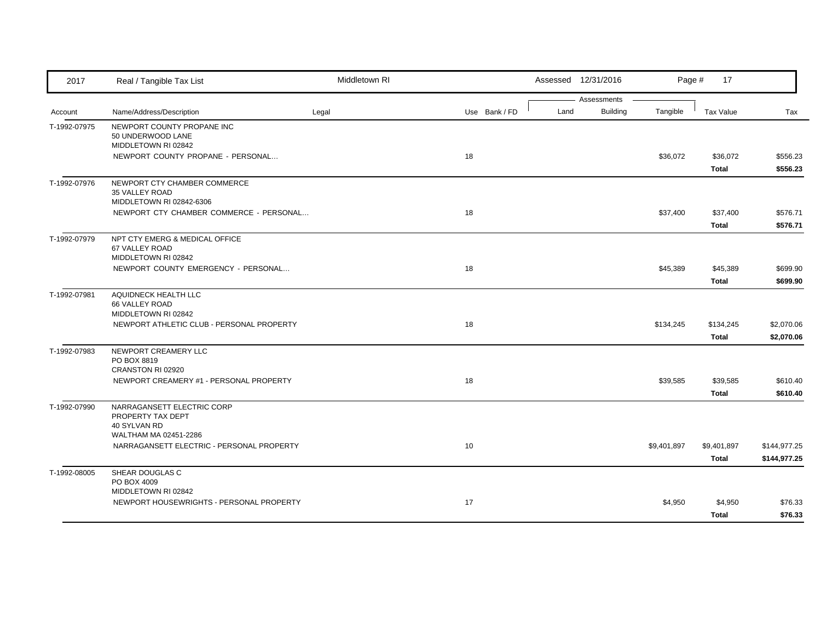| 2017         | Real / Tangible Tax List                                   | Middletown RI |               |      | Assessed 12/31/2016            | Page #      | 17           |              |
|--------------|------------------------------------------------------------|---------------|---------------|------|--------------------------------|-------------|--------------|--------------|
| Account      | Name/Address/Description                                   | Legal         | Use Bank / FD | Land | Assessments<br><b>Building</b> | Tangible    | Tax Value    | Tax          |
| T-1992-07975 | NEWPORT COUNTY PROPANE INC                                 |               |               |      |                                |             |              |              |
|              | 50 UNDERWOOD LANE                                          |               |               |      |                                |             |              |              |
|              | MIDDLETOWN RI 02842                                        |               |               |      |                                |             |              |              |
|              | NEWPORT COUNTY PROPANE - PERSONAL                          |               | 18            |      |                                | \$36,072    | \$36,072     | \$556.23     |
|              |                                                            |               |               |      |                                |             | Total        | \$556.23     |
| T-1992-07976 | NEWPORT CTY CHAMBER COMMERCE                               |               |               |      |                                |             |              |              |
|              | 35 VALLEY ROAD                                             |               |               |      |                                |             |              |              |
|              | MIDDLETOWN RI 02842-6306                                   |               |               |      |                                |             |              |              |
|              | NEWPORT CTY CHAMBER COMMERCE - PERSONAL                    |               | 18            |      |                                | \$37,400    | \$37,400     | \$576.71     |
|              |                                                            |               |               |      |                                |             | <b>Total</b> | \$576.71     |
| T-1992-07979 | NPT CTY EMERG & MEDICAL OFFICE                             |               |               |      |                                |             |              |              |
|              | 67 VALLEY ROAD                                             |               |               |      |                                |             |              |              |
|              | MIDDLETOWN RI 02842<br>NEWPORT COUNTY EMERGENCY - PERSONAL |               | 18            |      |                                | \$45,389    | \$45,389     | \$699.90     |
|              |                                                            |               |               |      |                                |             | Total        | \$699.90     |
| T-1992-07981 | AQUIDNECK HEALTH LLC                                       |               |               |      |                                |             |              |              |
|              | 66 VALLEY ROAD                                             |               |               |      |                                |             |              |              |
|              | MIDDLETOWN RI 02842                                        |               |               |      |                                |             |              |              |
|              | NEWPORT ATHLETIC CLUB - PERSONAL PROPERTY                  |               | 18            |      |                                | \$134,245   | \$134,245    | \$2,070.06   |
|              |                                                            |               |               |      |                                |             | <b>Total</b> | \$2,070.06   |
| T-1992-07983 | NEWPORT CREAMERY LLC                                       |               |               |      |                                |             |              |              |
|              | PO BOX 8819                                                |               |               |      |                                |             |              |              |
|              | CRANSTON RI 02920                                          |               |               |      |                                |             |              |              |
|              | NEWPORT CREAMERY #1 - PERSONAL PROPERTY                    |               | 18            |      |                                | \$39,585    | \$39,585     | \$610.40     |
|              |                                                            |               |               |      |                                |             | Total        | \$610.40     |
| T-1992-07990 | NARRAGANSETT ELECTRIC CORP                                 |               |               |      |                                |             |              |              |
|              | PROPERTY TAX DEPT<br>40 SYLVAN RD                          |               |               |      |                                |             |              |              |
|              | WALTHAM MA 02451-2286                                      |               |               |      |                                |             |              |              |
|              | NARRAGANSETT ELECTRIC - PERSONAL PROPERTY                  |               | 10            |      |                                | \$9,401,897 | \$9,401,897  | \$144,977.25 |
|              |                                                            |               |               |      |                                |             | <b>Total</b> | \$144,977.25 |
| T-1992-08005 | SHEAR DOUGLAS C                                            |               |               |      |                                |             |              |              |
|              | PO BOX 4009                                                |               |               |      |                                |             |              |              |
|              | MIDDLETOWN RI 02842                                        |               |               |      |                                |             |              |              |
|              | NEWPORT HOUSEWRIGHTS - PERSONAL PROPERTY                   |               | 17            |      |                                | \$4,950     | \$4,950      | \$76.33      |
|              |                                                            |               |               |      |                                |             | Total        | \$76.33      |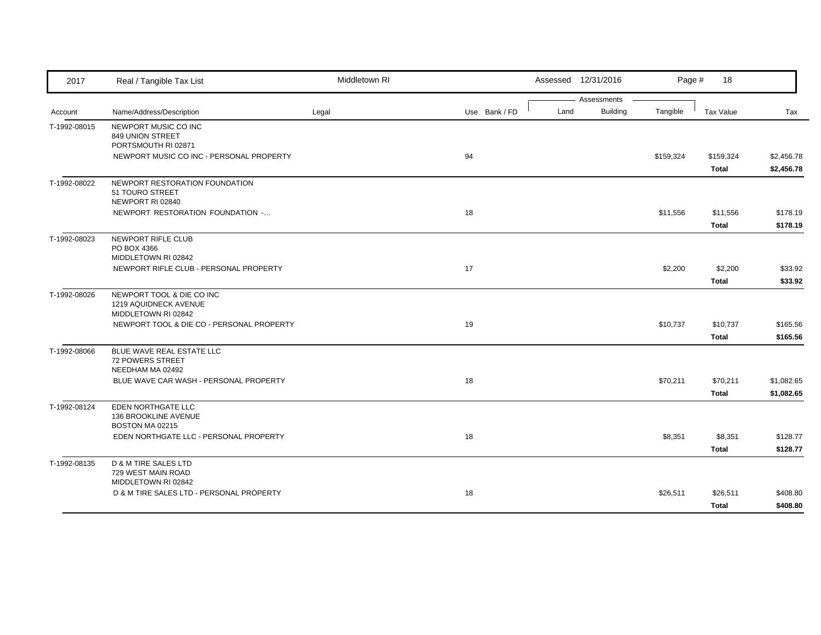| 2017         | Real / Tangible Tax List                                                  | Middletown RI |               |      | Assessed 12/31/2016     | Page #    | 18                       |                          |
|--------------|---------------------------------------------------------------------------|---------------|---------------|------|-------------------------|-----------|--------------------------|--------------------------|
| Account      | Name/Address/Description                                                  | Legal         | Use Bank / FD | Land | Assessments<br>Building | Tangible  | Tax Value                | Tax                      |
| T-1992-08015 | NEWPORT MUSIC CO INC<br>849 UNION STREET<br>PORTSMOUTH RI 02871           |               |               |      |                         |           |                          |                          |
|              | NEWPORT MUSIC CO INC - PERSONAL PROPERTY                                  |               | 94            |      |                         | \$159,324 | \$159,324<br>Total       | \$2,456.78<br>\$2,456.78 |
| T-1992-08022 | NEWPORT RESTORATION FOUNDATION<br>51 TOURO STREET<br>NEWPORT RI 02840     |               |               |      |                         |           |                          |                          |
|              | NEWPORT RESTORATION FOUNDATION -                                          |               | 18            |      |                         | \$11,556  | \$11,556<br>Total        | \$178.19<br>\$178.19     |
| T-1992-08023 | NEWPORT RIFLE CLUB<br>PO BOX 4366<br>MIDDLETOWN RI 02842                  |               |               |      |                         |           |                          |                          |
|              | NEWPORT RIFLE CLUB - PERSONAL PROPERTY                                    |               | 17            |      |                         | \$2,200   | \$2,200<br><b>Total</b>  | \$33.92<br>\$33.92       |
| T-1992-08026 | NEWPORT TOOL & DIE CO INC<br>1219 AQUIDNECK AVENUE<br>MIDDLETOWN RI 02842 |               |               |      |                         |           |                          |                          |
|              | NEWPORT TOOL & DIE CO - PERSONAL PROPERTY                                 |               | 19            |      |                         | \$10,737  | \$10,737<br><b>Total</b> | \$165.56<br>\$165.56     |
| T-1992-08066 | BLUE WAVE REAL ESTATE LLC<br><b>72 POWERS STREET</b><br>NEEDHAM MA 02492  |               |               |      |                         |           |                          |                          |
|              | BLUE WAVE CAR WASH - PERSONAL PROPERTY                                    |               | 18            |      |                         | \$70,211  | \$70,211<br>Total        | \$1,082.65<br>\$1,082.65 |
| T-1992-08124 | EDEN NORTHGATE LLC<br>136 BROOKLINE AVENUE<br>BOSTON MA 02215             |               |               |      |                         |           |                          |                          |
|              | EDEN NORTHGATE LLC - PERSONAL PROPERTY                                    |               | 18            |      |                         | \$8,351   | \$8,351<br>Total         | \$128.77<br>\$128.77     |
| T-1992-08135 | D & M TIRE SALES LTD<br>729 WEST MAIN ROAD<br>MIDDLETOWN RI 02842         |               |               |      |                         |           |                          |                          |
|              | D & M TIRE SALES LTD - PERSONAL PROPERTY                                  |               | 18            |      |                         | \$26,511  | \$26,511<br>Total        | \$408.80<br>\$408.80     |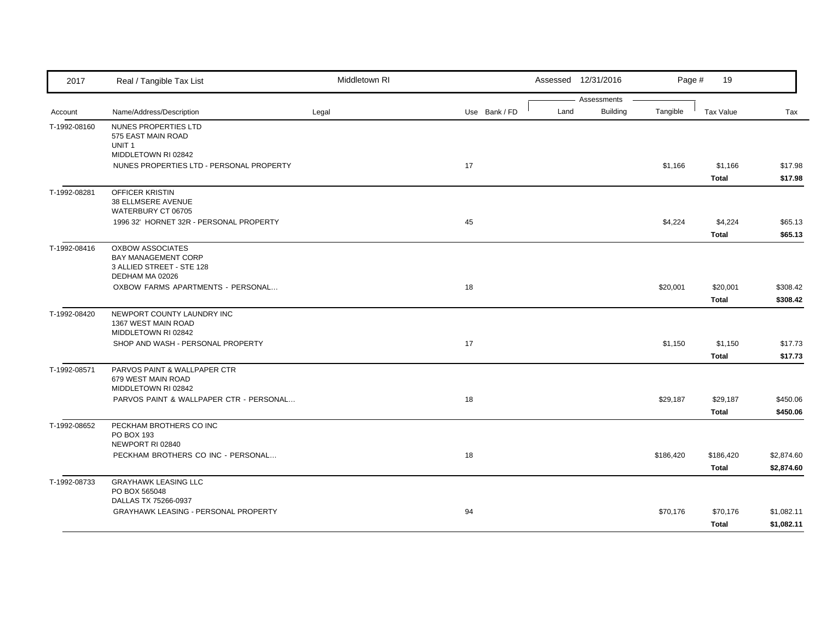| 2017         | Real / Tangible Tax List                                                                       | Middletown RI |               |      | Assessed 12/31/2016 | Page #    | 19               |            |
|--------------|------------------------------------------------------------------------------------------------|---------------|---------------|------|---------------------|-----------|------------------|------------|
|              |                                                                                                |               |               |      | Assessments         |           |                  |            |
| Account      | Name/Address/Description                                                                       | Legal         | Use Bank / FD | Land | <b>Building</b>     | Tangible  | <b>Tax Value</b> | Tax        |
| T-1992-08160 | NUNES PROPERTIES LTD<br>575 EAST MAIN ROAD<br>UNIT <sub>1</sub>                                |               |               |      |                     |           |                  |            |
|              | MIDDLETOWN RI 02842                                                                            |               |               |      |                     |           |                  |            |
|              | NUNES PROPERTIES LTD - PERSONAL PROPERTY                                                       |               | 17            |      |                     | \$1,166   | \$1,166          | \$17.98    |
|              |                                                                                                |               |               |      |                     |           | Total            | \$17.98    |
| T-1992-08281 | OFFICER KRISTIN<br>38 ELLMSERE AVENUE                                                          |               |               |      |                     |           |                  |            |
|              | WATERBURY CT 06705                                                                             |               |               |      |                     |           |                  |            |
|              | 1996 32' HORNET 32R - PERSONAL PROPERTY                                                        |               | 45            |      |                     | \$4,224   | \$4,224          | \$65.13    |
|              |                                                                                                |               |               |      |                     |           | Total            | \$65.13    |
| T-1992-08416 | <b>OXBOW ASSOCIATES</b><br>BAY MANAGEMENT CORP<br>3 ALLIED STREET - STE 128<br>DEDHAM MA 02026 |               |               |      |                     |           |                  |            |
|              | OXBOW FARMS APARTMENTS - PERSONAL                                                              |               | 18            |      |                     | \$20,001  | \$20,001         | \$308.42   |
|              |                                                                                                |               |               |      |                     |           | <b>Total</b>     | \$308.42   |
| T-1992-08420 | NEWPORT COUNTY LAUNDRY INC<br>1367 WEST MAIN ROAD<br>MIDDLETOWN RI 02842                       |               |               |      |                     |           |                  |            |
|              | SHOP AND WASH - PERSONAL PROPERTY                                                              |               | 17            |      |                     | \$1,150   | \$1,150          | \$17.73    |
|              |                                                                                                |               |               |      |                     |           | <b>Total</b>     | \$17.73    |
| T-1992-08571 | PARVOS PAINT & WALLPAPER CTR<br>679 WEST MAIN ROAD<br>MIDDLETOWN RI 02842                      |               |               |      |                     |           |                  |            |
|              | PARVOS PAINT & WALLPAPER CTR - PERSONAL                                                        |               | 18            |      |                     | \$29,187  | \$29,187         | \$450.06   |
|              |                                                                                                |               |               |      |                     |           | <b>Total</b>     | \$450.06   |
| T-1992-08652 | PECKHAM BROTHERS CO INC                                                                        |               |               |      |                     |           |                  |            |
|              | PO BOX 193                                                                                     |               |               |      |                     |           |                  |            |
|              | NEWPORT RI 02840                                                                               |               |               |      |                     |           |                  |            |
|              | PECKHAM BROTHERS CO INC - PERSONAL                                                             |               | 18            |      |                     | \$186,420 | \$186,420        | \$2,874.60 |
|              |                                                                                                |               |               |      |                     |           | Total            | \$2,874.60 |
| T-1992-08733 | <b>GRAYHAWK LEASING LLC</b>                                                                    |               |               |      |                     |           |                  |            |
|              | PO BOX 565048                                                                                  |               |               |      |                     |           |                  |            |
|              | DALLAS TX 75266-0937                                                                           |               |               |      |                     |           |                  |            |
|              | GRAYHAWK LEASING - PERSONAL PROPERTY                                                           |               | 94            |      |                     | \$70,176  | \$70,176         | \$1,082.11 |
|              |                                                                                                |               |               |      |                     |           | Total            | \$1,082.11 |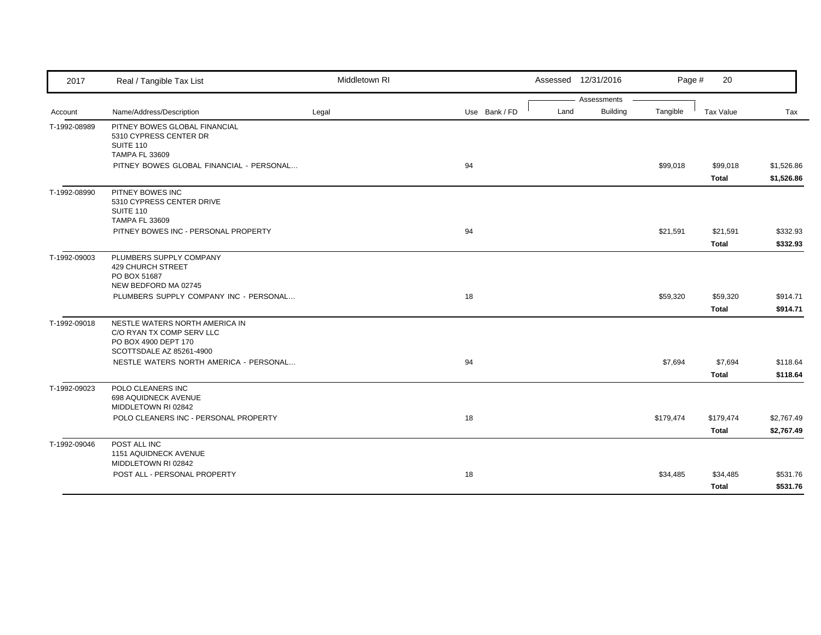| 2017         | Real / Tangible Tax List                                                                                        | Middletown RI |               |      | Assessed 12/31/2016 | Page #    | 20           |            |
|--------------|-----------------------------------------------------------------------------------------------------------------|---------------|---------------|------|---------------------|-----------|--------------|------------|
|              |                                                                                                                 |               |               |      | Assessments         |           |              |            |
| Account      | Name/Address/Description                                                                                        | Legal         | Use Bank / FD | Land | <b>Building</b>     | Tangible  | Tax Value    | Tax        |
| T-1992-08989 | PITNEY BOWES GLOBAL FINANCIAL<br>5310 CYPRESS CENTER DR<br><b>SUITE 110</b><br><b>TAMPA FL 33609</b>            |               |               |      |                     |           |              |            |
|              | PITNEY BOWES GLOBAL FINANCIAL - PERSONAL                                                                        |               | 94            |      |                     | \$99,018  | \$99,018     | \$1,526.86 |
|              |                                                                                                                 |               |               |      |                     |           | Total        | \$1,526.86 |
| T-1992-08990 | PITNEY BOWES INC<br>5310 CYPRESS CENTER DRIVE<br>SUITE 110<br><b>TAMPA FL 33609</b>                             |               |               |      |                     |           |              |            |
|              | PITNEY BOWES INC - PERSONAL PROPERTY                                                                            |               | 94            |      |                     | \$21,591  | \$21,591     | \$332.93   |
|              |                                                                                                                 |               |               |      |                     |           | Total        | \$332.93   |
| T-1992-09003 | PLUMBERS SUPPLY COMPANY<br>429 CHURCH STREET<br>PO BOX 51687<br>NEW BEDFORD MA 02745                            |               |               |      |                     |           |              |            |
|              | PLUMBERS SUPPLY COMPANY INC - PERSONAL                                                                          |               | 18            |      |                     | \$59,320  | \$59,320     | \$914.71   |
|              |                                                                                                                 |               |               |      |                     |           | Total        | \$914.71   |
| T-1992-09018 | NESTLE WATERS NORTH AMERICA IN<br>C/O RYAN TX COMP SERV LLC<br>PO BOX 4900 DEPT 170<br>SCOTTSDALE AZ 85261-4900 |               |               |      |                     |           |              |            |
|              | NESTLE WATERS NORTH AMERICA - PERSONAL                                                                          |               | 94            |      |                     | \$7,694   | \$7,694      | \$118.64   |
|              |                                                                                                                 |               |               |      |                     |           | <b>Total</b> | \$118.64   |
| T-1992-09023 | POLO CLEANERS INC<br>698 AQUIDNECK AVENUE<br>MIDDLETOWN RI 02842                                                |               |               |      |                     |           |              |            |
|              | POLO CLEANERS INC - PERSONAL PROPERTY                                                                           |               | 18            |      |                     | \$179,474 | \$179,474    | \$2,767.49 |
|              |                                                                                                                 |               |               |      |                     |           | Total        | \$2,767.49 |
| T-1992-09046 | POST ALL INC<br>1151 AQUIDNECK AVENUE<br>MIDDLETOWN RI 02842                                                    |               |               |      |                     |           |              |            |
|              | POST ALL - PERSONAL PROPERTY                                                                                    |               | 18            |      |                     | \$34,485  | \$34,485     | \$531.76   |
|              |                                                                                                                 |               |               |      |                     |           | Total        | \$531.76   |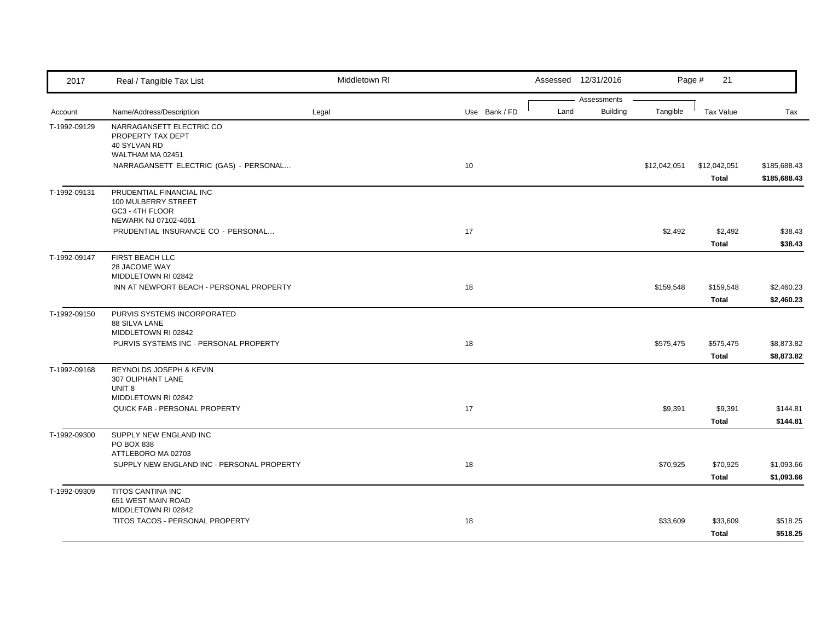| 2017         | Real / Tangible Tax List                                                                   | Middletown RI |               |      | Assessed 12/31/2016            |              | 21<br>Page #                 |                              |
|--------------|--------------------------------------------------------------------------------------------|---------------|---------------|------|--------------------------------|--------------|------------------------------|------------------------------|
| Account      | Name/Address/Description                                                                   | Legal         | Use Bank / FD | Land | Assessments<br><b>Building</b> | Tangible     | <b>Tax Value</b>             | Tax                          |
| T-1992-09129 | NARRAGANSETT ELECTRIC CO<br>PROPERTY TAX DEPT<br>40 SYLVAN RD<br>WALTHAM MA 02451          |               |               |      |                                |              |                              |                              |
|              | NARRAGANSETT ELECTRIC (GAS) - PERSONAL                                                     |               | 10            |      |                                | \$12,042,051 | \$12,042,051<br><b>Total</b> | \$185,688.43<br>\$185,688.43 |
| T-1992-09131 | PRUDENTIAL FINANCIAL INC<br>100 MULBERRY STREET<br>GC3 - 4TH FLOOR<br>NEWARK NJ 07102-4061 |               |               |      |                                |              |                              |                              |
|              | PRUDENTIAL INSURANCE CO - PERSONAL                                                         |               | 17            |      |                                | \$2,492      | \$2,492<br><b>Total</b>      | \$38.43<br>\$38.43           |
| T-1992-09147 | FIRST BEACH LLC<br>28 JACOME WAY<br>MIDDLETOWN RI 02842                                    |               |               |      |                                |              |                              |                              |
|              | INN AT NEWPORT BEACH - PERSONAL PROPERTY                                                   |               | 18            |      |                                | \$159,548    | \$159,548<br>Total           | \$2,460.23<br>\$2,460.23     |
| T-1992-09150 | PURVIS SYSTEMS INCORPORATED<br><b>88 SILVA LANE</b><br>MIDDLETOWN RI 02842                 |               |               |      |                                |              |                              |                              |
|              | PURVIS SYSTEMS INC - PERSONAL PROPERTY                                                     |               | 18            |      |                                | \$575,475    | \$575,475<br>Total           | \$8,873.82<br>\$8,873.82     |
| T-1992-09168 | REYNOLDS JOSEPH & KEVIN<br>307 OLIPHANT LANE<br>UNIT <sub>8</sub>                          |               |               |      |                                |              |                              |                              |
|              | MIDDLETOWN RI 02842<br>QUICK FAB - PERSONAL PROPERTY                                       |               | 17            |      |                                | \$9,391      | \$9,391<br><b>Total</b>      | \$144.81<br>\$144.81         |
| T-1992-09300 | SUPPLY NEW ENGLAND INC<br>PO BOX 838<br>ATTLEBORO MA 02703                                 |               |               |      |                                |              |                              |                              |
|              | SUPPLY NEW ENGLAND INC - PERSONAL PROPERTY                                                 |               | 18            |      |                                | \$70,925     | \$70,925<br>Total            | \$1,093.66<br>\$1,093.66     |
| T-1992-09309 | TITOS CANTINA INC<br>651 WEST MAIN ROAD<br>MIDDLETOWN RI 02842                             |               |               |      |                                |              |                              |                              |
|              | TITOS TACOS - PERSONAL PROPERTY                                                            |               | 18            |      |                                | \$33,609     | \$33,609<br>Total            | \$518.25<br>\$518.25         |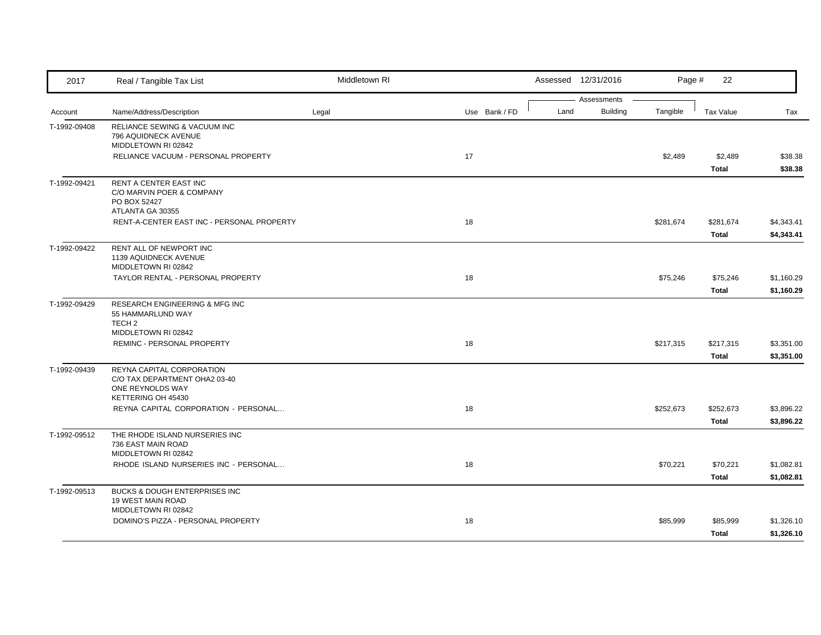| 2017         | Real / Tangible Tax List                                                                             | Middletown RI |               |      | Assessed 12/31/2016            | Page #    | 22                        |                          |
|--------------|------------------------------------------------------------------------------------------------------|---------------|---------------|------|--------------------------------|-----------|---------------------------|--------------------------|
| Account      | Name/Address/Description                                                                             | Legal         | Use Bank / FD | Land | Assessments<br><b>Building</b> | Tangible  | <b>Tax Value</b>          | Tax                      |
| T-1992-09408 | RELIANCE SEWING & VACUUM INC<br>796 AQUIDNECK AVENUE<br>MIDDLETOWN RI 02842                          |               |               |      |                                |           |                           |                          |
|              | RELIANCE VACUUM - PERSONAL PROPERTY                                                                  |               | 17            |      |                                | \$2,489   | \$2,489<br><b>Total</b>   | \$38.38<br>\$38.38       |
| T-1992-09421 | RENT A CENTER EAST INC<br>C/O MARVIN POER & COMPANY<br>PO BOX 52427<br>ATLANTA GA 30355              |               |               |      |                                |           |                           |                          |
|              | RENT-A-CENTER EAST INC - PERSONAL PROPERTY                                                           |               | 18            |      |                                | \$281,674 | \$281,674<br>Total        | \$4,343.41<br>\$4,343.41 |
| T-1992-09422 | RENT ALL OF NEWPORT INC<br>1139 AQUIDNECK AVENUE<br>MIDDLETOWN RI 02842                              |               |               |      |                                |           |                           |                          |
|              | TAYLOR RENTAL - PERSONAL PROPERTY                                                                    |               | 18            |      |                                | \$75,246  | \$75,246<br>Total         | \$1,160.29<br>\$1,160.29 |
| T-1992-09429 | RESEARCH ENGINEERING & MFG INC<br>55 HAMMARLUND WAY<br>TECH <sub>2</sub>                             |               |               |      |                                |           |                           |                          |
|              | MIDDLETOWN RI 02842<br>REMINC - PERSONAL PROPERTY                                                    |               | 18            |      |                                | \$217,315 | \$217,315<br><b>Total</b> | \$3,351.00<br>\$3,351.00 |
| T-1992-09439 | REYNA CAPITAL CORPORATION<br>C/O TAX DEPARTMENT OHA2 03-40<br>ONE REYNOLDS WAY<br>KETTERING OH 45430 |               |               |      |                                |           |                           |                          |
|              | REYNA CAPITAL CORPORATION - PERSONAL                                                                 |               | 18            |      |                                | \$252,673 | \$252,673<br>Total        | \$3,896.22<br>\$3,896.22 |
| T-1992-09512 | THE RHODE ISLAND NURSERIES INC<br>736 EAST MAIN ROAD<br>MIDDLETOWN RI 02842                          |               |               |      |                                |           |                           |                          |
|              | RHODE ISLAND NURSERIES INC - PERSONAL                                                                |               | 18            |      |                                | \$70,221  | \$70,221<br>Total         | \$1,082.81<br>\$1,082.81 |
| T-1992-09513 | BUCKS & DOUGH ENTERPRISES INC<br>19 WEST MAIN ROAD<br>MIDDLETOWN RI 02842                            |               |               |      |                                |           |                           |                          |
|              | DOMINO'S PIZZA - PERSONAL PROPERTY                                                                   |               | 18            |      |                                | \$85,999  | \$85,999<br>Total         | \$1,326.10<br>\$1,326.10 |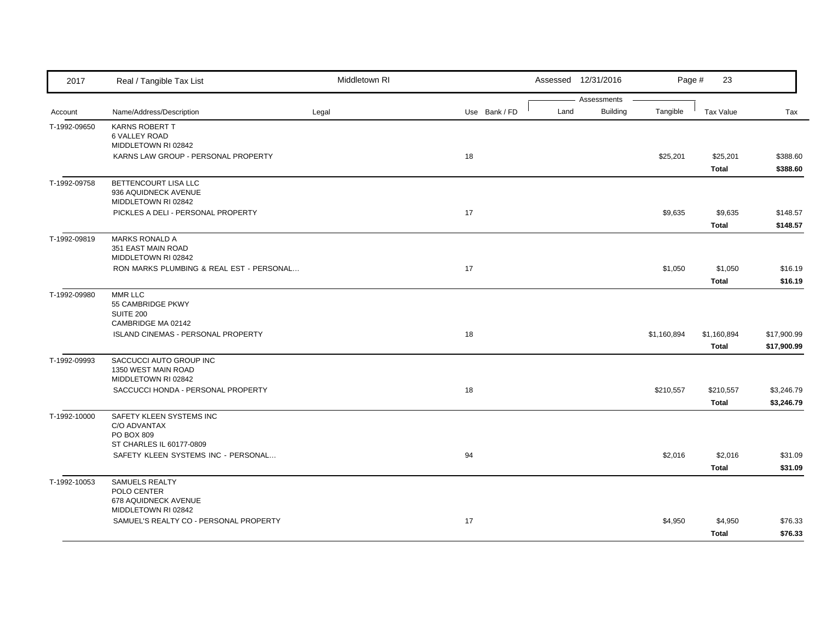| 2017         | Real / Tangible Tax List                                              | Middletown RI |               |      | Assessed 12/31/2016            | Page #      | 23                   |                            |
|--------------|-----------------------------------------------------------------------|---------------|---------------|------|--------------------------------|-------------|----------------------|----------------------------|
| Account      | Name/Address/Description                                              | Legal         | Use Bank / FD | Land | Assessments<br><b>Building</b> | Tangible    | <b>Tax Value</b>     | Tax                        |
| T-1992-09650 | KARNS ROBERT T<br><b>6 VALLEY ROAD</b><br>MIDDLETOWN RI 02842         |               |               |      |                                |             |                      |                            |
|              | KARNS LAW GROUP - PERSONAL PROPERTY                                   |               | 18            |      |                                | \$25,201    | \$25,201<br>Total    | \$388.60<br>\$388.60       |
| T-1992-09758 | BETTENCOURT LISA LLC<br>936 AQUIDNECK AVENUE<br>MIDDLETOWN RI 02842   |               |               |      |                                |             |                      |                            |
|              | PICKLES A DELI - PERSONAL PROPERTY                                    |               | 17            |      |                                | \$9,635     | \$9,635<br>Total     | \$148.57<br>\$148.57       |
| T-1992-09819 | <b>MARKS RONALD A</b><br>351 EAST MAIN ROAD<br>MIDDLETOWN RI 02842    |               |               |      |                                |             |                      |                            |
|              | RON MARKS PLUMBING & REAL EST - PERSONAL                              |               | 17            |      |                                | \$1,050     | \$1,050<br>Total     | \$16.19<br>\$16.19         |
| T-1992-09980 | MMR LLC<br>55 CAMBRIDGE PKWY<br><b>SUITE 200</b>                      |               |               |      |                                |             |                      |                            |
|              | CAMBRIDGE MA 02142<br><b>ISLAND CINEMAS - PERSONAL PROPERTY</b>       |               | 18            |      |                                | \$1,160,894 | \$1,160,894<br>Total | \$17,900.99<br>\$17,900.99 |
| T-1992-09993 | SACCUCCI AUTO GROUP INC<br>1350 WEST MAIN ROAD<br>MIDDLETOWN RI 02842 |               |               |      |                                |             |                      |                            |
|              | SACCUCCI HONDA - PERSONAL PROPERTY                                    |               | 18            |      |                                | \$210,557   | \$210,557<br>Total   | \$3,246.79<br>\$3,246.79   |
| T-1992-10000 | SAFETY KLEEN SYSTEMS INC<br>C/O ADVANTAX<br>PO BOX 809                |               |               |      |                                |             |                      |                            |
|              | ST CHARLES IL 60177-0809<br>SAFETY KLEEN SYSTEMS INC - PERSONAL       |               | 94            |      |                                | \$2,016     | \$2,016<br>Total     | \$31.09<br>\$31.09         |
| T-1992-10053 | SAMUELS REALTY<br>POLO CENTER<br>678 AQUIDNECK AVENUE                 |               |               |      |                                |             |                      |                            |
|              | MIDDLETOWN RI 02842<br>SAMUEL'S REALTY CO - PERSONAL PROPERTY         |               | 17            |      |                                | \$4,950     | \$4,950<br>Total     | \$76.33<br>\$76.33         |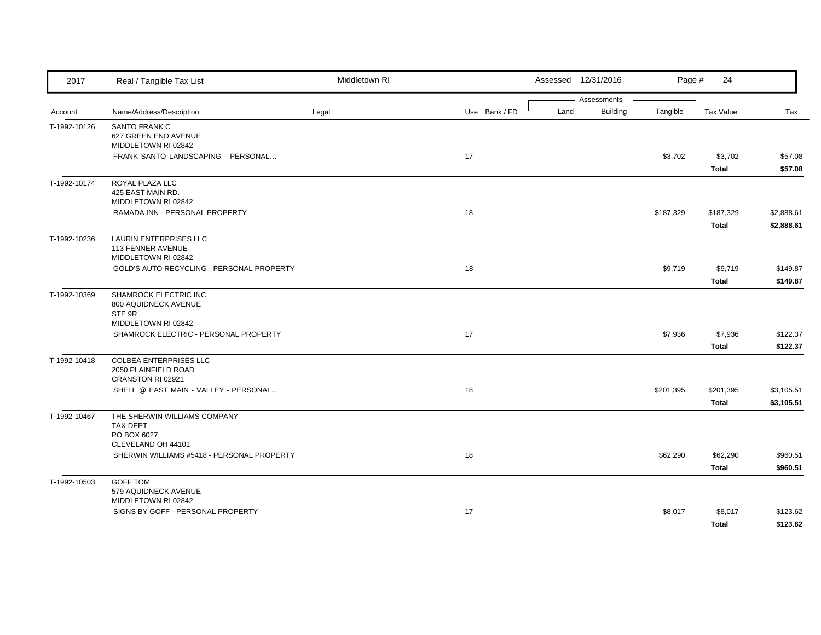| 2017         | Real / Tangible Tax List                                                   | Middletown RI |               | Assessed 12/31/2016 |                 | Page #    | 24                        |                          |
|--------------|----------------------------------------------------------------------------|---------------|---------------|---------------------|-----------------|-----------|---------------------------|--------------------------|
|              |                                                                            |               |               |                     | Assessments     |           |                           |                          |
| Account      | Name/Address/Description                                                   | Legal         | Use Bank / FD | Land                | <b>Building</b> | Tangible  | <b>Tax Value</b>          | Tax                      |
| T-1992-10126 | <b>SANTO FRANK C</b><br>627 GREEN END AVENUE<br>MIDDLETOWN RI 02842        |               |               |                     |                 |           |                           |                          |
|              | FRANK SANTO LANDSCAPING - PERSONAL                                         |               | 17            |                     |                 | \$3,702   | \$3,702<br><b>Total</b>   | \$57.08<br>\$57.08       |
| T-1992-10174 | ROYAL PLAZA LLC<br>425 EAST MAIN RD.<br>MIDDLETOWN RI 02842                |               |               |                     |                 |           |                           |                          |
|              | RAMADA INN - PERSONAL PROPERTY                                             |               | 18            |                     |                 | \$187,329 | \$187,329<br><b>Total</b> | \$2,888.61<br>\$2,888.61 |
| T-1992-10236 | LAURIN ENTERPRISES LLC<br>113 FENNER AVENUE<br>MIDDLETOWN RI 02842         |               |               |                     |                 |           |                           |                          |
|              | GOLD'S AUTO RECYCLING - PERSONAL PROPERTY                                  |               | 18            |                     |                 | \$9,719   | \$9,719<br>Total          | \$149.87<br>\$149.87     |
| T-1992-10369 | SHAMROCK ELECTRIC INC<br>800 AQUIDNECK AVENUE<br>STE 9R                    |               |               |                     |                 |           |                           |                          |
|              | MIDDLETOWN RI 02842<br>SHAMROCK ELECTRIC - PERSONAL PROPERTY               |               | 17            |                     |                 | \$7,936   | \$7,936<br><b>Total</b>   | \$122.37<br>\$122.37     |
| T-1992-10418 | <b>COLBEA ENTERPRISES LLC</b><br>2050 PLAINFIELD ROAD<br>CRANSTON RI 02921 |               |               |                     |                 |           |                           |                          |
|              | SHELL @ EAST MAIN - VALLEY - PERSONAL                                      |               | 18            |                     |                 | \$201,395 | \$201,395<br>Total        | \$3,105.51<br>\$3,105.51 |
| T-1992-10467 | THE SHERWIN WILLIAMS COMPANY<br><b>TAX DEPT</b><br>PO BOX 6027             |               |               |                     |                 |           |                           |                          |
|              | CLEVELAND OH 44101                                                         |               |               |                     |                 |           |                           |                          |
|              | SHERWIN WILLIAMS #5418 - PERSONAL PROPERTY                                 |               | 18            |                     |                 | \$62,290  | \$62,290                  | \$960.51                 |
|              |                                                                            |               |               |                     |                 |           | Total                     | \$960.51                 |
| T-1992-10503 | <b>GOFF TOM</b><br>579 AQUIDNECK AVENUE<br>MIDDLETOWN RI 02842             |               |               |                     |                 |           |                           |                          |
|              | SIGNS BY GOFF - PERSONAL PROPERTY                                          |               | 17            |                     |                 | \$8,017   | \$8,017<br>Total          | \$123.62<br>\$123.62     |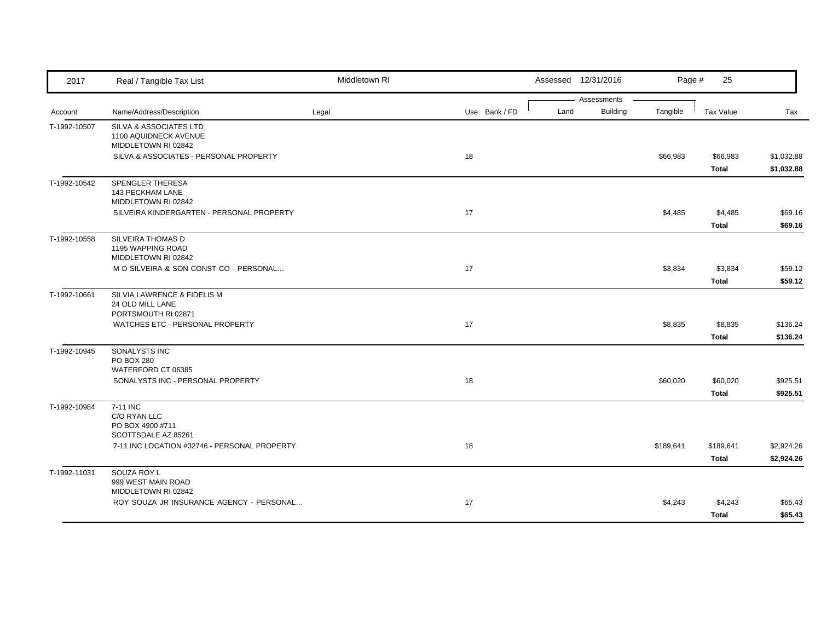| 2017         | Real / Tangible Tax List                                               | Middletown RI |               | Assessed 12/31/2016                    | Page #    | 25                        |                          |
|--------------|------------------------------------------------------------------------|---------------|---------------|----------------------------------------|-----------|---------------------------|--------------------------|
| Account      | Name/Address/Description                                               | Legal         | Use Bank / FD | Assessments<br><b>Building</b><br>Land | Tangible  | Tax Value                 | Tax                      |
| T-1992-10507 | SILVA & ASSOCIATES LTD<br>1100 AQUIDNECK AVENUE<br>MIDDLETOWN RI 02842 |               |               |                                        |           |                           |                          |
|              | SILVA & ASSOCIATES - PERSONAL PROPERTY                                 |               | 18            |                                        | \$66,983  | \$66,983<br>Total         | \$1,032.88<br>\$1,032.88 |
| T-1992-10542 | SPENGLER THERESA<br>143 PECKHAM LANE<br>MIDDLETOWN RI 02842            |               |               |                                        |           |                           |                          |
|              | SILVEIRA KINDERGARTEN - PERSONAL PROPERTY                              |               | 17            |                                        | \$4,485   | \$4,485<br>Total          | \$69.16<br>\$69.16       |
| T-1992-10558 | SILVEIRA THOMAS D<br>1195 WAPPING ROAD<br>MIDDLETOWN RI 02842          |               |               |                                        |           |                           |                          |
|              | M D SILVEIRA & SON CONST CO - PERSONAL                                 |               | 17            |                                        | \$3,834   | \$3,834<br><b>Total</b>   | \$59.12<br>\$59.12       |
| T-1992-10661 | SILVIA LAWRENCE & FIDELIS M<br>24 OLD MILL LANE<br>PORTSMOUTH RI 02871 |               |               |                                        |           |                           |                          |
|              | WATCHES ETC - PERSONAL PROPERTY                                        |               | 17            |                                        | \$8,835   | \$8,835<br><b>Total</b>   | \$136.24<br>\$136.24     |
| T-1992-10945 | SONALYSTS INC<br>PO BOX 280<br>WATERFORD CT 06385                      |               |               |                                        |           |                           |                          |
|              | SONALYSTS INC - PERSONAL PROPERTY                                      |               | 18            |                                        | \$60,020  | \$60,020<br>Total         | \$925.51<br>\$925.51     |
| T-1992-10984 | 7-11 INC<br>C/O RYAN LLC<br>PO BOX 4900 #711<br>SCOTTSDALE AZ 85261    |               |               |                                        |           |                           |                          |
|              | 7-11 INC LOCATION #32746 - PERSONAL PROPERTY                           |               | 18            |                                        | \$189,641 | \$189,641<br><b>Total</b> | \$2,924.26<br>\$2,924.26 |
| T-1992-11031 | SOUZA ROY L<br>999 WEST MAIN ROAD<br>MIDDLETOWN RI 02842               |               |               |                                        |           |                           |                          |
|              | ROY SOUZA JR INSURANCE AGENCY - PERSONAL                               |               | 17            |                                        | \$4,243   | \$4,243<br>Total          | \$65.43<br>\$65.43       |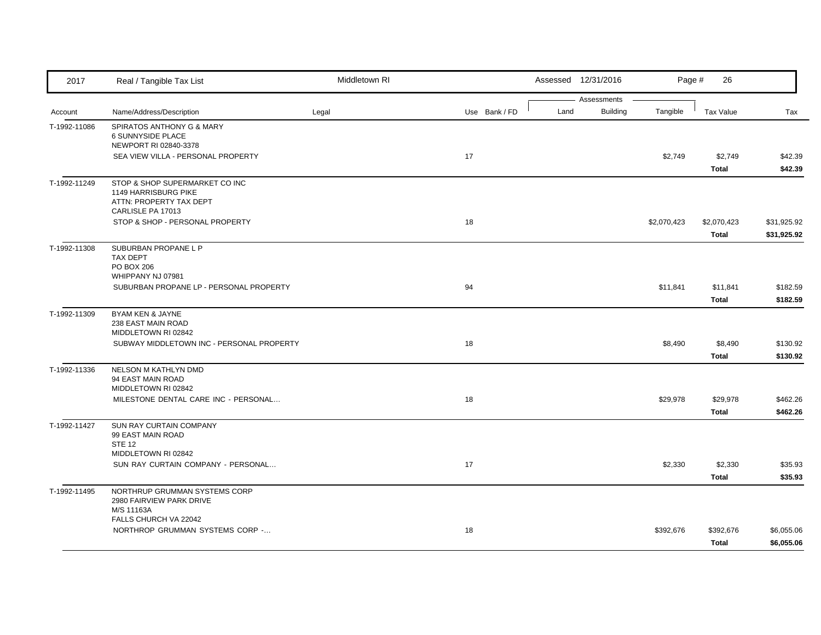| 2017         | Real / Tangible Tax List                                                                                      | Middletown RI |               |      | Assessed 12/31/2016            | Page #      | 26                          |                            |
|--------------|---------------------------------------------------------------------------------------------------------------|---------------|---------------|------|--------------------------------|-------------|-----------------------------|----------------------------|
| Account      | Name/Address/Description                                                                                      | Legal         | Use Bank / FD | Land | Assessments<br><b>Building</b> | Tangible    | Tax Value                   | Tax                        |
| T-1992-11086 | SPIRATOS ANTHONY G & MARY<br>6 SUNNYSIDE PLACE<br>NEWPORT RI 02840-3378<br>SEA VIEW VILLA - PERSONAL PROPERTY |               | 17            |      |                                | \$2,749     | \$2,749                     | \$42.39                    |
|              |                                                                                                               |               |               |      |                                |             | <b>Total</b>                | \$42.39                    |
| T-1992-11249 | STOP & SHOP SUPERMARKET CO INC<br><b>1149 HARRISBURG PIKE</b><br>ATTN: PROPERTY TAX DEPT<br>CARLISLE PA 17013 |               |               |      |                                |             |                             |                            |
|              | STOP & SHOP - PERSONAL PROPERTY                                                                               |               | 18            |      |                                | \$2,070,423 | \$2,070,423<br><b>Total</b> | \$31,925.92<br>\$31,925.92 |
| T-1992-11308 | SUBURBAN PROPANE L P<br>TAX DEPT<br>PO BOX 206<br>WHIPPANY NJ 07981                                           |               |               |      |                                |             |                             |                            |
|              | SUBURBAN PROPANE LP - PERSONAL PROPERTY                                                                       |               | 94            |      |                                | \$11,841    | \$11,841<br><b>Total</b>    | \$182.59<br>\$182.59       |
| T-1992-11309 | BYAM KEN & JAYNE<br>238 EAST MAIN ROAD<br>MIDDLETOWN RI 02842                                                 |               |               |      |                                |             |                             |                            |
|              | SUBWAY MIDDLETOWN INC - PERSONAL PROPERTY                                                                     |               | 18            |      |                                | \$8,490     | \$8,490<br><b>Total</b>     | \$130.92<br>\$130.92       |
| T-1992-11336 | NELSON M KATHLYN DMD<br>94 EAST MAIN ROAD<br>MIDDLETOWN RI 02842                                              |               |               |      |                                |             |                             |                            |
|              | MILESTONE DENTAL CARE INC - PERSONAL                                                                          |               | 18            |      |                                | \$29,978    | \$29,978<br><b>Total</b>    | \$462.26<br>\$462.26       |
| T-1992-11427 | SUN RAY CURTAIN COMPANY<br>99 EAST MAIN ROAD<br><b>STE 12</b><br>MIDDLETOWN RI 02842                          |               |               |      |                                |             |                             |                            |
|              | SUN RAY CURTAIN COMPANY - PERSONAL                                                                            |               | 17            |      |                                | \$2,330     | \$2,330<br><b>Total</b>     | \$35.93<br>\$35.93         |
| T-1992-11495 | NORTHRUP GRUMMAN SYSTEMS CORP<br>2980 FAIRVIEW PARK DRIVE<br>M/S 11163A                                       |               |               |      |                                |             |                             |                            |
|              | FALLS CHURCH VA 22042<br>NORTHROP GRUMMAN SYSTEMS CORP -                                                      |               | 18            |      |                                | \$392,676   | \$392,676<br><b>Total</b>   | \$6,055.06<br>\$6,055.06   |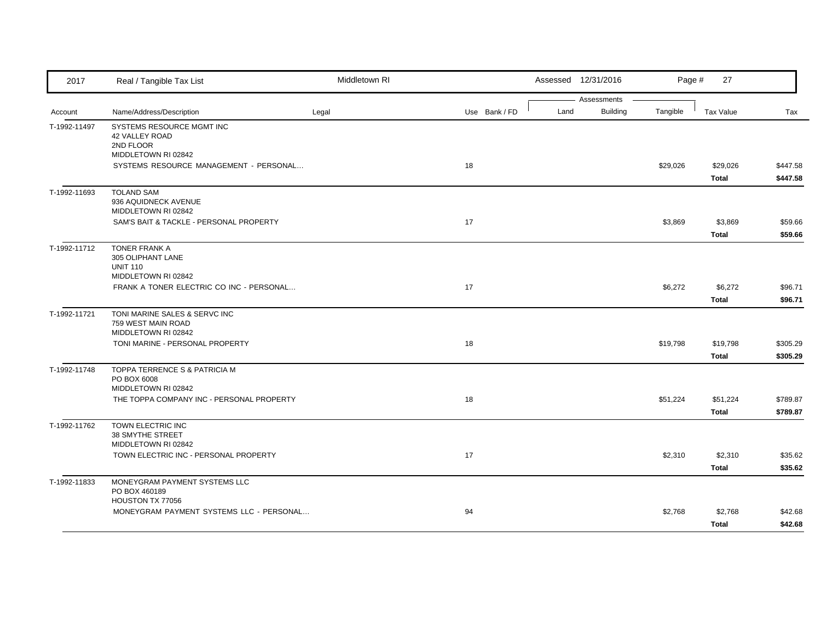| 2017         | Real / Tangible Tax List                                                        | Middletown RI |               |      | Assessed 12/31/2016 | Page #   | 27                       |                      |
|--------------|---------------------------------------------------------------------------------|---------------|---------------|------|---------------------|----------|--------------------------|----------------------|
|              |                                                                                 |               |               |      | Assessments         |          |                          |                      |
| Account      | Name/Address/Description                                                        | Legal         | Use Bank / FD | Land | <b>Building</b>     | Tangible | <b>Tax Value</b>         | Tax                  |
| T-1992-11497 | SYSTEMS RESOURCE MGMT INC<br>42 VALLEY ROAD<br>2ND FLOOR<br>MIDDLETOWN RI 02842 |               |               |      |                     |          |                          |                      |
|              | SYSTEMS RESOURCE MANAGEMENT - PERSONAL                                          |               | 18            |      |                     | \$29,026 | \$29,026<br>Total        | \$447.58<br>\$447.58 |
| T-1992-11693 | <b>TOLAND SAM</b><br>936 AQUIDNECK AVENUE<br>MIDDLETOWN RI 02842                |               |               |      |                     |          |                          |                      |
|              | SAM'S BAIT & TACKLE - PERSONAL PROPERTY                                         |               | 17            |      |                     | \$3,869  | \$3,869<br>Total         | \$59.66<br>\$59.66   |
| T-1992-11712 | TONER FRANK A<br>305 OLIPHANT LANE<br><b>UNIT 110</b><br>MIDDLETOWN RI 02842    |               |               |      |                     |          |                          |                      |
|              | FRANK A TONER ELECTRIC CO INC - PERSONAL                                        |               | 17            |      |                     | \$6,272  | \$6,272<br>Total         | \$96.71<br>\$96.71   |
| T-1992-11721 | TONI MARINE SALES & SERVC INC<br>759 WEST MAIN ROAD<br>MIDDLETOWN RI 02842      |               |               |      |                     |          |                          |                      |
|              | TONI MARINE - PERSONAL PROPERTY                                                 |               | 18            |      |                     | \$19,798 | \$19,798<br><b>Total</b> | \$305.29<br>\$305.29 |
| T-1992-11748 | TOPPA TERRENCE S & PATRICIA M<br>PO BOX 6008<br>MIDDLETOWN RI 02842             |               |               |      |                     |          |                          |                      |
|              | THE TOPPA COMPANY INC - PERSONAL PROPERTY                                       |               | 18            |      |                     | \$51,224 | \$51,224<br>Total        | \$789.87<br>\$789.87 |
| T-1992-11762 | TOWN ELECTRIC INC<br>38 SMYTHE STREET<br>MIDDLETOWN RI 02842                    |               |               |      |                     |          |                          |                      |
|              | TOWN ELECTRIC INC - PERSONAL PROPERTY                                           |               | 17            |      |                     | \$2,310  | \$2,310<br>Total         | \$35.62<br>\$35.62   |
| T-1992-11833 | MONEYGRAM PAYMENT SYSTEMS LLC<br>PO BOX 460189<br>HOUSTON TX 77056              |               |               |      |                     |          |                          |                      |
|              | MONEYGRAM PAYMENT SYSTEMS LLC - PERSONAL                                        |               | 94            |      |                     | \$2,768  | \$2,768<br>Total         | \$42.68<br>\$42.68   |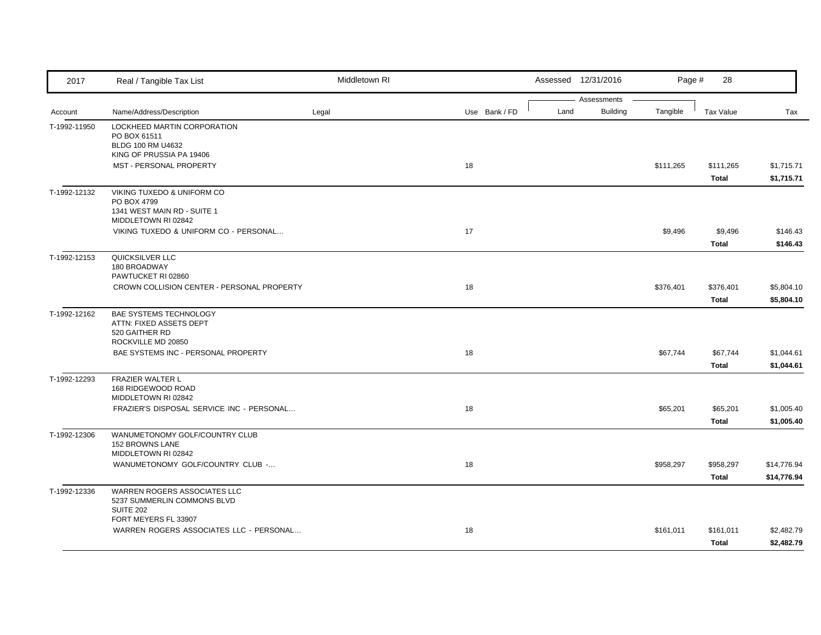| 2017         | Real / Tangible Tax List                                                                        | Middletown RI |    |               |      | Assessed 12/31/2016            | Page #    | 28                        |                            |
|--------------|-------------------------------------------------------------------------------------------------|---------------|----|---------------|------|--------------------------------|-----------|---------------------------|----------------------------|
| Account      | Name/Address/Description                                                                        | Legal         |    | Use Bank / FD | Land | Assessments<br><b>Building</b> | Tangible  | Tax Value                 | Tax                        |
| T-1992-11950 | LOCKHEED MARTIN CORPORATION<br>PO BOX 61511<br>BLDG 100 RM U4632<br>KING OF PRUSSIA PA 19406    |               |    |               |      |                                |           |                           |                            |
|              | MST - PERSONAL PROPERTY                                                                         |               | 18 |               |      |                                | \$111,265 | \$111,265<br><b>Total</b> | \$1,715.71<br>\$1,715.71   |
| T-1992-12132 | VIKING TUXEDO & UNIFORM CO<br>PO BOX 4799<br>1341 WEST MAIN RD - SUITE 1<br>MIDDLETOWN RI 02842 |               |    |               |      |                                |           |                           |                            |
|              | VIKING TUXEDO & UNIFORM CO - PERSONAL                                                           |               | 17 |               |      |                                | \$9,496   | \$9,496<br><b>Total</b>   | \$146.43<br>\$146.43       |
| T-1992-12153 | QUICKSILVER LLC<br>180 BROADWAY<br>PAWTUCKET RI 02860                                           |               |    |               |      |                                |           |                           |                            |
|              | CROWN COLLISION CENTER - PERSONAL PROPERTY                                                      |               | 18 |               |      |                                | \$376,401 | \$376,401<br><b>Total</b> | \$5,804.10<br>\$5,804.10   |
| T-1992-12162 | BAE SYSTEMS TECHNOLOGY<br>ATTN: FIXED ASSETS DEPT<br>520 GAITHER RD                             |               |    |               |      |                                |           |                           |                            |
|              | ROCKVILLE MD 20850<br>BAE SYSTEMS INC - PERSONAL PROPERTY                                       |               | 18 |               |      |                                | \$67,744  | \$67,744<br><b>Total</b>  | \$1,044.61<br>\$1,044.61   |
| T-1992-12293 | FRAZIER WALTER L<br>168 RIDGEWOOD ROAD<br>MIDDLETOWN RI 02842                                   |               |    |               |      |                                |           |                           |                            |
|              | FRAZIER'S DISPOSAL SERVICE INC - PERSONAL                                                       |               | 18 |               |      |                                | \$65,201  | \$65,201<br>Total         | \$1,005.40<br>\$1,005.40   |
| T-1992-12306 | WANUMETONOMY GOLF/COUNTRY CLUB<br>152 BROWNS LANE<br>MIDDLETOWN RI 02842                        |               |    |               |      |                                |           |                           |                            |
|              | WANUMETONOMY GOLF/COUNTRY CLUB -                                                                |               | 18 |               |      |                                | \$958,297 | \$958,297<br><b>Total</b> | \$14,776.94<br>\$14,776.94 |
| T-1992-12336 | WARREN ROGERS ASSOCIATES LLC<br>5237 SUMMERLIN COMMONS BLVD<br><b>SUITE 202</b>                 |               |    |               |      |                                |           |                           |                            |
|              | FORT MEYERS FL 33907<br>WARREN ROGERS ASSOCIATES LLC - PERSONAL                                 |               | 18 |               |      |                                | \$161,011 | \$161,011<br>Total        | \$2,482.79<br>\$2,482.79   |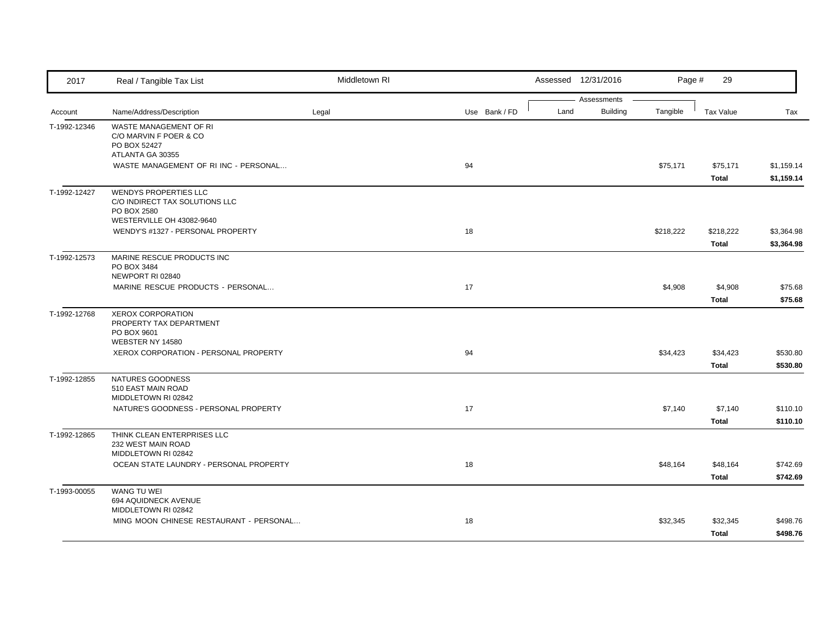| 2017         | Real / Tangible Tax List                                                                                   | Middletown RI |               |      | Assessed 12/31/2016            | Page #    | 29                 |                          |
|--------------|------------------------------------------------------------------------------------------------------------|---------------|---------------|------|--------------------------------|-----------|--------------------|--------------------------|
| Account      | Name/Address/Description                                                                                   | Legal         | Use Bank / FD | Land | Assessments<br><b>Building</b> | Tangible  | <b>Tax Value</b>   | Tax                      |
| T-1992-12346 | WASTE MANAGEMENT OF RI<br>C/O MARVIN F POER & CO<br>PO BOX 52427<br>ATLANTA GA 30355                       |               |               |      |                                |           |                    |                          |
|              | WASTE MANAGEMENT OF RI INC - PERSONAL                                                                      |               | 94            |      |                                | \$75,171  | \$75,171<br>Total  | \$1,159.14<br>\$1,159.14 |
| T-1992-12427 | <b>WENDYS PROPERTIES LLC</b><br>C/O INDIRECT TAX SOLUTIONS LLC<br>PO BOX 2580<br>WESTERVILLE OH 43082-9640 |               |               |      |                                |           |                    |                          |
|              | WENDY'S #1327 - PERSONAL PROPERTY                                                                          |               | 18            |      |                                | \$218,222 | \$218,222<br>Total | \$3,364.98<br>\$3,364.98 |
| T-1992-12573 | MARINE RESCUE PRODUCTS INC<br>PO BOX 3484<br>NEWPORT RI 02840                                              |               |               |      |                                |           |                    |                          |
|              | MARINE RESCUE PRODUCTS - PERSONAL                                                                          |               | 17            |      |                                | \$4,908   | \$4,908<br>Total   | \$75.68<br>\$75.68       |
| T-1992-12768 | <b>XEROX CORPORATION</b><br>PROPERTY TAX DEPARTMENT<br>PO BOX 9601                                         |               |               |      |                                |           |                    |                          |
|              | WEBSTER NY 14580<br>XEROX CORPORATION - PERSONAL PROPERTY                                                  |               | 94            |      |                                | \$34,423  | \$34,423<br>Total  | \$530.80<br>\$530.80     |
| T-1992-12855 | NATURES GOODNESS<br>510 EAST MAIN ROAD<br>MIDDLETOWN RI 02842                                              |               |               |      |                                |           |                    |                          |
|              | NATURE'S GOODNESS - PERSONAL PROPERTY                                                                      |               | 17            |      |                                | \$7,140   | \$7,140<br>Total   | \$110.10<br>\$110.10     |
| T-1992-12865 | THINK CLEAN ENTERPRISES LLC<br>232 WEST MAIN ROAD<br>MIDDLETOWN RI 02842                                   |               |               |      |                                |           |                    |                          |
|              | OCEAN STATE LAUNDRY - PERSONAL PROPERTY                                                                    |               | 18            |      |                                | \$48,164  | \$48,164<br>Total  | \$742.69<br>\$742.69     |
| T-1993-00055 | WANG TU WEI<br>694 AQUIDNECK AVENUE<br>MIDDLETOWN RI 02842                                                 |               |               |      |                                |           |                    |                          |
|              | MING MOON CHINESE RESTAURANT - PERSONAL                                                                    |               | 18            |      |                                | \$32,345  | \$32,345<br>Total  | \$498.76<br>\$498.76     |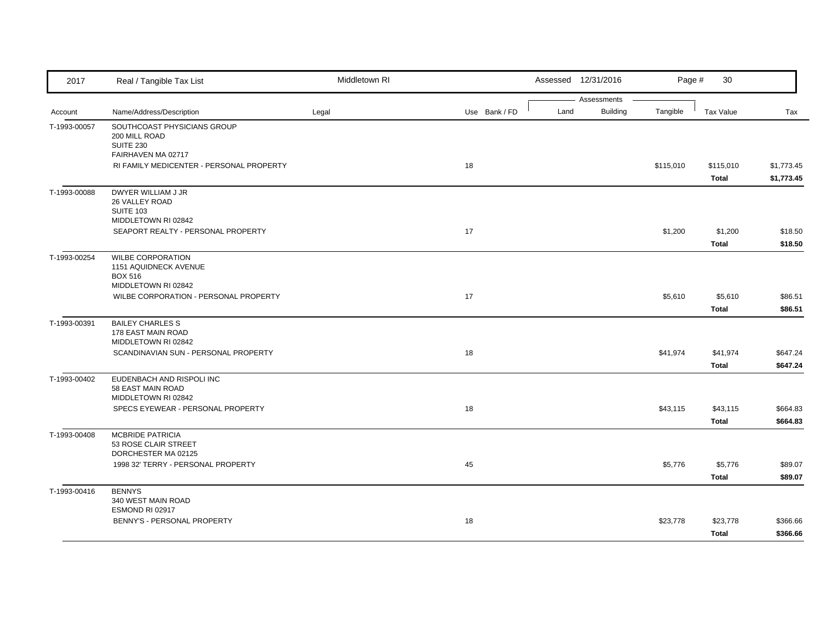| 2017         | Real / Tangible Tax List                                                                   | Middletown RI |               |      | Assessed 12/31/2016            | Page #    | 30                       |                          |
|--------------|--------------------------------------------------------------------------------------------|---------------|---------------|------|--------------------------------|-----------|--------------------------|--------------------------|
| Account      | Name/Address/Description                                                                   | Legal         | Use Bank / FD | Land | Assessments<br><b>Building</b> | Tangible  | <b>Tax Value</b>         | Tax                      |
| T-1993-00057 | SOUTHCOAST PHYSICIANS GROUP<br>200 MILL ROAD<br><b>SUITE 230</b><br>FAIRHAVEN MA 02717     |               |               |      |                                |           |                          |                          |
|              | RI FAMILY MEDICENTER - PERSONAL PROPERTY                                                   |               | 18            |      |                                | \$115,010 | \$115,010<br>Total       | \$1,773.45<br>\$1,773.45 |
| T-1993-00088 | DWYER WILLIAM J JR<br>26 VALLEY ROAD<br>SUITE 103<br>MIDDLETOWN RI 02842                   |               |               |      |                                |           |                          |                          |
|              | SEAPORT REALTY - PERSONAL PROPERTY                                                         |               | 17            |      |                                | \$1,200   | \$1,200<br>Total         | \$18.50<br>\$18.50       |
| T-1993-00254 | <b>WILBE CORPORATION</b><br>1151 AQUIDNECK AVENUE<br><b>BOX 516</b><br>MIDDLETOWN RI 02842 |               |               |      |                                |           |                          |                          |
|              | WILBE CORPORATION - PERSONAL PROPERTY                                                      |               | 17            |      |                                | \$5,610   | \$5,610<br>Total         | \$86.51<br>\$86.51       |
| T-1993-00391 | <b>BAILEY CHARLES S</b><br>178 EAST MAIN ROAD<br>MIDDLETOWN RI 02842                       |               |               |      |                                |           |                          |                          |
|              | SCANDINAVIAN SUN - PERSONAL PROPERTY                                                       |               | 18            |      |                                | \$41,974  | \$41,974<br>Total        | \$647.24<br>\$647.24     |
| T-1993-00402 | EUDENBACH AND RISPOLI INC<br>58 EAST MAIN ROAD<br>MIDDLETOWN RI 02842                      |               |               |      |                                |           |                          |                          |
|              | SPECS EYEWEAR - PERSONAL PROPERTY                                                          |               | 18            |      |                                | \$43,115  | \$43,115<br>Total        | \$664.83<br>\$664.83     |
| T-1993-00408 | <b>MCBRIDE PATRICIA</b><br>53 ROSE CLAIR STREET<br>DORCHESTER MA 02125                     |               |               |      |                                |           |                          |                          |
|              | 1998 32' TERRY - PERSONAL PROPERTY                                                         |               | 45            |      |                                | \$5,776   | \$5,776<br><b>Total</b>  | \$89.07<br>\$89.07       |
| T-1993-00416 | <b>BENNYS</b><br>340 WEST MAIN ROAD<br>ESMOND RI 02917                                     |               |               |      |                                |           |                          |                          |
|              | BENNY'S - PERSONAL PROPERTY                                                                |               | 18            |      |                                | \$23,778  | \$23,778<br><b>Total</b> | \$366.66<br>\$366.66     |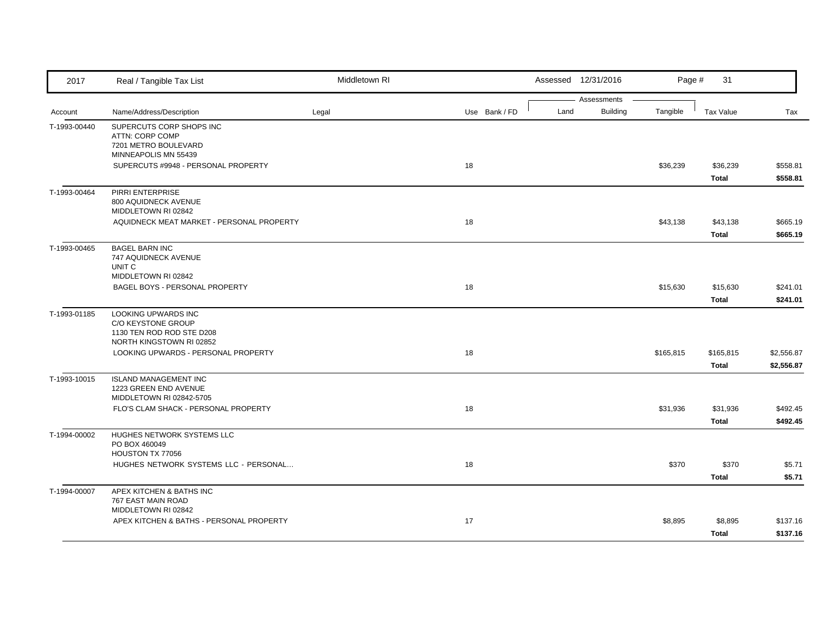| 2017         | Real / Tangible Tax List                              | Middletown RI |               | Assessed 12/31/2016                    | Page #    | 31                 |                          |
|--------------|-------------------------------------------------------|---------------|---------------|----------------------------------------|-----------|--------------------|--------------------------|
| Account      | Name/Address/Description                              | Legal         | Use Bank / FD | Assessments<br>Land<br><b>Building</b> | Tangible  | <b>Tax Value</b>   | Tax                      |
|              |                                                       |               |               |                                        |           |                    |                          |
| T-1993-00440 | SUPERCUTS CORP SHOPS INC<br>ATTN: CORP COMP           |               |               |                                        |           |                    |                          |
|              | 7201 METRO BOULEVARD                                  |               |               |                                        |           |                    |                          |
|              | MINNEAPOLIS MN 55439                                  |               |               |                                        |           |                    |                          |
|              | SUPERCUTS #9948 - PERSONAL PROPERTY                   |               | 18            |                                        | \$36,239  | \$36,239           | \$558.81                 |
|              |                                                       |               |               |                                        |           | <b>Total</b>       | \$558.81                 |
| T-1993-00464 | <b>PIRRI ENTERPRISE</b>                               |               |               |                                        |           |                    |                          |
|              | 800 AQUIDNECK AVENUE<br>MIDDLETOWN RI 02842           |               |               |                                        |           |                    |                          |
|              | AQUIDNECK MEAT MARKET - PERSONAL PROPERTY             |               | 18            |                                        | \$43,138  | \$43,138           | \$665.19                 |
|              |                                                       |               |               |                                        |           | Total              | \$665.19                 |
| T-1993-00465 | <b>BAGEL BARN INC</b>                                 |               |               |                                        |           |                    |                          |
|              | 747 AQUIDNECK AVENUE                                  |               |               |                                        |           |                    |                          |
|              | UNIT <sub>C</sub>                                     |               |               |                                        |           |                    |                          |
|              | MIDDLETOWN RI 02842<br>BAGEL BOYS - PERSONAL PROPERTY |               | 18            |                                        | \$15,630  | \$15,630           | \$241.01                 |
|              |                                                       |               |               |                                        |           | Total              | \$241.01                 |
| T-1993-01185 | LOOKING UPWARDS INC                                   |               |               |                                        |           |                    |                          |
|              | C/O KEYSTONE GROUP                                    |               |               |                                        |           |                    |                          |
|              | 1130 TEN ROD ROD STE D208                             |               |               |                                        |           |                    |                          |
|              | NORTH KINGSTOWN RI 02852                              |               |               |                                        |           |                    |                          |
|              | LOOKING UPWARDS - PERSONAL PROPERTY                   |               | 18            |                                        | \$165,815 | \$165,815<br>Total | \$2,556.87<br>\$2,556.87 |
|              | <b>ISLAND MANAGEMENT INC</b>                          |               |               |                                        |           |                    |                          |
| T-1993-10015 | 1223 GREEN END AVENUE                                 |               |               |                                        |           |                    |                          |
|              | MIDDLETOWN RI 02842-5705                              |               |               |                                        |           |                    |                          |
|              | FLO'S CLAM SHACK - PERSONAL PROPERTY                  |               | 18            |                                        | \$31,936  | \$31,936           | \$492.45                 |
|              |                                                       |               |               |                                        |           | Total              | \$492.45                 |
| T-1994-00002 | HUGHES NETWORK SYSTEMS LLC                            |               |               |                                        |           |                    |                          |
|              | PO BOX 460049<br>HOUSTON TX 77056                     |               |               |                                        |           |                    |                          |
|              | HUGHES NETWORK SYSTEMS LLC - PERSONAL                 |               | 18            |                                        | \$370     | \$370              | \$5.71                   |
|              |                                                       |               |               |                                        |           | Total              | \$5.71                   |
|              | APEX KITCHEN & BATHS INC                              |               |               |                                        |           |                    |                          |
| T-1994-00007 | 767 EAST MAIN ROAD                                    |               |               |                                        |           |                    |                          |
|              | MIDDLETOWN RI 02842                                   |               |               |                                        |           |                    |                          |
|              | APEX KITCHEN & BATHS - PERSONAL PROPERTY              |               | 17            |                                        | \$8,895   | \$8,895            | \$137.16                 |
|              |                                                       |               |               |                                        |           | Total              | \$137.16                 |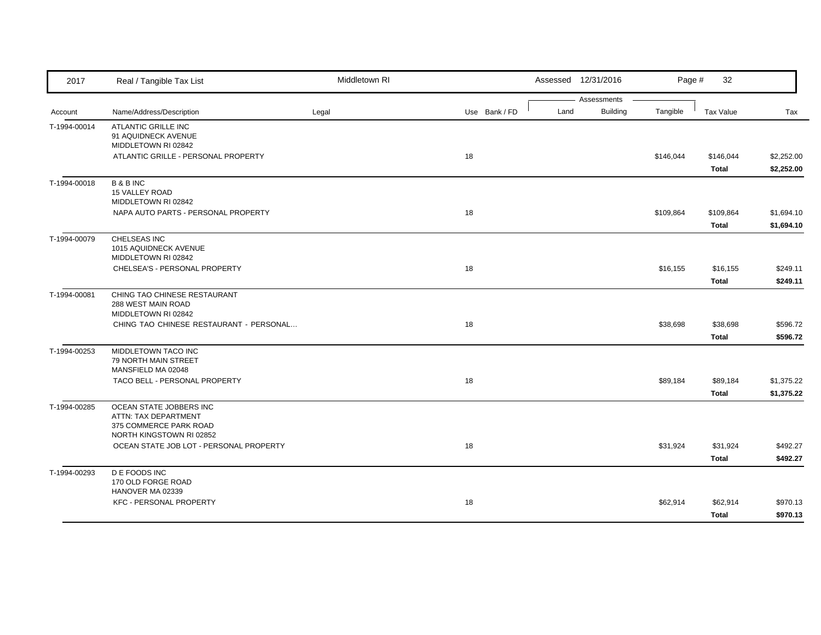| 2017         | Real / Tangible Tax List                                                                              | Middletown RI |               | Assessed 12/31/2016                    | Page #    | 32                       |                          |
|--------------|-------------------------------------------------------------------------------------------------------|---------------|---------------|----------------------------------------|-----------|--------------------------|--------------------------|
| Account      | Name/Address/Description                                                                              | Legal         | Use Bank / FD | Assessments<br><b>Building</b><br>Land | Tangible  | Tax Value                | Tax                      |
| T-1994-00014 | ATLANTIC GRILLE INC<br>91 AQUIDNECK AVENUE<br>MIDDLETOWN RI 02842                                     |               |               |                                        |           |                          |                          |
|              | ATLANTIC GRILLE - PERSONAL PROPERTY                                                                   |               | 18            |                                        | \$146,044 | \$146,044<br>Total       | \$2,252.00<br>\$2,252.00 |
| T-1994-00018 | <b>B&amp;BINC</b><br><b>15 VALLEY ROAD</b><br>MIDDLETOWN RI 02842                                     |               |               |                                        |           |                          |                          |
|              | NAPA AUTO PARTS - PERSONAL PROPERTY                                                                   |               | 18            |                                        | \$109,864 | \$109,864<br>Total       | \$1,694.10<br>\$1,694.10 |
| T-1994-00079 | CHELSEAS INC<br>1015 AQUIDNECK AVENUE<br>MIDDLETOWN RI 02842                                          |               |               |                                        |           |                          |                          |
|              | CHELSEA'S - PERSONAL PROPERTY                                                                         |               | 18            |                                        | \$16,155  | \$16,155<br><b>Total</b> | \$249.11<br>\$249.11     |
| T-1994-00081 | CHING TAO CHINESE RESTAURANT<br>288 WEST MAIN ROAD<br>MIDDLETOWN RI 02842                             |               |               |                                        |           |                          |                          |
|              | CHING TAO CHINESE RESTAURANT - PERSONAL                                                               |               | 18            |                                        | \$38,698  | \$38,698<br>Total        | \$596.72<br>\$596.72     |
| T-1994-00253 | MIDDLETOWN TACO INC<br>79 NORTH MAIN STREET<br>MANSFIELD MA 02048                                     |               |               |                                        |           |                          |                          |
|              | TACO BELL - PERSONAL PROPERTY                                                                         |               | 18            |                                        | \$89,184  | \$89,184<br><b>Total</b> | \$1,375.22<br>\$1,375.22 |
| T-1994-00285 | OCEAN STATE JOBBERS INC<br>ATTN: TAX DEPARTMENT<br>375 COMMERCE PARK ROAD<br>NORTH KINGSTOWN RI 02852 |               |               |                                        |           |                          |                          |
|              | OCEAN STATE JOB LOT - PERSONAL PROPERTY                                                               |               | 18            |                                        | \$31,924  | \$31,924<br>Total        | \$492.27<br>\$492.27     |
| T-1994-00293 | <b>DE FOODS INC</b><br>170 OLD FORGE ROAD<br>HANOVER MA 02339                                         |               |               |                                        |           |                          |                          |
|              | <b>KFC - PERSONAL PROPERTY</b>                                                                        |               | 18            |                                        | \$62,914  | \$62,914<br>Total        | \$970.13<br>\$970.13     |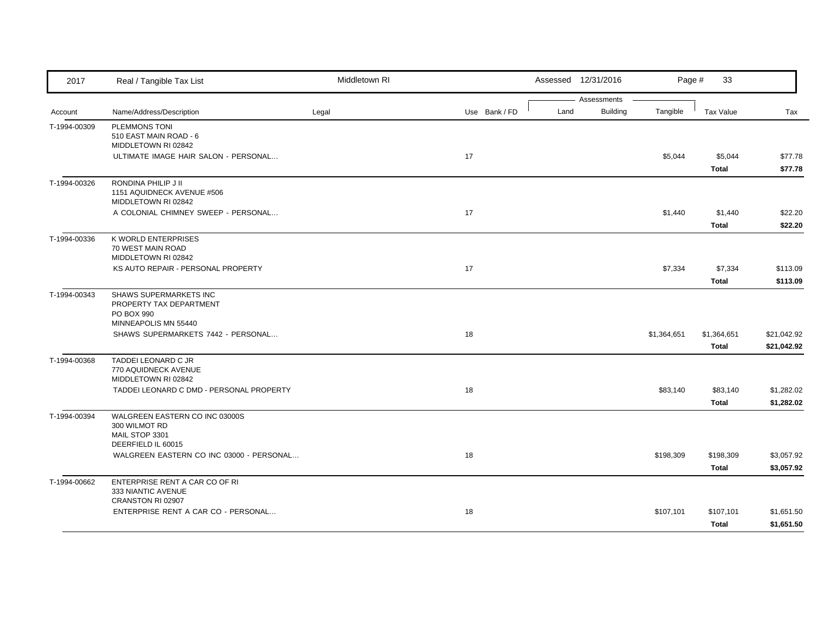| Assessments<br>Tangible<br>Land<br><b>Building</b><br>Name/Address/Description<br>Legal<br>Use Bank / FD<br>Tax Value<br>Tax<br>Account<br><b>PLEMMONS TONI</b><br>T-1994-00309<br>510 EAST MAIN ROAD - 6<br>MIDDLETOWN RI 02842<br>ULTIMATE IMAGE HAIR SALON - PERSONAL<br>17<br>\$5,044<br>\$5,044<br>\$77.78<br>\$77.78<br>Total<br>RONDINA PHILIP J II<br>1151 AQUIDNECK AVENUE #506<br>MIDDLETOWN RI 02842<br>17<br>A COLONIAL CHIMNEY SWEEP - PERSONAL<br>\$1,440<br>\$22.20<br>\$1,440<br>Total<br>\$22.20<br>K WORLD ENTERPRISES<br>T-1994-00336<br>70 WEST MAIN ROAD<br>MIDDLETOWN RI 02842<br>17<br>\$7,334<br>\$7,334<br>KS AUTO REPAIR - PERSONAL PROPERTY<br>\$113.09<br>Total<br>\$113.09<br>SHAWS SUPERMARKETS INC<br>PROPERTY TAX DEPARTMENT<br>PO BOX 990<br>MINNEAPOLIS MN 55440<br>18<br>SHAWS SUPERMARKETS 7442 - PERSONAL<br>\$1,364,651<br>\$1,364,651<br>\$21,042.92<br>Total<br>\$21,042.92<br>TADDEI LEONARD C JR<br>770 AQUIDNECK AVENUE<br>MIDDLETOWN RI 02842<br>18<br>TADDEI LEONARD C DMD - PERSONAL PROPERTY<br>\$83,140<br>\$83,140<br>\$1,282.02<br>\$1,282.02<br>Total<br>WALGREEN EASTERN CO INC 03000S<br>T-1994-00394<br>300 WILMOT RD<br>MAIL STOP 3301<br>DEERFIELD IL 60015<br>WALGREEN EASTERN CO INC 03000 - PERSONAL<br>18<br>\$3,057.92<br>\$198,309<br>\$198,309<br>\$3,057.92<br>Total<br>ENTERPRISE RENT A CAR CO OF RI<br>333 NIANTIC AVENUE<br>CRANSTON RI 02907<br>18<br>ENTERPRISE RENT A CAR CO - PERSONAL<br>\$107,101<br>\$107,101<br>\$1,651.50 | 2017         | Real / Tangible Tax List | Middletown RI |  | Assessed 12/31/2016 | Page # | 33    |            |
|--------------------------------------------------------------------------------------------------------------------------------------------------------------------------------------------------------------------------------------------------------------------------------------------------------------------------------------------------------------------------------------------------------------------------------------------------------------------------------------------------------------------------------------------------------------------------------------------------------------------------------------------------------------------------------------------------------------------------------------------------------------------------------------------------------------------------------------------------------------------------------------------------------------------------------------------------------------------------------------------------------------------------------------------------------------------------------------------------------------------------------------------------------------------------------------------------------------------------------------------------------------------------------------------------------------------------------------------------------------------------------------------------------------------------------------------------------------------------------------------------------|--------------|--------------------------|---------------|--|---------------------|--------|-------|------------|
|                                                                                                                                                                                                                                                                                                                                                                                                                                                                                                                                                                                                                                                                                                                                                                                                                                                                                                                                                                                                                                                                                                                                                                                                                                                                                                                                                                                                                                                                                                        |              |                          |               |  |                     |        |       |            |
|                                                                                                                                                                                                                                                                                                                                                                                                                                                                                                                                                                                                                                                                                                                                                                                                                                                                                                                                                                                                                                                                                                                                                                                                                                                                                                                                                                                                                                                                                                        |              |                          |               |  |                     |        |       |            |
|                                                                                                                                                                                                                                                                                                                                                                                                                                                                                                                                                                                                                                                                                                                                                                                                                                                                                                                                                                                                                                                                                                                                                                                                                                                                                                                                                                                                                                                                                                        |              |                          |               |  |                     |        |       |            |
|                                                                                                                                                                                                                                                                                                                                                                                                                                                                                                                                                                                                                                                                                                                                                                                                                                                                                                                                                                                                                                                                                                                                                                                                                                                                                                                                                                                                                                                                                                        |              |                          |               |  |                     |        |       |            |
|                                                                                                                                                                                                                                                                                                                                                                                                                                                                                                                                                                                                                                                                                                                                                                                                                                                                                                                                                                                                                                                                                                                                                                                                                                                                                                                                                                                                                                                                                                        |              |                          |               |  |                     |        |       |            |
|                                                                                                                                                                                                                                                                                                                                                                                                                                                                                                                                                                                                                                                                                                                                                                                                                                                                                                                                                                                                                                                                                                                                                                                                                                                                                                                                                                                                                                                                                                        |              |                          |               |  |                     |        |       |            |
|                                                                                                                                                                                                                                                                                                                                                                                                                                                                                                                                                                                                                                                                                                                                                                                                                                                                                                                                                                                                                                                                                                                                                                                                                                                                                                                                                                                                                                                                                                        | T-1994-00326 |                          |               |  |                     |        |       |            |
|                                                                                                                                                                                                                                                                                                                                                                                                                                                                                                                                                                                                                                                                                                                                                                                                                                                                                                                                                                                                                                                                                                                                                                                                                                                                                                                                                                                                                                                                                                        |              |                          |               |  |                     |        |       |            |
|                                                                                                                                                                                                                                                                                                                                                                                                                                                                                                                                                                                                                                                                                                                                                                                                                                                                                                                                                                                                                                                                                                                                                                                                                                                                                                                                                                                                                                                                                                        |              |                          |               |  |                     |        |       |            |
|                                                                                                                                                                                                                                                                                                                                                                                                                                                                                                                                                                                                                                                                                                                                                                                                                                                                                                                                                                                                                                                                                                                                                                                                                                                                                                                                                                                                                                                                                                        |              |                          |               |  |                     |        |       |            |
|                                                                                                                                                                                                                                                                                                                                                                                                                                                                                                                                                                                                                                                                                                                                                                                                                                                                                                                                                                                                                                                                                                                                                                                                                                                                                                                                                                                                                                                                                                        |              |                          |               |  |                     |        |       |            |
|                                                                                                                                                                                                                                                                                                                                                                                                                                                                                                                                                                                                                                                                                                                                                                                                                                                                                                                                                                                                                                                                                                                                                                                                                                                                                                                                                                                                                                                                                                        |              |                          |               |  |                     |        |       |            |
|                                                                                                                                                                                                                                                                                                                                                                                                                                                                                                                                                                                                                                                                                                                                                                                                                                                                                                                                                                                                                                                                                                                                                                                                                                                                                                                                                                                                                                                                                                        |              |                          |               |  |                     |        |       |            |
|                                                                                                                                                                                                                                                                                                                                                                                                                                                                                                                                                                                                                                                                                                                                                                                                                                                                                                                                                                                                                                                                                                                                                                                                                                                                                                                                                                                                                                                                                                        |              |                          |               |  |                     |        |       |            |
|                                                                                                                                                                                                                                                                                                                                                                                                                                                                                                                                                                                                                                                                                                                                                                                                                                                                                                                                                                                                                                                                                                                                                                                                                                                                                                                                                                                                                                                                                                        |              |                          |               |  |                     |        |       |            |
|                                                                                                                                                                                                                                                                                                                                                                                                                                                                                                                                                                                                                                                                                                                                                                                                                                                                                                                                                                                                                                                                                                                                                                                                                                                                                                                                                                                                                                                                                                        | T-1994-00343 |                          |               |  |                     |        |       |            |
|                                                                                                                                                                                                                                                                                                                                                                                                                                                                                                                                                                                                                                                                                                                                                                                                                                                                                                                                                                                                                                                                                                                                                                                                                                                                                                                                                                                                                                                                                                        |              |                          |               |  |                     |        |       |            |
|                                                                                                                                                                                                                                                                                                                                                                                                                                                                                                                                                                                                                                                                                                                                                                                                                                                                                                                                                                                                                                                                                                                                                                                                                                                                                                                                                                                                                                                                                                        |              |                          |               |  |                     |        |       |            |
|                                                                                                                                                                                                                                                                                                                                                                                                                                                                                                                                                                                                                                                                                                                                                                                                                                                                                                                                                                                                                                                                                                                                                                                                                                                                                                                                                                                                                                                                                                        |              |                          |               |  |                     |        |       |            |
|                                                                                                                                                                                                                                                                                                                                                                                                                                                                                                                                                                                                                                                                                                                                                                                                                                                                                                                                                                                                                                                                                                                                                                                                                                                                                                                                                                                                                                                                                                        |              |                          |               |  |                     |        |       |            |
|                                                                                                                                                                                                                                                                                                                                                                                                                                                                                                                                                                                                                                                                                                                                                                                                                                                                                                                                                                                                                                                                                                                                                                                                                                                                                                                                                                                                                                                                                                        | T-1994-00368 |                          |               |  |                     |        |       |            |
|                                                                                                                                                                                                                                                                                                                                                                                                                                                                                                                                                                                                                                                                                                                                                                                                                                                                                                                                                                                                                                                                                                                                                                                                                                                                                                                                                                                                                                                                                                        |              |                          |               |  |                     |        |       |            |
|                                                                                                                                                                                                                                                                                                                                                                                                                                                                                                                                                                                                                                                                                                                                                                                                                                                                                                                                                                                                                                                                                                                                                                                                                                                                                                                                                                                                                                                                                                        |              |                          |               |  |                     |        |       |            |
|                                                                                                                                                                                                                                                                                                                                                                                                                                                                                                                                                                                                                                                                                                                                                                                                                                                                                                                                                                                                                                                                                                                                                                                                                                                                                                                                                                                                                                                                                                        |              |                          |               |  |                     |        |       |            |
|                                                                                                                                                                                                                                                                                                                                                                                                                                                                                                                                                                                                                                                                                                                                                                                                                                                                                                                                                                                                                                                                                                                                                                                                                                                                                                                                                                                                                                                                                                        |              |                          |               |  |                     |        |       |            |
|                                                                                                                                                                                                                                                                                                                                                                                                                                                                                                                                                                                                                                                                                                                                                                                                                                                                                                                                                                                                                                                                                                                                                                                                                                                                                                                                                                                                                                                                                                        |              |                          |               |  |                     |        |       |            |
|                                                                                                                                                                                                                                                                                                                                                                                                                                                                                                                                                                                                                                                                                                                                                                                                                                                                                                                                                                                                                                                                                                                                                                                                                                                                                                                                                                                                                                                                                                        |              |                          |               |  |                     |        |       |            |
|                                                                                                                                                                                                                                                                                                                                                                                                                                                                                                                                                                                                                                                                                                                                                                                                                                                                                                                                                                                                                                                                                                                                                                                                                                                                                                                                                                                                                                                                                                        |              |                          |               |  |                     |        |       |            |
|                                                                                                                                                                                                                                                                                                                                                                                                                                                                                                                                                                                                                                                                                                                                                                                                                                                                                                                                                                                                                                                                                                                                                                                                                                                                                                                                                                                                                                                                                                        |              |                          |               |  |                     |        |       |            |
|                                                                                                                                                                                                                                                                                                                                                                                                                                                                                                                                                                                                                                                                                                                                                                                                                                                                                                                                                                                                                                                                                                                                                                                                                                                                                                                                                                                                                                                                                                        |              |                          |               |  |                     |        |       |            |
|                                                                                                                                                                                                                                                                                                                                                                                                                                                                                                                                                                                                                                                                                                                                                                                                                                                                                                                                                                                                                                                                                                                                                                                                                                                                                                                                                                                                                                                                                                        | T-1994-00662 |                          |               |  |                     |        |       |            |
|                                                                                                                                                                                                                                                                                                                                                                                                                                                                                                                                                                                                                                                                                                                                                                                                                                                                                                                                                                                                                                                                                                                                                                                                                                                                                                                                                                                                                                                                                                        |              |                          |               |  |                     |        |       |            |
|                                                                                                                                                                                                                                                                                                                                                                                                                                                                                                                                                                                                                                                                                                                                                                                                                                                                                                                                                                                                                                                                                                                                                                                                                                                                                                                                                                                                                                                                                                        |              |                          |               |  |                     |        |       |            |
|                                                                                                                                                                                                                                                                                                                                                                                                                                                                                                                                                                                                                                                                                                                                                                                                                                                                                                                                                                                                                                                                                                                                                                                                                                                                                                                                                                                                                                                                                                        |              |                          |               |  |                     |        | Total | \$1,651.50 |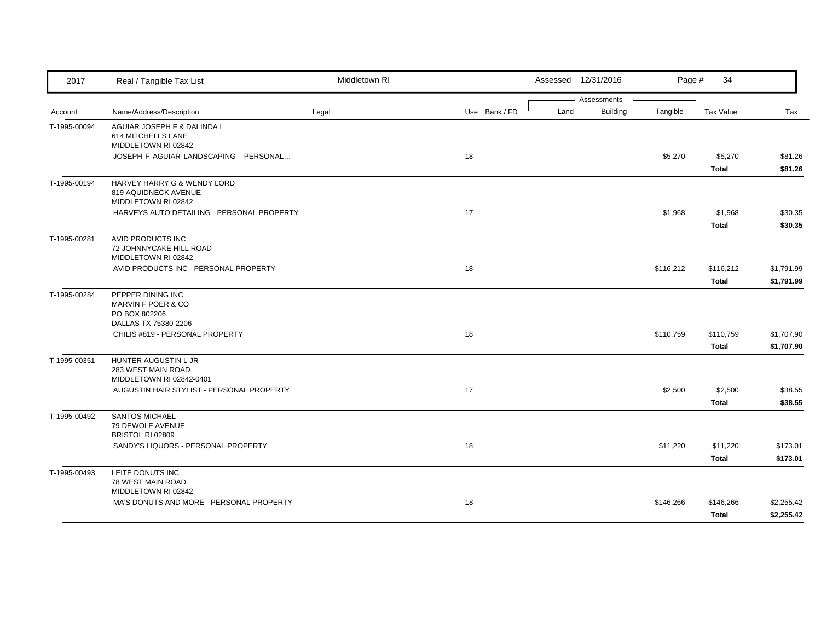| 2017                    | Real / Tangible Tax List                                                         | Middletown RI |               |      | Assessed 12/31/2016     | Page #    | 34                 |                          |
|-------------------------|----------------------------------------------------------------------------------|---------------|---------------|------|-------------------------|-----------|--------------------|--------------------------|
|                         | Name/Address/Description                                                         | Legal         | Use Bank / FD | Land | Assessments<br>Building | Tangible  | <b>Tax Value</b>   | Tax                      |
| Account<br>T-1995-00094 | AGUIAR JOSEPH F & DALINDA L<br>614 MITCHELLS LANE                                |               |               |      |                         |           |                    |                          |
|                         | MIDDLETOWN RI 02842<br>JOSEPH F AGUIAR LANDSCAPING - PERSONAL                    |               | 18            |      |                         | \$5,270   | \$5,270<br>Total   | \$81.26<br>\$81.26       |
| T-1995-00194            | HARVEY HARRY G & WENDY LORD<br>819 AQUIDNECK AVENUE<br>MIDDLETOWN RI 02842       |               |               |      |                         |           |                    |                          |
|                         | HARVEYS AUTO DETAILING - PERSONAL PROPERTY                                       |               | 17            |      |                         | \$1,968   | \$1,968<br>Total   | \$30.35<br>\$30.35       |
| T-1995-00281            | AVID PRODUCTS INC<br>72 JOHNNYCAKE HILL ROAD<br>MIDDLETOWN RI 02842              |               |               |      |                         |           |                    |                          |
|                         | AVID PRODUCTS INC - PERSONAL PROPERTY                                            |               | 18            |      |                         | \$116,212 | \$116,212<br>Total | \$1,791.99<br>\$1,791.99 |
| T-1995-00284            | PEPPER DINING INC<br>MARVIN F POER & CO<br>PO BOX 802206<br>DALLAS TX 75380-2206 |               |               |      |                         |           |                    |                          |
|                         | CHILIS #819 - PERSONAL PROPERTY                                                  |               | 18            |      |                         | \$110,759 | \$110,759<br>Total | \$1,707.90<br>\$1,707.90 |
| T-1995-00351            | HUNTER AUGUSTIN L JR<br>283 WEST MAIN ROAD<br>MIDDLETOWN RI 02842-0401           |               |               |      |                         |           |                    |                          |
|                         | AUGUSTIN HAIR STYLIST - PERSONAL PROPERTY                                        |               | 17            |      |                         | \$2,500   | \$2,500<br>Total   | \$38.55<br>\$38.55       |
| T-1995-00492            | <b>SANTOS MICHAEL</b><br>79 DEWOLF AVENUE<br>BRISTOL RI 02809                    |               |               |      |                         |           |                    |                          |
|                         | SANDY'S LIQUORS - PERSONAL PROPERTY                                              |               | 18            |      |                         | \$11,220  | \$11,220<br>Total  | \$173.01<br>\$173.01     |
| T-1995-00493            | LEITE DONUTS INC<br>78 WEST MAIN ROAD<br>MIDDLETOWN RI 02842                     |               |               |      |                         |           |                    |                          |
|                         | MA'S DONUTS AND MORE - PERSONAL PROPERTY                                         |               | 18            |      |                         | \$146,266 | \$146,266<br>Total | \$2,255.42<br>\$2,255.42 |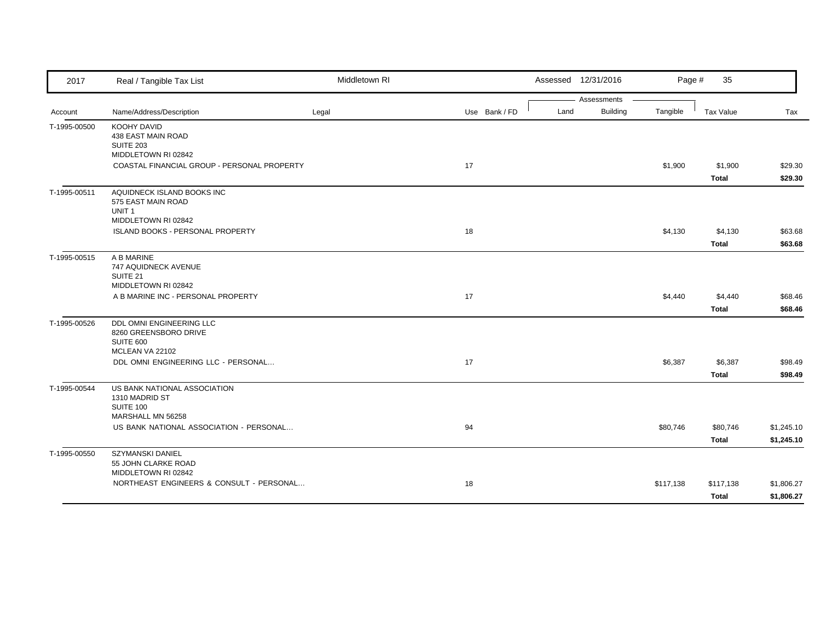| 2017         | Real / Tangible Tax List                          | Middletown RI |               |  |      | Assessed 12/31/2016 | Page #    | 35        |            |
|--------------|---------------------------------------------------|---------------|---------------|--|------|---------------------|-----------|-----------|------------|
|              |                                                   |               |               |  |      | Assessments         |           |           |            |
| Account      | Name/Address/Description                          | Legal         | Use Bank / FD |  | Land | Building            | Tangible  | Tax Value | Tax        |
| T-1995-00500 | <b>KOOHY DAVID</b><br>438 EAST MAIN ROAD          |               |               |  |      |                     |           |           |            |
|              | <b>SUITE 203</b>                                  |               |               |  |      |                     |           |           |            |
|              | MIDDLETOWN RI 02842                               |               |               |  |      |                     |           |           |            |
|              | COASTAL FINANCIAL GROUP - PERSONAL PROPERTY       |               | 17            |  |      |                     | \$1,900   | \$1,900   | \$29.30    |
|              |                                                   |               |               |  |      |                     |           | Total     | \$29.30    |
| T-1995-00511 | AQUIDNECK ISLAND BOOKS INC                        |               |               |  |      |                     |           |           |            |
|              | 575 EAST MAIN ROAD                                |               |               |  |      |                     |           |           |            |
|              | UNIT <sub>1</sub><br>MIDDLETOWN RI 02842          |               |               |  |      |                     |           |           |            |
|              | ISLAND BOOKS - PERSONAL PROPERTY                  |               | 18            |  |      |                     | \$4,130   | \$4,130   | \$63.68    |
|              |                                                   |               |               |  |      |                     |           | Total     | \$63.68    |
| T-1995-00515 | A B MARINE                                        |               |               |  |      |                     |           |           |            |
|              | 747 AQUIDNECK AVENUE                              |               |               |  |      |                     |           |           |            |
|              | SUITE 21                                          |               |               |  |      |                     |           |           |            |
|              | MIDDLETOWN RI 02842                               |               |               |  |      |                     |           |           |            |
|              | A B MARINE INC - PERSONAL PROPERTY                |               | 17            |  |      |                     | \$4,440   | \$4,440   | \$68.46    |
|              |                                                   |               |               |  |      |                     |           | Total     | \$68.46    |
| T-1995-00526 | DDL OMNI ENGINEERING LLC<br>8260 GREENSBORO DRIVE |               |               |  |      |                     |           |           |            |
|              | SUITE 600                                         |               |               |  |      |                     |           |           |            |
|              | MCLEAN VA 22102                                   |               |               |  |      |                     |           |           |            |
|              | DDL OMNI ENGINEERING LLC - PERSONAL               |               | 17            |  |      |                     | \$6,387   | \$6,387   | \$98.49    |
|              |                                                   |               |               |  |      |                     |           | Total     | \$98.49    |
| T-1995-00544 | US BANK NATIONAL ASSOCIATION                      |               |               |  |      |                     |           |           |            |
|              | 1310 MADRID ST<br>SUITE 100                       |               |               |  |      |                     |           |           |            |
|              | MARSHALL MN 56258                                 |               |               |  |      |                     |           |           |            |
|              | US BANK NATIONAL ASSOCIATION - PERSONAL           |               | 94            |  |      |                     | \$80,746  | \$80,746  | \$1,245.10 |
|              |                                                   |               |               |  |      |                     |           | Total     | \$1,245.10 |
| T-1995-00550 | SZYMANSKI DANIEL                                  |               |               |  |      |                     |           |           |            |
|              | 55 JOHN CLARKE ROAD                               |               |               |  |      |                     |           |           |            |
|              | MIDDLETOWN RI 02842                               |               |               |  |      |                     |           |           |            |
|              | NORTHEAST ENGINEERS & CONSULT - PERSONAL          |               | 18            |  |      |                     | \$117,138 | \$117,138 | \$1,806.27 |
|              |                                                   |               |               |  |      |                     |           | Total     | \$1,806.27 |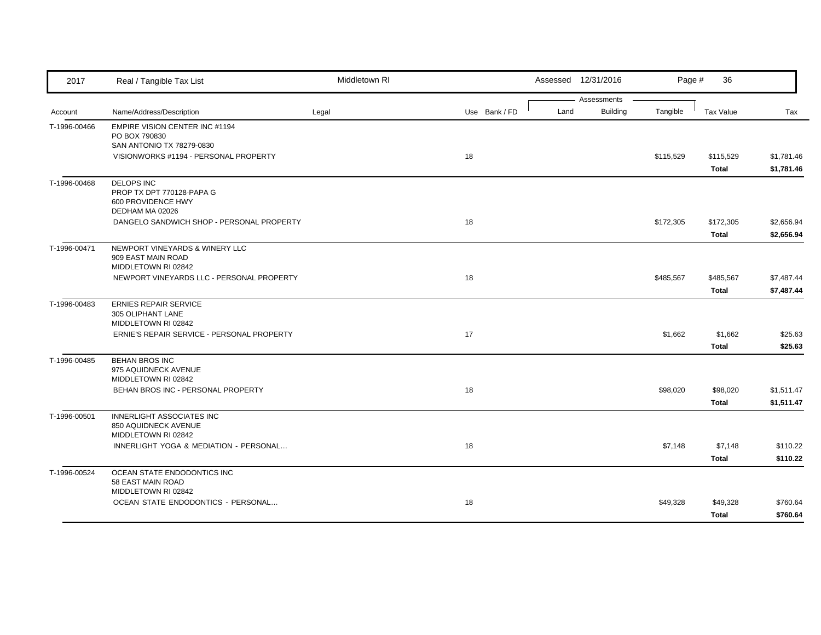| 2017         | Real / Tangible Tax List                             | Middletown RI |               |      | Assessed 12/31/2016            | Page #    | 36           |            |
|--------------|------------------------------------------------------|---------------|---------------|------|--------------------------------|-----------|--------------|------------|
|              |                                                      |               |               | Land | Assessments<br><b>Building</b> | Tangible  |              |            |
| Account      | Name/Address/Description                             | Legal         | Use Bank / FD |      |                                |           | Tax Value    | Tax        |
| T-1996-00466 | EMPIRE VISION CENTER INC #1194<br>PO BOX 790830      |               |               |      |                                |           |              |            |
|              | SAN ANTONIO TX 78279-0830                            |               |               |      |                                |           |              |            |
|              | VISIONWORKS #1194 - PERSONAL PROPERTY                |               | 18            |      |                                | \$115,529 | \$115,529    | \$1,781.46 |
|              |                                                      |               |               |      |                                |           | Total        | \$1,781.46 |
| T-1996-00468 | <b>DELOPS INC</b>                                    |               |               |      |                                |           |              |            |
|              | PROP TX DPT 770128-PAPA G                            |               |               |      |                                |           |              |            |
|              | 600 PROVIDENCE HWY<br>DEDHAM MA 02026                |               |               |      |                                |           |              |            |
|              | DANGELO SANDWICH SHOP - PERSONAL PROPERTY            |               | 18            |      |                                | \$172,305 | \$172,305    | \$2,656.94 |
|              |                                                      |               |               |      |                                |           | Total        | \$2,656.94 |
|              |                                                      |               |               |      |                                |           |              |            |
| T-1996-00471 | NEWPORT VINEYARDS & WINERY LLC<br>909 EAST MAIN ROAD |               |               |      |                                |           |              |            |
|              | MIDDLETOWN RI 02842                                  |               |               |      |                                |           |              |            |
|              | NEWPORT VINEYARDS LLC - PERSONAL PROPERTY            |               | 18            |      |                                | \$485,567 | \$485,567    | \$7,487.44 |
|              |                                                      |               |               |      |                                |           | <b>Total</b> | \$7,487.44 |
| T-1996-00483 | <b>ERNIES REPAIR SERVICE</b>                         |               |               |      |                                |           |              |            |
|              | 305 OLIPHANT LANE                                    |               |               |      |                                |           |              |            |
|              | MIDDLETOWN RI 02842                                  |               |               |      |                                |           |              |            |
|              | ERNIE'S REPAIR SERVICE - PERSONAL PROPERTY           |               | 17            |      |                                | \$1,662   | \$1,662      | \$25.63    |
|              |                                                      |               |               |      |                                |           | <b>Total</b> | \$25.63    |
| T-1996-00485 | <b>BEHAN BROS INC</b>                                |               |               |      |                                |           |              |            |
|              | 975 AQUIDNECK AVENUE<br>MIDDLETOWN RI 02842          |               |               |      |                                |           |              |            |
|              | BEHAN BROS INC - PERSONAL PROPERTY                   |               | 18            |      |                                | \$98,020  | \$98,020     | \$1,511.47 |
|              |                                                      |               |               |      |                                |           | <b>Total</b> | \$1,511.47 |
| T-1996-00501 | INNERLIGHT ASSOCIATES INC                            |               |               |      |                                |           |              |            |
|              | 850 AQUIDNECK AVENUE                                 |               |               |      |                                |           |              |            |
|              | MIDDLETOWN RI 02842                                  |               |               |      |                                |           |              |            |
|              | INNERLIGHT YOGA & MEDIATION - PERSONAL               |               | 18            |      |                                | \$7,148   | \$7,148      | \$110.22   |
|              |                                                      |               |               |      |                                |           | Total        | \$110.22   |
| T-1996-00524 | OCEAN STATE ENDODONTICS INC                          |               |               |      |                                |           |              |            |
|              | 58 EAST MAIN ROAD<br>MIDDLETOWN RI 02842             |               |               |      |                                |           |              |            |
|              | OCEAN STATE ENDODONTICS - PERSONAL                   |               | 18            |      |                                | \$49,328  | \$49,328     | \$760.64   |
|              |                                                      |               |               |      |                                |           | Total        | \$760.64   |
|              |                                                      |               |               |      |                                |           |              |            |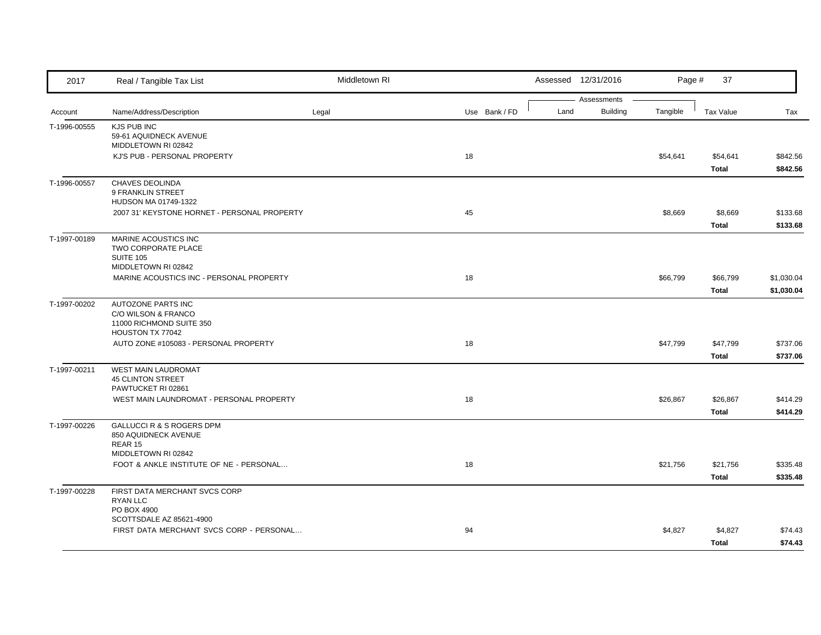| 2017         | Real / Tangible Tax List                                                               | Middletown RI |               |      | Assessed 12/31/2016            | Page #   | 37           |            |
|--------------|----------------------------------------------------------------------------------------|---------------|---------------|------|--------------------------------|----------|--------------|------------|
| Account      | Name/Address/Description                                                               | Legal         | Use Bank / FD | Land | Assessments<br><b>Building</b> | Tangible | Tax Value    | Tax        |
| T-1996-00555 | <b>KJS PUB INC</b>                                                                     |               |               |      |                                |          |              |            |
|              | 59-61 AQUIDNECK AVENUE<br>MIDDLETOWN RI 02842                                          |               |               |      |                                |          |              |            |
|              | KJ'S PUB - PERSONAL PROPERTY                                                           |               | 18            |      |                                | \$54,641 | \$54,641     | \$842.56   |
|              |                                                                                        |               |               |      |                                |          | <b>Total</b> | \$842.56   |
| T-1996-00557 | <b>CHAVES DEOLINDA</b><br>9 FRANKLIN STREET<br>HUDSON MA 01749-1322                    |               |               |      |                                |          |              |            |
|              | 2007 31' KEYSTONE HORNET - PERSONAL PROPERTY                                           |               | 45            |      |                                | \$8,669  | \$8,669      | \$133.68   |
|              |                                                                                        |               |               |      |                                |          | <b>Total</b> | \$133.68   |
| T-1997-00189 | MARINE ACOUSTICS INC<br>TWO CORPORATE PLACE<br><b>SUITE 105</b><br>MIDDLETOWN RI 02842 |               |               |      |                                |          |              |            |
|              | MARINE ACOUSTICS INC - PERSONAL PROPERTY                                               |               | 18            |      |                                | \$66,799 | \$66,799     | \$1,030.04 |
|              |                                                                                        |               |               |      |                                |          | <b>Total</b> | \$1,030.04 |
| T-1997-00202 | AUTOZONE PARTS INC<br>C/O WILSON & FRANCO<br>11000 RICHMOND SUITE 350                  |               |               |      |                                |          |              |            |
|              | HOUSTON TX 77042<br>AUTO ZONE #105083 - PERSONAL PROPERTY                              |               | 18            |      |                                | \$47,799 | \$47,799     | \$737.06   |
|              |                                                                                        |               |               |      |                                |          | <b>Total</b> | \$737.06   |
| T-1997-00211 | <b>WEST MAIN LAUDROMAT</b><br><b>45 CLINTON STREET</b><br>PAWTUCKET RI 02861           |               |               |      |                                |          |              |            |
|              | WEST MAIN LAUNDROMAT - PERSONAL PROPERTY                                               |               | 18            |      |                                | \$26,867 | \$26,867     | \$414.29   |
|              |                                                                                        |               |               |      |                                |          | Total        | \$414.29   |
| T-1997-00226 | <b>GALLUCCI R &amp; S ROGERS DPM</b><br>850 AQUIDNECK AVENUE<br>REAR 15                |               |               |      |                                |          |              |            |
|              | MIDDLETOWN RI 02842<br>FOOT & ANKLE INSTITUTE OF NE - PERSONAL                         |               | 18            |      |                                | \$21,756 | \$21,756     | \$335.48   |
|              |                                                                                        |               |               |      |                                |          | Total        | \$335.48   |
| T-1997-00228 | FIRST DATA MERCHANT SVCS CORP<br><b>RYAN LLC</b><br>PO BOX 4900                        |               |               |      |                                |          |              |            |
|              | SCOTTSDALE AZ 85621-4900                                                               |               |               |      |                                |          |              |            |
|              | FIRST DATA MERCHANT SVCS CORP - PERSONAL                                               |               | 94            |      |                                | \$4,827  | \$4,827      | \$74.43    |
|              |                                                                                        |               |               |      |                                |          | <b>Total</b> | \$74.43    |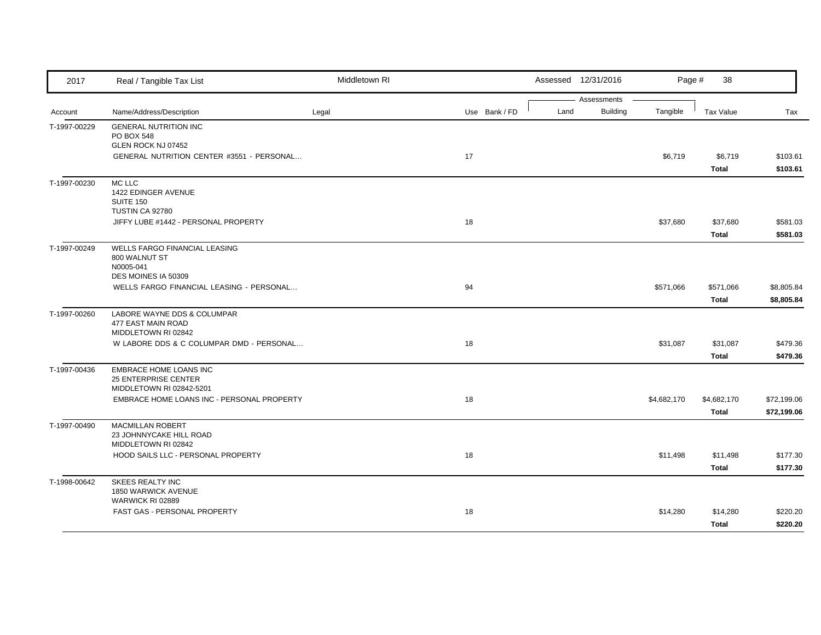| 2017         | Real / Tangible Tax List                       | Middletown RI |    |               |      | Assessed 12/31/2016            | Page #      | 38               |             |
|--------------|------------------------------------------------|---------------|----|---------------|------|--------------------------------|-------------|------------------|-------------|
|              |                                                |               |    |               | Land | Assessments<br><b>Building</b> | Tangible    |                  |             |
| Account      | Name/Address/Description                       | Legal         |    | Use Bank / FD |      |                                |             | <b>Tax Value</b> | Tax         |
| T-1997-00229 | <b>GENERAL NUTRITION INC</b><br>PO BOX 548     |               |    |               |      |                                |             |                  |             |
|              | GLEN ROCK NJ 07452                             |               |    |               |      |                                |             |                  |             |
|              | GENERAL NUTRITION CENTER #3551 - PERSONAL      |               | 17 |               |      |                                | \$6,719     | \$6,719          | \$103.61    |
|              |                                                |               |    |               |      |                                |             | <b>Total</b>     | \$103.61    |
| T-1997-00230 | MC LLC                                         |               |    |               |      |                                |             |                  |             |
|              | 1422 EDINGER AVENUE                            |               |    |               |      |                                |             |                  |             |
|              | <b>SUITE 150</b><br>TUSTIN CA 92780            |               |    |               |      |                                |             |                  |             |
|              | JIFFY LUBE #1442 - PERSONAL PROPERTY           |               | 18 |               |      |                                | \$37,680    | \$37,680         | \$581.03    |
|              |                                                |               |    |               |      |                                |             | Total            | \$581.03    |
| T-1997-00249 | WELLS FARGO FINANCIAL LEASING                  |               |    |               |      |                                |             |                  |             |
|              | 800 WALNUT ST                                  |               |    |               |      |                                |             |                  |             |
|              | N0005-041                                      |               |    |               |      |                                |             |                  |             |
|              | DES MOINES IA 50309                            |               |    |               |      |                                |             |                  |             |
|              | WELLS FARGO FINANCIAL LEASING - PERSONAL       |               | 94 |               |      |                                | \$571,066   | \$571,066        | \$8,805.84  |
|              |                                                |               |    |               |      |                                |             | <b>Total</b>     | \$8,805.84  |
| T-1997-00260 | LABORE WAYNE DDS & COLUMPAR                    |               |    |               |      |                                |             |                  |             |
|              | 477 EAST MAIN ROAD<br>MIDDLETOWN RI 02842      |               |    |               |      |                                |             |                  |             |
|              | W LABORE DDS & C COLUMPAR DMD - PERSONAL       |               | 18 |               |      |                                | \$31,087    | \$31,087         | \$479.36    |
|              |                                                |               |    |               |      |                                |             | Total            | \$479.36    |
| T-1997-00436 | EMBRACE HOME LOANS INC                         |               |    |               |      |                                |             |                  |             |
|              | 25 ENTERPRISE CENTER                           |               |    |               |      |                                |             |                  |             |
|              | MIDDLETOWN RI 02842-5201                       |               |    |               |      |                                |             |                  |             |
|              | EMBRACE HOME LOANS INC - PERSONAL PROPERTY     |               | 18 |               |      |                                | \$4,682,170 | \$4,682,170      | \$72,199.06 |
|              |                                                |               |    |               |      |                                |             | Total            | \$72,199.06 |
| T-1997-00490 | <b>MACMILLAN ROBERT</b>                        |               |    |               |      |                                |             |                  |             |
|              | 23 JOHNNYCAKE HILL ROAD<br>MIDDLETOWN RI 02842 |               |    |               |      |                                |             |                  |             |
|              | HOOD SAILS LLC - PERSONAL PROPERTY             |               | 18 |               |      |                                | \$11,498    | \$11,498         | \$177.30    |
|              |                                                |               |    |               |      |                                |             | Total            | \$177.30    |
|              |                                                |               |    |               |      |                                |             |                  |             |
| T-1998-00642 | <b>SKEES REALTY INC</b><br>1850 WARWICK AVENUE |               |    |               |      |                                |             |                  |             |
|              | WARWICK RI 02889                               |               |    |               |      |                                |             |                  |             |
|              | FAST GAS - PERSONAL PROPERTY                   |               | 18 |               |      |                                | \$14,280    | \$14,280         | \$220.20    |
|              |                                                |               |    |               |      |                                |             | Total            | \$220.20    |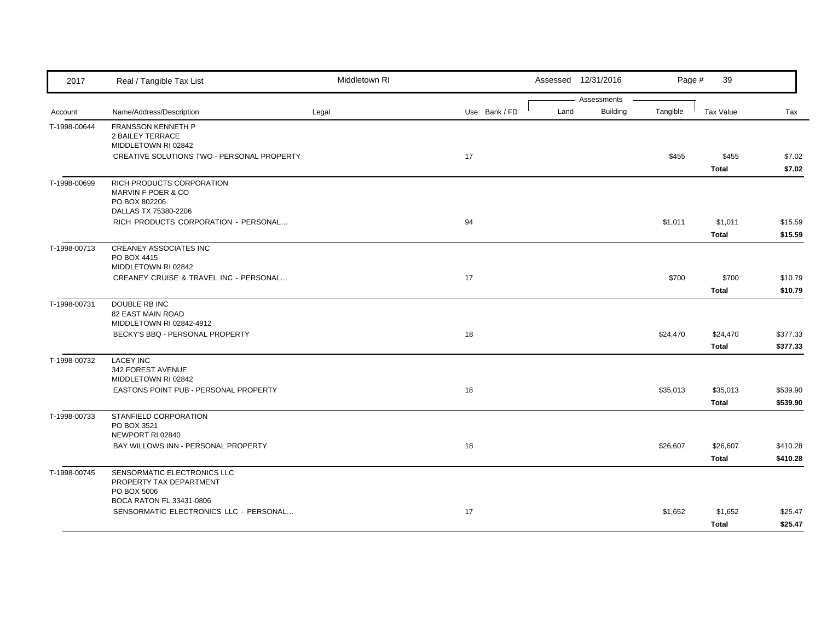| 2017         | Real / Tangible Tax List                                                                                           | Middletown RI |               |      | Assessed 12/31/2016            | Page #   | 39                       |                      |
|--------------|--------------------------------------------------------------------------------------------------------------------|---------------|---------------|------|--------------------------------|----------|--------------------------|----------------------|
| Account      | Name/Address/Description                                                                                           | Legal         | Use Bank / FD | Land | Assessments<br><b>Building</b> | Tangible | Tax Value                | Tax                  |
| T-1998-00644 | FRANSSON KENNETH P<br><b>2 BAILEY TERRACE</b><br>MIDDLETOWN RI 02842<br>CREATIVE SOLUTIONS TWO - PERSONAL PROPERTY |               | 17            |      |                                | \$455    | \$455                    | \$7.02               |
|              |                                                                                                                    |               |               |      |                                |          | <b>Total</b>             | \$7.02               |
| T-1998-00699 | RICH PRODUCTS CORPORATION<br>MARVIN F POER & CO<br>PO BOX 802206<br>DALLAS TX 75380-2206                           |               |               |      |                                |          |                          |                      |
|              | RICH PRODUCTS CORPORATION - PERSONAL                                                                               |               | 94            |      |                                | \$1,011  | \$1,011<br><b>Total</b>  | \$15.59<br>\$15.59   |
| T-1998-00713 | <b>CREANEY ASSOCIATES INC</b><br>PO BOX 4415<br>MIDDLETOWN RI 02842                                                |               |               |      |                                |          |                          |                      |
|              | CREANEY CRUISE & TRAVEL INC - PERSONAL                                                                             |               | 17            |      |                                | \$700    | \$700<br><b>Total</b>    | \$10.79<br>\$10.79   |
| T-1998-00731 | DOUBLE RB INC<br><b>82 EAST MAIN ROAD</b><br>MIDDLETOWN RI 02842-4912                                              |               |               |      |                                |          |                          |                      |
|              | BECKY'S BBQ - PERSONAL PROPERTY                                                                                    |               | 18            |      |                                | \$24,470 | \$24,470<br><b>Total</b> | \$377.33<br>\$377.33 |
| T-1998-00732 | <b>LACEY INC</b><br>342 FOREST AVENUE<br>MIDDLETOWN RI 02842                                                       |               |               |      |                                |          |                          |                      |
|              | EASTONS POINT PUB - PERSONAL PROPERTY                                                                              |               | 18            |      |                                | \$35,013 | \$35,013<br><b>Total</b> | \$539.90<br>\$539.90 |
| T-1998-00733 | STANFIELD CORPORATION<br>PO BOX 3521<br>NEWPORT RI 02840                                                           |               |               |      |                                |          |                          |                      |
|              | BAY WILLOWS INN - PERSONAL PROPERTY                                                                                |               | 18            |      |                                | \$26,607 | \$26,607<br><b>Total</b> | \$410.28<br>\$410.28 |
| T-1998-00745 | SENSORMATIC ELECTRONICS LLC<br>PROPERTY TAX DEPARTMENT<br>PO BOX 5006                                              |               |               |      |                                |          |                          |                      |
|              | BOCA RATON FL 33431-0806<br>SENSORMATIC ELECTRONICS LLC - PERSONAL                                                 |               | 17            |      |                                | \$1,652  | \$1,652<br><b>Total</b>  | \$25.47<br>\$25.47   |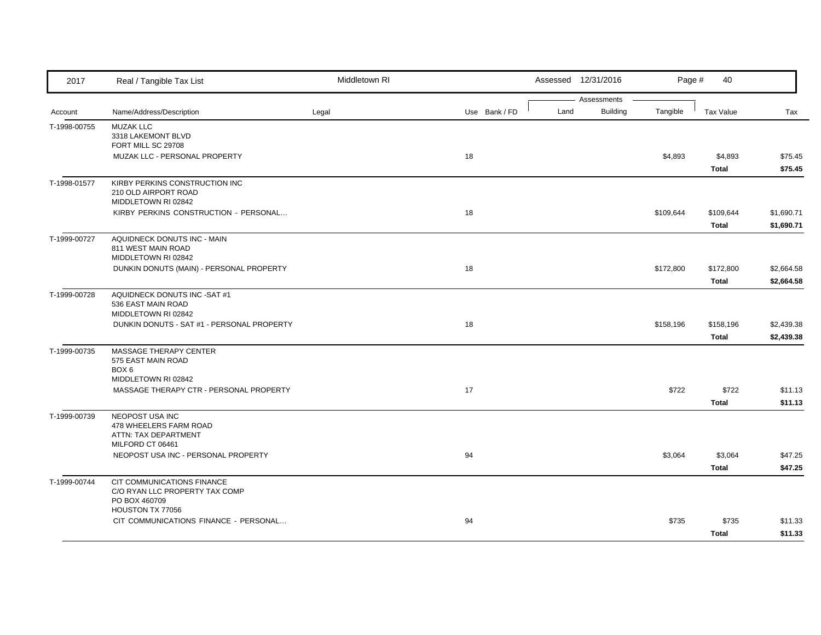| 2017         | Real / Tangible Tax List                                                      | Middletown RI |               | Assessed 12/31/2016 |                                | Page #    | 40                 |                          |
|--------------|-------------------------------------------------------------------------------|---------------|---------------|---------------------|--------------------------------|-----------|--------------------|--------------------------|
| Account      | Name/Address/Description                                                      | Legal         | Use Bank / FD | Land                | Assessments<br><b>Building</b> | Tangible  | <b>Tax Value</b>   | Tax                      |
| T-1998-00755 | <b>MUZAK LLC</b><br>3318 LAKEMONT BLVD<br>FORT MILL SC 29708                  |               |               |                     |                                |           |                    |                          |
|              | MUZAK LLC - PERSONAL PROPERTY                                                 |               | 18            |                     |                                | \$4,893   | \$4,893<br>Total   | \$75.45<br>\$75.45       |
| T-1998-01577 | KIRBY PERKINS CONSTRUCTION INC<br>210 OLD AIRPORT ROAD<br>MIDDLETOWN RI 02842 |               |               |                     |                                |           |                    |                          |
|              | KIRBY PERKINS CONSTRUCTION - PERSONAL                                         |               | 18            |                     |                                | \$109,644 | \$109,644<br>Total | \$1,690.71<br>\$1,690.71 |
| T-1999-00727 | AQUIDNECK DONUTS INC - MAIN<br>811 WEST MAIN ROAD<br>MIDDLETOWN RI 02842      |               |               |                     |                                |           |                    |                          |
|              | DUNKIN DONUTS (MAIN) - PERSONAL PROPERTY                                      |               | 18            |                     |                                | \$172,800 | \$172,800<br>Total | \$2,664.58<br>\$2,664.58 |
| T-1999-00728 | AQUIDNECK DONUTS INC -SAT #1<br>536 EAST MAIN ROAD<br>MIDDLETOWN RI 02842     |               |               |                     |                                |           |                    |                          |
|              | DUNKIN DONUTS - SAT #1 - PERSONAL PROPERTY                                    |               | 18            |                     |                                | \$158,196 | \$158,196<br>Total | \$2,439.38<br>\$2,439.38 |
| T-1999-00735 | MASSAGE THERAPY CENTER<br>575 EAST MAIN ROAD<br>BOX <sub>6</sub>              |               |               |                     |                                |           |                    |                          |
|              | MIDDLETOWN RI 02842<br>MASSAGE THERAPY CTR - PERSONAL PROPERTY                |               | 17            |                     |                                | \$722     | \$722<br>Total     | \$11.13<br>\$11.13       |
| T-1999-00739 | NEOPOST USA INC<br>478 WHEELERS FARM ROAD<br>ATTN: TAX DEPARTMENT             |               |               |                     |                                |           |                    |                          |
|              | MILFORD CT 06461<br>NEOPOST USA INC - PERSONAL PROPERTY                       |               | 94            |                     |                                | \$3,064   | \$3,064<br>Total   | \$47.25<br>\$47.25       |
| T-1999-00744 | CIT COMMUNICATIONS FINANCE<br>C/O RYAN LLC PROPERTY TAX COMP<br>PO BOX 460709 |               |               |                     |                                |           |                    |                          |
|              | HOUSTON TX 77056<br>CIT COMMUNICATIONS FINANCE - PERSONAL                     |               | 94            |                     |                                | \$735     | \$735<br>Total     | \$11.33<br>\$11.33       |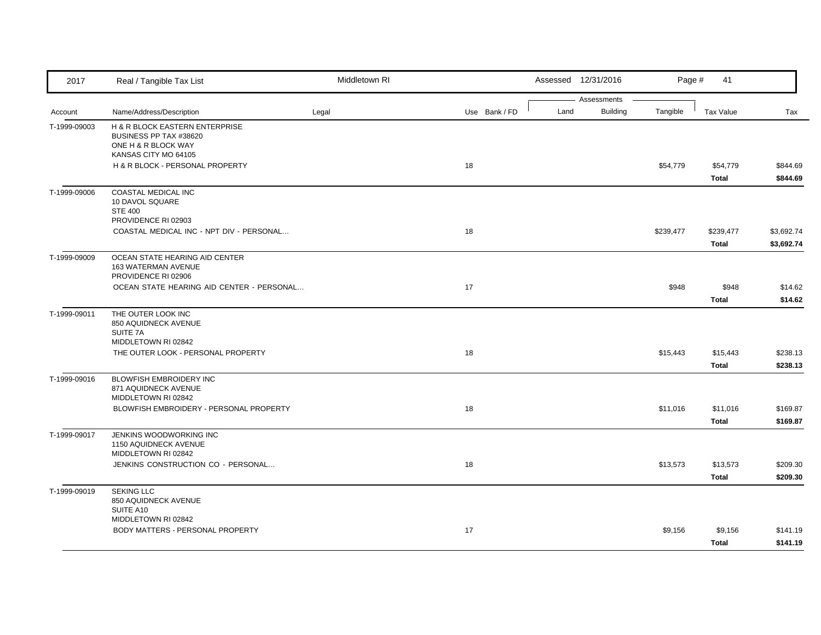| 2017         | Real / Tangible Tax List                                 | Middletown RI |               |  |      | Assessed 12/31/2016            | Page #    | 41           |            |
|--------------|----------------------------------------------------------|---------------|---------------|--|------|--------------------------------|-----------|--------------|------------|
|              |                                                          |               |               |  |      | Assessments<br><b>Building</b> | Tangible  |              |            |
| Account      | Name/Address/Description                                 | Legal         | Use Bank / FD |  | Land |                                |           | Tax Value    | Tax        |
| T-1999-09003 | H & R BLOCK EASTERN ENTERPRISE<br>BUSINESS PP TAX #38620 |               |               |  |      |                                |           |              |            |
|              | ONE H & R BLOCK WAY                                      |               |               |  |      |                                |           |              |            |
|              | KANSAS CITY MO 64105                                     |               |               |  |      |                                |           |              |            |
|              | H & R BLOCK - PERSONAL PROPERTY                          |               | 18            |  |      |                                | \$54,779  | \$54,779     | \$844.69   |
|              |                                                          |               |               |  |      |                                |           | Total        | \$844.69   |
| T-1999-09006 | COASTAL MEDICAL INC                                      |               |               |  |      |                                |           |              |            |
|              | 10 DAVOL SQUARE                                          |               |               |  |      |                                |           |              |            |
|              | <b>STE 400</b><br>PROVIDENCE RI 02903                    |               |               |  |      |                                |           |              |            |
|              | COASTAL MEDICAL INC - NPT DIV - PERSONAL                 |               | 18            |  |      |                                | \$239,477 | \$239,477    | \$3,692.74 |
|              |                                                          |               |               |  |      |                                |           | <b>Total</b> | \$3,692.74 |
| T-1999-09009 | OCEAN STATE HEARING AID CENTER                           |               |               |  |      |                                |           |              |            |
|              | 163 WATERMAN AVENUE                                      |               |               |  |      |                                |           |              |            |
|              | PROVIDENCE RI 02906                                      |               |               |  |      |                                |           |              |            |
|              | OCEAN STATE HEARING AID CENTER - PERSONAL                |               | 17            |  |      |                                | \$948     | \$948        | \$14.62    |
|              |                                                          |               |               |  |      |                                |           | Total        | \$14.62    |
| T-1999-09011 | THE OUTER LOOK INC                                       |               |               |  |      |                                |           |              |            |
|              | 850 AQUIDNECK AVENUE                                     |               |               |  |      |                                |           |              |            |
|              | SUITE 7A<br>MIDDLETOWN RI 02842                          |               |               |  |      |                                |           |              |            |
|              | THE OUTER LOOK - PERSONAL PROPERTY                       |               | 18            |  |      |                                | \$15,443  | \$15,443     | \$238.13   |
|              |                                                          |               |               |  |      |                                |           | <b>Total</b> | \$238.13   |
| T-1999-09016 | BLOWFISH EMBROIDERY INC                                  |               |               |  |      |                                |           |              |            |
|              | 871 AQUIDNECK AVENUE                                     |               |               |  |      |                                |           |              |            |
|              | MIDDLETOWN RI 02842                                      |               |               |  |      |                                |           |              |            |
|              | BLOWFISH EMBROIDERY - PERSONAL PROPERTY                  |               | 18            |  |      |                                | \$11,016  | \$11,016     | \$169.87   |
|              |                                                          |               |               |  |      |                                |           | Total        | \$169.87   |
| T-1999-09017 | JENKINS WOODWORKING INC                                  |               |               |  |      |                                |           |              |            |
|              | 1150 AQUIDNECK AVENUE<br>MIDDLETOWN RI 02842             |               |               |  |      |                                |           |              |            |
|              | JENKINS CONSTRUCTION CO - PERSONAL                       |               | 18            |  |      |                                | \$13,573  | \$13,573     | \$209.30   |
|              |                                                          |               |               |  |      |                                |           |              |            |
|              |                                                          |               |               |  |      |                                |           | Total        | \$209.30   |
| T-1999-09019 | <b>SEKING LLC</b><br>850 AQUIDNECK AVENUE                |               |               |  |      |                                |           |              |            |
|              | SUITE A10                                                |               |               |  |      |                                |           |              |            |
|              | MIDDLETOWN RI 02842                                      |               |               |  |      |                                |           |              |            |
|              | BODY MATTERS - PERSONAL PROPERTY                         |               | 17            |  |      |                                | \$9,156   | \$9,156      | \$141.19   |
|              |                                                          |               |               |  |      |                                |           | <b>Total</b> | \$141.19   |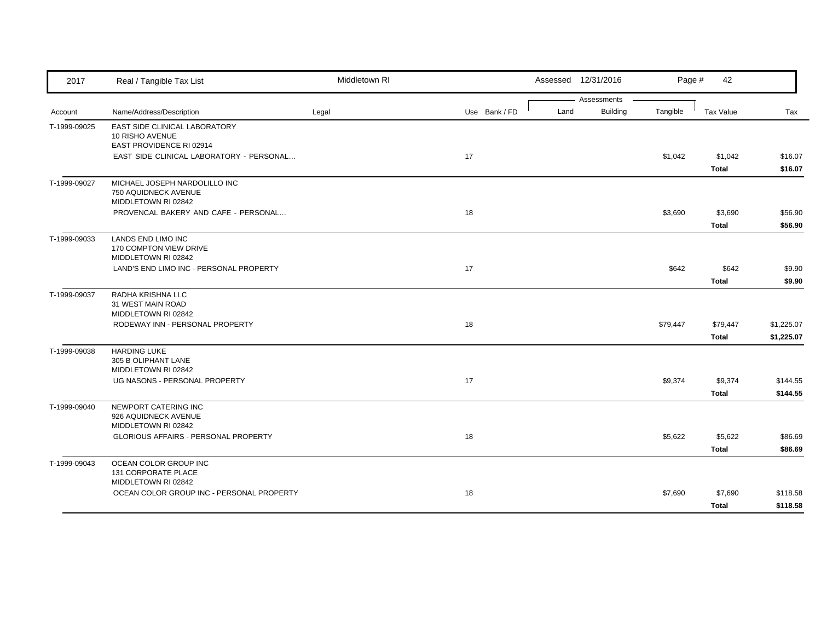| 2017         | Real / Tangible Tax List                                                     | Middletown RI |               |      | Assessed 12/31/2016     | Page #   | 42                      |                          |
|--------------|------------------------------------------------------------------------------|---------------|---------------|------|-------------------------|----------|-------------------------|--------------------------|
| Account      | Name/Address/Description                                                     | Legal         | Use Bank / FD | Land | Assessments<br>Building | Tangible | Tax Value               | Tax                      |
| T-1999-09025 | EAST SIDE CLINICAL LABORATORY<br>10 RISHO AVENUE<br>EAST PROVIDENCE RI 02914 |               |               |      |                         |          |                         |                          |
|              | EAST SIDE CLINICAL LABORATORY - PERSONAL                                     |               | 17            |      |                         | \$1,042  | \$1,042<br>Total        | \$16.07<br>\$16.07       |
| T-1999-09027 | MICHAEL JOSEPH NARDOLILLO INC<br>750 AQUIDNECK AVENUE<br>MIDDLETOWN RI 02842 |               |               |      |                         |          |                         |                          |
|              | PROVENCAL BAKERY AND CAFE - PERSONAL                                         |               | 18            |      |                         | \$3,690  | \$3,690<br><b>Total</b> | \$56.90<br>\$56.90       |
| T-1999-09033 | <b>LANDS END LIMO INC</b><br>170 COMPTON VIEW DRIVE<br>MIDDLETOWN RI 02842   |               |               |      |                         |          |                         |                          |
|              | LAND'S END LIMO INC - PERSONAL PROPERTY                                      |               | 17            |      |                         | \$642    | \$642<br>Total          | \$9.90<br>\$9.90         |
| T-1999-09037 | RADHA KRISHNA LLC<br>31 WEST MAIN ROAD<br>MIDDLETOWN RI 02842                |               |               |      |                         |          |                         |                          |
|              | RODEWAY INN - PERSONAL PROPERTY                                              |               | 18            |      |                         | \$79,447 | \$79,447<br>Total       | \$1,225.07<br>\$1,225.07 |
| T-1999-09038 | <b>HARDING LUKE</b><br>305 B OLIPHANT LANE<br>MIDDLETOWN RI 02842            |               |               |      |                         |          |                         |                          |
|              | UG NASONS - PERSONAL PROPERTY                                                |               | 17            |      |                         | \$9,374  | \$9,374<br>Total        | \$144.55<br>\$144.55     |
| T-1999-09040 | NEWPORT CATERING INC<br>926 AQUIDNECK AVENUE<br>MIDDLETOWN RI 02842          |               |               |      |                         |          |                         |                          |
|              | GLORIOUS AFFAIRS - PERSONAL PROPERTY                                         |               | 18            |      |                         | \$5,622  | \$5,622<br>Total        | \$86.69<br>\$86.69       |
| T-1999-09043 | OCEAN COLOR GROUP INC<br>131 CORPORATE PLACE<br>MIDDLETOWN RI 02842          |               |               |      |                         |          |                         |                          |
|              | OCEAN COLOR GROUP INC - PERSONAL PROPERTY                                    |               | 18            |      |                         | \$7,690  | \$7,690<br>Total        | \$118.58<br>\$118.58     |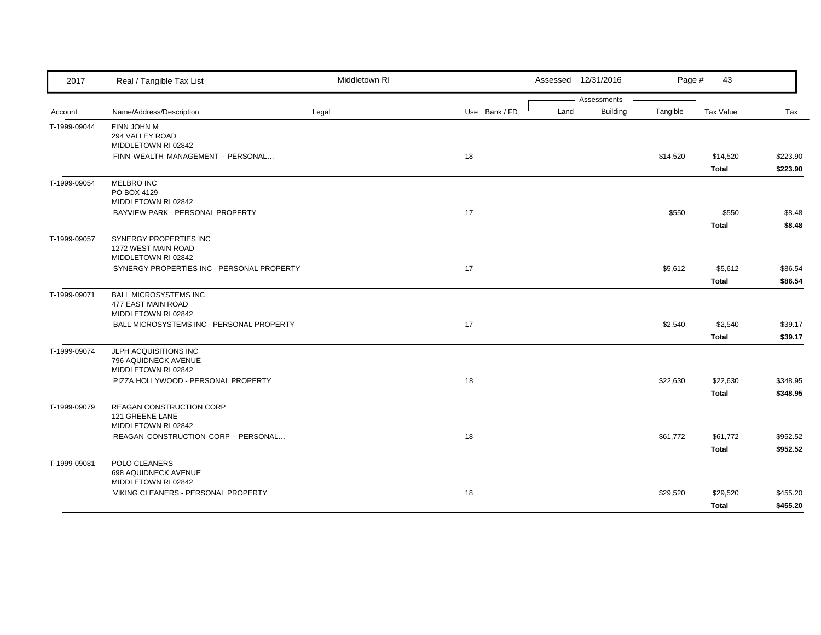| 2017         | Real / Tangible Tax List                                         | Middletown RI |               |      | Assessed 12/31/2016 | Page #   | 43                    |                  |
|--------------|------------------------------------------------------------------|---------------|---------------|------|---------------------|----------|-----------------------|------------------|
|              |                                                                  |               |               |      | Assessments         |          |                       |                  |
| Account      | Name/Address/Description                                         | Legal         | Use Bank / FD | Land | Building            | Tangible | <b>Tax Value</b>      | Tax              |
| T-1999-09044 | FINN JOHN M                                                      |               |               |      |                     |          |                       |                  |
|              | 294 VALLEY ROAD<br>MIDDLETOWN RI 02842                           |               |               |      |                     |          |                       |                  |
|              | FINN WEALTH MANAGEMENT - PERSONAL                                |               | 18            |      |                     | \$14,520 | \$14,520              | \$223.90         |
|              |                                                                  |               |               |      |                     |          | Total                 | \$223.90         |
| T-1999-09054 | MELBRO INC                                                       |               |               |      |                     |          |                       |                  |
|              | PO BOX 4129                                                      |               |               |      |                     |          |                       |                  |
|              | MIDDLETOWN RI 02842                                              |               |               |      |                     |          |                       |                  |
|              | BAYVIEW PARK - PERSONAL PROPERTY                                 |               | 17            |      |                     | \$550    | \$550<br><b>Total</b> | \$8.48<br>\$8.48 |
| T-1999-09057 | SYNERGY PROPERTIES INC                                           |               |               |      |                     |          |                       |                  |
|              | 1272 WEST MAIN ROAD                                              |               |               |      |                     |          |                       |                  |
|              | MIDDLETOWN RI 02842                                              |               |               |      |                     |          |                       |                  |
|              | SYNERGY PROPERTIES INC - PERSONAL PROPERTY                       |               | 17            |      |                     | \$5,612  | \$5,612               | \$86.54          |
|              |                                                                  |               |               |      |                     |          | Total                 | \$86.54          |
| T-1999-09071 | <b>BALL MICROSYSTEMS INC</b>                                     |               |               |      |                     |          |                       |                  |
|              | 477 EAST MAIN ROAD                                               |               |               |      |                     |          |                       |                  |
|              | MIDDLETOWN RI 02842<br>BALL MICROSYSTEMS INC - PERSONAL PROPERTY |               | 17            |      |                     | \$2,540  | \$2,540               | \$39.17          |
|              |                                                                  |               |               |      |                     |          | Total                 | \$39.17          |
| T-1999-09074 | JLPH ACQUISITIONS INC                                            |               |               |      |                     |          |                       |                  |
|              | 796 AQUIDNECK AVENUE                                             |               |               |      |                     |          |                       |                  |
|              | MIDDLETOWN RI 02842                                              |               |               |      |                     |          |                       |                  |
|              | PIZZA HOLLYWOOD - PERSONAL PROPERTY                              |               | 18            |      |                     | \$22,630 | \$22,630              | \$348.95         |
|              |                                                                  |               |               |      |                     |          | Total                 | \$348.95         |
| T-1999-09079 | REAGAN CONSTRUCTION CORP                                         |               |               |      |                     |          |                       |                  |
|              | 121 GREENE LANE                                                  |               |               |      |                     |          |                       |                  |
|              | MIDDLETOWN RI 02842                                              |               | 18            |      |                     |          |                       |                  |
|              | REAGAN CONSTRUCTION CORP - PERSONAL                              |               |               |      |                     | \$61,772 | \$61,772              | \$952.52         |
|              |                                                                  |               |               |      |                     |          | Total                 | \$952.52         |
| T-1999-09081 | POLO CLEANERS<br>698 AQUIDNECK AVENUE                            |               |               |      |                     |          |                       |                  |
|              | MIDDLETOWN RI 02842                                              |               |               |      |                     |          |                       |                  |
|              | VIKING CLEANERS - PERSONAL PROPERTY                              |               | 18            |      |                     | \$29,520 | \$29,520              | \$455.20         |
|              |                                                                  |               |               |      |                     |          | Total                 | \$455.20         |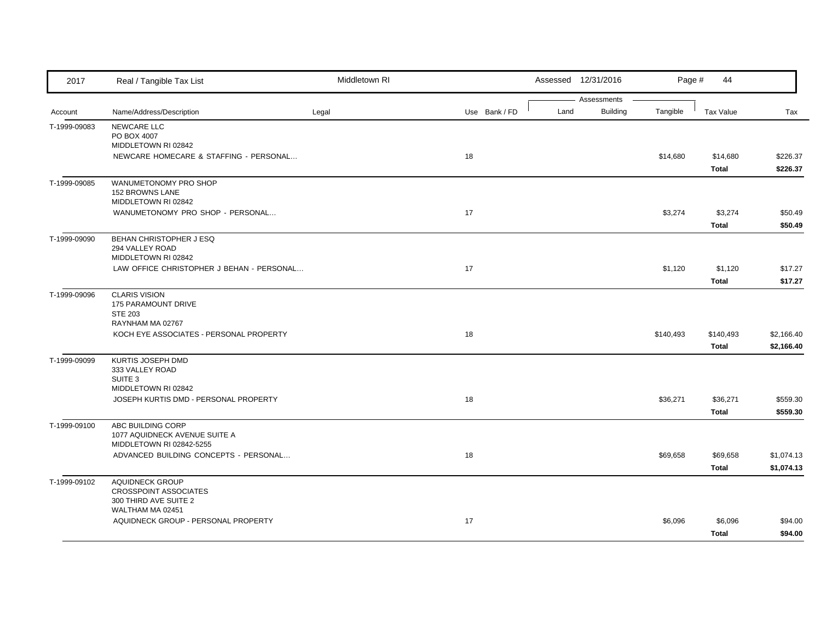| 2017         | Real / Tangible Tax List                                                       | Middletown RI |               |      | Assessed 12/31/2016            | Page #    | 44                       |                          |
|--------------|--------------------------------------------------------------------------------|---------------|---------------|------|--------------------------------|-----------|--------------------------|--------------------------|
| Account      | Name/Address/Description                                                       | Legal         | Use Bank / FD | Land | Assessments<br><b>Building</b> | Tangible  | <b>Tax Value</b>         | Tax                      |
| T-1999-09083 | NEWCARE LLC<br>PO BOX 4007<br>MIDDLETOWN RI 02842                              |               |               |      |                                |           |                          |                          |
|              | NEWCARE HOMECARE & STAFFING - PERSONAL                                         |               | 18            |      |                                | \$14,680  | \$14,680<br>Total        | \$226.37<br>\$226.37     |
| T-1999-09085 | WANUMETONOMY PRO SHOP<br><b>152 BROWNS LANE</b><br>MIDDLETOWN RI 02842         |               |               |      |                                |           |                          |                          |
|              | WANUMETONOMY PRO SHOP - PERSONAL                                               |               | 17            |      |                                | \$3,274   | \$3,274<br>Total         | \$50.49<br>\$50.49       |
| T-1999-09090 | BEHAN CHRISTOPHER J ESQ<br>294 VALLEY ROAD<br>MIDDLETOWN RI 02842              |               |               |      |                                |           |                          |                          |
|              | LAW OFFICE CHRISTOPHER J BEHAN - PERSONAL                                      |               | 17            |      |                                | \$1,120   | \$1,120<br>Total         | \$17.27<br>\$17.27       |
| T-1999-09096 | <b>CLARIS VISION</b><br>175 PARAMOUNT DRIVE<br><b>STE 203</b>                  |               |               |      |                                |           |                          |                          |
|              | RAYNHAM MA 02767<br>KOCH EYE ASSOCIATES - PERSONAL PROPERTY                    |               | 18            |      |                                | \$140,493 | \$140,493<br>Total       | \$2,166.40<br>\$2,166.40 |
| T-1999-09099 | KURTIS JOSEPH DMD<br>333 VALLEY ROAD<br>SUITE 3<br>MIDDLETOWN RI 02842         |               |               |      |                                |           |                          |                          |
|              | JOSEPH KURTIS DMD - PERSONAL PROPERTY                                          |               | 18            |      |                                | \$36,271  | \$36,271<br><b>Total</b> | \$559.30<br>\$559.30     |
| T-1999-09100 | ABC BUILDING CORP<br>1077 AQUIDNECK AVENUE SUITE A<br>MIDDLETOWN RI 02842-5255 |               |               |      |                                |           |                          |                          |
|              | ADVANCED BUILDING CONCEPTS - PERSONAL                                          |               | 18            |      |                                | \$69,658  | \$69,658<br>Total        | \$1,074.13<br>\$1,074.13 |
| T-1999-09102 | AQUIDNECK GROUP<br><b>CROSSPOINT ASSOCIATES</b><br>300 THIRD AVE SUITE 2       |               |               |      |                                |           |                          |                          |
|              | WALTHAM MA 02451<br>AQUIDNECK GROUP - PERSONAL PROPERTY                        |               | 17            |      |                                | \$6,096   | \$6,096<br>Total         | \$94.00<br>\$94.00       |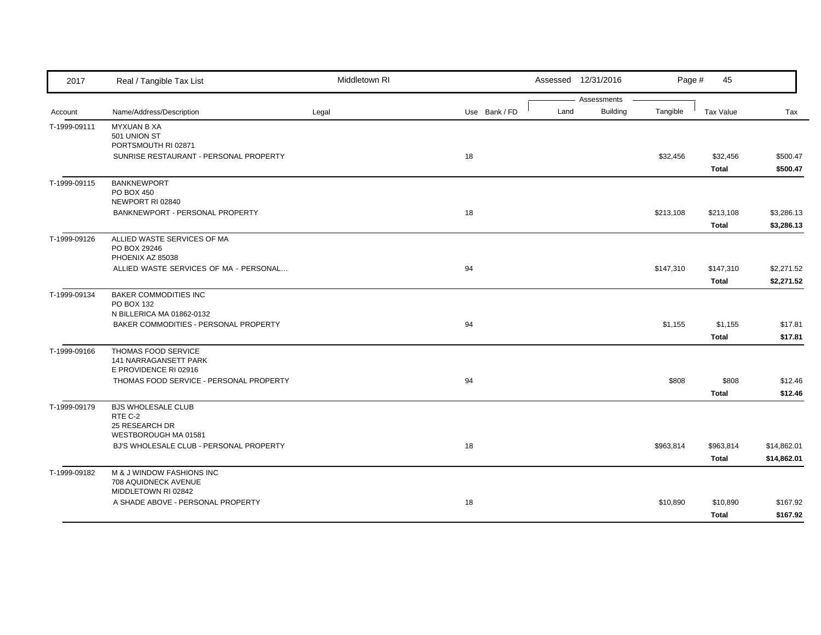| 2017         | Real / Tangible Tax List                                        | Middletown RI |               |      | Assessed 12/31/2016            | Page #    | 45           |             |
|--------------|-----------------------------------------------------------------|---------------|---------------|------|--------------------------------|-----------|--------------|-------------|
| Account      | Name/Address/Description                                        | Legal         | Use Bank / FD | Land | Assessments<br><b>Building</b> | Tangible  | Tax Value    | Tax         |
| T-1999-09111 | <b>MYXUAN B XA</b>                                              |               |               |      |                                |           |              |             |
|              | 501 UNION ST                                                    |               |               |      |                                |           |              |             |
|              | PORTSMOUTH RI 02871                                             |               |               |      |                                |           |              |             |
|              | SUNRISE RESTAURANT - PERSONAL PROPERTY                          |               | 18            |      |                                | \$32,456  | \$32,456     | \$500.47    |
|              |                                                                 |               |               |      |                                |           | Total        | \$500.47    |
| T-1999-09115 | <b>BANKNEWPORT</b>                                              |               |               |      |                                |           |              |             |
|              | PO BOX 450                                                      |               |               |      |                                |           |              |             |
|              | NEWPORT RI 02840<br>BANKNEWPORT - PERSONAL PROPERTY             |               | 18            |      |                                | \$213,108 | \$213,108    | \$3,286.13  |
|              |                                                                 |               |               |      |                                |           | Total        | \$3,286.13  |
|              |                                                                 |               |               |      |                                |           |              |             |
| T-1999-09126 | ALLIED WASTE SERVICES OF MA<br>PO BOX 29246                     |               |               |      |                                |           |              |             |
|              | PHOENIX AZ 85038                                                |               |               |      |                                |           |              |             |
|              | ALLIED WASTE SERVICES OF MA - PERSONAL                          |               | 94            |      |                                | \$147,310 | \$147,310    | \$2,271.52  |
|              |                                                                 |               |               |      |                                |           | Total        | \$2,271.52  |
| T-1999-09134 | <b>BAKER COMMODITIES INC</b>                                    |               |               |      |                                |           |              |             |
|              | PO BOX 132                                                      |               |               |      |                                |           |              |             |
|              | N BILLERICA MA 01862-0132                                       |               |               |      |                                |           |              |             |
|              | BAKER COMMODITIES - PERSONAL PROPERTY                           |               | 94            |      |                                | \$1,155   | \$1,155      | \$17.81     |
|              |                                                                 |               |               |      |                                |           | <b>Total</b> | \$17.81     |
| T-1999-09166 | THOMAS FOOD SERVICE<br>141 NARRAGANSETT PARK                    |               |               |      |                                |           |              |             |
|              | E PROVIDENCE RI 02916                                           |               |               |      |                                |           |              |             |
|              | THOMAS FOOD SERVICE - PERSONAL PROPERTY                         |               | 94            |      |                                | \$808     | \$808        | \$12.46     |
|              |                                                                 |               |               |      |                                |           | Total        | \$12.46     |
| T-1999-09179 | <b>BJS WHOLESALE CLUB</b>                                       |               |               |      |                                |           |              |             |
|              | RTE C-2                                                         |               |               |      |                                |           |              |             |
|              | 25 RESEARCH DR                                                  |               |               |      |                                |           |              |             |
|              | WESTBOROUGH MA 01581<br>BJ'S WHOLESALE CLUB - PERSONAL PROPERTY |               | 18            |      |                                |           |              |             |
|              |                                                                 |               |               |      |                                | \$963,814 | \$963,814    | \$14,862.01 |
|              |                                                                 |               |               |      |                                |           | <b>Total</b> | \$14,862.01 |
| T-1999-09182 | M & J WINDOW FASHIONS INC<br>708 AQUIDNECK AVENUE               |               |               |      |                                |           |              |             |
|              | MIDDLETOWN RI 02842                                             |               |               |      |                                |           |              |             |
|              | A SHADE ABOVE - PERSONAL PROPERTY                               |               | 18            |      |                                | \$10,890  | \$10,890     | \$167.92    |
|              |                                                                 |               |               |      |                                |           | Total        | \$167.92    |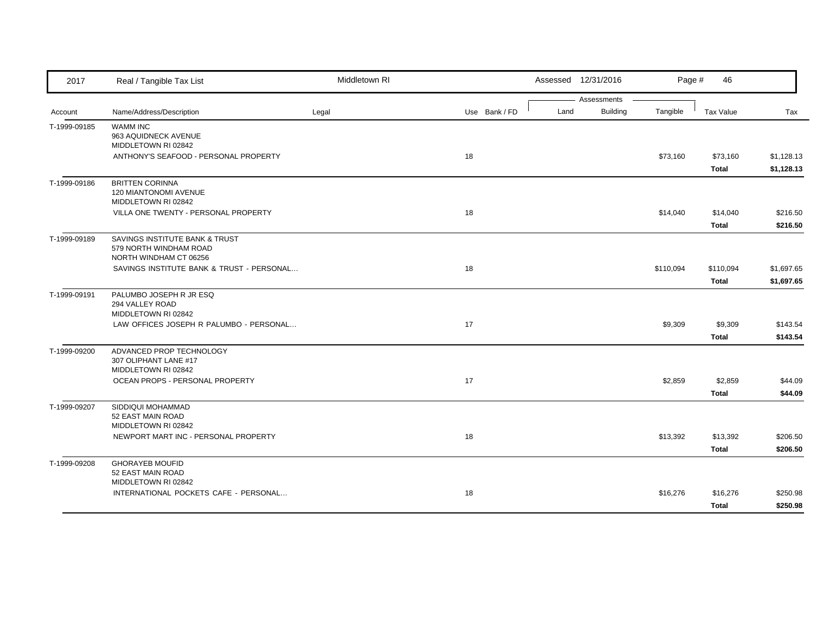| 2017         | Real / Tangible Tax List                                     | Middletown RI |               |      | Assessed 12/31/2016 | Page #    | 46               |                    |
|--------------|--------------------------------------------------------------|---------------|---------------|------|---------------------|-----------|------------------|--------------------|
|              |                                                              |               |               |      | Assessments         |           |                  |                    |
| Account      | Name/Address/Description                                     | Legal         | Use Bank / FD | Land | Building            | Tangible  | <b>Tax Value</b> | Tax                |
| T-1999-09185 | <b>WAMM INC</b><br>963 AQUIDNECK AVENUE                      |               |               |      |                     |           |                  |                    |
|              | MIDDLETOWN RI 02842                                          |               |               |      |                     |           |                  |                    |
|              | ANTHONY'S SEAFOOD - PERSONAL PROPERTY                        |               | 18            |      |                     | \$73,160  | \$73,160         | \$1,128.13         |
|              |                                                              |               |               |      |                     |           | Total            | \$1,128.13         |
| T-1999-09186 | <b>BRITTEN CORINNA</b>                                       |               |               |      |                     |           |                  |                    |
|              | 120 MIANTONOMI AVENUE                                        |               |               |      |                     |           |                  |                    |
|              | MIDDLETOWN RI 02842<br>VILLA ONE TWENTY - PERSONAL PROPERTY  |               | 18            |      |                     | \$14,040  | \$14,040         | \$216.50           |
|              |                                                              |               |               |      |                     |           | Total            | \$216.50           |
| T-1999-09189 | SAVINGS INSTITUTE BANK & TRUST                               |               |               |      |                     |           |                  |                    |
|              | 579 NORTH WINDHAM ROAD                                       |               |               |      |                     |           |                  |                    |
|              | NORTH WINDHAM CT 06256                                       |               |               |      |                     |           |                  |                    |
|              | SAVINGS INSTITUTE BANK & TRUST - PERSONAL                    |               | 18            |      |                     | \$110,094 | \$110,094        | \$1,697.65         |
|              |                                                              |               |               |      |                     |           | Total            | \$1,697.65         |
| T-1999-09191 | PALUMBO JOSEPH R JR ESQ                                      |               |               |      |                     |           |                  |                    |
|              | 294 VALLEY ROAD<br>MIDDLETOWN RI 02842                       |               |               |      |                     |           |                  |                    |
|              | LAW OFFICES JOSEPH R PALUMBO - PERSONAL                      |               | 17            |      |                     | \$9,309   | \$9,309          | \$143.54           |
|              |                                                              |               |               |      |                     |           | Total            | \$143.54           |
| T-1999-09200 | ADVANCED PROP TECHNOLOGY                                     |               |               |      |                     |           |                  |                    |
|              | 307 OLIPHANT LANE #17                                        |               |               |      |                     |           |                  |                    |
|              | MIDDLETOWN RI 02842                                          |               | 17            |      |                     |           |                  |                    |
|              | OCEAN PROPS - PERSONAL PROPERTY                              |               |               |      |                     | \$2,859   | \$2,859          | \$44.09<br>\$44.09 |
|              |                                                              |               |               |      |                     |           | Total            |                    |
| T-1999-09207 | SIDDIQUI MOHAMMAD<br>52 EAST MAIN ROAD                       |               |               |      |                     |           |                  |                    |
|              | MIDDLETOWN RI 02842                                          |               |               |      |                     |           |                  |                    |
|              | NEWPORT MART INC - PERSONAL PROPERTY                         |               | 18            |      |                     | \$13,392  | \$13,392         | \$206.50           |
|              |                                                              |               |               |      |                     |           | Total            | \$206.50           |
| T-1999-09208 | <b>GHORAYEB MOUFID</b>                                       |               |               |      |                     |           |                  |                    |
|              | 52 EAST MAIN ROAD                                            |               |               |      |                     |           |                  |                    |
|              | MIDDLETOWN RI 02842<br>INTERNATIONAL POCKETS CAFE - PERSONAL |               | 18            |      |                     | \$16,276  | \$16,276         | \$250.98           |
|              |                                                              |               |               |      |                     |           | Total            | \$250.98           |
|              |                                                              |               |               |      |                     |           |                  |                    |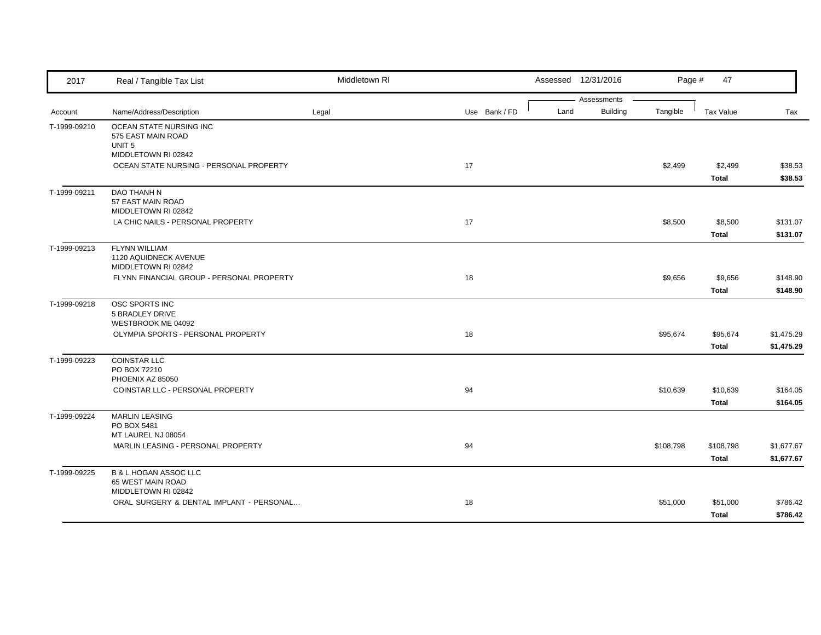| 2017         | Real / Tangible Tax List                                                                  | Middletown RI |               |      | Assessed 12/31/2016            | Page #    | 47                        |                          |
|--------------|-------------------------------------------------------------------------------------------|---------------|---------------|------|--------------------------------|-----------|---------------------------|--------------------------|
| Account      | Name/Address/Description                                                                  | Legal         | Use Bank / FD | Land | Assessments<br><b>Building</b> | Tangible  | Tax Value                 | Tax                      |
| T-1999-09210 | OCEAN STATE NURSING INC<br>575 EAST MAIN ROAD<br>UNIT <sub>5</sub><br>MIDDLETOWN RI 02842 |               |               |      |                                |           |                           |                          |
|              | OCEAN STATE NURSING - PERSONAL PROPERTY                                                   |               | 17            |      |                                | \$2,499   | \$2,499<br>Total          | \$38.53<br>\$38.53       |
| T-1999-09211 | DAO THANH N<br>57 EAST MAIN ROAD<br>MIDDLETOWN RI 02842                                   |               |               |      |                                |           |                           |                          |
|              | LA CHIC NAILS - PERSONAL PROPERTY                                                         |               | 17            |      |                                | \$8,500   | \$8,500<br><b>Total</b>   | \$131.07<br>\$131.07     |
| T-1999-09213 | <b>FLYNN WILLIAM</b><br>1120 AQUIDNECK AVENUE<br>MIDDLETOWN RI 02842                      |               |               |      |                                |           |                           |                          |
|              | FLYNN FINANCIAL GROUP - PERSONAL PROPERTY                                                 |               | 18            |      |                                | \$9,656   | \$9,656<br>Total          | \$148.90<br>\$148.90     |
| T-1999-09218 | OSC SPORTS INC<br>5 BRADLEY DRIVE<br>WESTBROOK ME 04092                                   |               |               |      |                                |           |                           |                          |
|              | OLYMPIA SPORTS - PERSONAL PROPERTY                                                        |               | 18            |      |                                | \$95,674  | \$95,674<br><b>Total</b>  | \$1,475.29<br>\$1,475.29 |
| T-1999-09223 | <b>COINSTAR LLC</b><br>PO BOX 72210<br>PHOENIX AZ 85050                                   |               |               |      |                                |           |                           |                          |
|              | COINSTAR LLC - PERSONAL PROPERTY                                                          |               | 94            |      |                                | \$10,639  | \$10,639<br><b>Total</b>  | \$164.05<br>\$164.05     |
| T-1999-09224 | <b>MARLIN LEASING</b><br>PO BOX 5481<br>MT LAUREL NJ 08054                                |               |               |      |                                |           |                           |                          |
|              | MARLIN LEASING - PERSONAL PROPERTY                                                        |               | 94            |      |                                | \$108,798 | \$108,798<br><b>Total</b> | \$1,677.67<br>\$1,677.67 |
| T-1999-09225 | <b>B &amp; L HOGAN ASSOC LLC</b><br>65 WEST MAIN ROAD<br>MIDDLETOWN RI 02842              |               |               |      |                                |           |                           |                          |
|              | ORAL SURGERY & DENTAL IMPLANT - PERSONAL                                                  |               | 18            |      |                                | \$51,000  | \$51,000<br><b>Total</b>  | \$786.42<br>\$786.42     |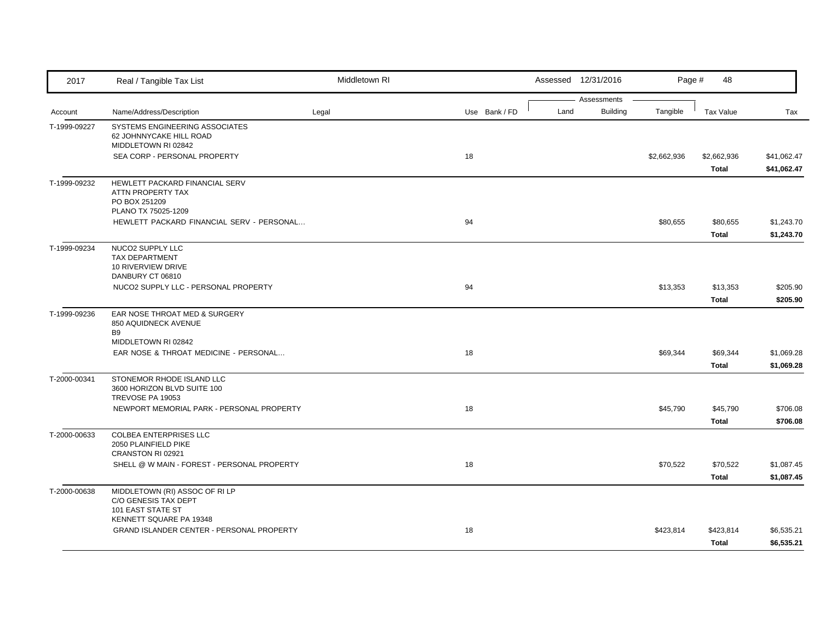| 2017         | Real / Tangible Tax List                                                         | Middletown RI |               |  |      | Assessed 12/31/2016 | Page #      | 48               |             |
|--------------|----------------------------------------------------------------------------------|---------------|---------------|--|------|---------------------|-------------|------------------|-------------|
|              |                                                                                  |               |               |  |      | Assessments         |             |                  |             |
| Account      | Name/Address/Description                                                         | Legal         | Use Bank / FD |  | Land | <b>Building</b>     | Tangible    | <b>Tax Value</b> | Tax         |
| T-1999-09227 | SYSTEMS ENGINEERING ASSOCIATES<br>62 JOHNNYCAKE HILL ROAD<br>MIDDLETOWN RI 02842 |               |               |  |      |                     |             |                  |             |
|              | SEA CORP - PERSONAL PROPERTY                                                     |               | 18            |  |      |                     | \$2,662,936 | \$2,662,936      | \$41,062.47 |
|              |                                                                                  |               |               |  |      |                     |             | <b>Total</b>     | \$41,062.47 |
| T-1999-09232 | HEWLETT PACKARD FINANCIAL SERV<br>ATTN PROPERTY TAX                              |               |               |  |      |                     |             |                  |             |
|              | PO BOX 251209<br>PLANO TX 75025-1209                                             |               |               |  |      |                     |             |                  |             |
|              | HEWLETT PACKARD FINANCIAL SERV - PERSONAL                                        |               | 94            |  |      |                     | \$80,655    | \$80,655         | \$1,243.70  |
|              |                                                                                  |               |               |  |      |                     |             | Total            | \$1,243.70  |
| T-1999-09234 | NUCO2 SUPPLY LLC                                                                 |               |               |  |      |                     |             |                  |             |
|              | <b>TAX DEPARTMENT</b>                                                            |               |               |  |      |                     |             |                  |             |
|              | 10 RIVERVIEW DRIVE<br>DANBURY CT 06810                                           |               |               |  |      |                     |             |                  |             |
|              | NUCO2 SUPPLY LLC - PERSONAL PROPERTY                                             |               | 94            |  |      |                     | \$13,353    | \$13,353         | \$205.90    |
|              |                                                                                  |               |               |  |      |                     |             | Total            | \$205.90    |
| T-1999-09236 | EAR NOSE THROAT MED & SURGERY<br>850 AQUIDNECK AVENUE                            |               |               |  |      |                     |             |                  |             |
|              | B <sub>9</sub>                                                                   |               |               |  |      |                     |             |                  |             |
|              | MIDDLETOWN RI 02842                                                              |               |               |  |      |                     |             |                  |             |
|              | EAR NOSE & THROAT MEDICINE - PERSONAL                                            |               | 18            |  |      |                     | \$69,344    | \$69,344         | \$1,069.28  |
|              |                                                                                  |               |               |  |      |                     |             | Total            | \$1,069.28  |
| T-2000-00341 | STONEMOR RHODE ISLAND LLC<br>3600 HORIZON BLVD SUITE 100<br>TREVOSE PA 19053     |               |               |  |      |                     |             |                  |             |
|              | NEWPORT MEMORIAL PARK - PERSONAL PROPERTY                                        |               | 18            |  |      |                     | \$45,790    | \$45,790         | \$706.08    |
|              |                                                                                  |               |               |  |      |                     |             | Total            | \$706.08    |
| T-2000-00633 | <b>COLBEA ENTERPRISES LLC</b><br>2050 PLAINFIELD PIKE                            |               |               |  |      |                     |             |                  |             |
|              | CRANSTON RI 02921                                                                |               |               |  |      |                     |             |                  |             |
|              | SHELL @ W MAIN - FOREST - PERSONAL PROPERTY                                      |               | 18            |  |      |                     | \$70,522    | \$70,522         | \$1,087.45  |
|              |                                                                                  |               |               |  |      |                     |             | Total            | \$1,087.45  |
| T-2000-00638 | MIDDLETOWN (RI) ASSOC OF RI LP<br>C/O GENESIS TAX DEPT<br>101 EAST STATE ST      |               |               |  |      |                     |             |                  |             |
|              | KENNETT SQUARE PA 19348                                                          |               |               |  |      |                     |             |                  |             |
|              | GRAND ISLANDER CENTER - PERSONAL PROPERTY                                        |               | 18            |  |      |                     | \$423,814   | \$423,814        | \$6,535.21  |
|              |                                                                                  |               |               |  |      |                     |             | Total            | \$6,535.21  |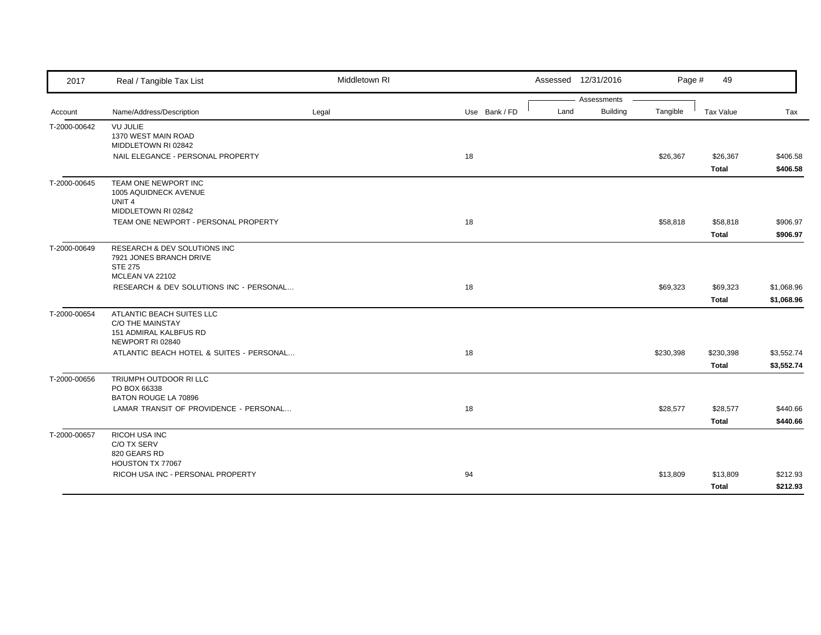| 2017         | Real / Tangible Tax List                                                                           | Middletown RI |               | Assessed 12/31/2016                    | Page #    | 49                        |                          |
|--------------|----------------------------------------------------------------------------------------------------|---------------|---------------|----------------------------------------|-----------|---------------------------|--------------------------|
| Account      | Name/Address/Description                                                                           | Legal         | Use Bank / FD | Assessments<br><b>Building</b><br>Land | Tangible  | Tax Value                 | Tax                      |
| T-2000-00642 | <b>VU JULIE</b><br>1370 WEST MAIN ROAD<br>MIDDLETOWN RI 02842                                      |               |               |                                        |           |                           |                          |
|              | NAIL ELEGANCE - PERSONAL PROPERTY                                                                  |               | 18            |                                        | \$26,367  | \$26,367<br><b>Total</b>  | \$406.58<br>\$406.58     |
| T-2000-00645 | TEAM ONE NEWPORT INC<br>1005 AQUIDNECK AVENUE<br>UNIT <sub>4</sub><br>MIDDLETOWN RI 02842          |               |               |                                        |           |                           |                          |
|              | TEAM ONE NEWPORT - PERSONAL PROPERTY                                                               |               | 18            |                                        | \$58,818  | \$58,818<br><b>Total</b>  | \$906.97<br>\$906.97     |
| T-2000-00649 | RESEARCH & DEV SOLUTIONS INC<br>7921 JONES BRANCH DRIVE<br><b>STE 275</b><br>MCLEAN VA 22102       |               |               |                                        |           |                           |                          |
|              | RESEARCH & DEV SOLUTIONS INC - PERSONAL                                                            |               | 18            |                                        | \$69,323  | \$69,323<br><b>Total</b>  | \$1,068.96<br>\$1,068.96 |
| T-2000-00654 | ATLANTIC BEACH SUITES LLC<br><b>C/O THE MAINSTAY</b><br>151 ADMIRAL KALBFUS RD<br>NEWPORT RI 02840 |               |               |                                        |           |                           |                          |
|              | ATLANTIC BEACH HOTEL & SUITES - PERSONAL                                                           |               | 18            |                                        | \$230,398 | \$230,398<br><b>Total</b> | \$3,552.74<br>\$3,552.74 |
| T-2000-00656 | TRIUMPH OUTDOOR RI LLC<br>PO BOX 66338<br>BATON ROUGE LA 70896                                     |               |               |                                        |           |                           |                          |
|              | LAMAR TRANSIT OF PROVIDENCE - PERSONAL                                                             |               | 18            |                                        | \$28,577  | \$28,577<br>Total         | \$440.66<br>\$440.66     |
| T-2000-00657 | RICOH USA INC<br>C/O TX SERV<br>820 GEARS RD                                                       |               |               |                                        |           |                           |                          |
|              | HOUSTON TX 77067<br>RICOH USA INC - PERSONAL PROPERTY                                              |               | 94            |                                        | \$13,809  | \$13,809<br><b>Total</b>  | \$212.93<br>\$212.93     |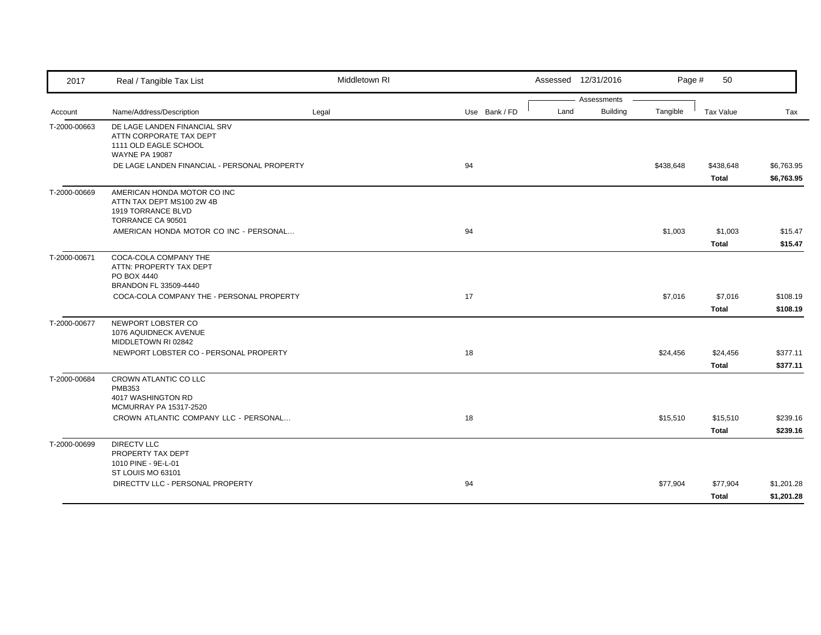| 2017         | Real / Tangible Tax List                                                                                  | Middletown RI |    |               |  |      | Assessed 12/31/2016     |           | 50<br>Page #             |                          |
|--------------|-----------------------------------------------------------------------------------------------------------|---------------|----|---------------|--|------|-------------------------|-----------|--------------------------|--------------------------|
| Account      | Name/Address/Description                                                                                  | Legal         |    | Use Bank / FD |  | Land | Assessments<br>Building | Tangible  | <b>Tax Value</b>         | Tax                      |
| T-2000-00663 | DE LAGE LANDEN FINANCIAL SRV<br>ATTN CORPORATE TAX DEPT<br>1111 OLD EAGLE SCHOOL<br><b>WAYNE PA 19087</b> |               |    |               |  |      |                         |           |                          |                          |
|              | DE LAGE LANDEN FINANCIAL - PERSONAL PROPERTY                                                              |               | 94 |               |  |      |                         | \$438,648 | \$438,648<br>Total       | \$6,763.95<br>\$6,763.95 |
| T-2000-00669 | AMERICAN HONDA MOTOR CO INC<br>ATTN TAX DEPT MS100 2W 4B<br>1919 TORRANCE BLVD<br>TORRANCE CA 90501       |               |    |               |  |      |                         |           |                          |                          |
|              | AMERICAN HONDA MOTOR CO INC - PERSONAL                                                                    |               | 94 |               |  |      |                         | \$1,003   | \$1,003<br>Total         | \$15.47<br>\$15.47       |
| T-2000-00671 | COCA-COLA COMPANY THE<br>ATTN: PROPERTY TAX DEPT<br>PO BOX 4440<br>BRANDON FL 33509-4440                  |               |    |               |  |      |                         |           |                          |                          |
|              | COCA-COLA COMPANY THE - PERSONAL PROPERTY                                                                 |               | 17 |               |  |      |                         | \$7,016   | \$7,016<br>Total         | \$108.19<br>\$108.19     |
| T-2000-00677 | NEWPORT LOBSTER CO<br>1076 AQUIDNECK AVENUE<br>MIDDLETOWN RI 02842                                        |               |    |               |  |      |                         |           |                          |                          |
|              | NEWPORT LOBSTER CO - PERSONAL PROPERTY                                                                    |               | 18 |               |  |      |                         | \$24,456  | \$24,456<br>Total        | \$377.11<br>\$377.11     |
| T-2000-00684 | CROWN ATLANTIC CO LLC<br><b>PMB353</b><br>4017 WASHINGTON RD                                              |               |    |               |  |      |                         |           |                          |                          |
|              | MCMURRAY PA 15317-2520<br>CROWN ATLANTIC COMPANY LLC - PERSONAL                                           |               | 18 |               |  |      |                         | \$15,510  | \$15,510<br>Total        | \$239.16<br>\$239.16     |
| T-2000-00699 | <b>DIRECTV LLC</b><br>PROPERTY TAX DEPT<br>1010 PINE - 9E-L-01<br>ST LOUIS MO 63101                       |               |    |               |  |      |                         |           |                          |                          |
|              | DIRECTTV LLC - PERSONAL PROPERTY                                                                          |               | 94 |               |  |      |                         | \$77,904  | \$77,904<br><b>Total</b> | \$1,201.28<br>\$1,201.28 |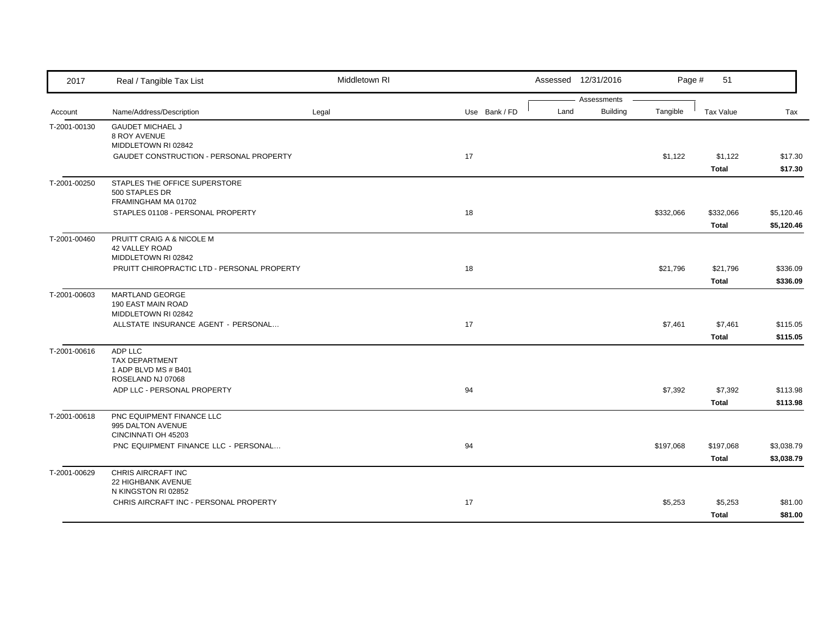| 2017         | Real / Tangible Tax List                                      | Middletown RI |               |      | Assessed 12/31/2016     | Page #    | 51           |            |
|--------------|---------------------------------------------------------------|---------------|---------------|------|-------------------------|-----------|--------------|------------|
| Account      | Name/Address/Description                                      | Legal         | Use Bank / FD | Land | Assessments<br>Building | Tangible  | Tax Value    | Tax        |
| T-2001-00130 | <b>GAUDET MICHAEL J</b>                                       |               |               |      |                         |           |              |            |
|              | 8 ROY AVENUE                                                  |               |               |      |                         |           |              |            |
|              | MIDDLETOWN RI 02842                                           |               |               |      |                         |           |              |            |
|              | GAUDET CONSTRUCTION - PERSONAL PROPERTY                       |               | 17            |      |                         | \$1,122   | \$1,122      | \$17.30    |
|              |                                                               |               |               |      |                         |           | Total        | \$17.30    |
| T-2001-00250 | STAPLES THE OFFICE SUPERSTORE                                 |               |               |      |                         |           |              |            |
|              | 500 STAPLES DR                                                |               |               |      |                         |           |              |            |
|              | FRAMINGHAM MA 01702                                           |               |               |      |                         |           |              |            |
|              | STAPLES 01108 - PERSONAL PROPERTY                             |               | 18            |      |                         | \$332,066 | \$332,066    | \$5,120.46 |
|              |                                                               |               |               |      |                         |           | <b>Total</b> | \$5,120.46 |
| T-2001-00460 | PRUITT CRAIG A & NICOLE M                                     |               |               |      |                         |           |              |            |
|              | <b>42 VALLEY ROAD</b><br>MIDDLETOWN RI 02842                  |               |               |      |                         |           |              |            |
|              | PRUITT CHIROPRACTIC LTD - PERSONAL PROPERTY                   |               | 18            |      |                         | \$21,796  | \$21,796     | \$336.09   |
|              |                                                               |               |               |      |                         |           | <b>Total</b> | \$336.09   |
| T-2001-00603 | MARTLAND GEORGE                                               |               |               |      |                         |           |              |            |
|              | 190 EAST MAIN ROAD                                            |               |               |      |                         |           |              |            |
|              | MIDDLETOWN RI 02842                                           |               |               |      |                         |           |              |            |
|              | ALLSTATE INSURANCE AGENT - PERSONAL                           |               | 17            |      |                         | \$7,461   | \$7,461      | \$115.05   |
|              |                                                               |               |               |      |                         |           | Total        | \$115.05   |
| T-2001-00616 | ADP LLC                                                       |               |               |      |                         |           |              |            |
|              | <b>TAX DEPARTMENT</b>                                         |               |               |      |                         |           |              |            |
|              | 1 ADP BLVD MS # B401<br>ROSELAND NJ 07068                     |               |               |      |                         |           |              |            |
|              | ADP LLC - PERSONAL PROPERTY                                   |               | 94            |      |                         | \$7,392   | \$7,392      | \$113.98   |
|              |                                                               |               |               |      |                         |           | Total        | \$113.98   |
| T-2001-00618 | PNC EQUIPMENT FINANCE LLC                                     |               |               |      |                         |           |              |            |
|              | 995 DALTON AVENUE                                             |               |               |      |                         |           |              |            |
|              | CINCINNATI OH 45203                                           |               |               |      |                         |           |              |            |
|              | PNC EQUIPMENT FINANCE LLC - PERSONAL                          |               | 94            |      |                         | \$197,068 | \$197,068    | \$3,038.79 |
|              |                                                               |               |               |      |                         |           | Total        | \$3,038.79 |
| T-2001-00629 | CHRIS AIRCRAFT INC                                            |               |               |      |                         |           |              |            |
|              | 22 HIGHBANK AVENUE                                            |               |               |      |                         |           |              |            |
|              | N KINGSTON RI 02852<br>CHRIS AIRCRAFT INC - PERSONAL PROPERTY |               | 17            |      |                         | \$5,253   |              |            |
|              |                                                               |               |               |      |                         |           | \$5,253      | \$81.00    |
|              |                                                               |               |               |      |                         |           | Total        | \$81.00    |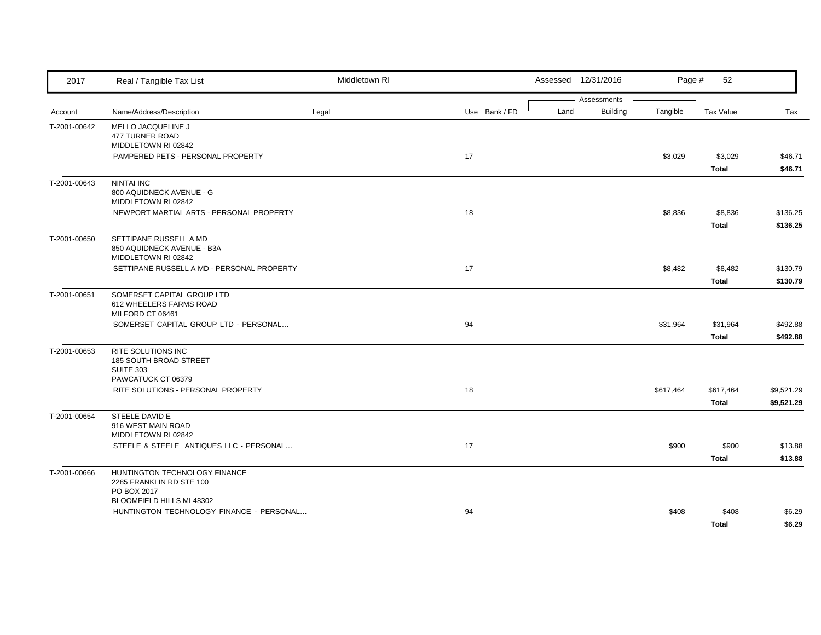| 2017         | Real / Tangible Tax List                                                    | Middletown RI |               | Assessed 12/31/2016                    | Page #    | 52                      |                          |
|--------------|-----------------------------------------------------------------------------|---------------|---------------|----------------------------------------|-----------|-------------------------|--------------------------|
| Account      | Name/Address/Description                                                    | Legal         | Use Bank / FD | Assessments<br>Land<br><b>Building</b> | Tangible  | Tax Value               | Tax                      |
| T-2001-00642 | MELLO JACQUELINE J<br>477 TURNER ROAD<br>MIDDLETOWN RI 02842                |               |               |                                        |           |                         |                          |
|              | PAMPERED PETS - PERSONAL PROPERTY                                           |               | 17            |                                        | \$3,029   | \$3,029<br>Total        | \$46.71<br>\$46.71       |
| T-2001-00643 | <b>NINTAI INC</b><br>800 AQUIDNECK AVENUE - G<br>MIDDLETOWN RI 02842        |               |               |                                        |           |                         |                          |
|              | NEWPORT MARTIAL ARTS - PERSONAL PROPERTY                                    |               | 18            |                                        | \$8,836   | \$8,836<br>Total        | \$136.25<br>\$136.25     |
| T-2001-00650 | SETTIPANE RUSSELL A MD<br>850 AQUIDNECK AVENUE - B3A<br>MIDDLETOWN RI 02842 |               |               |                                        |           |                         |                          |
|              | SETTIPANE RUSSELL A MD - PERSONAL PROPERTY                                  |               | 17            |                                        | \$8,482   | \$8,482<br><b>Total</b> | \$130.79<br>\$130.79     |
| T-2001-00651 | SOMERSET CAPITAL GROUP LTD<br>612 WHEELERS FARMS ROAD<br>MILFORD CT 06461   |               |               |                                        |           |                         |                          |
|              | SOMERSET CAPITAL GROUP LTD - PERSONAL                                       |               | 94            |                                        | \$31,964  | \$31,964<br>Total       | \$492.88<br>\$492.88     |
| T-2001-00653 | <b>RITE SOLUTIONS INC</b><br>185 SOUTH BROAD STREET<br><b>SUITE 303</b>     |               |               |                                        |           |                         |                          |
|              | PAWCATUCK CT 06379<br>RITE SOLUTIONS - PERSONAL PROPERTY                    |               | 18            |                                        | \$617,464 | \$617,464<br>Total      | \$9,521.29<br>\$9,521.29 |
| T-2001-00654 | STEELE DAVID E<br>916 WEST MAIN ROAD<br>MIDDLETOWN RI 02842                 |               |               |                                        |           |                         |                          |
|              | STEELE & STEELE ANTIQUES LLC - PERSONAL                                     |               | 17            |                                        | \$900     | \$900<br>Total          | \$13.88<br>\$13.88       |
| T-2001-00666 | HUNTINGTON TECHNOLOGY FINANCE<br>2285 FRANKLIN RD STE 100<br>PO BOX 2017    |               |               |                                        |           |                         |                          |
|              | BLOOMFIELD HILLS MI 48302<br>HUNTINGTON TECHNOLOGY FINANCE - PERSONAL       |               | 94            |                                        | \$408     | \$408<br>Total          | \$6.29<br>\$6.29         |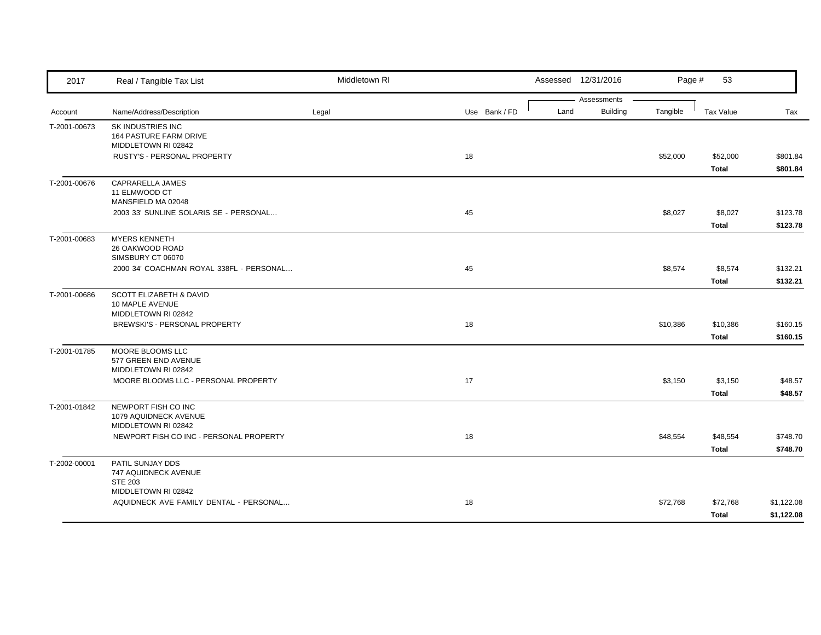| 2017         | Real / Tangible Tax List                                                     | Middletown RI |               |      | Assessed 12/31/2016            | Page #   | 53                       |                          |
|--------------|------------------------------------------------------------------------------|---------------|---------------|------|--------------------------------|----------|--------------------------|--------------------------|
| Account      | Name/Address/Description                                                     | Legal         | Use Bank / FD | Land | Assessments<br><b>Building</b> | Tangible | Tax Value                | Tax                      |
| T-2001-00673 | SK INDUSTRIES INC<br>164 PASTURE FARM DRIVE<br>MIDDLETOWN RI 02842           |               |               |      |                                |          |                          |                          |
|              | RUSTY'S - PERSONAL PROPERTY                                                  |               | 18            |      |                                | \$52,000 | \$52,000<br>Total        | \$801.84<br>\$801.84     |
| T-2001-00676 | CAPRARELLA JAMES<br>11 ELMWOOD CT<br>MANSFIELD MA 02048                      |               |               |      |                                |          |                          |                          |
|              | 2003 33' SUNLINE SOLARIS SE - PERSONAL                                       |               | 45            |      |                                | \$8,027  | \$8,027<br>Total         | \$123.78<br>\$123.78     |
| T-2001-00683 | <b>MYERS KENNETH</b><br>26 OAKWOOD ROAD<br>SIMSBURY CT 06070                 |               |               |      |                                |          |                          |                          |
|              | 2000 34' COACHMAN ROYAL 338FL - PERSONAL                                     |               | 45            |      |                                | \$8,574  | \$8,574<br><b>Total</b>  | \$132.21<br>\$132.21     |
| T-2001-00686 | <b>SCOTT ELIZABETH &amp; DAVID</b><br>10 MAPLE AVENUE<br>MIDDLETOWN RI 02842 |               |               |      |                                |          |                          |                          |
|              | BREWSKI'S - PERSONAL PROPERTY                                                |               | 18            |      |                                | \$10,386 | \$10,386<br><b>Total</b> | \$160.15<br>\$160.15     |
| T-2001-01785 | MOORE BLOOMS LLC<br>577 GREEN END AVENUE<br>MIDDLETOWN RI 02842              |               |               |      |                                |          |                          |                          |
|              | MOORE BLOOMS LLC - PERSONAL PROPERTY                                         |               | 17            |      |                                | \$3,150  | \$3,150<br><b>Total</b>  | \$48.57<br>\$48.57       |
| T-2001-01842 | NEWPORT FISH CO INC<br>1079 AQUIDNECK AVENUE<br>MIDDLETOWN RI 02842          |               |               |      |                                |          |                          |                          |
|              | NEWPORT FISH CO INC - PERSONAL PROPERTY                                      |               | 18            |      |                                | \$48,554 | \$48,554<br>Total        | \$748.70<br>\$748.70     |
| T-2002-00001 | PATIL SUNJAY DDS<br>747 AQUIDNECK AVENUE<br><b>STE 203</b>                   |               |               |      |                                |          |                          |                          |
|              | MIDDLETOWN RI 02842<br>AQUIDNECK AVE FAMILY DENTAL - PERSONAL                |               | 18            |      |                                | \$72,768 | \$72,768<br>Total        | \$1,122.08<br>\$1,122.08 |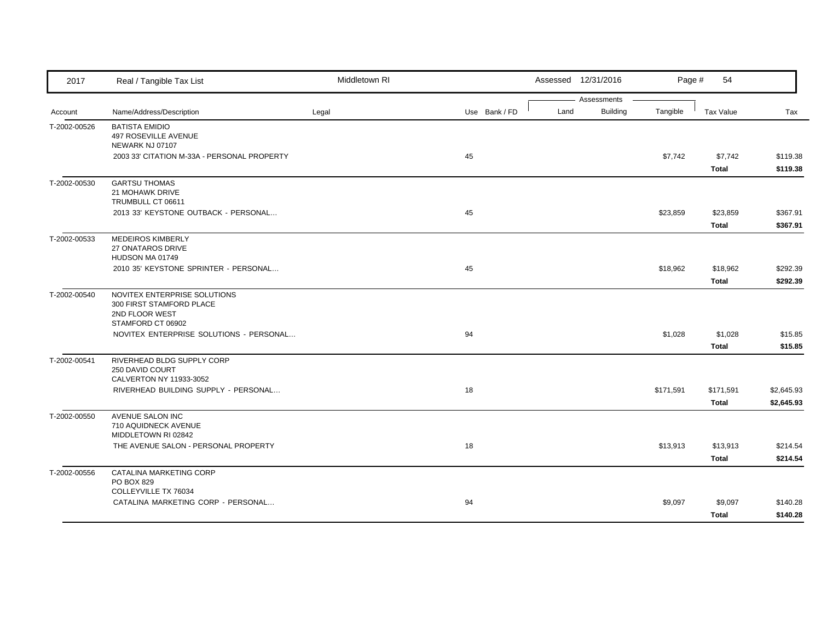| 2017         | Real / Tangible Tax List                                                                        | Middletown RI |               | Assessed 12/31/2016                    | Page #    | 54                        |                          |
|--------------|-------------------------------------------------------------------------------------------------|---------------|---------------|----------------------------------------|-----------|---------------------------|--------------------------|
| Account      | Name/Address/Description                                                                        | Legal         | Use Bank / FD | Assessments<br><b>Building</b><br>Land | Tangible  | Tax Value                 | Tax                      |
| T-2002-00526 | <b>BATISTA EMIDIO</b><br><b>497 ROSEVILLE AVENUE</b><br>NEWARK NJ 07107                         |               |               |                                        |           |                           |                          |
|              | 2003 33' CITATION M-33A - PERSONAL PROPERTY                                                     |               | 45            |                                        | \$7,742   | \$7,742<br><b>Total</b>   | \$119.38<br>\$119.38     |
| T-2002-00530 | <b>GARTSU THOMAS</b><br>21 MOHAWK DRIVE<br>TRUMBULL CT 06611                                    |               |               |                                        |           |                           |                          |
|              | 2013 33' KEYSTONE OUTBACK - PERSONAL                                                            |               | 45            |                                        | \$23,859  | \$23,859<br><b>Total</b>  | \$367.91<br>\$367.91     |
| T-2002-00533 | <b>MEDEIROS KIMBERLY</b><br>27 ONATAROS DRIVE<br>HUDSON MA 01749                                |               |               |                                        |           |                           |                          |
|              | 2010 35' KEYSTONE SPRINTER - PERSONAL                                                           |               | 45            |                                        | \$18,962  | \$18,962<br><b>Total</b>  | \$292.39<br>\$292.39     |
| T-2002-00540 | NOVITEX ENTERPRISE SOLUTIONS<br>300 FIRST STAMFORD PLACE<br>2ND FLOOR WEST<br>STAMFORD CT 06902 |               |               |                                        |           |                           |                          |
|              | NOVITEX ENTERPRISE SOLUTIONS - PERSONAL                                                         |               | 94            |                                        | \$1,028   | \$1,028<br><b>Total</b>   | \$15.85<br>\$15.85       |
| T-2002-00541 | RIVERHEAD BLDG SUPPLY CORP<br>250 DAVID COURT<br>CALVERTON NY 11933-3052                        |               |               |                                        |           |                           |                          |
|              | RIVERHEAD BUILDING SUPPLY - PERSONAL                                                            |               | 18            |                                        | \$171,591 | \$171,591<br><b>Total</b> | \$2,645.93<br>\$2,645.93 |
| T-2002-00550 | AVENUE SALON INC<br>710 AQUIDNECK AVENUE<br>MIDDLETOWN RI 02842                                 |               |               |                                        |           |                           |                          |
|              | THE AVENUE SALON - PERSONAL PROPERTY                                                            |               | 18            |                                        | \$13,913  | \$13,913<br><b>Total</b>  | \$214.54<br>\$214.54     |
| T-2002-00556 | CATALINA MARKETING CORP<br>PO BOX 829<br>COLLEYVILLE TX 76034                                   |               |               |                                        |           |                           |                          |
|              | CATALINA MARKETING CORP - PERSONAL                                                              |               | 94            |                                        | \$9,097   | \$9,097<br><b>Total</b>   | \$140.28<br>\$140.28     |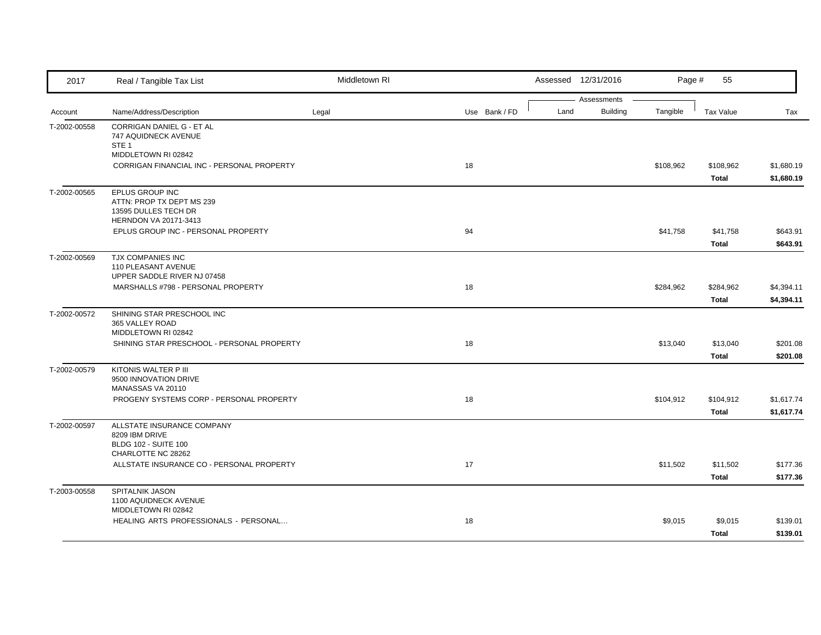| 2017         | Real / Tangible Tax List                                                                      | Middletown RI |               |      | Assessed 12/31/2016            | Page #    | 55                        |                          |
|--------------|-----------------------------------------------------------------------------------------------|---------------|---------------|------|--------------------------------|-----------|---------------------------|--------------------------|
| Account      | Name/Address/Description                                                                      | Legal         | Use Bank / FD | Land | Assessments<br><b>Building</b> | Tangible  | Tax Value                 | Tax                      |
| T-2002-00558 | CORRIGAN DANIEL G - ET AL<br>747 AQUIDNECK AVENUE<br>STE <sub>1</sub><br>MIDDLETOWN RI 02842  |               |               |      |                                |           |                           |                          |
|              | CORRIGAN FINANCIAL INC - PERSONAL PROPERTY                                                    |               | 18            |      |                                | \$108,962 | \$108,962<br><b>Total</b> | \$1,680.19<br>\$1,680.19 |
| T-2002-00565 | EPLUS GROUP INC<br>ATTN: PROP TX DEPT MS 239<br>13595 DULLES TECH DR<br>HERNDON VA 20171-3413 |               |               |      |                                |           |                           |                          |
|              | EPLUS GROUP INC - PERSONAL PROPERTY                                                           |               | 94            |      |                                | \$41,758  | \$41,758<br>Total         | \$643.91<br>\$643.91     |
| T-2002-00569 | TJX COMPANIES INC<br>110 PLEASANT AVENUE<br>UPPER SADDLE RIVER NJ 07458                       |               |               |      |                                |           |                           |                          |
|              | MARSHALLS #798 - PERSONAL PROPERTY                                                            |               | 18            |      |                                | \$284,962 | \$284,962<br>Total        | \$4,394.11<br>\$4,394.11 |
| T-2002-00572 | SHINING STAR PRESCHOOL INC<br>365 VALLEY ROAD<br>MIDDLETOWN RI 02842                          |               |               |      |                                |           |                           |                          |
|              | SHINING STAR PRESCHOOL - PERSONAL PROPERTY                                                    |               | 18            |      |                                | \$13,040  | \$13,040<br>Total         | \$201.08<br>\$201.08     |
| T-2002-00579 | KITONIS WALTER P III<br>9500 INNOVATION DRIVE<br>MANASSAS VA 20110                            |               |               |      |                                |           |                           |                          |
|              | PROGENY SYSTEMS CORP - PERSONAL PROPERTY                                                      |               | 18            |      |                                | \$104,912 | \$104,912<br>Total        | \$1,617.74<br>\$1,617.74 |
| T-2002-00597 | ALLSTATE INSURANCE COMPANY<br>8209 IBM DRIVE<br><b>BLDG 102 - SUITE 100</b>                   |               |               |      |                                |           |                           |                          |
|              | CHARLOTTE NC 28262<br>ALLSTATE INSURANCE CO - PERSONAL PROPERTY                               |               | 17            |      |                                | \$11,502  | \$11,502<br><b>Total</b>  | \$177.36<br>\$177.36     |
| T-2003-00558 | SPITALNIK JASON<br>1100 AQUIDNECK AVENUE<br>MIDDLETOWN RI 02842                               |               |               |      |                                |           |                           |                          |
|              | HEALING ARTS PROFESSIONALS - PERSONAL                                                         |               | 18            |      |                                | \$9,015   | \$9,015<br><b>Total</b>   | \$139.01<br>\$139.01     |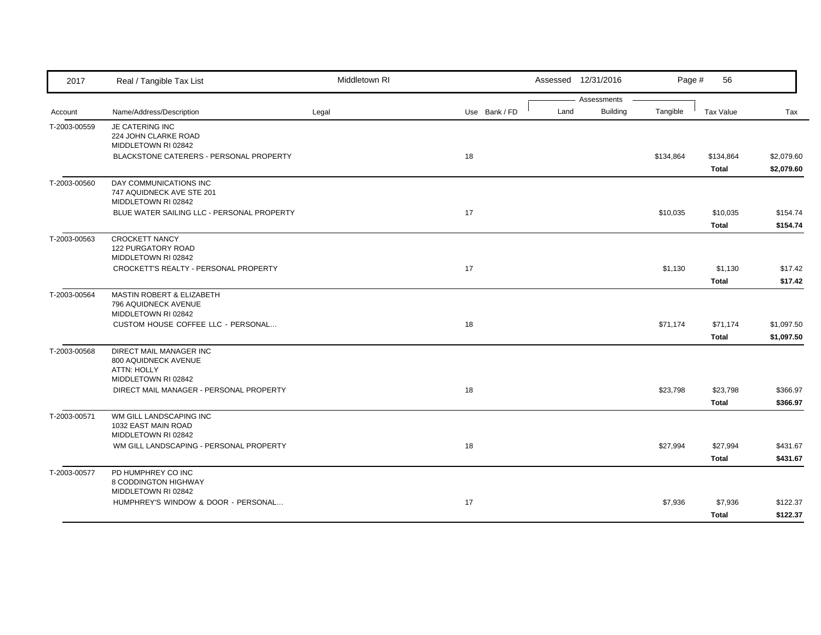| 2017         | Real / Tangible Tax List                    | Middletown RI |               |      | Assessed 12/31/2016            | Page #    | 56           |            |
|--------------|---------------------------------------------|---------------|---------------|------|--------------------------------|-----------|--------------|------------|
|              |                                             |               |               | Land | Assessments<br><b>Building</b> | Tangible  | Tax Value    |            |
| Account      | Name/Address/Description                    | Legal         | Use Bank / FD |      |                                |           |              | Tax        |
| T-2003-00559 | JE CATERING INC<br>224 JOHN CLARKE ROAD     |               |               |      |                                |           |              |            |
|              | MIDDLETOWN RI 02842                         |               |               |      |                                |           |              |            |
|              | BLACKSTONE CATERERS - PERSONAL PROPERTY     |               | 18            |      |                                | \$134,864 | \$134,864    | \$2,079.60 |
|              |                                             |               |               |      |                                |           | Total        | \$2,079.60 |
| T-2003-00560 | DAY COMMUNICATIONS INC                      |               |               |      |                                |           |              |            |
|              | 747 AQUIDNECK AVE STE 201                   |               |               |      |                                |           |              |            |
|              | MIDDLETOWN RI 02842                         |               |               |      |                                |           |              |            |
|              | BLUE WATER SAILING LLC - PERSONAL PROPERTY  |               | 17            |      |                                | \$10,035  | \$10,035     | \$154.74   |
|              |                                             |               |               |      |                                |           | Total        | \$154.74   |
| T-2003-00563 | <b>CROCKETT NANCY</b>                       |               |               |      |                                |           |              |            |
|              | 122 PURGATORY ROAD<br>MIDDLETOWN RI 02842   |               |               |      |                                |           |              |            |
|              | CROCKETT'S REALTY - PERSONAL PROPERTY       |               | 17            |      |                                | \$1,130   | \$1,130      | \$17.42    |
|              |                                             |               |               |      |                                |           | Total        | \$17.42    |
| T-2003-00564 | <b>MASTIN ROBERT &amp; ELIZABETH</b>        |               |               |      |                                |           |              |            |
|              | 796 AQUIDNECK AVENUE                        |               |               |      |                                |           |              |            |
|              | MIDDLETOWN RI 02842                         |               |               |      |                                |           |              |            |
|              | CUSTOM HOUSE COFFEE LLC - PERSONAL          |               | 18            |      |                                | \$71,174  | \$71,174     | \$1,097.50 |
|              |                                             |               |               |      |                                |           | Total        | \$1,097.50 |
| T-2003-00568 | DIRECT MAIL MANAGER INC                     |               |               |      |                                |           |              |            |
|              | 800 AQUIDNECK AVENUE                        |               |               |      |                                |           |              |            |
|              | <b>ATTN: HOLLY</b><br>MIDDLETOWN RI 02842   |               |               |      |                                |           |              |            |
|              | DIRECT MAIL MANAGER - PERSONAL PROPERTY     |               | 18            |      |                                | \$23,798  | \$23,798     | \$366.97   |
|              |                                             |               |               |      |                                |           | Total        | \$366.97   |
| T-2003-00571 | WM GILL LANDSCAPING INC                     |               |               |      |                                |           |              |            |
|              | 1032 EAST MAIN ROAD                         |               |               |      |                                |           |              |            |
|              | MIDDLETOWN RI 02842                         |               |               |      |                                |           |              |            |
|              | WM GILL LANDSCAPING - PERSONAL PROPERTY     |               | 18            |      |                                | \$27,994  | \$27,994     | \$431.67   |
|              |                                             |               |               |      |                                |           | <b>Total</b> | \$431.67   |
| T-2003-00577 | PD HUMPHREY CO INC                          |               |               |      |                                |           |              |            |
|              | 8 CODDINGTON HIGHWAY<br>MIDDLETOWN RI 02842 |               |               |      |                                |           |              |            |
|              | HUMPHREY'S WINDOW & DOOR - PERSONAL         |               | 17            |      |                                | \$7,936   | \$7,936      | \$122.37   |
|              |                                             |               |               |      |                                |           |              | \$122.37   |
|              |                                             |               |               |      |                                |           | Total        |            |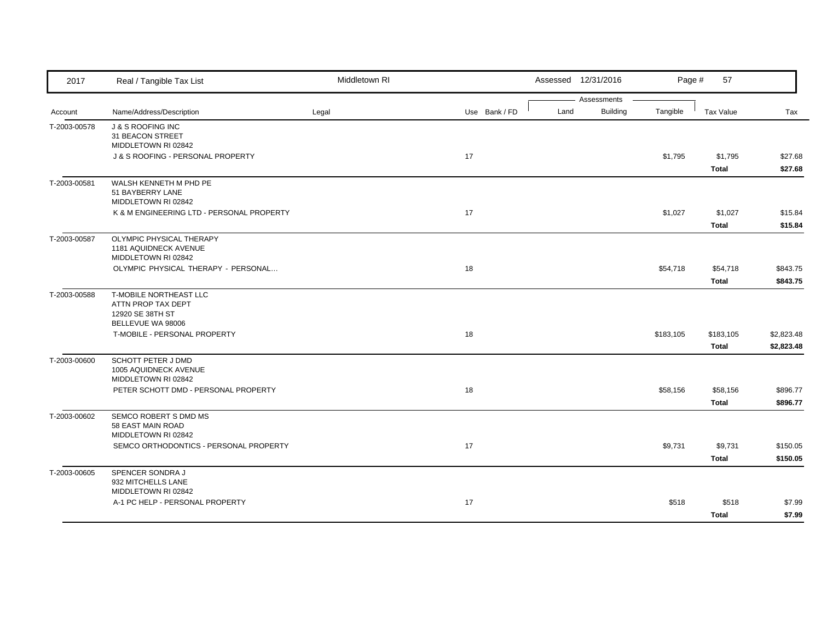| 2017         | Real / Tangible Tax List                                    | Middletown RI |               |      | Assessed 12/31/2016            | Page #    | 57           |            |
|--------------|-------------------------------------------------------------|---------------|---------------|------|--------------------------------|-----------|--------------|------------|
| Account      | Name/Address/Description                                    | Legal         | Use Bank / FD | Land | Assessments<br><b>Building</b> | Tangible  | Tax Value    | Tax        |
|              |                                                             |               |               |      |                                |           |              |            |
| T-2003-00578 | <b>J &amp; S ROOFING INC</b><br>31 BEACON STREET            |               |               |      |                                |           |              |            |
|              | MIDDLETOWN RI 02842                                         |               |               |      |                                |           |              |            |
|              | J & S ROOFING - PERSONAL PROPERTY                           |               | 17            |      |                                | \$1,795   | \$1,795      | \$27.68    |
|              |                                                             |               |               |      |                                |           | Total        | \$27.68    |
| T-2003-00581 | WALSH KENNETH M PHD PE                                      |               |               |      |                                |           |              |            |
|              | 51 BAYBERRY LANE                                            |               |               |      |                                |           |              |            |
|              | MIDDLETOWN RI 02842                                         |               |               |      |                                |           |              |            |
|              | K & M ENGINEERING LTD - PERSONAL PROPERTY                   |               | 17            |      |                                | \$1,027   | \$1,027      | \$15.84    |
|              |                                                             |               |               |      |                                |           | Total        | \$15.84    |
| T-2003-00587 | OLYMPIC PHYSICAL THERAPY                                    |               |               |      |                                |           |              |            |
|              | 1181 AQUIDNECK AVENUE                                       |               |               |      |                                |           |              |            |
|              | MIDDLETOWN RI 02842<br>OLYMPIC PHYSICAL THERAPY - PERSONAL  |               | 18            |      |                                | \$54,718  | \$54,718     | \$843.75   |
|              |                                                             |               |               |      |                                |           | <b>Total</b> | \$843.75   |
| T-2003-00588 | T-MOBILE NORTHEAST LLC                                      |               |               |      |                                |           |              |            |
|              | ATTN PROP TAX DEPT                                          |               |               |      |                                |           |              |            |
|              | 12920 SE 38TH ST                                            |               |               |      |                                |           |              |            |
|              | BELLEVUE WA 98006                                           |               |               |      |                                |           |              |            |
|              | T-MOBILE - PERSONAL PROPERTY                                |               | 18            |      |                                | \$183,105 | \$183,105    | \$2,823.48 |
|              |                                                             |               |               |      |                                |           | Total        | \$2,823.48 |
| T-2003-00600 | SCHOTT PETER J DMD                                          |               |               |      |                                |           |              |            |
|              | 1005 AQUIDNECK AVENUE                                       |               |               |      |                                |           |              |            |
|              | MIDDLETOWN RI 02842<br>PETER SCHOTT DMD - PERSONAL PROPERTY |               | 18            |      |                                | \$58,156  | \$58,156     | \$896.77   |
|              |                                                             |               |               |      |                                |           | Total        | \$896.77   |
|              |                                                             |               |               |      |                                |           |              |            |
| T-2003-00602 | SEMCO ROBERT S DMD MS<br>58 EAST MAIN ROAD                  |               |               |      |                                |           |              |            |
|              | MIDDLETOWN RI 02842                                         |               |               |      |                                |           |              |            |
|              | SEMCO ORTHODONTICS - PERSONAL PROPERTY                      |               | 17            |      |                                | \$9,731   | \$9,731      | \$150.05   |
|              |                                                             |               |               |      |                                |           | Total        | \$150.05   |
| T-2003-00605 | SPENCER SONDRA J                                            |               |               |      |                                |           |              |            |
|              | 932 MITCHELLS LANE                                          |               |               |      |                                |           |              |            |
|              | MIDDLETOWN RI 02842                                         |               |               |      |                                |           |              |            |
|              | A-1 PC HELP - PERSONAL PROPERTY                             |               | 17            |      |                                | \$518     | \$518        | \$7.99     |
|              |                                                             |               |               |      |                                |           | <b>Total</b> | \$7.99     |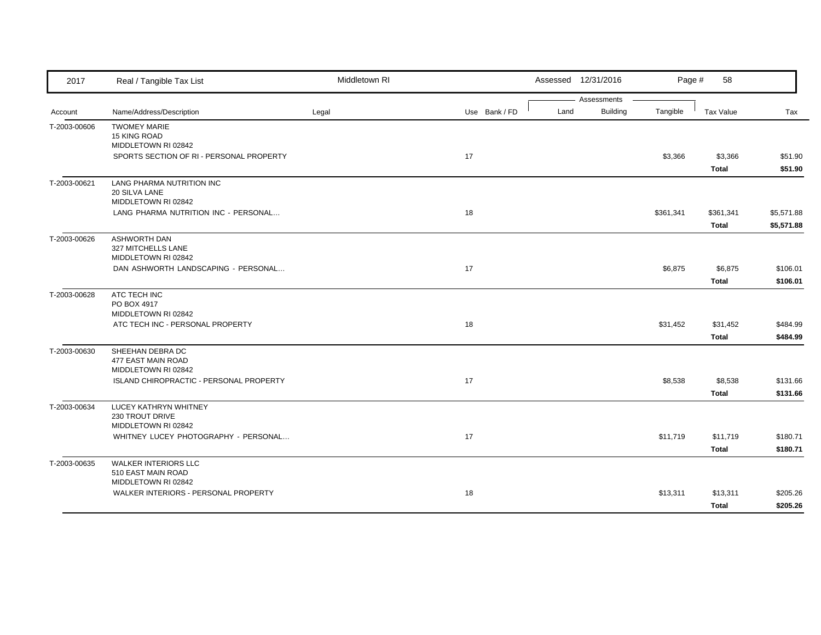| 2017         | Real / Tangible Tax List                                                                                         | Middletown RI |               |      | Assessed 12/31/2016            | Page #    | 58                 |                          |
|--------------|------------------------------------------------------------------------------------------------------------------|---------------|---------------|------|--------------------------------|-----------|--------------------|--------------------------|
| Account      | Name/Address/Description                                                                                         | Legal         | Use Bank / FD | Land | Assessments<br><b>Building</b> | Tangible  | Tax Value          | Tax                      |
| T-2003-00606 | <b>TWOMEY MARIE</b><br><b>15 KING ROAD</b><br>MIDDLETOWN RI 02842<br>SPORTS SECTION OF RI - PERSONAL PROPERTY    |               | 17            |      |                                | \$3,366   | \$3,366<br>Total   | \$51.90<br>\$51.90       |
| T-2003-00621 | LANG PHARMA NUTRITION INC<br>20 SILVA LANE<br>MIDDLETOWN RI 02842<br>LANG PHARMA NUTRITION INC - PERSONAL        |               | 18            |      |                                | \$361,341 | \$361,341<br>Total | \$5,571.88<br>\$5,571.88 |
| T-2003-00626 | <b>ASHWORTH DAN</b><br>327 MITCHELLS LANE<br>MIDDLETOWN RI 02842<br>DAN ASHWORTH LANDSCAPING - PERSONAL          |               | 17            |      |                                | \$6,875   | \$6,875<br>Total   | \$106.01<br>\$106.01     |
| T-2003-00628 | ATC TECH INC<br>PO BOX 4917<br>MIDDLETOWN RI 02842<br>ATC TECH INC - PERSONAL PROPERTY                           |               | 18            |      |                                | \$31,452  | \$31,452<br>Total  | \$484.99<br>\$484.99     |
| T-2003-00630 | SHEEHAN DEBRA DC<br>477 EAST MAIN ROAD<br>MIDDLETOWN RI 02842<br>ISLAND CHIROPRACTIC - PERSONAL PROPERTY         |               | 17            |      |                                | \$8,538   | \$8,538<br>Total   | \$131.66<br>\$131.66     |
| T-2003-00634 | LUCEY KATHRYN WHITNEY<br>230 TROUT DRIVE<br>MIDDLETOWN RI 02842<br>WHITNEY LUCEY PHOTOGRAPHY - PERSONAL          |               | 17            |      |                                | \$11,719  | \$11,719<br>Total  | \$180.71<br>\$180.71     |
| T-2003-00635 | <b>WALKER INTERIORS LLC</b><br>510 EAST MAIN ROAD<br>MIDDLETOWN RI 02842<br>WALKER INTERIORS - PERSONAL PROPERTY |               | 18            |      |                                | \$13,311  | \$13,311<br>Total  | \$205.26<br>\$205.26     |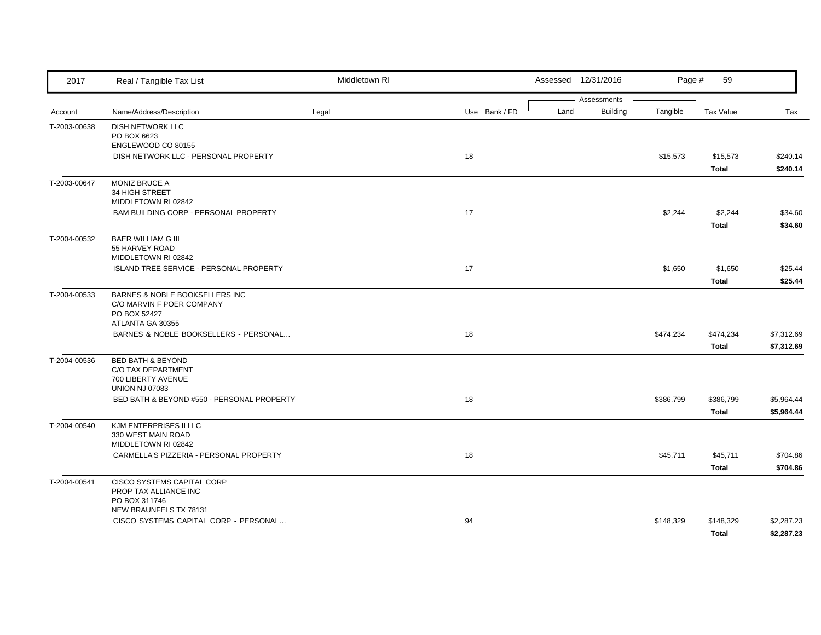| 2017         | Real / Tangible Tax List                                            | Middletown RI |               |      | Assessed 12/31/2016 | Page #    | 59               |            |
|--------------|---------------------------------------------------------------------|---------------|---------------|------|---------------------|-----------|------------------|------------|
|              |                                                                     |               |               |      | Assessments         |           |                  |            |
| Account      | Name/Address/Description                                            | Legal         | Use Bank / FD | Land | <b>Building</b>     | Tangible  | <b>Tax Value</b> | Tax        |
| T-2003-00638 | <b>DISH NETWORK LLC</b>                                             |               |               |      |                     |           |                  |            |
|              | PO BOX 6623<br>ENGLEWOOD CO 80155                                   |               |               |      |                     |           |                  |            |
|              | DISH NETWORK LLC - PERSONAL PROPERTY                                |               | 18            |      |                     | \$15,573  | \$15,573         | \$240.14   |
|              |                                                                     |               |               |      |                     |           | Total            | \$240.14   |
| T-2003-00647 | <b>MONIZ BRUCE A</b>                                                |               |               |      |                     |           |                  |            |
|              | 34 HIGH STREET                                                      |               |               |      |                     |           |                  |            |
|              | MIDDLETOWN RI 02842                                                 |               |               |      |                     |           |                  |            |
|              | BAM BUILDING CORP - PERSONAL PROPERTY                               |               | 17            |      |                     | \$2,244   | \$2,244          | \$34.60    |
|              |                                                                     |               |               |      |                     |           | Total            | \$34.60    |
| T-2004-00532 | <b>BAER WILLIAM G III</b>                                           |               |               |      |                     |           |                  |            |
|              | 55 HARVEY ROAD<br>MIDDLETOWN RI 02842                               |               |               |      |                     |           |                  |            |
|              | ISLAND TREE SERVICE - PERSONAL PROPERTY                             |               | 17            |      |                     | \$1,650   | \$1,650          | \$25.44    |
|              |                                                                     |               |               |      |                     |           | Total            | \$25.44    |
|              |                                                                     |               |               |      |                     |           |                  |            |
| T-2004-00533 | BARNES & NOBLE BOOKSELLERS INC<br>C/O MARVIN F POER COMPANY         |               |               |      |                     |           |                  |            |
|              | PO BOX 52427                                                        |               |               |      |                     |           |                  |            |
|              | ATLANTA GA 30355                                                    |               |               |      |                     |           |                  |            |
|              | BARNES & NOBLE BOOKSELLERS - PERSONAL                               |               | 18            |      |                     | \$474,234 | \$474,234        | \$7,312.69 |
|              |                                                                     |               |               |      |                     |           | Total            | \$7,312.69 |
| T-2004-00536 | <b>BED BATH &amp; BEYOND</b>                                        |               |               |      |                     |           |                  |            |
|              | C/O TAX DEPARTMENT                                                  |               |               |      |                     |           |                  |            |
|              | 700 LIBERTY AVENUE                                                  |               |               |      |                     |           |                  |            |
|              | <b>UNION NJ 07083</b><br>BED BATH & BEYOND #550 - PERSONAL PROPERTY |               | 18            |      |                     | \$386,799 | \$386,799        | \$5,964.44 |
|              |                                                                     |               |               |      |                     |           |                  |            |
|              |                                                                     |               |               |      |                     |           | Total            | \$5,964.44 |
| T-2004-00540 | KJM ENTERPRISES II LLC<br>330 WEST MAIN ROAD                        |               |               |      |                     |           |                  |            |
|              | MIDDLETOWN RI 02842                                                 |               |               |      |                     |           |                  |            |
|              | CARMELLA'S PIZZERIA - PERSONAL PROPERTY                             |               | 18            |      |                     | \$45,711  | \$45,711         | \$704.86   |
|              |                                                                     |               |               |      |                     |           | <b>Total</b>     | \$704.86   |
| T-2004-00541 | CISCO SYSTEMS CAPITAL CORP                                          |               |               |      |                     |           |                  |            |
|              | PROP TAX ALLIANCE INC                                               |               |               |      |                     |           |                  |            |
|              | PO BOX 311746                                                       |               |               |      |                     |           |                  |            |
|              | NEW BRAUNFELS TX 78131                                              |               |               |      |                     |           |                  |            |
|              | CISCO SYSTEMS CAPITAL CORP - PERSONAL                               |               | 94            |      |                     | \$148,329 | \$148,329        | \$2,287.23 |
|              |                                                                     |               |               |      |                     |           | <b>Total</b>     | \$2,287.23 |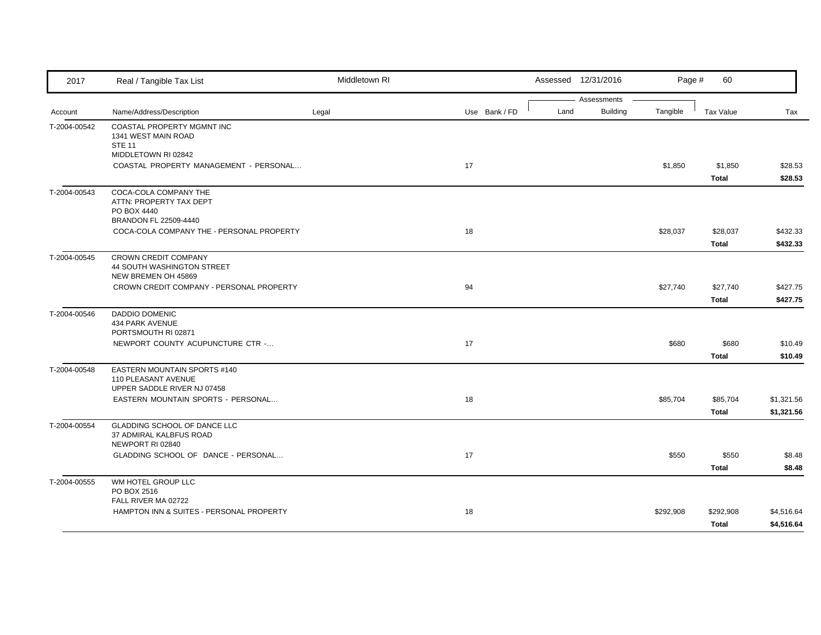| 2017         | Real / Tangible Tax List                                                           | Middletown RI |               |      | Assessed 12/31/2016 | Page #    | 60                       |                          |
|--------------|------------------------------------------------------------------------------------|---------------|---------------|------|---------------------|-----------|--------------------------|--------------------------|
|              |                                                                                    |               |               |      | Assessments         |           |                          |                          |
| Account      | Name/Address/Description                                                           | Legal         | Use Bank / FD | Land | <b>Building</b>     | Tangible  | <b>Tax Value</b>         | Tax                      |
| T-2004-00542 | COASTAL PROPERTY MGMNT INC<br>1341 WEST MAIN ROAD<br><b>STE 11</b>                 |               |               |      |                     |           |                          |                          |
|              | MIDDLETOWN RI 02842<br>COASTAL PROPERTY MANAGEMENT - PERSONAL                      |               | 17            |      |                     | \$1,850   | \$1,850<br>Total         | \$28.53<br>\$28.53       |
| T-2004-00543 | COCA-COLA COMPANY THE<br>ATTN: PROPERTY TAX DEPT<br>PO BOX 4440                    |               |               |      |                     |           |                          |                          |
|              | BRANDON FL 22509-4440<br>COCA-COLA COMPANY THE - PERSONAL PROPERTY                 |               | 18            |      |                     | \$28,037  | \$28,037<br>Total        | \$432.33<br>\$432.33     |
| T-2004-00545 | CROWN CREDIT COMPANY<br>44 SOUTH WASHINGTON STREET<br>NEW BREMEN OH 45869          |               |               |      |                     |           |                          |                          |
|              | CROWN CREDIT COMPANY - PERSONAL PROPERTY                                           |               | 94            |      |                     | \$27,740  | \$27,740<br>Total        | \$427.75<br>\$427.75     |
| T-2004-00546 | <b>DADDIO DOMENIC</b><br>434 PARK AVENUE<br>PORTSMOUTH RI 02871                    |               |               |      |                     |           |                          |                          |
|              | NEWPORT COUNTY ACUPUNCTURE CTR -                                                   |               | 17            |      |                     | \$680     | \$680<br><b>Total</b>    | \$10.49<br>\$10.49       |
| T-2004-00548 | EASTERN MOUNTAIN SPORTS #140<br>110 PLEASANT AVENUE<br>UPPER SADDLE RIVER NJ 07458 |               |               |      |                     |           |                          |                          |
|              | EASTERN MOUNTAIN SPORTS - PERSONAL                                                 |               | 18            |      |                     | \$85,704  | \$85,704<br><b>Total</b> | \$1,321.56<br>\$1,321.56 |
| T-2004-00554 | <b>GLADDING SCHOOL OF DANCE LLC</b><br>37 ADMIRAL KALBFUS ROAD<br>NEWPORT RI 02840 |               |               |      |                     |           |                          |                          |
|              | GLADDING SCHOOL OF DANCE - PERSONAL                                                |               | 17            |      |                     | \$550     | \$550<br><b>Total</b>    | \$8.48<br>\$8.48         |
| T-2004-00555 | WM HOTEL GROUP LLC<br>PO BOX 2516                                                  |               |               |      |                     |           |                          |                          |
|              | FALL RIVER MA 02722<br>HAMPTON INN & SUITES - PERSONAL PROPERTY                    |               | 18            |      |                     | \$292,908 | \$292,908<br>Total       | \$4,516.64<br>\$4,516.64 |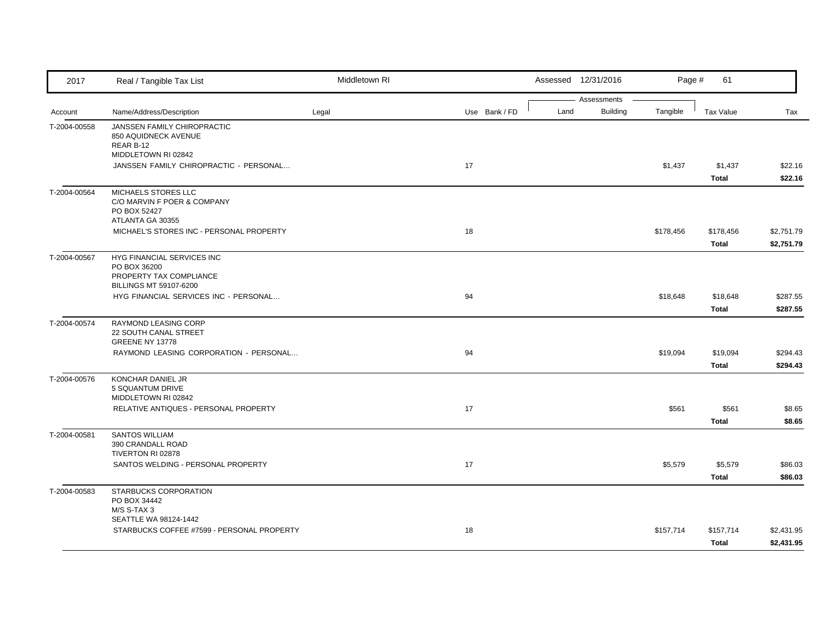| 2017         | Real / Tangible Tax List                                                                        | Middletown RI |               |      | Assessed 12/31/2016            | Page #    | 61                       |                          |
|--------------|-------------------------------------------------------------------------------------------------|---------------|---------------|------|--------------------------------|-----------|--------------------------|--------------------------|
| Account      | Name/Address/Description                                                                        | Legal         | Use Bank / FD | Land | Assessments<br><b>Building</b> | Tangible  | <b>Tax Value</b>         | Tax                      |
| T-2004-00558 | JANSSEN FAMILY CHIROPRACTIC<br>850 AQUIDNECK AVENUE<br>REAR B-12<br>MIDDLETOWN RI 02842         |               |               |      |                                |           |                          |                          |
|              | JANSSEN FAMILY CHIROPRACTIC - PERSONAL                                                          |               | 17            |      |                                | \$1,437   | \$1,437<br>Total         | \$22.16<br>\$22.16       |
| T-2004-00564 | MICHAELS STORES LLC<br>C/O MARVIN F POER & COMPANY<br>PO BOX 52427<br>ATLANTA GA 30355          |               |               |      |                                |           |                          |                          |
|              | MICHAEL'S STORES INC - PERSONAL PROPERTY                                                        |               | 18            |      |                                | \$178,456 | \$178,456<br>Total       | \$2,751.79<br>\$2,751.79 |
| T-2004-00567 | HYG FINANCIAL SERVICES INC<br>PO BOX 36200<br>PROPERTY TAX COMPLIANCE<br>BILLINGS MT 59107-6200 |               |               |      |                                |           |                          |                          |
|              | HYG FINANCIAL SERVICES INC - PERSONAL                                                           |               | 94            |      |                                | \$18,648  | \$18,648<br><b>Total</b> | \$287.55<br>\$287.55     |
| T-2004-00574 | RAYMOND LEASING CORP<br>22 SOUTH CANAL STREET<br><b>GREENE NY 13778</b>                         |               |               |      |                                |           |                          |                          |
|              | RAYMOND LEASING CORPORATION - PERSONAL                                                          |               | 94            |      |                                | \$19,094  | \$19,094<br>Total        | \$294.43<br>\$294.43     |
| T-2004-00576 | KONCHAR DANIEL JR<br>5 SQUANTUM DRIVE<br>MIDDLETOWN RI 02842                                    |               |               |      |                                |           |                          |                          |
|              | RELATIVE ANTIQUES - PERSONAL PROPERTY                                                           |               | 17            |      |                                | \$561     | \$561<br><b>Total</b>    | \$8.65<br>\$8.65         |
| T-2004-00581 | <b>SANTOS WILLIAM</b><br>390 CRANDALL ROAD<br>TIVERTON RI 02878                                 |               |               |      |                                |           |                          |                          |
|              | SANTOS WELDING - PERSONAL PROPERTY                                                              |               | 17            |      |                                | \$5,579   | \$5,579<br><b>Total</b>  | \$86.03<br>\$86.03       |
| T-2004-00583 | STARBUCKS CORPORATION<br>PO BOX 34442<br>M/S S-TAX 3                                            |               |               |      |                                |           |                          |                          |
|              | SEATTLE WA 98124-1442<br>STARBUCKS COFFEE #7599 - PERSONAL PROPERTY                             |               | 18            |      |                                | \$157,714 | \$157,714<br>Total       | \$2,431.95<br>\$2,431.95 |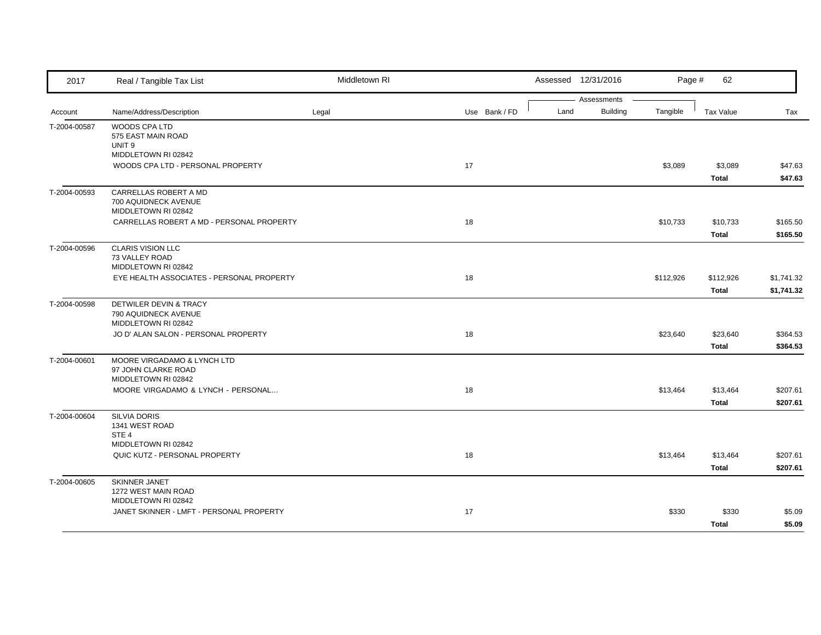| 2017         | Real / Tangible Tax List                                    | Middletown RI |               |      | Assessed 12/31/2016 | Page #    | 62               |            |
|--------------|-------------------------------------------------------------|---------------|---------------|------|---------------------|-----------|------------------|------------|
|              |                                                             |               |               |      | Assessments         |           |                  |            |
| Account      | Name/Address/Description                                    | Legal         | Use Bank / FD | Land | <b>Building</b>     | Tangible  | <b>Tax Value</b> | Tax        |
| T-2004-00587 | WOODS CPA LTD                                               |               |               |      |                     |           |                  |            |
|              | 575 EAST MAIN ROAD<br>UNIT <sub>9</sub>                     |               |               |      |                     |           |                  |            |
|              | MIDDLETOWN RI 02842                                         |               |               |      |                     |           |                  |            |
|              | WOODS CPA LTD - PERSONAL PROPERTY                           |               | 17            |      |                     | \$3,089   | \$3,089          | \$47.63    |
|              |                                                             |               |               |      |                     |           | <b>Total</b>     | \$47.63    |
| T-2004-00593 | CARRELLAS ROBERT A MD                                       |               |               |      |                     |           |                  |            |
|              | 700 AQUIDNECK AVENUE<br>MIDDLETOWN RI 02842                 |               |               |      |                     |           |                  |            |
|              | CARRELLAS ROBERT A MD - PERSONAL PROPERTY                   |               | 18            |      |                     | \$10,733  | \$10,733         | \$165.50   |
|              |                                                             |               |               |      |                     |           | Total            | \$165.50   |
| T-2004-00596 | <b>CLARIS VISION LLC</b>                                    |               |               |      |                     |           |                  |            |
|              | 73 VALLEY ROAD                                              |               |               |      |                     |           |                  |            |
|              | MIDDLETOWN RI 02842                                         |               |               |      |                     |           |                  |            |
|              | EYE HEALTH ASSOCIATES - PERSONAL PROPERTY                   |               | 18            |      |                     | \$112,926 | \$112,926        | \$1,741.32 |
|              |                                                             |               |               |      |                     |           | Total            | \$1,741.32 |
| T-2004-00598 | DETWILER DEVIN & TRACY                                      |               |               |      |                     |           |                  |            |
|              | 790 AQUIDNECK AVENUE                                        |               |               |      |                     |           |                  |            |
|              | MIDDLETOWN RI 02842<br>JO D' ALAN SALON - PERSONAL PROPERTY |               | 18            |      |                     | \$23,640  | \$23,640         | \$364.53   |
|              |                                                             |               |               |      |                     |           | Total            | \$364.53   |
| T-2004-00601 | MOORE VIRGADAMO & LYNCH LTD                                 |               |               |      |                     |           |                  |            |
|              | 97 JOHN CLARKE ROAD                                         |               |               |      |                     |           |                  |            |
|              | MIDDLETOWN RI 02842                                         |               |               |      |                     |           |                  |            |
|              | MOORE VIRGADAMO & LYNCH - PERSONAL                          |               | 18            |      |                     | \$13,464  | \$13,464         | \$207.61   |
|              |                                                             |               |               |      |                     |           | <b>Total</b>     | \$207.61   |
| T-2004-00604 | <b>SILVIA DORIS</b>                                         |               |               |      |                     |           |                  |            |
|              | 1341 WEST ROAD                                              |               |               |      |                     |           |                  |            |
|              | STE <sub>4</sub><br>MIDDLETOWN RI 02842                     |               |               |      |                     |           |                  |            |
|              | QUIC KUTZ - PERSONAL PROPERTY                               |               | 18            |      |                     | \$13,464  | \$13,464         | \$207.61   |
|              |                                                             |               |               |      |                     |           | Total            | \$207.61   |
|              |                                                             |               |               |      |                     |           |                  |            |
| T-2004-00605 | SKINNER JANET<br>1272 WEST MAIN ROAD                        |               |               |      |                     |           |                  |            |
|              | MIDDLETOWN RI 02842                                         |               |               |      |                     |           |                  |            |
|              | JANET SKINNER - LMFT - PERSONAL PROPERTY                    |               | 17            |      |                     | \$330     | \$330            | \$5.09     |
|              |                                                             |               |               |      |                     |           | Total            | \$5.09     |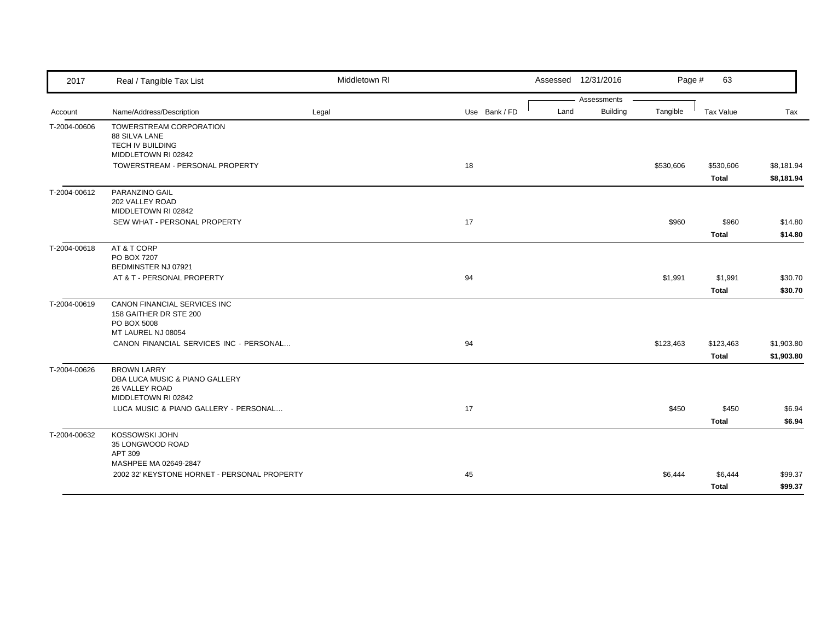| 2017         | Real / Tangible Tax List                                                                      | Middletown RI |               | Assessed 12/31/2016                    | Page #    | 63                        |                          |
|--------------|-----------------------------------------------------------------------------------------------|---------------|---------------|----------------------------------------|-----------|---------------------------|--------------------------|
| Account      | Name/Address/Description                                                                      | Legal         | Use Bank / FD | Assessments<br><b>Building</b><br>Land | Tangible  | Tax Value                 | Tax                      |
| T-2004-00606 | <b>TOWERSTREAM CORPORATION</b><br>88 SILVA LANE<br>TECH IV BUILDING<br>MIDDLETOWN RI 02842    |               |               |                                        |           |                           |                          |
|              | TOWERSTREAM - PERSONAL PROPERTY                                                               |               | 18            |                                        | \$530,606 | \$530,606<br><b>Total</b> | \$8,181.94<br>\$8,181.94 |
| T-2004-00612 | PARANZINO GAIL<br>202 VALLEY ROAD<br>MIDDLETOWN RI 02842                                      |               |               |                                        |           |                           |                          |
|              | SEW WHAT - PERSONAL PROPERTY                                                                  |               | 17            |                                        | \$960     | \$960<br><b>Total</b>     | \$14.80<br>\$14.80       |
| T-2004-00618 | AT & T CORP<br>PO BOX 7207<br>BEDMINSTER NJ 07921                                             |               |               |                                        |           |                           |                          |
|              | AT & T - PERSONAL PROPERTY                                                                    |               | 94            |                                        | \$1,991   | \$1,991<br>Total          | \$30.70<br>\$30.70       |
| T-2004-00619 | CANON FINANCIAL SERVICES INC<br>158 GAITHER DR STE 200<br>PO BOX 5008<br>MT LAUREL NJ 08054   |               |               |                                        |           |                           |                          |
|              | CANON FINANCIAL SERVICES INC - PERSONAL                                                       |               | 94            |                                        | \$123,463 | \$123,463<br>Total        | \$1,903.80<br>\$1,903.80 |
| T-2004-00626 | <b>BROWN LARRY</b><br>DBA LUCA MUSIC & PIANO GALLERY<br>26 VALLEY ROAD<br>MIDDLETOWN RI 02842 |               |               |                                        |           |                           |                          |
|              | LUCA MUSIC & PIANO GALLERY - PERSONAL                                                         |               | 17            |                                        | \$450     | \$450<br><b>Total</b>     | \$6.94<br>\$6.94         |
| T-2004-00632 | KOSSOWSKI JOHN<br>35 LONGWOOD ROAD<br>APT 309                                                 |               |               |                                        |           |                           |                          |
|              | MASHPEE MA 02649-2847<br>2002 32' KEYSTONE HORNET - PERSONAL PROPERTY                         |               | 45            |                                        | \$6,444   | \$6,444<br>Total          | \$99.37<br>\$99.37       |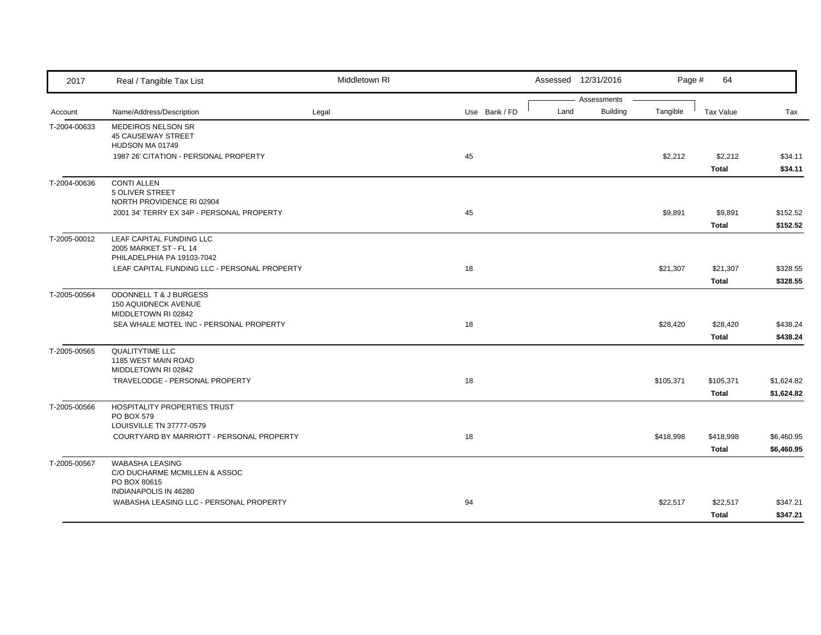| 2017         | Real / Tangible Tax List                                                   | Middletown RI |               | Assessed 12/31/2016                    | Page #    | 64           |            |
|--------------|----------------------------------------------------------------------------|---------------|---------------|----------------------------------------|-----------|--------------|------------|
|              |                                                                            |               |               | Assessments<br><b>Building</b><br>Land | Tangible  |              |            |
| Account      | Name/Address/Description                                                   | Legal         | Use Bank / FD |                                        |           | Tax Value    | Tax        |
| T-2004-00633 | MEDEIROS NELSON SR<br><b>45 CAUSEWAY STREET</b>                            |               |               |                                        |           |              |            |
|              | HUDSON MA 01749                                                            |               |               |                                        |           |              |            |
|              | 1987 26' CITATION - PERSONAL PROPERTY                                      |               | 45            |                                        | \$2,212   | \$2,212      | \$34.11    |
|              |                                                                            |               |               |                                        |           | Total        | \$34.11    |
| T-2004-00636 | <b>CONTI ALLEN</b>                                                         |               |               |                                        |           |              |            |
|              | 5 OLIVER STREET                                                            |               |               |                                        |           |              |            |
|              | NORTH PROVIDENCE RI 02904                                                  |               |               |                                        |           |              |            |
|              | 2001 34' TERRY EX 34P - PERSONAL PROPERTY                                  |               | 45            |                                        | \$9,891   | \$9,891      | \$152.52   |
|              |                                                                            |               |               |                                        |           | <b>Total</b> | \$152.52   |
| T-2005-00012 | LEAF CAPITAL FUNDING LLC                                                   |               |               |                                        |           |              |            |
|              | 2005 MARKET ST - FL 14                                                     |               |               |                                        |           |              |            |
|              | PHILADELPHIA PA 19103-7042<br>LEAF CAPITAL FUNDING LLC - PERSONAL PROPERTY |               | 18            |                                        | \$21,307  | \$21,307     | \$328.55   |
|              |                                                                            |               |               |                                        |           | Total        | \$328.55   |
| T-2005-00564 | ODONNELL T & J BURGESS                                                     |               |               |                                        |           |              |            |
|              | <b>150 AQUIDNECK AVENUE</b>                                                |               |               |                                        |           |              |            |
|              | MIDDLETOWN RI 02842                                                        |               |               |                                        |           |              |            |
|              | SEA WHALE MOTEL INC - PERSONAL PROPERTY                                    |               | 18            |                                        | \$28,420  | \$28,420     | \$438.24   |
|              |                                                                            |               |               |                                        |           | Total        | \$438.24   |
| T-2005-00565 | <b>QUALITYTIME LLC</b>                                                     |               |               |                                        |           |              |            |
|              | 1185 WEST MAIN ROAD                                                        |               |               |                                        |           |              |            |
|              | MIDDLETOWN RI 02842                                                        |               |               |                                        |           |              |            |
|              | TRAVELODGE - PERSONAL PROPERTY                                             |               | 18            |                                        | \$105,371 | \$105,371    | \$1,624.82 |
|              |                                                                            |               |               |                                        |           | <b>Total</b> | \$1,624.82 |
| T-2005-00566 | HOSPITALITY PROPERTIES TRUST                                               |               |               |                                        |           |              |            |
|              | PO BOX 579<br>LOUISVILLE TN 37777-0579                                     |               |               |                                        |           |              |            |
|              | COURTYARD BY MARRIOTT - PERSONAL PROPERTY                                  |               | 18            |                                        | \$418,998 | \$418,998    | \$6,460.95 |
|              |                                                                            |               |               |                                        |           | <b>Total</b> | \$6,460.95 |
|              | <b>WABASHA LEASING</b>                                                     |               |               |                                        |           |              |            |
| T-2005-00567 | C/O DUCHARME MCMILLEN & ASSOC                                              |               |               |                                        |           |              |            |
|              | PO BOX 80615                                                               |               |               |                                        |           |              |            |
|              | INDIANAPOLIS IN 46280                                                      |               |               |                                        |           |              |            |
|              | WABASHA LEASING LLC - PERSONAL PROPERTY                                    |               | 94            |                                        | \$22,517  | \$22,517     | \$347.21   |
|              |                                                                            |               |               |                                        |           | <b>Total</b> | \$347.21   |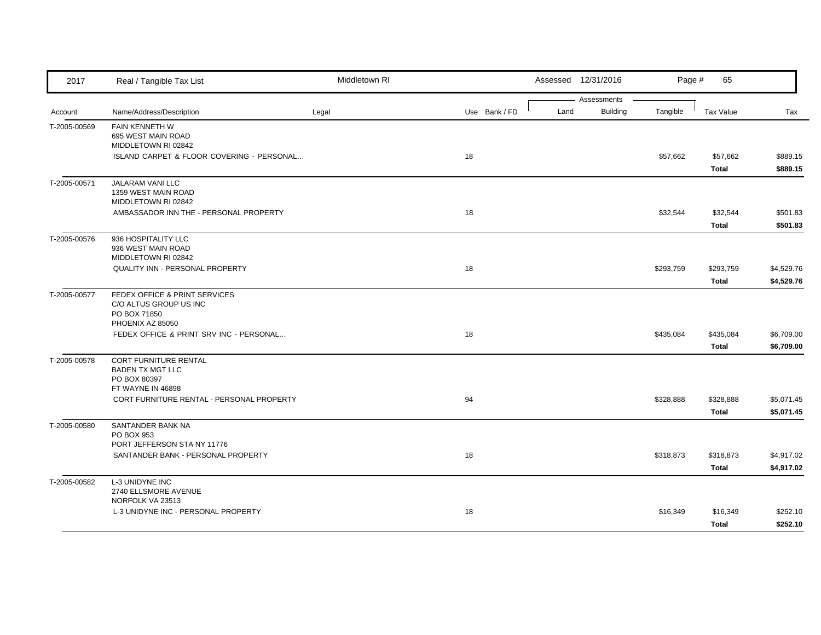| 2017         | Real / Tangible Tax List                                                | Middletown RI |               |      | Assessed 12/31/2016 | Page #    | 65                 |                          |
|--------------|-------------------------------------------------------------------------|---------------|---------------|------|---------------------|-----------|--------------------|--------------------------|
|              |                                                                         |               |               |      | Assessments         |           |                    |                          |
| Account      | Name/Address/Description                                                | Legal         | Use Bank / FD | Land | Building            | Tangible  | Tax Value          | Tax                      |
| T-2005-00569 | FAIN KENNETH W<br>695 WEST MAIN ROAD<br>MIDDLETOWN RI 02842             |               |               |      |                     |           |                    |                          |
|              | ISLAND CARPET & FLOOR COVERING - PERSONAL                               |               | 18            |      |                     | \$57,662  | \$57,662<br>Total  | \$889.15<br>\$889.15     |
| T-2005-00571 | JALARAM VANI LLC<br>1359 WEST MAIN ROAD<br>MIDDLETOWN RI 02842          |               |               |      |                     |           |                    |                          |
|              | AMBASSADOR INN THE - PERSONAL PROPERTY                                  |               | 18            |      |                     | \$32,544  | \$32,544<br>Total  | \$501.83<br>\$501.83     |
| T-2005-00576 | 936 HOSPITALITY LLC<br>936 WEST MAIN ROAD<br>MIDDLETOWN RI 02842        |               |               |      |                     |           |                    |                          |
|              | QUALITY INN - PERSONAL PROPERTY                                         |               | 18            |      |                     | \$293,759 | \$293,759<br>Total | \$4,529.76<br>\$4,529.76 |
| T-2005-00577 | FEDEX OFFICE & PRINT SERVICES<br>C/O ALTUS GROUP US INC<br>PO BOX 71850 |               |               |      |                     |           |                    |                          |
|              | PHOENIX AZ 85050<br>FEDEX OFFICE & PRINT SRV INC - PERSONAL             |               | 18            |      |                     | \$435,084 | \$435,084<br>Total | \$6,709.00<br>\$6,709.00 |
| T-2005-00578 | <b>CORT FURNITURE RENTAL</b><br><b>BADEN TX MGT LLC</b><br>PO BOX 80397 |               |               |      |                     |           |                    |                          |
|              | FT WAYNE IN 46898<br>CORT FURNITURE RENTAL - PERSONAL PROPERTY          |               | 94            |      |                     | \$328,888 | \$328,888<br>Total | \$5,071.45<br>\$5,071.45 |
| T-2005-00580 | SANTANDER BANK NA<br>PO BOX 953                                         |               |               |      |                     |           |                    |                          |
|              | PORT JEFFERSON STA NY 11776<br>SANTANDER BANK - PERSONAL PROPERTY       |               | 18            |      |                     | \$318,873 | \$318,873<br>Total | \$4,917.02<br>\$4,917.02 |
| T-2005-00582 | <b>L-3 UNIDYNE INC</b><br>2740 ELLSMORE AVENUE<br>NORFOLK VA 23513      |               |               |      |                     |           |                    |                          |
|              | L-3 UNIDYNE INC - PERSONAL PROPERTY                                     |               | 18            |      |                     | \$16,349  | \$16,349<br>Total  | \$252.10<br>\$252.10     |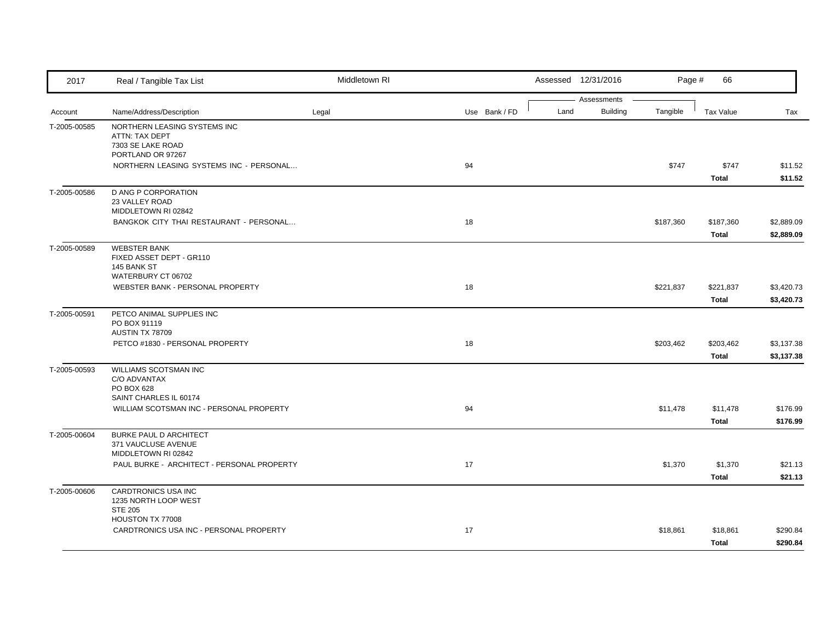| 2017         | Real / Tangible Tax List                                                                        | Middletown RI |               |      | Assessed 12/31/2016            | Page #    | 66                 |                          |
|--------------|-------------------------------------------------------------------------------------------------|---------------|---------------|------|--------------------------------|-----------|--------------------|--------------------------|
| Account      | Name/Address/Description                                                                        | Legal         | Use Bank / FD | Land | Assessments<br><b>Building</b> | Tangible  | <b>Tax Value</b>   | Tax                      |
| T-2005-00585 | NORTHERN LEASING SYSTEMS INC<br><b>ATTN: TAX DEPT</b><br>7303 SE LAKE ROAD<br>PORTLAND OR 97267 |               |               |      |                                |           |                    |                          |
|              | NORTHERN LEASING SYSTEMS INC - PERSONAL                                                         |               | 94            |      |                                | \$747     | \$747<br>Total     | \$11.52<br>\$11.52       |
| T-2005-00586 | <b>D ANG P CORPORATION</b><br>23 VALLEY ROAD<br>MIDDLETOWN RI 02842                             |               |               |      |                                |           |                    |                          |
|              | BANGKOK CITY THAI RESTAURANT - PERSONAL                                                         |               | 18            |      |                                | \$187,360 | \$187,360<br>Total | \$2,889.09<br>\$2,889.09 |
| T-2005-00589 | <b>WEBSTER BANK</b><br>FIXED ASSET DEPT - GR110<br>145 BANK ST<br>WATERBURY CT 06702            |               |               |      |                                |           |                    |                          |
|              | WEBSTER BANK - PERSONAL PROPERTY                                                                |               | 18            |      |                                | \$221,837 | \$221,837<br>Total | \$3,420.73<br>\$3,420.73 |
| T-2005-00591 | PETCO ANIMAL SUPPLIES INC<br>PO BOX 91119<br>AUSTIN TX 78709                                    |               |               |      |                                |           |                    |                          |
|              | PETCO #1830 - PERSONAL PROPERTY                                                                 |               | 18            |      |                                | \$203,462 | \$203,462<br>Total | \$3,137.38<br>\$3,137.38 |
| T-2005-00593 | WILLIAMS SCOTSMAN INC<br>C/O ADVANTAX<br>PO BOX 628<br>SAINT CHARLES IL 60174                   |               |               |      |                                |           |                    |                          |
|              | WILLIAM SCOTSMAN INC - PERSONAL PROPERTY                                                        |               | 94            |      |                                | \$11,478  | \$11,478<br>Total  | \$176.99<br>\$176.99     |
| T-2005-00604 | <b>BURKE PAUL D ARCHITECT</b><br>371 VAUCLUSE AVENUE<br>MIDDLETOWN RI 02842                     |               |               |      |                                |           |                    |                          |
|              | PAUL BURKE - ARCHITECT - PERSONAL PROPERTY                                                      |               | 17            |      |                                | \$1,370   | \$1,370<br>Total   | \$21.13<br>\$21.13       |
| T-2005-00606 | CARDTRONICS USA INC<br>1235 NORTH LOOP WEST<br><b>STE 205</b>                                   |               |               |      |                                |           |                    |                          |
|              | HOUSTON TX 77008<br>CARDTRONICS USA INC - PERSONAL PROPERTY                                     |               | 17            |      |                                | \$18,861  | \$18,861<br>Total  | \$290.84<br>\$290.84     |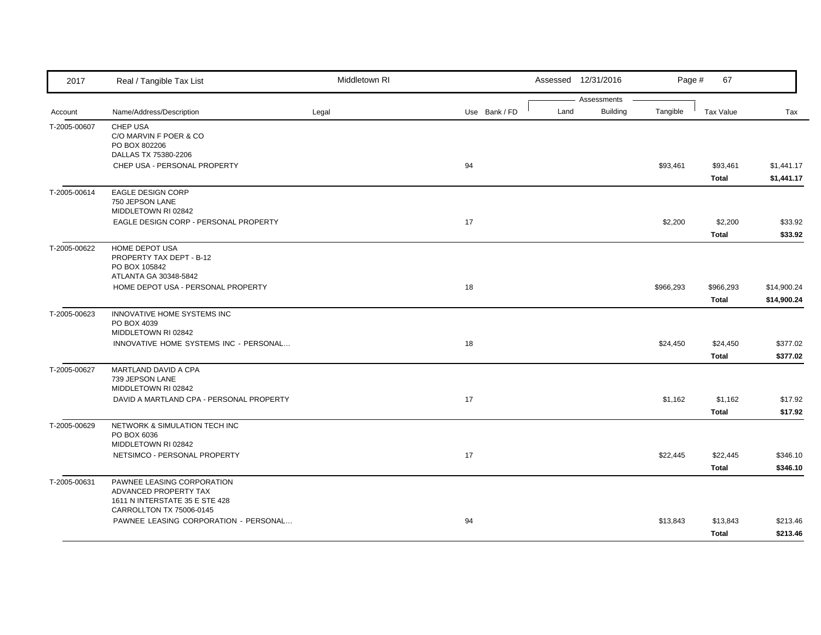| 2017         | Real / Tangible Tax List                                                              | Middletown RI |               | Assessed 12/31/2016 |                                | Page #    | 67                       |                            |
|--------------|---------------------------------------------------------------------------------------|---------------|---------------|---------------------|--------------------------------|-----------|--------------------------|----------------------------|
| Account      | Name/Address/Description                                                              | Legal         | Use Bank / FD | Land                | Assessments<br><b>Building</b> | Tangible  | Tax Value                | Tax                        |
| T-2005-00607 | CHEP USA<br>C/O MARVIN F POER & CO<br>PO BOX 802206<br>DALLAS TX 75380-2206           |               |               |                     |                                |           |                          |                            |
|              | CHEP USA - PERSONAL PROPERTY                                                          |               | 94            |                     |                                | \$93,461  | \$93,461<br>Total        | \$1,441.17<br>\$1,441.17   |
| T-2005-00614 | EAGLE DESIGN CORP<br>750 JEPSON LANE<br>MIDDLETOWN RI 02842                           |               |               |                     |                                |           |                          |                            |
|              | EAGLE DESIGN CORP - PERSONAL PROPERTY                                                 |               | 17            |                     |                                | \$2,200   | \$2,200<br><b>Total</b>  | \$33.92<br>\$33.92         |
| T-2005-00622 | HOME DEPOT USA<br>PROPERTY TAX DEPT - B-12<br>PO BOX 105842<br>ATLANTA GA 30348-5842  |               |               |                     |                                |           |                          |                            |
|              | HOME DEPOT USA - PERSONAL PROPERTY                                                    |               | 18            |                     |                                | \$966,293 | \$966,293<br>Total       | \$14,900.24<br>\$14,900.24 |
| T-2005-00623 | INNOVATIVE HOME SYSTEMS INC<br>PO BOX 4039<br>MIDDLETOWN RI 02842                     |               |               |                     |                                |           |                          |                            |
|              | INNOVATIVE HOME SYSTEMS INC - PERSONAL                                                |               | 18            |                     |                                | \$24,450  | \$24,450<br><b>Total</b> | \$377.02<br>\$377.02       |
| T-2005-00627 | MARTLAND DAVID A CPA<br>739 JEPSON LANE<br>MIDDLETOWN RI 02842                        |               |               |                     |                                |           |                          |                            |
|              | DAVID A MARTLAND CPA - PERSONAL PROPERTY                                              |               | 17            |                     |                                | \$1,162   | \$1,162<br><b>Total</b>  | \$17.92<br>\$17.92         |
| T-2005-00629 | NETWORK & SIMULATION TECH INC<br>PO BOX 6036<br>MIDDLETOWN RI 02842                   |               |               |                     |                                |           |                          |                            |
|              | NETSIMCO - PERSONAL PROPERTY                                                          |               | 17            |                     |                                | \$22,445  | \$22,445<br>Total        | \$346.10<br>\$346.10       |
| T-2005-00631 | PAWNEE LEASING CORPORATION<br>ADVANCED PROPERTY TAX<br>1611 N INTERSTATE 35 E STE 428 |               |               |                     |                                |           |                          |                            |
|              | CARROLLTON TX 75006-0145<br>PAWNEE LEASING CORPORATION - PERSONAL                     |               | 94            |                     |                                | \$13,843  | \$13,843<br>Total        | \$213.46<br>\$213.46       |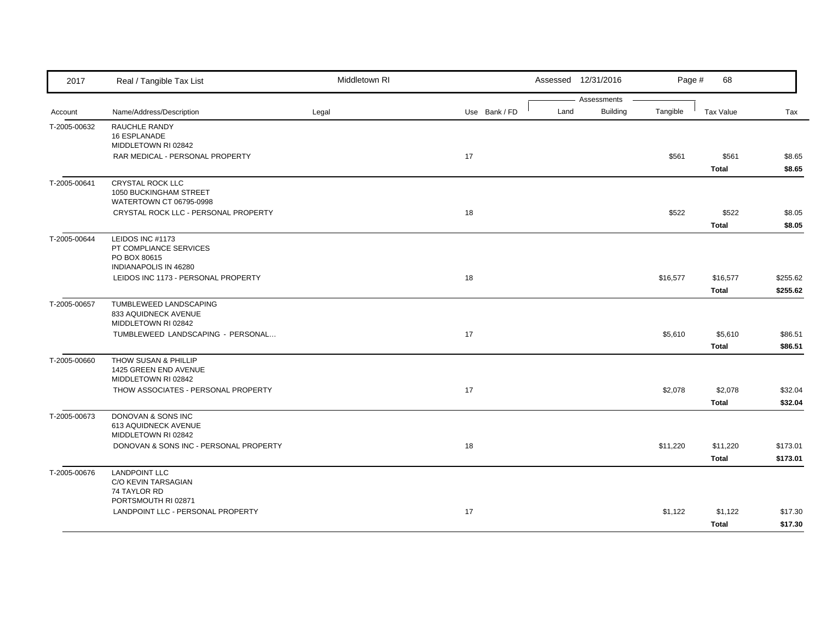| 2017         | Real / Tangible Tax List                                                            | Middletown RI |               | Assessed 12/31/2016                    | Page #   | 68                       |                      |
|--------------|-------------------------------------------------------------------------------------|---------------|---------------|----------------------------------------|----------|--------------------------|----------------------|
| Account      | Name/Address/Description                                                            | Legal         | Use Bank / FD | Assessments<br><b>Building</b><br>Land | Tangible | Tax Value                | Tax                  |
| T-2005-00632 | RAUCHLE RANDY<br>16 ESPLANADE<br>MIDDLETOWN RI 02842                                |               |               |                                        |          |                          |                      |
|              | RAR MEDICAL - PERSONAL PROPERTY                                                     |               | 17            |                                        | \$561    | \$561<br><b>Total</b>    | \$8.65<br>\$8.65     |
| T-2005-00641 | <b>CRYSTAL ROCK LLC</b><br>1050 BUCKINGHAM STREET<br>WATERTOWN CT 06795-0998        |               |               |                                        |          |                          |                      |
|              | CRYSTAL ROCK LLC - PERSONAL PROPERTY                                                |               | 18            |                                        | \$522    | \$522<br><b>Total</b>    | \$8.05<br>\$8.05     |
| T-2005-00644 | LEIDOS INC #1173<br>PT COMPLIANCE SERVICES<br>PO BOX 80615<br>INDIANAPOLIS IN 46280 |               |               |                                        |          |                          |                      |
|              | LEIDOS INC 1173 - PERSONAL PROPERTY                                                 |               | 18            |                                        | \$16,577 | \$16,577<br><b>Total</b> | \$255.62<br>\$255.62 |
| T-2005-00657 | TUMBLEWEED LANDSCAPING<br>833 AQUIDNECK AVENUE<br>MIDDLETOWN RI 02842               |               |               |                                        |          |                          |                      |
|              | TUMBLEWEED LANDSCAPING - PERSONAL                                                   |               | 17            |                                        | \$5,610  | \$5,610<br><b>Total</b>  | \$86.51<br>\$86.51   |
| T-2005-00660 | <b>THOW SUSAN &amp; PHILLIP</b><br>1425 GREEN END AVENUE<br>MIDDLETOWN RI 02842     |               |               |                                        |          |                          |                      |
|              | THOW ASSOCIATES - PERSONAL PROPERTY                                                 |               | 17            |                                        | \$2,078  | \$2,078<br><b>Total</b>  | \$32.04<br>\$32.04   |
| T-2005-00673 | DONOVAN & SONS INC<br>613 AQUIDNECK AVENUE<br>MIDDLETOWN RI 02842                   |               |               |                                        |          |                          |                      |
|              | DONOVAN & SONS INC - PERSONAL PROPERTY                                              |               | 18            |                                        | \$11,220 | \$11,220<br><b>Total</b> | \$173.01<br>\$173.01 |
| T-2005-00676 | <b>LANDPOINT LLC</b><br>C/O KEVIN TARSAGIAN<br>74 TAYLOR RD                         |               |               |                                        |          |                          |                      |
|              | PORTSMOUTH RI 02871<br>LANDPOINT LLC - PERSONAL PROPERTY                            |               | 17            |                                        | \$1,122  | \$1,122<br><b>Total</b>  | \$17.30<br>\$17.30   |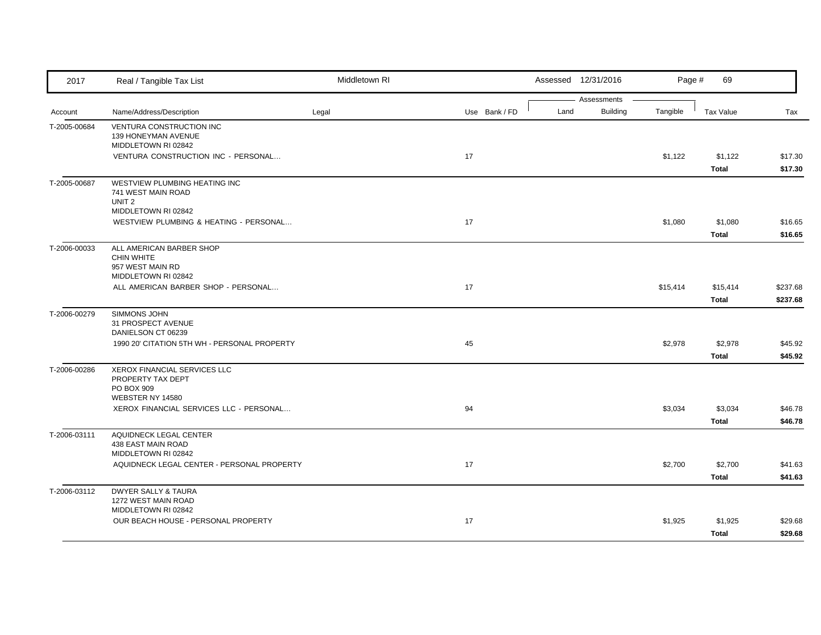| 2017                    | Real / Tangible Tax List                                                                        | Middletown RI |               |      | Assessed 12/31/2016            | Page #   | 69                      |                      |
|-------------------------|-------------------------------------------------------------------------------------------------|---------------|---------------|------|--------------------------------|----------|-------------------------|----------------------|
|                         | Name/Address/Description                                                                        |               | Use Bank / FD | Land | Assessments<br><b>Building</b> | Tangible | <b>Tax Value</b>        | Tax                  |
| Account<br>T-2005-00684 | VENTURA CONSTRUCTION INC<br>139 HONEYMAN AVENUE                                                 | Legal         |               |      |                                |          |                         |                      |
|                         | MIDDLETOWN RI 02842<br>VENTURA CONSTRUCTION INC - PERSONAL                                      |               | 17            |      |                                | \$1,122  | \$1,122<br>Total        | \$17.30<br>\$17.30   |
| T-2005-00687            | WESTVIEW PLUMBING HEATING INC<br>741 WEST MAIN ROAD<br>UNIT <sub>2</sub><br>MIDDLETOWN RI 02842 |               |               |      |                                |          |                         |                      |
|                         | WESTVIEW PLUMBING & HEATING - PERSONAL                                                          |               | 17            |      |                                | \$1,080  | \$1,080<br>Total        | \$16.65<br>\$16.65   |
| T-2006-00033            | ALL AMERICAN BARBER SHOP<br><b>CHIN WHITE</b><br>957 WEST MAIN RD<br>MIDDLETOWN RI 02842        |               |               |      |                                |          |                         |                      |
|                         | ALL AMERICAN BARBER SHOP - PERSONAL                                                             |               | 17            |      |                                | \$15,414 | \$15,414<br>Total       | \$237.68<br>\$237.68 |
| T-2006-00279            | SIMMONS JOHN<br>31 PROSPECT AVENUE<br>DANIELSON CT 06239                                        |               |               |      |                                |          |                         |                      |
|                         | 1990 20' CITATION 5TH WH - PERSONAL PROPERTY                                                    |               | 45            |      |                                | \$2,978  | \$2,978<br><b>Total</b> | \$45.92<br>\$45.92   |
| T-2006-00286            | XEROX FINANCIAL SERVICES LLC<br>PROPERTY TAX DEPT<br>PO BOX 909<br>WEBSTER NY 14580             |               |               |      |                                |          |                         |                      |
|                         | XEROX FINANCIAL SERVICES LLC - PERSONAL                                                         |               | 94            |      |                                | \$3,034  | \$3,034<br>Total        | \$46.78<br>\$46.78   |
| T-2006-03111            | AQUIDNECK LEGAL CENTER<br>438 EAST MAIN ROAD<br>MIDDLETOWN RI 02842                             |               |               |      |                                |          |                         |                      |
|                         | AQUIDNECK LEGAL CENTER - PERSONAL PROPERTY                                                      |               | 17            |      |                                | \$2,700  | \$2,700<br>Total        | \$41.63<br>\$41.63   |
| T-2006-03112            | DWYER SALLY & TAURA<br>1272 WEST MAIN ROAD<br>MIDDLETOWN RI 02842                               |               |               |      |                                |          |                         |                      |
|                         | OUR BEACH HOUSE - PERSONAL PROPERTY                                                             |               | 17            |      |                                | \$1,925  | \$1,925<br><b>Total</b> | \$29.68<br>\$29.68   |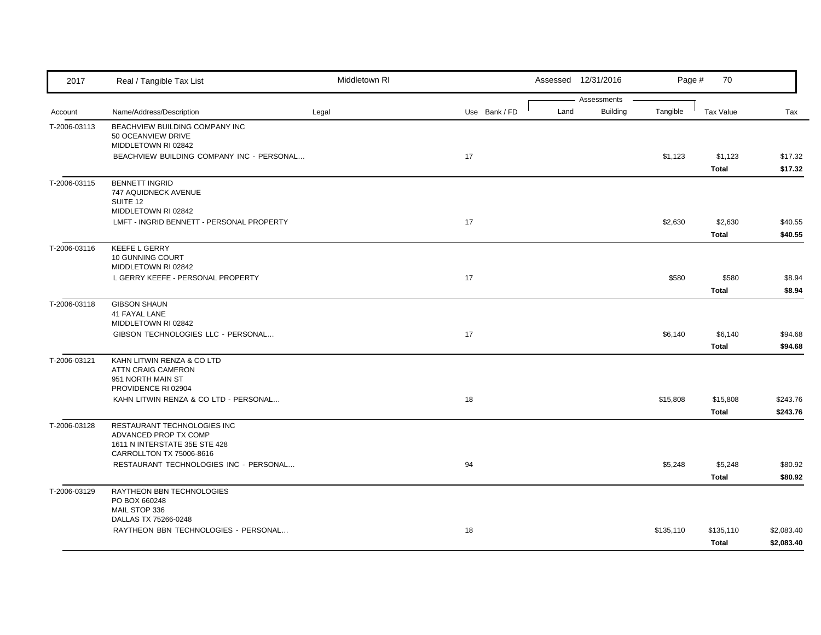| 2017         | Real / Tangible Tax List                                                              | Middletown RI |               |      | Assessed 12/31/2016 | Page #    | 70               |                    |
|--------------|---------------------------------------------------------------------------------------|---------------|---------------|------|---------------------|-----------|------------------|--------------------|
|              |                                                                                       |               |               |      | Assessments         |           |                  |                    |
| Account      | Name/Address/Description                                                              | Legal         | Use Bank / FD | Land | <b>Building</b>     | Tangible  | Tax Value        | Tax                |
| T-2006-03113 | BEACHVIEW BUILDING COMPANY INC<br>50 OCEANVIEW DRIVE<br>MIDDLETOWN RI 02842           |               |               |      |                     |           |                  |                    |
|              | BEACHVIEW BUILDING COMPANY INC - PERSONAL                                             |               | 17            |      |                     | \$1,123   | \$1,123          | \$17.32            |
|              |                                                                                       |               |               |      |                     |           | Total            | \$17.32            |
| T-2006-03115 | <b>BENNETT INGRID</b><br>747 AQUIDNECK AVENUE<br>SUITE 12                             |               |               |      |                     |           |                  |                    |
|              | MIDDLETOWN RI 02842                                                                   |               |               |      |                     |           |                  |                    |
|              | LMFT - INGRID BENNETT - PERSONAL PROPERTY                                             |               | 17            |      |                     | \$2,630   | \$2,630<br>Total | \$40.55<br>\$40.55 |
| T-2006-03116 | <b>KEEFE L GERRY</b><br>10 GUNNING COURT<br>MIDDLETOWN RI 02842                       |               |               |      |                     |           |                  |                    |
|              | L GERRY KEEFE - PERSONAL PROPERTY                                                     |               | 17            |      |                     | \$580     | \$580<br>Total   | \$8.94<br>\$8.94   |
| T-2006-03118 | <b>GIBSON SHAUN</b>                                                                   |               |               |      |                     |           |                  |                    |
|              | 41 FAYAL LANE                                                                         |               |               |      |                     |           |                  |                    |
|              | MIDDLETOWN RI 02842<br>GIBSON TECHNOLOGIES LLC - PERSONAL                             |               | 17            |      |                     | \$6,140   | \$6,140          | \$94.68            |
|              |                                                                                       |               |               |      |                     |           | Total            | \$94.68            |
| T-2006-03121 | KAHN LITWIN RENZA & CO LTD<br><b>ATTN CRAIG CAMERON</b><br>951 NORTH MAIN ST          |               |               |      |                     |           |                  |                    |
|              | PROVIDENCE RI 02904                                                                   |               |               |      |                     |           |                  |                    |
|              | KAHN LITWIN RENZA & CO LTD - PERSONAL                                                 |               | 18            |      |                     | \$15,808  | \$15,808         | \$243.76           |
|              |                                                                                       |               |               |      |                     |           | Total            | \$243.76           |
| T-2006-03128 | RESTAURANT TECHNOLOGIES INC<br>ADVANCED PROP TX COMP<br>1611 N INTERSTATE 35E STE 428 |               |               |      |                     |           |                  |                    |
|              | CARROLLTON TX 75006-8616                                                              |               |               |      |                     |           |                  |                    |
|              | RESTAURANT TECHNOLOGIES INC - PERSONAL                                                |               | 94            |      |                     | \$5,248   | \$5,248<br>Total | \$80.92<br>\$80.92 |
|              | RAYTHEON BBN TECHNOLOGIES                                                             |               |               |      |                     |           |                  |                    |
| T-2006-03129 | PO BOX 660248<br>MAIL STOP 336                                                        |               |               |      |                     |           |                  |                    |
|              | DALLAS TX 75266-0248<br>RAYTHEON BBN TECHNOLOGIES - PERSONAL                          |               | 18            |      |                     | \$135,110 | \$135,110        | \$2,083.40         |
|              |                                                                                       |               |               |      |                     |           | Total            | \$2,083.40         |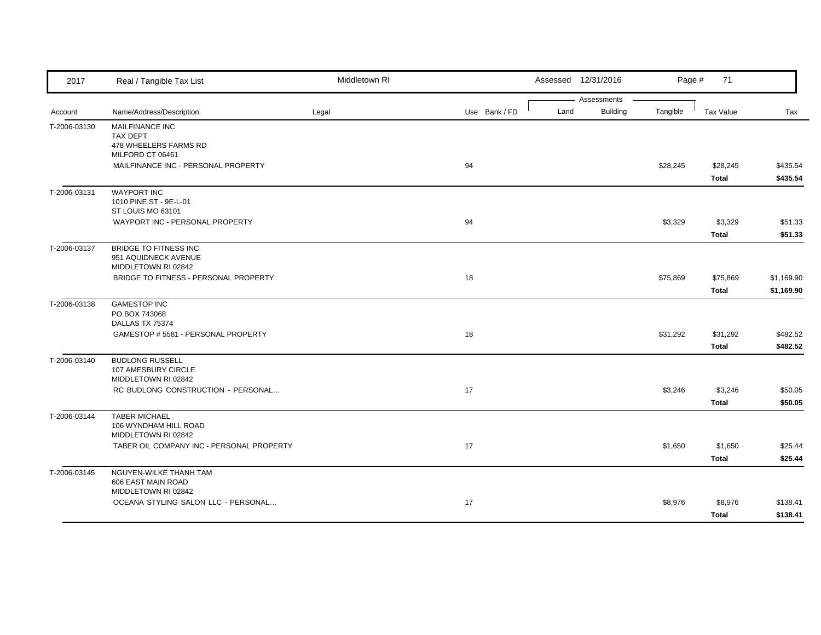| 2017         | Real / Tangible Tax List                                                        | Middletown RI |               |      | Assessed 12/31/2016            | Page #   | 71                       |                          |
|--------------|---------------------------------------------------------------------------------|---------------|---------------|------|--------------------------------|----------|--------------------------|--------------------------|
| Account      | Name/Address/Description                                                        | Legal         | Use Bank / FD | Land | Assessments<br><b>Building</b> | Tangible | Tax Value                | Tax                      |
| T-2006-03130 | MAILFINANCE INC<br><b>TAX DEPT</b><br>478 WHEELERS FARMS RD<br>MILFORD CT 06461 |               |               |      |                                |          |                          |                          |
|              | MAILFINANCE INC - PERSONAL PROPERTY                                             |               | 94            |      |                                | \$28,245 | \$28,245<br>Total        | \$435.54<br>\$435.54     |
| T-2006-03131 | <b>WAYPORT INC</b><br>1010 PINE ST - 9E-L-01<br>ST LOUIS MO 63101               |               |               |      |                                |          |                          |                          |
|              | WAYPORT INC - PERSONAL PROPERTY                                                 |               | 94            |      |                                | \$3,329  | \$3,329<br>Total         | \$51.33<br>\$51.33       |
| T-2006-03137 | <b>BRIDGE TO FITNESS INC</b><br>951 AQUIDNECK AVENUE<br>MIDDLETOWN RI 02842     |               |               |      |                                |          |                          |                          |
|              | BRIDGE TO FITNESS - PERSONAL PROPERTY                                           |               | 18            |      |                                | \$75,869 | \$75,869<br>Total        | \$1,169.90<br>\$1,169.90 |
| T-2006-03138 | <b>GAMESTOP INC</b><br>PO BOX 743068<br>DALLAS TX 75374                         |               |               |      |                                |          |                          |                          |
|              | GAMESTOP # 5581 - PERSONAL PROPERTY                                             |               | 18            |      |                                | \$31,292 | \$31,292<br><b>Total</b> | \$482.52<br>\$482.52     |
| T-2006-03140 | <b>BUDLONG RUSSELL</b><br>107 AMESBURY CIRCLE<br>MIDDLETOWN RI 02842            |               |               |      |                                |          |                          |                          |
|              | RC BUDLONG CONSTRUCTION - PERSONAL                                              |               | 17            |      |                                | \$3,246  | \$3,246<br><b>Total</b>  | \$50.05<br>\$50.05       |
| T-2006-03144 | <b>TABER MICHAEL</b><br>106 WYNDHAM HILL ROAD<br>MIDDLETOWN RI 02842            |               |               |      |                                |          |                          |                          |
|              | TABER OIL COMPANY INC - PERSONAL PROPERTY                                       |               | 17            |      |                                | \$1,650  | \$1,650<br>Total         | \$25.44<br>\$25.44       |
| T-2006-03145 | NGUYEN-WILKE THANH TAM<br>606 EAST MAIN ROAD<br>MIDDLETOWN RI 02842             |               |               |      |                                |          |                          |                          |
|              | OCEANA STYLING SALON LLC - PERSONAL                                             |               | 17            |      |                                | \$8,976  | \$8,976<br>Total         | \$138.41<br>\$138.41     |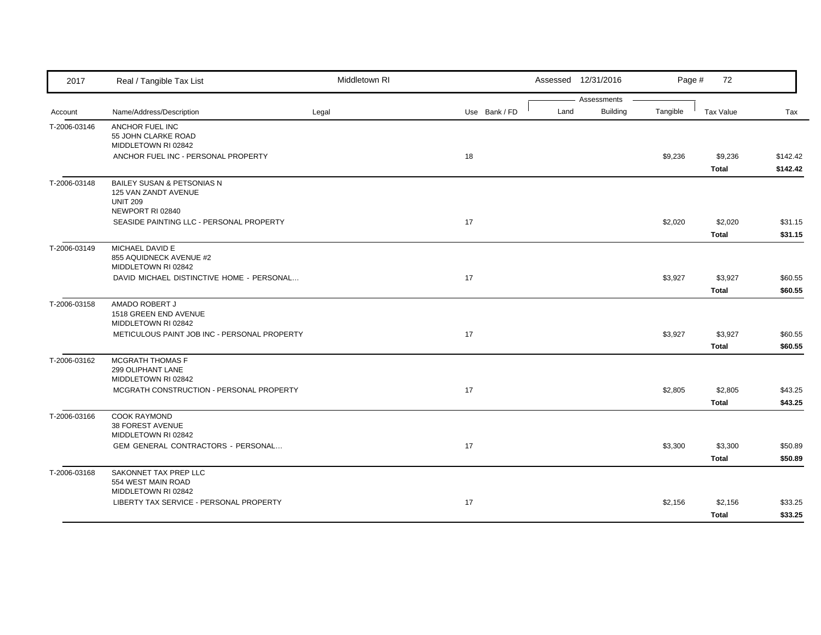| 2017         | Real / Tangible Tax List                                                                  | Middletown RI |               |      | Assessed 12/31/2016            | Page #   | 72                      |                      |
|--------------|-------------------------------------------------------------------------------------------|---------------|---------------|------|--------------------------------|----------|-------------------------|----------------------|
| Account      | Name/Address/Description                                                                  | Legal         | Use Bank / FD | Land | Assessments<br><b>Building</b> | Tangible | Tax Value               | Tax                  |
| T-2006-03146 | ANCHOR FUEL INC<br>55 JOHN CLARKE ROAD<br>MIDDLETOWN RI 02842                             |               |               |      |                                |          |                         |                      |
|              | ANCHOR FUEL INC - PERSONAL PROPERTY                                                       |               | 18            |      |                                | \$9,236  | \$9,236<br>Total        | \$142.42<br>\$142.42 |
| T-2006-03148 | BAILEY SUSAN & PETSONIAS N<br>125 VAN ZANDT AVENUE<br><b>UNIT 209</b><br>NEWPORT RI 02840 |               |               |      |                                |          |                         |                      |
|              | SEASIDE PAINTING LLC - PERSONAL PROPERTY                                                  |               | 17            |      |                                | \$2,020  | \$2,020<br><b>Total</b> | \$31.15<br>\$31.15   |
| T-2006-03149 | MICHAEL DAVID E<br>855 AQUIDNECK AVENUE #2<br>MIDDLETOWN RI 02842                         |               |               |      |                                |          |                         |                      |
|              | DAVID MICHAEL DISTINCTIVE HOME - PERSONAL                                                 |               | 17            |      |                                | \$3,927  | \$3,927<br>Total        | \$60.55<br>\$60.55   |
| T-2006-03158 | AMADO ROBERT J<br>1518 GREEN END AVENUE<br>MIDDLETOWN RI 02842                            |               |               |      |                                |          |                         |                      |
|              | METICULOUS PAINT JOB INC - PERSONAL PROPERTY                                              |               | 17            |      |                                | \$3,927  | \$3,927<br><b>Total</b> | \$60.55<br>\$60.55   |
| T-2006-03162 | MCGRATH THOMAS F<br>299 OLIPHANT LANE<br>MIDDLETOWN RI 02842                              |               |               |      |                                |          |                         |                      |
|              | MCGRATH CONSTRUCTION - PERSONAL PROPERTY                                                  |               | 17            |      |                                | \$2,805  | \$2,805<br><b>Total</b> | \$43.25<br>\$43.25   |
| T-2006-03166 | <b>COOK RAYMOND</b><br>38 FOREST AVENUE<br>MIDDLETOWN RI 02842                            |               |               |      |                                |          |                         |                      |
|              | GEM GENERAL CONTRACTORS - PERSONAL                                                        |               | 17            |      |                                | \$3,300  | \$3,300<br>Total        | \$50.89<br>\$50.89   |
| T-2006-03168 | SAKONNET TAX PREP LLC<br>554 WEST MAIN ROAD<br>MIDDLETOWN RI 02842                        |               |               |      |                                |          |                         |                      |
|              | LIBERTY TAX SERVICE - PERSONAL PROPERTY                                                   |               | 17            |      |                                | \$2,156  | \$2,156<br>Total        | \$33.25<br>\$33.25   |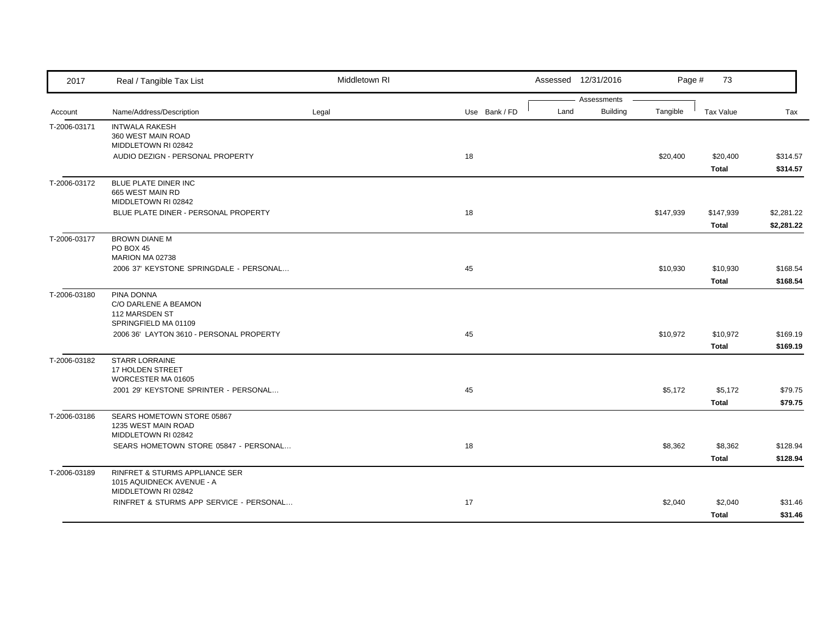| 2017         | Real / Tangible Tax List                         | Middletown RI |               |      | Assessed 12/31/2016            | Page #    | 73        |            |
|--------------|--------------------------------------------------|---------------|---------------|------|--------------------------------|-----------|-----------|------------|
|              | Name/Address/Description                         | Legal         |               | Land | Assessments<br><b>Building</b> | Tangible  | Tax Value |            |
| Account      |                                                  |               | Use Bank / FD |      |                                |           |           | Tax        |
| T-2006-03171 | <b>INTWALA RAKESH</b><br>360 WEST MAIN ROAD      |               |               |      |                                |           |           |            |
|              | MIDDLETOWN RI 02842                              |               |               |      |                                |           |           |            |
|              | AUDIO DEZIGN - PERSONAL PROPERTY                 |               | 18            |      |                                | \$20,400  | \$20,400  | \$314.57   |
|              |                                                  |               |               |      |                                |           | Total     | \$314.57   |
| T-2006-03172 | BLUE PLATE DINER INC                             |               |               |      |                                |           |           |            |
|              | 665 WEST MAIN RD                                 |               |               |      |                                |           |           |            |
|              | MIDDLETOWN RI 02842                              |               |               |      |                                |           |           |            |
|              | BLUE PLATE DINER - PERSONAL PROPERTY             |               | 18            |      |                                | \$147,939 | \$147,939 | \$2,281.22 |
|              |                                                  |               |               |      |                                |           | Total     | \$2,281.22 |
| T-2006-03177 | <b>BROWN DIANE M</b>                             |               |               |      |                                |           |           |            |
|              | <b>PO BOX 45</b><br>MARION MA 02738              |               |               |      |                                |           |           |            |
|              | 2006 37' KEYSTONE SPRINGDALE - PERSONAL          |               | 45            |      |                                | \$10,930  | \$10,930  | \$168.54   |
|              |                                                  |               |               |      |                                |           | Total     | \$168.54   |
| T-2006-03180 | PINA DONNA                                       |               |               |      |                                |           |           |            |
|              | C/O DARLENE A BEAMON                             |               |               |      |                                |           |           |            |
|              | 112 MARSDEN ST                                   |               |               |      |                                |           |           |            |
|              | SPRINGFIELD MA 01109                             |               |               |      |                                |           |           |            |
|              | 2006 36' LAYTON 3610 - PERSONAL PROPERTY         |               | 45            |      |                                | \$10,972  | \$10,972  | \$169.19   |
|              |                                                  |               |               |      |                                |           | Total     | \$169.19   |
| T-2006-03182 | <b>STARR LORRAINE</b><br>17 HOLDEN STREET        |               |               |      |                                |           |           |            |
|              | WORCESTER MA 01605                               |               |               |      |                                |           |           |            |
|              | 2001 29' KEYSTONE SPRINTER - PERSONAL            |               | 45            |      |                                | \$5,172   | \$5,172   | \$79.75    |
|              |                                                  |               |               |      |                                |           | Total     | \$79.75    |
| T-2006-03186 | SEARS HOMETOWN STORE 05867                       |               |               |      |                                |           |           |            |
|              | 1235 WEST MAIN ROAD                              |               |               |      |                                |           |           |            |
|              | MIDDLETOWN RI 02842                              |               |               |      |                                |           |           |            |
|              | SEARS HOMETOWN STORE 05847 - PERSONAL            |               | 18            |      |                                | \$8,362   | \$8,362   | \$128.94   |
|              |                                                  |               |               |      |                                |           | Total     | \$128.94   |
| T-2006-03189 | RINFRET & STURMS APPLIANCE SER                   |               |               |      |                                |           |           |            |
|              | 1015 AQUIDNECK AVENUE - A<br>MIDDLETOWN RI 02842 |               |               |      |                                |           |           |            |
|              | RINFRET & STURMS APP SERVICE - PERSONAL          |               | 17            |      |                                | \$2,040   | \$2,040   | \$31.46    |
|              |                                                  |               |               |      |                                |           |           |            |
|              |                                                  |               |               |      |                                |           | Total     | \$31.46    |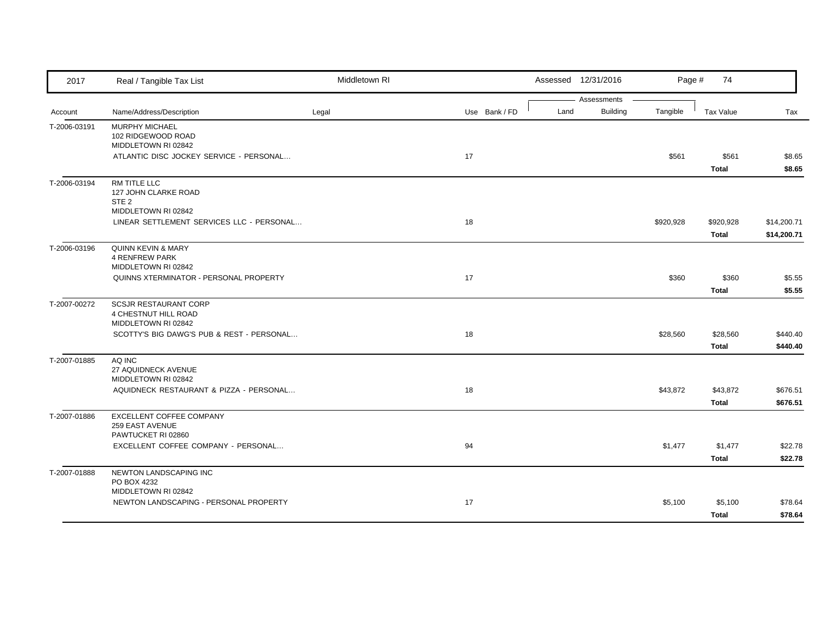| 2017         | Real / Tangible Tax List                                                        | Middletown RI |               |      | Assessed 12/31/2016            | Page #    | 74                        |                            |
|--------------|---------------------------------------------------------------------------------|---------------|---------------|------|--------------------------------|-----------|---------------------------|----------------------------|
| Account      | Name/Address/Description                                                        | Legal         | Use Bank / FD | Land | Assessments<br><b>Building</b> | Tangible  | Tax Value                 | Tax                        |
| T-2006-03191 | MURPHY MICHAEL<br>102 RIDGEWOOD ROAD<br>MIDDLETOWN RI 02842                     |               |               |      |                                |           |                           |                            |
|              | ATLANTIC DISC JOCKEY SERVICE - PERSONAL                                         |               | 17            |      |                                | \$561     | \$561<br><b>Total</b>     | \$8.65<br>\$8.65           |
| T-2006-03194 | RM TITLE LLC<br>127 JOHN CLARKE ROAD<br>STE <sub>2</sub><br>MIDDLETOWN RI 02842 |               |               |      |                                |           |                           |                            |
|              | LINEAR SETTLEMENT SERVICES LLC - PERSONAL                                       |               | 18            |      |                                | \$920,928 | \$920,928<br><b>Total</b> | \$14,200.71<br>\$14,200.71 |
| T-2006-03196 | <b>QUINN KEVIN &amp; MARY</b><br><b>4 RENFREW PARK</b><br>MIDDLETOWN RI 02842   |               |               |      |                                |           |                           |                            |
|              | QUINNS XTERMINATOR - PERSONAL PROPERTY                                          |               | 17            |      |                                | \$360     | \$360<br><b>Total</b>     | \$5.55<br>\$5.55           |
| T-2007-00272 | SCSJR RESTAURANT CORP<br>4 CHESTNUT HILL ROAD<br>MIDDLETOWN RI 02842            |               |               |      |                                |           |                           |                            |
|              | SCOTTY'S BIG DAWG'S PUB & REST - PERSONAL                                       |               | 18            |      |                                | \$28,560  | \$28,560<br><b>Total</b>  | \$440.40<br>\$440.40       |
| T-2007-01885 | AQ INC<br>27 AQUIDNECK AVENUE<br>MIDDLETOWN RI 02842                            |               |               |      |                                |           |                           |                            |
|              | AQUIDNECK RESTAURANT & PIZZA - PERSONAL                                         |               | 18            |      |                                | \$43,872  | \$43,872<br><b>Total</b>  | \$676.51<br>\$676.51       |
| T-2007-01886 | EXCELLENT COFFEE COMPANY<br>259 EAST AVENUE<br>PAWTUCKET RI 02860               |               |               |      |                                |           |                           |                            |
|              | EXCELLENT COFFEE COMPANY - PERSONAL                                             |               | 94            |      |                                | \$1,477   | \$1,477<br><b>Total</b>   | \$22.78<br>\$22.78         |
| T-2007-01888 | NEWTON LANDSCAPING INC<br>PO BOX 4232<br>MIDDLETOWN RI 02842                    |               |               |      |                                |           |                           |                            |
|              | NEWTON LANDSCAPING - PERSONAL PROPERTY                                          |               | 17            |      |                                | \$5,100   | \$5,100<br><b>Total</b>   | \$78.64<br>\$78.64         |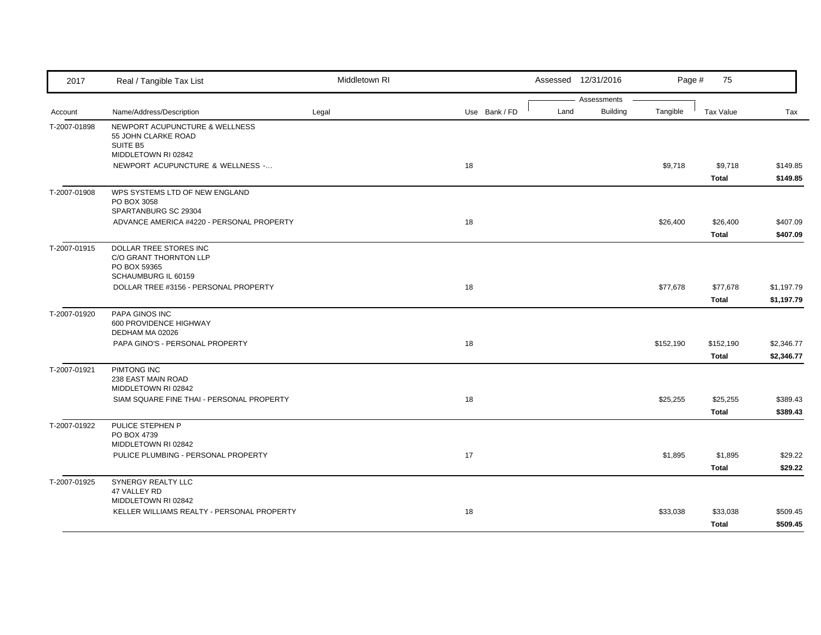| 2017         | Real / Tangible Tax List                                          | Middletown RI |               |      | Assessed 12/31/2016 | Page #    | 75               |            |
|--------------|-------------------------------------------------------------------|---------------|---------------|------|---------------------|-----------|------------------|------------|
|              |                                                                   |               |               |      | Assessments         |           |                  |            |
| Account      | Name/Address/Description                                          | Legal         | Use Bank / FD | Land | <b>Building</b>     | Tangible  | <b>Tax Value</b> | Tax        |
| T-2007-01898 | NEWPORT ACUPUNCTURE & WELLNESS<br>55 JOHN CLARKE ROAD<br>SUITE B5 |               |               |      |                     |           |                  |            |
|              | MIDDLETOWN RI 02842                                               |               |               |      |                     |           |                  |            |
|              | NEWPORT ACUPUNCTURE & WELLNESS -                                  |               | 18            |      |                     | \$9,718   | \$9,718          | \$149.85   |
|              |                                                                   |               |               |      |                     |           | <b>Total</b>     | \$149.85   |
| T-2007-01908 | WPS SYSTEMS LTD OF NEW ENGLAND                                    |               |               |      |                     |           |                  |            |
|              | PO BOX 3058                                                       |               |               |      |                     |           |                  |            |
|              | SPARTANBURG SC 29304<br>ADVANCE AMERICA #4220 - PERSONAL PROPERTY |               | 18            |      |                     | \$26,400  | \$26,400         | \$407.09   |
|              |                                                                   |               |               |      |                     |           |                  |            |
|              |                                                                   |               |               |      |                     |           | Total            | \$407.09   |
| T-2007-01915 | DOLLAR TREE STORES INC<br>C/O GRANT THORNTON LLP                  |               |               |      |                     |           |                  |            |
|              | PO BOX 59365                                                      |               |               |      |                     |           |                  |            |
|              | SCHAUMBURG IL 60159                                               |               |               |      |                     |           |                  |            |
|              | DOLLAR TREE #3156 - PERSONAL PROPERTY                             |               | 18            |      |                     | \$77,678  | \$77,678         | \$1,197.79 |
|              |                                                                   |               |               |      |                     |           | Total            | \$1,197.79 |
| T-2007-01920 | PAPA GINOS INC                                                    |               |               |      |                     |           |                  |            |
|              | 600 PROVIDENCE HIGHWAY                                            |               |               |      |                     |           |                  |            |
|              | DEDHAM MA 02026                                                   |               |               |      |                     |           |                  |            |
|              | PAPA GINO'S - PERSONAL PROPERTY                                   |               | 18            |      |                     | \$152,190 | \$152,190        | \$2,346.77 |
|              |                                                                   |               |               |      |                     |           | Total            | \$2,346.77 |
| T-2007-01921 | PIMTONG INC                                                       |               |               |      |                     |           |                  |            |
|              | 238 EAST MAIN ROAD<br>MIDDLETOWN RI 02842                         |               |               |      |                     |           |                  |            |
|              | SIAM SQUARE FINE THAI - PERSONAL PROPERTY                         |               | 18            |      |                     | \$25,255  | \$25,255         | \$389.43   |
|              |                                                                   |               |               |      |                     |           | Total            | \$389.43   |
| T-2007-01922 | PULICE STEPHEN P                                                  |               |               |      |                     |           |                  |            |
|              | PO BOX 4739                                                       |               |               |      |                     |           |                  |            |
|              | MIDDLETOWN RI 02842                                               |               |               |      |                     |           |                  |            |
|              | PULICE PLUMBING - PERSONAL PROPERTY                               |               | 17            |      |                     | \$1,895   | \$1,895          | \$29.22    |
|              |                                                                   |               |               |      |                     |           | Total            | \$29.22    |
| T-2007-01925 | SYNERGY REALTY LLC                                                |               |               |      |                     |           |                  |            |
|              | 47 VALLEY RD                                                      |               |               |      |                     |           |                  |            |
|              | MIDDLETOWN RI 02842                                               |               |               |      |                     |           |                  |            |
|              | KELLER WILLIAMS REALTY - PERSONAL PROPERTY                        |               | 18            |      |                     | \$33,038  | \$33,038         | \$509.45   |
|              |                                                                   |               |               |      |                     |           | Total            | \$509.45   |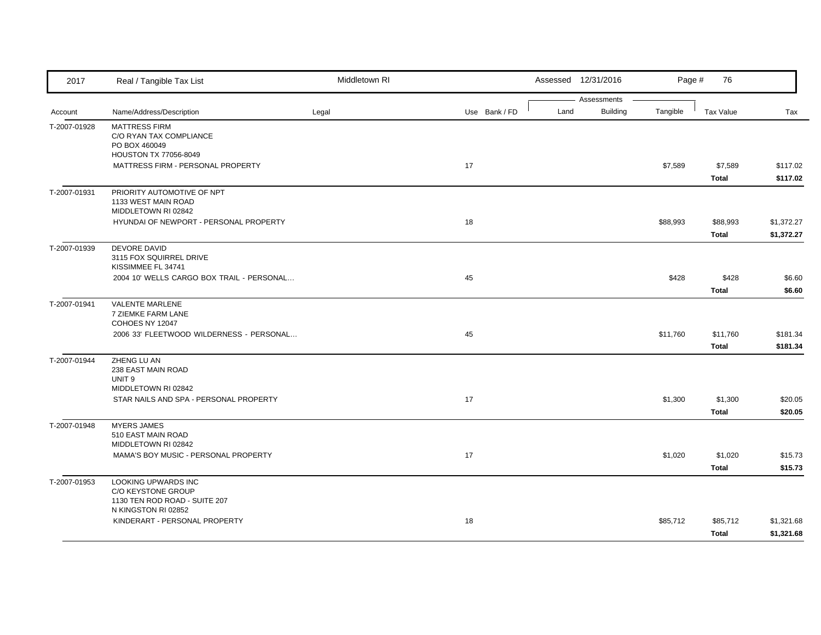| 2017         | Real / Tangible Tax List                                                                  | Middletown RI |               |      | Assessed 12/31/2016            | Page #   | 76                      |                          |
|--------------|-------------------------------------------------------------------------------------------|---------------|---------------|------|--------------------------------|----------|-------------------------|--------------------------|
| Account      | Name/Address/Description                                                                  | Legal         | Use Bank / FD | Land | Assessments<br><b>Building</b> | Tangible | <b>Tax Value</b>        | Tax                      |
| T-2007-01928 | <b>MATTRESS FIRM</b><br>C/O RYAN TAX COMPLIANCE<br>PO BOX 460049<br>HOUSTON TX 77056-8049 |               |               |      |                                |          |                         |                          |
|              | MATTRESS FIRM - PERSONAL PROPERTY                                                         |               | 17            |      |                                | \$7,589  | \$7,589<br>Total        | \$117.02<br>\$117.02     |
| T-2007-01931 | PRIORITY AUTOMOTIVE OF NPT<br>1133 WEST MAIN ROAD<br>MIDDLETOWN RI 02842                  |               |               |      |                                |          |                         |                          |
|              | HYUNDAI OF NEWPORT - PERSONAL PROPERTY                                                    |               | 18            |      |                                | \$88,993 | \$88,993<br>Total       | \$1,372.27<br>\$1,372.27 |
| T-2007-01939 | DEVORE DAVID<br>3115 FOX SQUIRREL DRIVE<br>KISSIMMEE FL 34741                             |               |               |      |                                |          |                         |                          |
|              | 2004 10' WELLS CARGO BOX TRAIL - PERSONAL                                                 |               | 45            |      |                                | \$428    | \$428<br>Total          | \$6.60<br>\$6.60         |
| T-2007-01941 | VALENTE MARLENE<br>7 ZIEMKE FARM LANE<br>COHOES NY 12047                                  |               |               |      |                                |          |                         |                          |
|              | 2006 33' FLEETWOOD WILDERNESS - PERSONAL                                                  |               | 45            |      |                                | \$11,760 | \$11,760<br>Total       | \$181.34<br>\$181.34     |
| T-2007-01944 | ZHENG LU AN<br>238 EAST MAIN ROAD<br>UNIT <sub>9</sub><br>MIDDLETOWN RI 02842             |               |               |      |                                |          |                         |                          |
|              | STAR NAILS AND SPA - PERSONAL PROPERTY                                                    |               | 17            |      |                                | \$1,300  | \$1,300<br><b>Total</b> | \$20.05<br>\$20.05       |
| T-2007-01948 | <b>MYERS JAMES</b><br>510 EAST MAIN ROAD<br>MIDDLETOWN RI 02842                           |               |               |      |                                |          |                         |                          |
|              | MAMA'S BOY MUSIC - PERSONAL PROPERTY                                                      |               | 17            |      |                                | \$1,020  | \$1,020<br>Total        | \$15.73<br>\$15.73       |
| T-2007-01953 | LOOKING UPWARDS INC<br>C/O KEYSTONE GROUP<br>1130 TEN ROD ROAD - SUITE 207                |               |               |      |                                |          |                         |                          |
|              | N KINGSTON RI 02852<br>KINDERART - PERSONAL PROPERTY                                      |               | 18            |      |                                | \$85,712 | \$85,712<br>Total       | \$1,321.68<br>\$1,321.68 |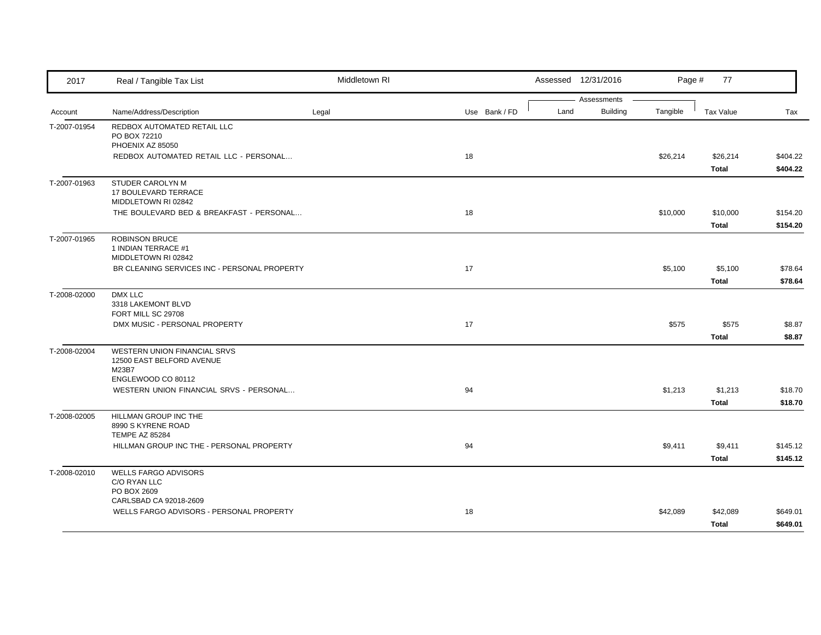| 2017         | Real / Tangible Tax List                                                    | Middletown RI |               |      | Assessed 12/31/2016            | Page #   | 77                    |                      |
|--------------|-----------------------------------------------------------------------------|---------------|---------------|------|--------------------------------|----------|-----------------------|----------------------|
| Account      | Name/Address/Description                                                    | Legal         | Use Bank / FD | Land | Assessments<br><b>Building</b> | Tangible | Tax Value             | Tax                  |
| T-2007-01954 | REDBOX AUTOMATED RETAIL LLC<br>PO BOX 72210<br>PHOENIX AZ 85050             |               |               |      |                                |          |                       |                      |
|              | REDBOX AUTOMATED RETAIL LLC - PERSONAL                                      |               | 18            |      |                                | \$26,214 | \$26,214<br>Total     | \$404.22<br>\$404.22 |
| T-2007-01963 | <b>STUDER CAROLYN M</b><br>17 BOULEVARD TERRACE<br>MIDDLETOWN RI 02842      |               |               |      |                                |          |                       |                      |
|              | THE BOULEVARD BED & BREAKFAST - PERSONAL                                    |               | 18            |      |                                | \$10,000 | \$10,000<br>Total     | \$154.20<br>\$154.20 |
| T-2007-01965 | <b>ROBINSON BRUCE</b><br>1 INDIAN TERRACE #1<br>MIDDLETOWN RI 02842         |               |               |      |                                |          |                       |                      |
|              | BR CLEANING SERVICES INC - PERSONAL PROPERTY                                |               | 17            |      |                                | \$5,100  | \$5,100<br>Total      | \$78.64<br>\$78.64   |
| T-2008-02000 | DMX LLC<br>3318 LAKEMONT BLVD<br>FORT MILL SC 29708                         |               |               |      |                                |          |                       |                      |
|              | DMX MUSIC - PERSONAL PROPERTY                                               |               | 17            |      |                                | \$575    | \$575<br><b>Total</b> | \$8.87<br>\$8.87     |
| T-2008-02004 | WESTERN UNION FINANCIAL SRVS<br>12500 EAST BELFORD AVENUE<br>M23B7          |               |               |      |                                |          |                       |                      |
|              | ENGLEWOOD CO 80112<br>WESTERN UNION FINANCIAL SRVS - PERSONAL               |               | 94            |      |                                | \$1,213  | \$1,213<br>Total      | \$18.70<br>\$18.70   |
| T-2008-02005 | <b>HILLMAN GROUP INC THE</b><br>8990 S KYRENE ROAD<br><b>TEMPE AZ 85284</b> |               |               |      |                                |          |                       |                      |
|              | HILLMAN GROUP INC THE - PERSONAL PROPERTY                                   |               | 94            |      |                                | \$9,411  | \$9,411<br>Total      | \$145.12<br>\$145.12 |
| T-2008-02010 | <b>WELLS FARGO ADVISORS</b><br>C/O RYAN LLC<br>PO BOX 2609                  |               |               |      |                                |          |                       |                      |
|              | CARLSBAD CA 92018-2609<br>WELLS FARGO ADVISORS - PERSONAL PROPERTY          |               | 18            |      |                                | \$42,089 | \$42,089<br>Total     | \$649.01<br>\$649.01 |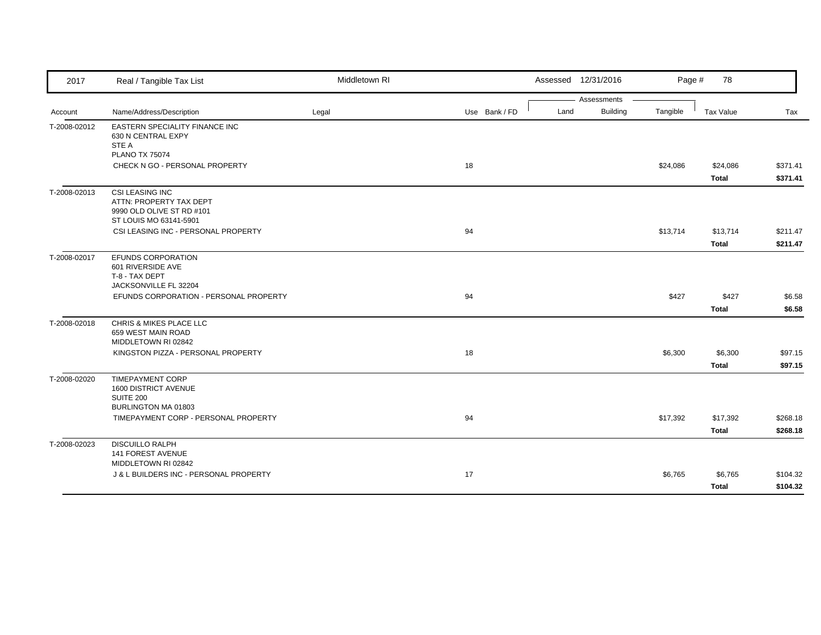| 2017         | Real / Tangible Tax List                                             | Middletown RI |               |      | Assessed 12/31/2016            | Page #   | 78           |          |
|--------------|----------------------------------------------------------------------|---------------|---------------|------|--------------------------------|----------|--------------|----------|
|              |                                                                      |               |               | Land | Assessments<br><b>Building</b> |          |              |          |
| Account      | Name/Address/Description                                             | Legal         | Use Bank / FD |      |                                | Tangible | Tax Value    | Tax      |
| T-2008-02012 | <b>EASTERN SPECIALITY FINANCE INC</b><br>630 N CENTRAL EXPY<br>STE A |               |               |      |                                |          |              |          |
|              | <b>PLANO TX 75074</b>                                                |               |               |      |                                |          |              |          |
|              | CHECK N GO - PERSONAL PROPERTY                                       |               | 18            |      |                                | \$24,086 | \$24,086     | \$371.41 |
|              |                                                                      |               |               |      |                                |          | Total        | \$371.41 |
| T-2008-02013 | <b>CSI LEASING INC</b>                                               |               |               |      |                                |          |              |          |
|              | ATTN: PROPERTY TAX DEPT                                              |               |               |      |                                |          |              |          |
|              | 9990 OLD OLIVE ST RD #101<br>ST LOUIS MO 63141-5901                  |               |               |      |                                |          |              |          |
|              | CSI LEASING INC - PERSONAL PROPERTY                                  |               | 94            |      |                                | \$13,714 | \$13,714     | \$211.47 |
|              |                                                                      |               |               |      |                                |          |              |          |
|              |                                                                      |               |               |      |                                |          | Total        | \$211.47 |
| T-2008-02017 | EFUNDS CORPORATION                                                   |               |               |      |                                |          |              |          |
|              | 601 RIVERSIDE AVE<br>T-8 - TAX DEPT                                  |               |               |      |                                |          |              |          |
|              | JACKSONVILLE FL 32204                                                |               |               |      |                                |          |              |          |
|              | EFUNDS CORPORATION - PERSONAL PROPERTY                               |               | 94            |      |                                | \$427    | \$427        | \$6.58   |
|              |                                                                      |               |               |      |                                |          | <b>Total</b> | \$6.58   |
| T-2008-02018 | CHRIS & MIKES PLACE LLC                                              |               |               |      |                                |          |              |          |
|              | 659 WEST MAIN ROAD                                                   |               |               |      |                                |          |              |          |
|              | MIDDLETOWN RI 02842                                                  |               |               |      |                                |          |              |          |
|              | KINGSTON PIZZA - PERSONAL PROPERTY                                   |               | 18            |      |                                | \$6,300  | \$6,300      | \$97.15  |
|              |                                                                      |               |               |      |                                |          | <b>Total</b> | \$97.15  |
| T-2008-02020 | <b>TIMEPAYMENT CORP</b>                                              |               |               |      |                                |          |              |          |
|              | 1600 DISTRICT AVENUE<br><b>SUITE 200</b>                             |               |               |      |                                |          |              |          |
|              | BURLINGTON MA 01803                                                  |               |               |      |                                |          |              |          |
|              | TIMEPAYMENT CORP - PERSONAL PROPERTY                                 |               | 94            |      |                                | \$17,392 | \$17,392     | \$268.18 |
|              |                                                                      |               |               |      |                                |          | Total        | \$268.18 |
| T-2008-02023 | <b>DISCUILLO RALPH</b>                                               |               |               |      |                                |          |              |          |
|              | 141 FOREST AVENUE                                                    |               |               |      |                                |          |              |          |
|              | MIDDLETOWN RI 02842                                                  |               |               |      |                                |          |              |          |
|              | J & L BUILDERS INC - PERSONAL PROPERTY                               |               | 17            |      |                                | \$6,765  | \$6,765      | \$104.32 |
|              |                                                                      |               |               |      |                                |          | Total        | \$104.32 |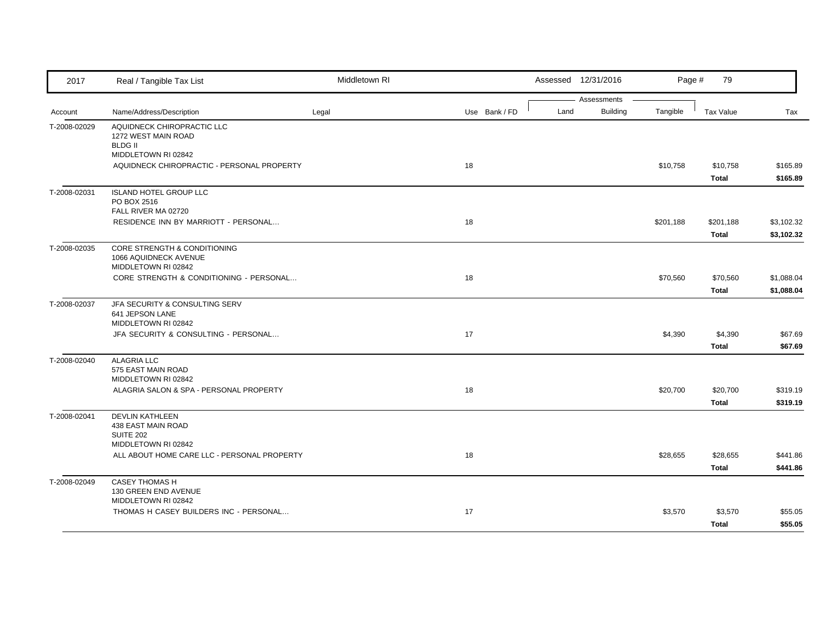| 2017         | Real / Tangible Tax List                                                                   | Middletown RI |               |      | Assessed 12/31/2016            | Page #    | 79                 |                          |
|--------------|--------------------------------------------------------------------------------------------|---------------|---------------|------|--------------------------------|-----------|--------------------|--------------------------|
| Account      | Name/Address/Description                                                                   | Legal         | Use Bank / FD | Land | Assessments<br><b>Building</b> | Tangible  | <b>Tax Value</b>   | Tax                      |
| T-2008-02029 | AQUIDNECK CHIROPRACTIC LLC<br>1272 WEST MAIN ROAD<br><b>BLDG II</b><br>MIDDLETOWN RI 02842 |               |               |      |                                |           |                    |                          |
|              | AQUIDNECK CHIROPRACTIC - PERSONAL PROPERTY                                                 |               | 18            |      |                                | \$10,758  | \$10,758<br>Total  | \$165.89<br>\$165.89     |
| T-2008-02031 | <b>ISLAND HOTEL GROUP LLC</b><br>PO BOX 2516<br>FALL RIVER MA 02720                        |               |               |      |                                |           |                    |                          |
|              | RESIDENCE INN BY MARRIOTT - PERSONAL                                                       |               | 18            |      |                                | \$201,188 | \$201,188<br>Total | \$3,102.32<br>\$3,102.32 |
| T-2008-02035 | CORE STRENGTH & CONDITIONING<br>1066 AQUIDNECK AVENUE<br>MIDDLETOWN RI 02842               |               |               |      |                                |           |                    |                          |
|              | CORE STRENGTH & CONDITIONING - PERSONAL                                                    |               | 18            |      |                                | \$70,560  | \$70,560<br>Total  | \$1,088.04<br>\$1,088.04 |
| T-2008-02037 | JFA SECURITY & CONSULTING SERV<br>641 JEPSON LANE<br>MIDDLETOWN RI 02842                   |               |               |      |                                |           |                    |                          |
|              | JFA SECURITY & CONSULTING - PERSONAL                                                       |               | 17            |      |                                | \$4,390   | \$4,390<br>Total   | \$67.69<br>\$67.69       |
| T-2008-02040 | <b>ALAGRIA LLC</b><br>575 EAST MAIN ROAD<br>MIDDLETOWN RI 02842                            |               |               |      |                                |           |                    |                          |
|              | ALAGRIA SALON & SPA - PERSONAL PROPERTY                                                    |               | 18            |      |                                | \$20,700  | \$20,700<br>Total  | \$319.19<br>\$319.19     |
| T-2008-02041 | <b>DEVLIN KATHLEEN</b><br>438 EAST MAIN ROAD<br><b>SUITE 202</b>                           |               |               |      |                                |           |                    |                          |
|              | MIDDLETOWN RI 02842<br>ALL ABOUT HOME CARE LLC - PERSONAL PROPERTY                         |               | 18            |      |                                | \$28,655  | \$28,655<br>Total  | \$441.86<br>\$441.86     |
| T-2008-02049 | <b>CASEY THOMAS H</b><br>130 GREEN END AVENUE<br>MIDDLETOWN RI 02842                       |               |               |      |                                |           |                    |                          |
|              | THOMAS H CASEY BUILDERS INC - PERSONAL                                                     |               | 17            |      |                                | \$3,570   | \$3,570<br>Total   | \$55.05<br>\$55.05       |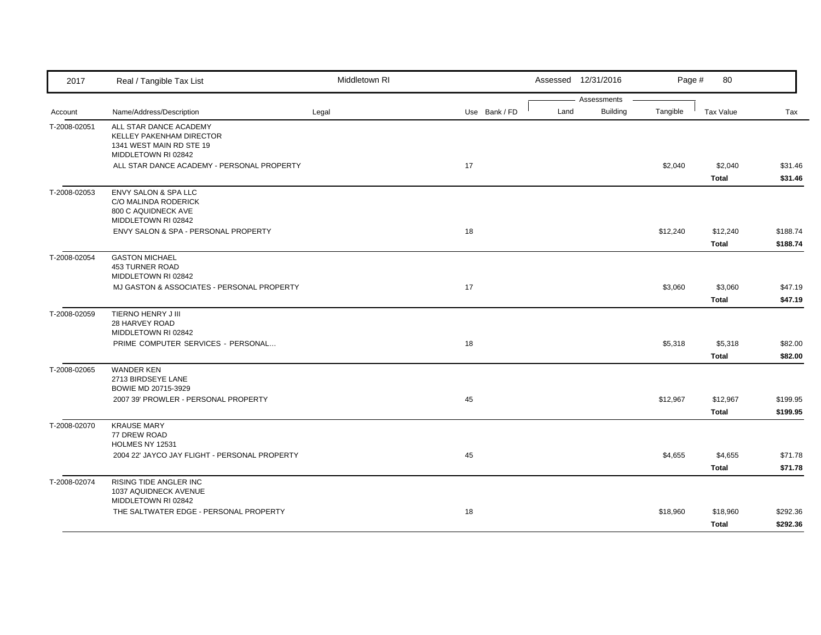| 2017         | Real / Tangible Tax List                                                                              | Middletown RI |               |      | Assessed 12/31/2016            | Page #   | 80                      |                      |
|--------------|-------------------------------------------------------------------------------------------------------|---------------|---------------|------|--------------------------------|----------|-------------------------|----------------------|
| Account      | Name/Address/Description                                                                              | Legal         | Use Bank / FD | Land | Assessments<br><b>Building</b> | Tangible | Tax Value               | Tax                  |
| T-2008-02051 | ALL STAR DANCE ACADEMY<br>KELLEY PAKENHAM DIRECTOR<br>1341 WEST MAIN RD STE 19<br>MIDDLETOWN RI 02842 |               |               |      |                                |          |                         |                      |
|              | ALL STAR DANCE ACADEMY - PERSONAL PROPERTY                                                            |               | 17            |      |                                | \$2,040  | \$2,040<br>Total        | \$31.46<br>\$31.46   |
| T-2008-02053 | ENVY SALON & SPA LLC<br>C/O MALINDA RODERICK<br>800 C AQUIDNECK AVE<br>MIDDLETOWN RI 02842            |               |               |      |                                |          |                         |                      |
|              | ENVY SALON & SPA - PERSONAL PROPERTY                                                                  |               | 18            |      |                                | \$12,240 | \$12,240<br>Total       | \$188.74<br>\$188.74 |
| T-2008-02054 | <b>GASTON MICHAEL</b><br><b>453 TURNER ROAD</b><br>MIDDLETOWN RI 02842                                |               |               |      |                                |          |                         |                      |
|              | MJ GASTON & ASSOCIATES - PERSONAL PROPERTY                                                            |               | 17            |      |                                | \$3,060  | \$3,060<br>Total        | \$47.19<br>\$47.19   |
| T-2008-02059 | TIERNO HENRY J III<br>28 HARVEY ROAD<br>MIDDLETOWN RI 02842                                           |               |               |      |                                |          |                         |                      |
|              | PRIME COMPUTER SERVICES - PERSONAL                                                                    |               | 18            |      |                                | \$5,318  | \$5,318<br><b>Total</b> | \$82.00<br>\$82.00   |
| T-2008-02065 | <b>WANDER KEN</b><br>2713 BIRDSEYE LANE<br>BOWIE MD 20715-3929                                        |               |               |      |                                |          |                         |                      |
|              | 2007 39' PROWLER - PERSONAL PROPERTY                                                                  |               | 45            |      |                                | \$12,967 | \$12,967<br>Total       | \$199.95<br>\$199.95 |
| T-2008-02070 | <b>KRAUSE MARY</b><br>77 DREW ROAD<br>HOLMES NY 12531                                                 |               |               |      |                                |          |                         |                      |
|              | 2004 22' JAYCO JAY FLIGHT - PERSONAL PROPERTY                                                         |               | 45            |      |                                | \$4,655  | \$4,655<br>Total        | \$71.78<br>\$71.78   |
| T-2008-02074 | RISING TIDE ANGLER INC<br>1037 AQUIDNECK AVENUE<br>MIDDLETOWN RI 02842                                |               |               |      |                                |          |                         |                      |
|              | THE SALTWATER EDGE - PERSONAL PROPERTY                                                                |               | 18            |      |                                | \$18,960 | \$18,960<br>Total       | \$292.36<br>\$292.36 |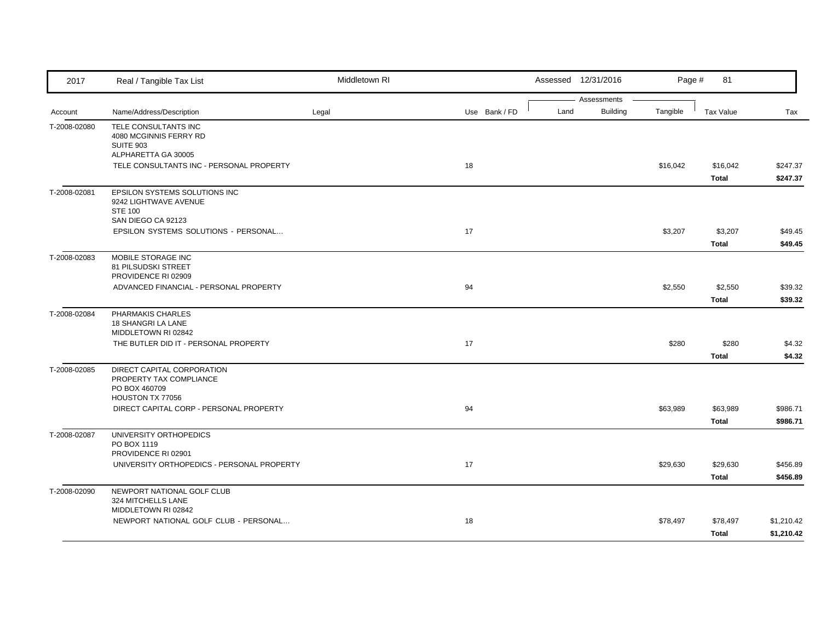| 2017         | Real / Tangible Tax List                                                                       | Middletown RI |               |      | Assessed 12/31/2016     | Page #   | 81                       |                          |
|--------------|------------------------------------------------------------------------------------------------|---------------|---------------|------|-------------------------|----------|--------------------------|--------------------------|
| Account      | Name/Address/Description                                                                       | Legal         | Use Bank / FD | Land | Assessments<br>Building | Tangible | <b>Tax Value</b>         | Tax                      |
| T-2008-02080 | TELE CONSULTANTS INC<br>4080 MCGINNIS FERRY RD<br><b>SUITE 903</b>                             |               |               |      |                         |          |                          |                          |
|              | ALPHARETTA GA 30005<br>TELE CONSULTANTS INC - PERSONAL PROPERTY                                |               | 18            |      |                         | \$16,042 | \$16,042<br>Total        | \$247.37<br>\$247.37     |
| T-2008-02081 | EPSILON SYSTEMS SOLUTIONS INC<br>9242 LIGHTWAVE AVENUE<br><b>STE 100</b><br>SAN DIEGO CA 92123 |               |               |      |                         |          |                          |                          |
|              | EPSILON SYSTEMS SOLUTIONS - PERSONAL                                                           |               | 17            |      |                         | \$3,207  | \$3,207<br>Total         | \$49.45<br>\$49.45       |
| T-2008-02083 | MOBILE STORAGE INC<br>81 PILSUDSKI STREET<br>PROVIDENCE RI 02909                               |               |               |      |                         |          |                          |                          |
|              | ADVANCED FINANCIAL - PERSONAL PROPERTY                                                         |               | 94            |      |                         | \$2,550  | \$2,550<br>Total         | \$39.32<br>\$39.32       |
| T-2008-02084 | PHARMAKIS CHARLES<br>18 SHANGRI LA LANE<br>MIDDLETOWN RI 02842                                 |               |               |      |                         |          |                          |                          |
|              | THE BUTLER DID IT - PERSONAL PROPERTY                                                          |               | 17            |      |                         | \$280    | \$280<br><b>Total</b>    | \$4.32<br>\$4.32         |
| T-2008-02085 | DIRECT CAPITAL CORPORATION<br>PROPERTY TAX COMPLIANCE<br>PO BOX 460709<br>HOUSTON TX 77056     |               |               |      |                         |          |                          |                          |
|              | DIRECT CAPITAL CORP - PERSONAL PROPERTY                                                        |               | 94            |      |                         | \$63,989 | \$63,989<br>Total        | \$986.71<br>\$986.71     |
| T-2008-02087 | UNIVERSITY ORTHOPEDICS<br>PO BOX 1119<br>PROVIDENCE RI 02901                                   |               |               |      |                         |          |                          |                          |
|              | UNIVERSITY ORTHOPEDICS - PERSONAL PROPERTY                                                     |               | 17            |      |                         | \$29,630 | \$29,630<br>Total        | \$456.89<br>\$456.89     |
| T-2008-02090 | NEWPORT NATIONAL GOLF CLUB<br>324 MITCHELLS LANE<br>MIDDLETOWN RI 02842                        |               |               |      |                         |          |                          |                          |
|              | NEWPORT NATIONAL GOLF CLUB - PERSONAL                                                          |               | 18            |      |                         | \$78,497 | \$78,497<br><b>Total</b> | \$1,210.42<br>\$1,210.42 |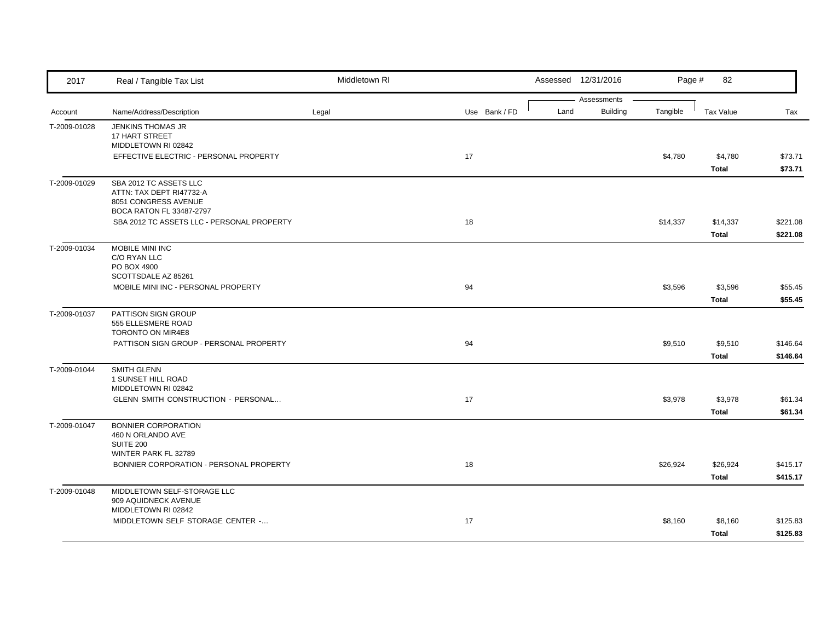| 2017         | Real / Tangible Tax List                     | Middletown RI |               |      | Assessed 12/31/2016 | Page #   | 82           |          |
|--------------|----------------------------------------------|---------------|---------------|------|---------------------|----------|--------------|----------|
|              |                                              |               |               |      | Assessments         |          |              |          |
| Account      | Name/Address/Description                     | Legal         | Use Bank / FD | Land | <b>Building</b>     | Tangible | Tax Value    | Tax      |
| T-2009-01028 | <b>JENKINS THOMAS JR</b>                     |               |               |      |                     |          |              |          |
|              | <b>17 HART STREET</b><br>MIDDLETOWN RI 02842 |               |               |      |                     |          |              |          |
|              | EFFECTIVE ELECTRIC - PERSONAL PROPERTY       |               | 17            |      |                     | \$4,780  | \$4,780      | \$73.71  |
|              |                                              |               |               |      |                     |          | Total        | \$73.71  |
| T-2009-01029 | SBA 2012 TC ASSETS LLC                       |               |               |      |                     |          |              |          |
|              | ATTN: TAX DEPT RI47732-A                     |               |               |      |                     |          |              |          |
|              | 8051 CONGRESS AVENUE                         |               |               |      |                     |          |              |          |
|              | BOCA RATON FL 33487-2797                     |               |               |      |                     |          |              |          |
|              | SBA 2012 TC ASSETS LLC - PERSONAL PROPERTY   |               | 18            |      |                     | \$14,337 | \$14,337     | \$221.08 |
|              |                                              |               |               |      |                     |          | Total        | \$221.08 |
| T-2009-01034 | MOBILE MINI INC                              |               |               |      |                     |          |              |          |
|              | C/O RYAN LLC                                 |               |               |      |                     |          |              |          |
|              | PO BOX 4900<br>SCOTTSDALE AZ 85261           |               |               |      |                     |          |              |          |
|              | MOBILE MINI INC - PERSONAL PROPERTY          |               | 94            |      |                     | \$3,596  | \$3,596      | \$55.45  |
|              |                                              |               |               |      |                     |          |              |          |
|              |                                              |               |               |      |                     |          | Total        | \$55.45  |
| T-2009-01037 | PATTISON SIGN GROUP                          |               |               |      |                     |          |              |          |
|              | 555 ELLESMERE ROAD<br>TORONTO ON MIR4E8      |               |               |      |                     |          |              |          |
|              | PATTISON SIGN GROUP - PERSONAL PROPERTY      |               | 94            |      |                     | \$9,510  | \$9,510      | \$146.64 |
|              |                                              |               |               |      |                     |          | Total        | \$146.64 |
| T-2009-01044 | <b>SMITH GLENN</b>                           |               |               |      |                     |          |              |          |
|              | 1 SUNSET HILL ROAD                           |               |               |      |                     |          |              |          |
|              | MIDDLETOWN RI 02842                          |               |               |      |                     |          |              |          |
|              | GLENN SMITH CONSTRUCTION - PERSONAL          |               | 17            |      |                     | \$3,978  | \$3,978      | \$61.34  |
|              |                                              |               |               |      |                     |          | <b>Total</b> | \$61.34  |
| T-2009-01047 | BONNIER CORPORATION                          |               |               |      |                     |          |              |          |
|              | 460 N ORLANDO AVE                            |               |               |      |                     |          |              |          |
|              | <b>SUITE 200</b>                             |               |               |      |                     |          |              |          |
|              | WINTER PARK FL 32789                         |               |               |      |                     |          |              |          |
|              | BONNIER CORPORATION - PERSONAL PROPERTY      |               | 18            |      |                     | \$26,924 | \$26,924     | \$415.17 |
|              |                                              |               |               |      |                     |          | <b>Total</b> | \$415.17 |
| T-2009-01048 | MIDDLETOWN SELF-STORAGE LLC                  |               |               |      |                     |          |              |          |
|              | 909 AQUIDNECK AVENUE<br>MIDDLETOWN RI 02842  |               |               |      |                     |          |              |          |
|              | MIDDLETOWN SELF STORAGE CENTER -             |               | 17            |      |                     | \$8,160  | \$8,160      | \$125.83 |
|              |                                              |               |               |      |                     |          | Total        | \$125.83 |
|              |                                              |               |               |      |                     |          |              |          |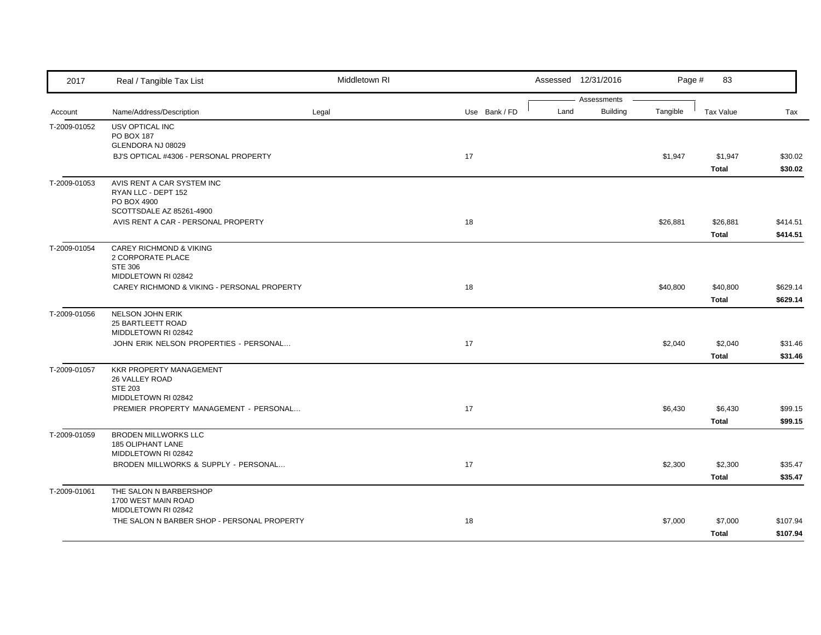| 2017         | Real / Tangible Tax List                                        | Middletown RI |               | Assessed 12/31/2016 |          | Page #   | 83               |                      |
|--------------|-----------------------------------------------------------------|---------------|---------------|---------------------|----------|----------|------------------|----------------------|
|              |                                                                 |               |               | Assessments         |          |          |                  |                      |
| Account      | Name/Address/Description                                        | Legal         | Use Bank / FD | Land                | Building | Tangible | <b>Tax Value</b> | Tax                  |
| T-2009-01052 | USV OPTICAL INC                                                 |               |               |                     |          |          |                  |                      |
|              | PO BOX 187<br>GLENDORA NJ 08029                                 |               |               |                     |          |          |                  |                      |
|              | BJ'S OPTICAL #4306 - PERSONAL PROPERTY                          |               | 17            |                     |          | \$1,947  | \$1,947          | \$30.02              |
|              |                                                                 |               |               |                     |          |          | Total            | \$30.02              |
| T-2009-01053 | AVIS RENT A CAR SYSTEM INC                                      |               |               |                     |          |          |                  |                      |
|              | RYAN LLC - DEPT 152                                             |               |               |                     |          |          |                  |                      |
|              | PO BOX 4900                                                     |               |               |                     |          |          |                  |                      |
|              | SCOTTSDALE AZ 85261-4900<br>AVIS RENT A CAR - PERSONAL PROPERTY |               | 18            |                     |          |          | \$26,881         |                      |
|              |                                                                 |               |               |                     |          | \$26,881 | Total            | \$414.51<br>\$414.51 |
| T-2009-01054 | <b>CAREY RICHMOND &amp; VIKING</b>                              |               |               |                     |          |          |                  |                      |
|              | 2 CORPORATE PLACE                                               |               |               |                     |          |          |                  |                      |
|              | <b>STE 306</b>                                                  |               |               |                     |          |          |                  |                      |
|              | MIDDLETOWN RI 02842                                             |               |               |                     |          |          |                  |                      |
|              | CAREY RICHMOND & VIKING - PERSONAL PROPERTY                     |               | 18            |                     |          | \$40,800 | \$40,800         | \$629.14             |
|              |                                                                 |               |               |                     |          |          | Total            | \$629.14             |
| T-2009-01056 | <b>NELSON JOHN ERIK</b>                                         |               |               |                     |          |          |                  |                      |
|              | 25 BARTLEETT ROAD                                               |               |               |                     |          |          |                  |                      |
|              | MIDDLETOWN RI 02842                                             |               |               |                     |          |          |                  |                      |
|              | JOHN ERIK NELSON PROPERTIES - PERSONAL                          |               | 17            |                     |          | \$2,040  | \$2,040          | \$31.46              |
| T-2009-01057 | <b>KKR PROPERTY MANAGEMENT</b>                                  |               |               |                     |          |          | Total            | \$31.46              |
|              | 26 VALLEY ROAD                                                  |               |               |                     |          |          |                  |                      |
|              | <b>STE 203</b>                                                  |               |               |                     |          |          |                  |                      |
|              | MIDDLETOWN RI 02842                                             |               |               |                     |          |          |                  |                      |
|              | PREMIER PROPERTY MANAGEMENT - PERSONAL                          |               | 17            |                     |          | \$6,430  | \$6,430          | \$99.15              |
|              |                                                                 |               |               |                     |          |          | Total            | \$99.15              |
| T-2009-01059 | <b>BRODEN MILLWORKS LLC</b>                                     |               |               |                     |          |          |                  |                      |
|              | 185 OLIPHANT LANE                                               |               |               |                     |          |          |                  |                      |
|              | MIDDLETOWN RI 02842                                             |               |               |                     |          |          |                  |                      |
|              | BRODEN MILLWORKS & SUPPLY - PERSONAL                            |               | 17            |                     |          | \$2,300  | \$2,300          | \$35.47              |
|              |                                                                 |               |               |                     |          |          | Total            | \$35.47              |
| T-2009-01061 | THE SALON N BARBERSHOP                                          |               |               |                     |          |          |                  |                      |
|              | 1700 WEST MAIN ROAD<br>MIDDLETOWN RI 02842                      |               |               |                     |          |          |                  |                      |
|              | THE SALON N BARBER SHOP - PERSONAL PROPERTY                     |               | 18            |                     |          | \$7,000  | \$7,000          | \$107.94             |
|              |                                                                 |               |               |                     |          |          | Total            | \$107.94             |
|              |                                                                 |               |               |                     |          |          |                  |                      |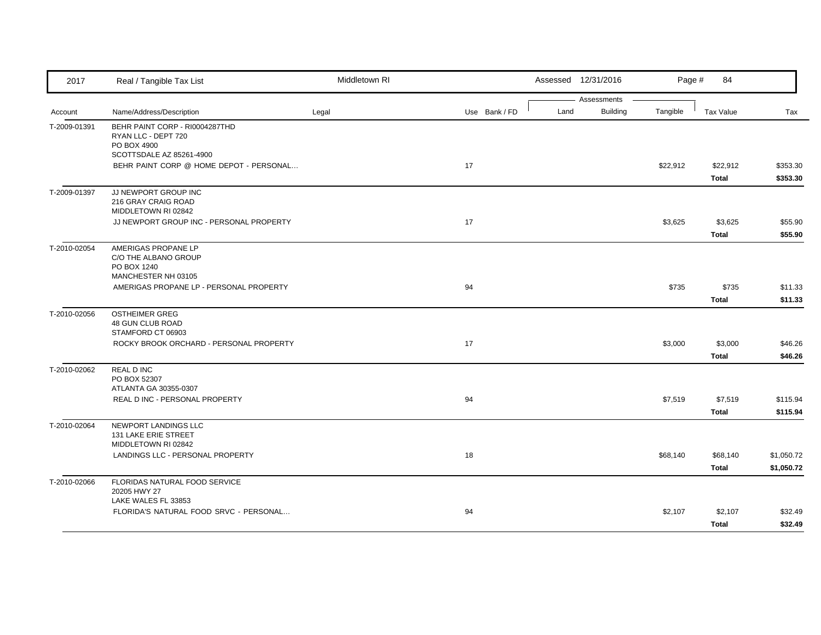| 2017         | Real / Tangible Tax List                                   | Middletown RI |               |      | Assessed 12/31/2016            | Page #   | 84               |            |
|--------------|------------------------------------------------------------|---------------|---------------|------|--------------------------------|----------|------------------|------------|
|              |                                                            |               |               | Land | Assessments<br><b>Building</b> | Tangible |                  |            |
| Account      | Name/Address/Description<br>BEHR PAINT CORP - RI0004287THD | Legal         | Use Bank / FD |      |                                |          | <b>Tax Value</b> | Tax        |
| T-2009-01391 | RYAN LLC - DEPT 720                                        |               |               |      |                                |          |                  |            |
|              | PO BOX 4900<br>SCOTTSDALE AZ 85261-4900                    |               |               |      |                                |          |                  |            |
|              | BEHR PAINT CORP @ HOME DEPOT - PERSONAL                    |               | 17            |      |                                | \$22,912 | \$22,912         | \$353.30   |
|              |                                                            |               |               |      |                                |          | Total            | \$353.30   |
| T-2009-01397 | JJ NEWPORT GROUP INC                                       |               |               |      |                                |          |                  |            |
|              | 216 GRAY CRAIG ROAD<br>MIDDLETOWN RI 02842                 |               |               |      |                                |          |                  |            |
|              | JJ NEWPORT GROUP INC - PERSONAL PROPERTY                   |               | 17            |      |                                | \$3,625  | \$3,625          | \$55.90    |
|              |                                                            |               |               |      |                                |          | <b>Total</b>     | \$55.90    |
| T-2010-02054 | AMERIGAS PROPANE LP                                        |               |               |      |                                |          |                  |            |
|              | C/O THE ALBANO GROUP<br>PO BOX 1240                        |               |               |      |                                |          |                  |            |
|              | MANCHESTER NH 03105                                        |               |               |      |                                |          |                  |            |
|              | AMERIGAS PROPANE LP - PERSONAL PROPERTY                    |               | 94            |      |                                | \$735    | \$735            | \$11.33    |
|              |                                                            |               |               |      |                                |          | <b>Total</b>     | \$11.33    |
| T-2010-02056 | <b>OSTHEIMER GREG</b>                                      |               |               |      |                                |          |                  |            |
|              | 48 GUN CLUB ROAD<br>STAMFORD CT 06903                      |               |               |      |                                |          |                  |            |
|              | ROCKY BROOK ORCHARD - PERSONAL PROPERTY                    |               | 17            |      |                                | \$3,000  | \$3,000          | \$46.26    |
|              |                                                            |               |               |      |                                |          | Total            | \$46.26    |
| T-2010-02062 | <b>REAL D INC</b>                                          |               |               |      |                                |          |                  |            |
|              | PO BOX 52307<br>ATLANTA GA 30355-0307                      |               |               |      |                                |          |                  |            |
|              | REAL D INC - PERSONAL PROPERTY                             |               | 94            |      |                                | \$7,519  | \$7,519          | \$115.94   |
|              |                                                            |               |               |      |                                |          | Total            | \$115.94   |
| T-2010-02064 | NEWPORT LANDINGS LLC                                       |               |               |      |                                |          |                  |            |
|              | 131 LAKE ERIE STREET<br>MIDDLETOWN RI 02842                |               |               |      |                                |          |                  |            |
|              | LANDINGS LLC - PERSONAL PROPERTY                           |               | 18            |      |                                | \$68,140 | \$68,140         | \$1,050.72 |
|              |                                                            |               |               |      |                                |          | Total            | \$1,050.72 |
| T-2010-02066 | FLORIDAS NATURAL FOOD SERVICE                              |               |               |      |                                |          |                  |            |
|              | 20205 HWY 27<br>LAKE WALES FL 33853                        |               |               |      |                                |          |                  |            |
|              | FLORIDA'S NATURAL FOOD SRVC - PERSONAL                     |               | 94            |      |                                | \$2,107  | \$2,107          | \$32.49    |
|              |                                                            |               |               |      |                                |          | Total            | \$32.49    |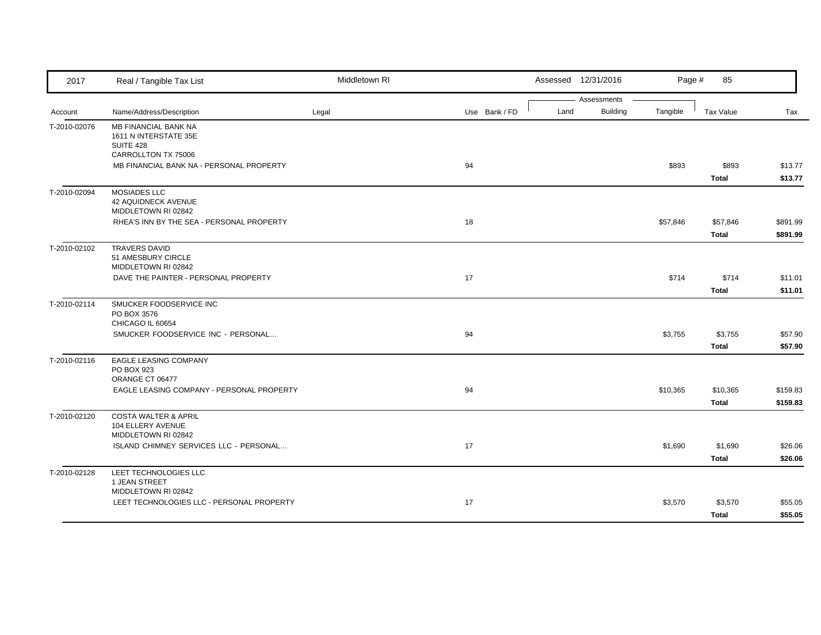| 2017         | Real / Tangible Tax List                                                          | Middletown RI |               | Assessed 12/31/2016 |                             | Page #<br>85             |                      |
|--------------|-----------------------------------------------------------------------------------|---------------|---------------|---------------------|-----------------------------|--------------------------|----------------------|
| Account      | Name/Address/Description                                                          | Legal         | Use Bank / FD | Assessments<br>Land | <b>Building</b><br>Tangible | Tax Value                | Tax                  |
| T-2010-02076 | MB FINANCIAL BANK NA<br>1611 N INTERSTATE 35E<br>SUITE 428<br>CARROLLTON TX 75006 |               |               |                     |                             |                          |                      |
|              | MB FINANCIAL BANK NA - PERSONAL PROPERTY                                          |               | 94            |                     | \$893                       | \$893<br><b>Total</b>    | \$13.77<br>\$13.77   |
| T-2010-02094 | <b>MOSIADES LLC</b><br>42 AQUIDNECK AVENUE<br>MIDDLETOWN RI 02842                 |               |               |                     |                             |                          |                      |
|              | RHEA'S INN BY THE SEA - PERSONAL PROPERTY                                         |               | 18            |                     | \$57,846                    | \$57,846<br><b>Total</b> | \$891.99<br>\$891.99 |
| T-2010-02102 | <b>TRAVERS DAVID</b><br>51 AMESBURY CIRCLE<br>MIDDLETOWN RI 02842                 |               |               |                     |                             |                          |                      |
|              | DAVE THE PAINTER - PERSONAL PROPERTY                                              |               | 17            |                     | \$714                       | \$714<br>Total           | \$11.01<br>\$11.01   |
| T-2010-02114 | SMUCKER FOODSERVICE INC<br>PO BOX 3576<br>CHICAGO IL 60654                        |               |               |                     |                             |                          |                      |
|              | SMUCKER FOODSERVICE INC - PERSONAL                                                |               | 94            |                     | \$3,755                     | \$3,755<br><b>Total</b>  | \$57.90<br>\$57.90   |
| T-2010-02116 | EAGLE LEASING COMPANY<br>PO BOX 923<br>ORANGE CT 06477                            |               |               |                     |                             |                          |                      |
|              | EAGLE LEASING COMPANY - PERSONAL PROPERTY                                         |               | 94            |                     | \$10,365                    | \$10,365<br><b>Total</b> | \$159.83<br>\$159.83 |
| T-2010-02120 | <b>COSTA WALTER &amp; APRIL</b><br>104 ELLERY AVENUE<br>MIDDLETOWN RI 02842       |               |               |                     |                             |                          |                      |
|              | ISLAND CHIMNEY SERVICES LLC - PERSONAL                                            |               | 17            |                     | \$1,690                     | \$1,690<br>Total         | \$26.06<br>\$26.06   |
| T-2010-02128 | LEET TECHNOLOGIES LLC<br>1 JEAN STREET<br>MIDDLETOWN RI 02842                     |               |               |                     |                             |                          |                      |
|              | LEET TECHNOLOGIES LLC - PERSONAL PROPERTY                                         |               | 17            |                     | \$3,570                     | \$3,570<br>Total         | \$55.05<br>\$55.05   |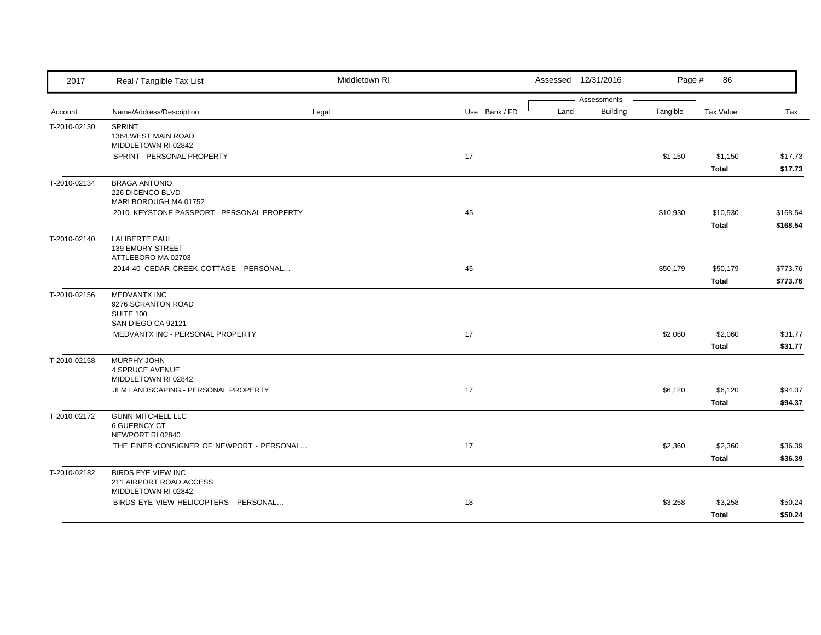| 2017         | Real / Tangible Tax List                                                     | Middletown RI |               | Assessed 12/31/2016                    | Page #   | 86                       |                      |
|--------------|------------------------------------------------------------------------------|---------------|---------------|----------------------------------------|----------|--------------------------|----------------------|
| Account      | Name/Address/Description                                                     | Legal         | Use Bank / FD | Assessments<br><b>Building</b><br>Land | Tangible | Tax Value                | Tax                  |
| T-2010-02130 | <b>SPRINT</b><br>1364 WEST MAIN ROAD<br>MIDDLETOWN RI 02842                  |               |               |                                        |          |                          |                      |
|              | SPRINT - PERSONAL PROPERTY                                                   |               | 17            |                                        | \$1,150  | \$1,150<br>Total         | \$17.73<br>\$17.73   |
| T-2010-02134 | <b>BRAGA ANTONIO</b><br>226 DICENCO BLVD<br>MARLBOROUGH MA 01752             |               |               |                                        |          |                          |                      |
|              | 2010 KEYSTONE PASSPORT - PERSONAL PROPERTY                                   |               | 45            |                                        | \$10,930 | \$10,930<br>Total        | \$168.54<br>\$168.54 |
| T-2010-02140 | <b>LALIBERTE PAUL</b><br>139 EMORY STREET<br>ATTLEBORO MA 02703              |               |               |                                        |          |                          |                      |
|              | 2014 40' CEDAR CREEK COTTAGE - PERSONAL                                      |               | 45            |                                        | \$50,179 | \$50,179<br><b>Total</b> | \$773.76<br>\$773.76 |
| T-2010-02156 | <b>MEDVANTX INC</b><br>9276 SCRANTON ROAD<br>SUITE 100<br>SAN DIEGO CA 92121 |               |               |                                        |          |                          |                      |
|              | MEDVANTX INC - PERSONAL PROPERTY                                             |               | 17            |                                        | \$2,060  | \$2,060<br>Total         | \$31.77<br>\$31.77   |
| T-2010-02158 | MURPHY JOHN<br><b>4 SPRUCE AVENUE</b><br>MIDDLETOWN RI 02842                 |               |               |                                        |          |                          |                      |
|              | JLM LANDSCAPING - PERSONAL PROPERTY                                          |               | 17            |                                        | \$6,120  | \$6,120<br>Total         | \$94.37<br>\$94.37   |
| T-2010-02172 | <b>GUNN-MITCHELL LLC</b><br><b>6 GUERNCY CT</b><br>NEWPORT RI 02840          |               |               |                                        |          |                          |                      |
|              | THE FINER CONSIGNER OF NEWPORT - PERSONAL                                    |               | 17            |                                        | \$2,360  | \$2,360<br>Total         | \$36.39<br>\$36.39   |
| T-2010-02182 | <b>BIRDS EYE VIEW INC</b><br>211 AIRPORT ROAD ACCESS<br>MIDDLETOWN RI 02842  |               |               |                                        |          |                          |                      |
|              | BIRDS EYE VIEW HELICOPTERS - PERSONAL                                        |               | 18            |                                        | \$3,258  | \$3,258<br>Total         | \$50.24<br>\$50.24   |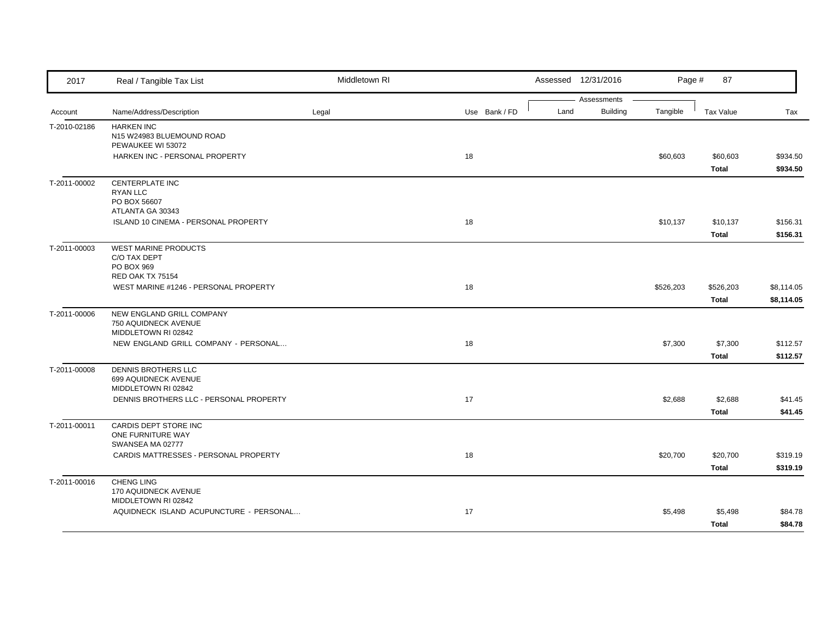| 2017         | Real / Tangible Tax List                                    | Middletown RI |               |      | Assessed 12/31/2016 | Page #    | 87               |            |
|--------------|-------------------------------------------------------------|---------------|---------------|------|---------------------|-----------|------------------|------------|
|              |                                                             |               |               |      | Assessments         |           |                  |            |
| Account      | Name/Address/Description                                    | Legal         | Use Bank / FD | Land | <b>Building</b>     | Tangible  | <b>Tax Value</b> | Tax        |
| T-2010-02186 | <b>HARKEN INC</b><br>N15 W24983 BLUEMOUND ROAD              |               |               |      |                     |           |                  |            |
|              | PEWAUKEE WI 53072                                           |               |               |      |                     |           |                  |            |
|              | HARKEN INC - PERSONAL PROPERTY                              |               | 18            |      |                     | \$60,603  | \$60,603         | \$934.50   |
|              |                                                             |               |               |      |                     |           | Total            | \$934.50   |
| T-2011-00002 | <b>CENTERPLATE INC</b>                                      |               |               |      |                     |           |                  |            |
|              | <b>RYAN LLC</b>                                             |               |               |      |                     |           |                  |            |
|              | PO BOX 56607                                                |               |               |      |                     |           |                  |            |
|              | ATLANTA GA 30343<br>ISLAND 10 CINEMA - PERSONAL PROPERTY    |               | 18            |      |                     |           |                  |            |
|              |                                                             |               |               |      |                     | \$10,137  | \$10,137         | \$156.31   |
|              |                                                             |               |               |      |                     |           | Total            | \$156.31   |
| T-2011-00003 | WEST MARINE PRODUCTS<br>C/O TAX DEPT                        |               |               |      |                     |           |                  |            |
|              | PO BOX 969                                                  |               |               |      |                     |           |                  |            |
|              | <b>RED OAK TX 75154</b>                                     |               |               |      |                     |           |                  |            |
|              | WEST MARINE #1246 - PERSONAL PROPERTY                       |               | 18            |      |                     | \$526,203 | \$526,203        | \$8,114.05 |
|              |                                                             |               |               |      |                     |           | <b>Total</b>     | \$8,114.05 |
| T-2011-00006 | NEW ENGLAND GRILL COMPANY                                   |               |               |      |                     |           |                  |            |
|              | 750 AQUIDNECK AVENUE                                        |               |               |      |                     |           |                  |            |
|              | MIDDLETOWN RI 02842<br>NEW ENGLAND GRILL COMPANY - PERSONAL |               | 18            |      |                     | \$7,300   | \$7,300          |            |
|              |                                                             |               |               |      |                     |           |                  | \$112.57   |
|              |                                                             |               |               |      |                     |           | Total            | \$112.57   |
| T-2011-00008 | DENNIS BROTHERS LLC<br>699 AQUIDNECK AVENUE                 |               |               |      |                     |           |                  |            |
|              | MIDDLETOWN RI 02842                                         |               |               |      |                     |           |                  |            |
|              | DENNIS BROTHERS LLC - PERSONAL PROPERTY                     |               | 17            |      |                     | \$2,688   | \$2,688          | \$41.45    |
|              |                                                             |               |               |      |                     |           | Total            | \$41.45    |
| T-2011-00011 | CARDIS DEPT STORE INC                                       |               |               |      |                     |           |                  |            |
|              | ONE FURNITURE WAY                                           |               |               |      |                     |           |                  |            |
|              | SWANSEA MA 02777                                            |               |               |      |                     |           |                  |            |
|              | CARDIS MATTRESSES - PERSONAL PROPERTY                       |               | 18            |      |                     | \$20,700  | \$20,700         | \$319.19   |
|              |                                                             |               |               |      |                     |           | Total            | \$319.19   |
| T-2011-00016 | CHENG LING                                                  |               |               |      |                     |           |                  |            |
|              | 170 AQUIDNECK AVENUE<br>MIDDLETOWN RI 02842                 |               |               |      |                     |           |                  |            |
|              | AQUIDNECK ISLAND ACUPUNCTURE - PERSONAL                     |               | 17            |      |                     | \$5,498   | \$5,498          | \$84.78    |
|              |                                                             |               |               |      |                     |           | Total            | \$84.78    |
|              |                                                             |               |               |      |                     |           |                  |            |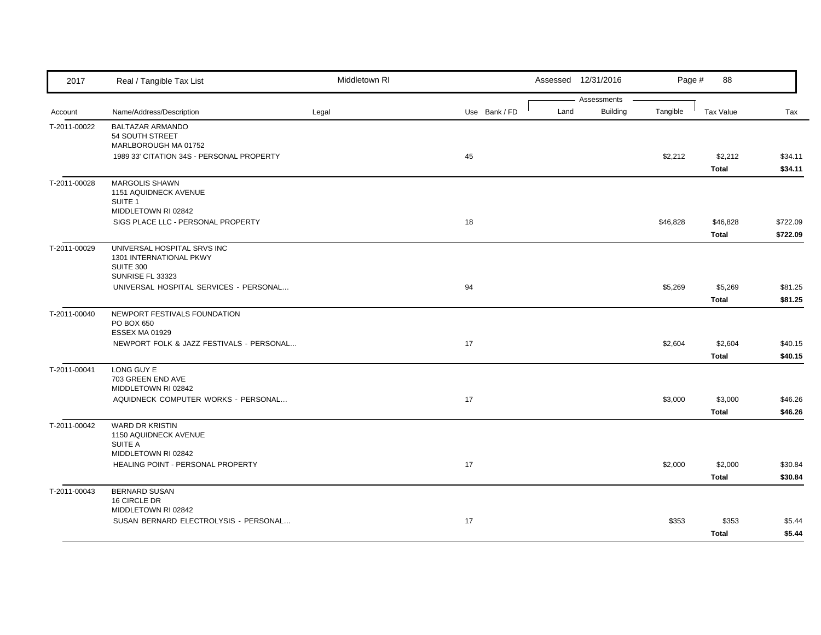| 2017         | Real / Tangible Tax List                   | Middletown RI |               |      | Assessed 12/31/2016 | Page #   | 88               |          |
|--------------|--------------------------------------------|---------------|---------------|------|---------------------|----------|------------------|----------|
|              |                                            |               |               |      | Assessments         |          |                  |          |
| Account      | Name/Address/Description                   | Legal         | Use Bank / FD | Land | <b>Building</b>     | Tangible | <b>Tax Value</b> | Tax      |
| T-2011-00022 | <b>BALTAZAR ARMANDO</b><br>54 SOUTH STREET |               |               |      |                     |          |                  |          |
|              | MARLBOROUGH MA 01752                       |               |               |      |                     |          |                  |          |
|              | 1989 33' CITATION 34S - PERSONAL PROPERTY  |               | 45            |      |                     | \$2,212  | \$2,212          | \$34.11  |
|              |                                            |               |               |      |                     |          | Total            | \$34.11  |
| T-2011-00028 | MARGOLIS SHAWN                             |               |               |      |                     |          |                  |          |
|              | 1151 AQUIDNECK AVENUE                      |               |               |      |                     |          |                  |          |
|              | SUITE <sub>1</sub><br>MIDDLETOWN RI 02842  |               |               |      |                     |          |                  |          |
|              | SIGS PLACE LLC - PERSONAL PROPERTY         |               | 18            |      |                     | \$46,828 | \$46,828         | \$722.09 |
|              |                                            |               |               |      |                     |          | <b>Total</b>     | \$722.09 |
| T-2011-00029 | UNIVERSAL HOSPITAL SRVS INC                |               |               |      |                     |          |                  |          |
|              | 1301 INTERNATIONAL PKWY                    |               |               |      |                     |          |                  |          |
|              | <b>SUITE 300</b>                           |               |               |      |                     |          |                  |          |
|              | SUNRISE FL 33323                           |               |               |      |                     |          |                  |          |
|              | UNIVERSAL HOSPITAL SERVICES - PERSONAL     |               | 94            |      |                     | \$5,269  | \$5,269          | \$81.25  |
|              |                                            |               |               |      |                     |          | Total            | \$81.25  |
| T-2011-00040 | NEWPORT FESTIVALS FOUNDATION               |               |               |      |                     |          |                  |          |
|              | PO BOX 650<br><b>ESSEX MA 01929</b>        |               |               |      |                     |          |                  |          |
|              | NEWPORT FOLK & JAZZ FESTIVALS - PERSONAL   |               | 17            |      |                     | \$2,604  | \$2,604          | \$40.15  |
|              |                                            |               |               |      |                     |          | Total            | \$40.15  |
| T-2011-00041 | LONG GUY E                                 |               |               |      |                     |          |                  |          |
|              | 703 GREEN END AVE                          |               |               |      |                     |          |                  |          |
|              | MIDDLETOWN RI 02842                        |               |               |      |                     |          |                  |          |
|              | AQUIDNECK COMPUTER WORKS - PERSONAL        |               | 17            |      |                     | \$3,000  | \$3,000          | \$46.26  |
|              |                                            |               |               |      |                     |          | Total            | \$46.26  |
| T-2011-00042 | <b>WARD DR KRISTIN</b>                     |               |               |      |                     |          |                  |          |
|              | 1150 AQUIDNECK AVENUE<br>SUITE A           |               |               |      |                     |          |                  |          |
|              | MIDDLETOWN RI 02842                        |               |               |      |                     |          |                  |          |
|              | HEALING POINT - PERSONAL PROPERTY          |               | 17            |      |                     | \$2,000  | \$2,000          | \$30.84  |
|              |                                            |               |               |      |                     |          | Total            | \$30.84  |
| T-2011-00043 | <b>BERNARD SUSAN</b>                       |               |               |      |                     |          |                  |          |
|              | 16 CIRCLE DR                               |               |               |      |                     |          |                  |          |
|              | MIDDLETOWN RI 02842                        |               |               |      |                     |          |                  |          |
|              | SUSAN BERNARD ELECTROLYSIS - PERSONAL      |               | 17            |      |                     | \$353    | \$353            | \$5.44   |
|              |                                            |               |               |      |                     |          | Total            | \$5.44   |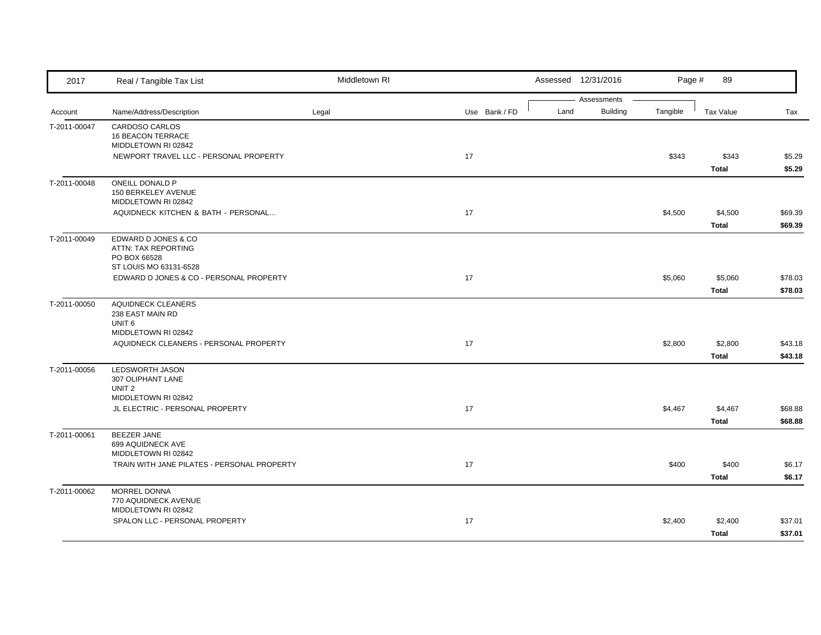| 2017         | Real / Tangible Tax List                                           | Middletown RI |               |      | Assessed 12/31/2016 | Page #   | 89               |                    |
|--------------|--------------------------------------------------------------------|---------------|---------------|------|---------------------|----------|------------------|--------------------|
|              |                                                                    |               |               |      | Assessments         |          |                  |                    |
| Account      | Name/Address/Description                                           | Legal         | Use Bank / FD | Land | <b>Building</b>     | Tangible | <b>Tax Value</b> | Tax                |
| T-2011-00047 | CARDOSO CARLOS<br><b>16 BEACON TERRACE</b><br>MIDDLETOWN RI 02842  |               |               |      |                     |          |                  |                    |
|              | NEWPORT TRAVEL LLC - PERSONAL PROPERTY                             |               | $17$          |      |                     | \$343    | \$343            | \$5.29             |
|              |                                                                    |               |               |      |                     |          | Total            | \$5.29             |
| T-2011-00048 | ONEILL DONALD P<br>150 BERKELEY AVENUE<br>MIDDLETOWN RI 02842      |               |               |      |                     |          |                  |                    |
|              | AQUIDNECK KITCHEN & BATH - PERSONAL                                |               | 17            |      |                     | \$4,500  | \$4,500<br>Total | \$69.39<br>\$69.39 |
| T-2011-00049 | EDWARD D JONES & CO<br>ATTN: TAX REPORTING<br>PO BOX 66528         |               |               |      |                     |          |                  |                    |
|              | ST LOUIS MO 63131-6528<br>EDWARD D JONES & CO - PERSONAL PROPERTY  |               | 17            |      |                     | \$5,060  | \$5,060          | \$78.03            |
|              |                                                                    |               |               |      |                     |          | Total            | \$78.03            |
| T-2011-00050 | AQUIDNECK CLEANERS<br>238 EAST MAIN RD<br>UNIT <sub>6</sub>        |               |               |      |                     |          |                  |                    |
|              | MIDDLETOWN RI 02842<br>AQUIDNECK CLEANERS - PERSONAL PROPERTY      |               | 17            |      |                     | \$2,800  | \$2,800<br>Total | \$43.18<br>\$43.18 |
| T-2011-00056 | <b>LEDSWORTH JASON</b><br>307 OLIPHANT LANE<br>UNIT <sub>2</sub>   |               |               |      |                     |          |                  |                    |
|              | MIDDLETOWN RI 02842                                                |               |               |      |                     |          |                  |                    |
|              | JL ELECTRIC - PERSONAL PROPERTY                                    |               | 17            |      |                     | \$4,467  | \$4,467<br>Total | \$68.88<br>\$68.88 |
| T-2011-00061 | <b>BEEZER JANE</b><br>699 AQUIDNECK AVE<br>MIDDLETOWN RI 02842     |               |               |      |                     |          |                  |                    |
|              | TRAIN WITH JANE PILATES - PERSONAL PROPERTY                        |               | 17            |      |                     | \$400    | \$400            | \$6.17             |
|              |                                                                    |               |               |      |                     |          | Total            | \$6.17             |
| T-2011-00062 | <b>MORREL DONNA</b><br>770 AQUIDNECK AVENUE<br>MIDDLETOWN RI 02842 |               |               |      |                     |          |                  |                    |
|              | SPALON LLC - PERSONAL PROPERTY                                     |               | 17            |      |                     | \$2,400  | \$2,400<br>Total | \$37.01<br>\$37.01 |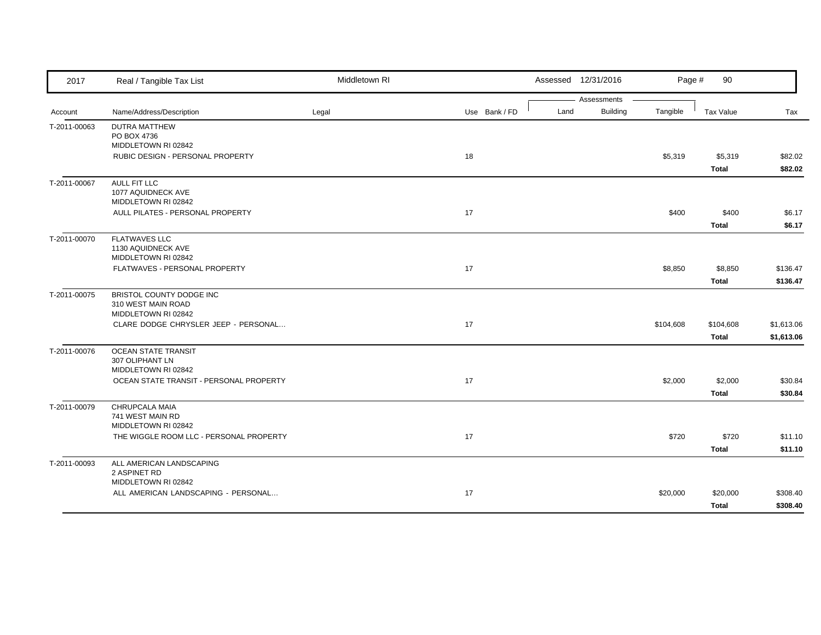| 2017         | Real / Tangible Tax List                                              | Middletown RI |               |      | Assessed 12/31/2016            | Page #    | 90                 |                          |
|--------------|-----------------------------------------------------------------------|---------------|---------------|------|--------------------------------|-----------|--------------------|--------------------------|
| Account      | Name/Address/Description                                              | Legal         | Use Bank / FD | Land | Assessments<br><b>Building</b> | Tangible  | Tax Value          | Tax                      |
| T-2011-00063 | <b>DUTRA MATTHEW</b><br>PO BOX 4736<br>MIDDLETOWN RI 02842            |               |               |      |                                |           |                    |                          |
|              | RUBIC DESIGN - PERSONAL PROPERTY                                      |               | 18            |      |                                | \$5,319   | \$5,319<br>Total   | \$82.02<br>\$82.02       |
| T-2011-00067 | <b>AULL FIT LLC</b><br>1077 AQUIDNECK AVE<br>MIDDLETOWN RI 02842      |               |               |      |                                |           |                    |                          |
|              | AULL PILATES - PERSONAL PROPERTY                                      |               | 17            |      |                                | \$400     | \$400<br>Total     | \$6.17<br>\$6.17         |
| T-2011-00070 | <b>FLATWAVES LLC</b><br>1130 AQUIDNECK AVE<br>MIDDLETOWN RI 02842     |               |               |      |                                |           |                    |                          |
|              | <b>FLATWAVES - PERSONAL PROPERTY</b>                                  |               | 17            |      |                                | \$8,850   | \$8,850<br>Total   | \$136.47<br>\$136.47     |
| T-2011-00075 | BRISTOL COUNTY DODGE INC<br>310 WEST MAIN ROAD<br>MIDDLETOWN RI 02842 |               |               |      |                                |           |                    |                          |
|              | CLARE DODGE CHRYSLER JEEP - PERSONAL                                  |               | 17            |      |                                | \$104,608 | \$104,608<br>Total | \$1,613.06<br>\$1,613.06 |
| T-2011-00076 | <b>OCEAN STATE TRANSIT</b><br>307 OLIPHANT LN<br>MIDDLETOWN RI 02842  |               |               |      |                                |           |                    |                          |
|              | OCEAN STATE TRANSIT - PERSONAL PROPERTY                               |               | 17            |      |                                | \$2,000   | \$2,000<br>Total   | \$30.84<br>\$30.84       |
| T-2011-00079 | CHRUPCALA MAIA<br>741 WEST MAIN RD<br>MIDDLETOWN RI 02842             |               |               |      |                                |           |                    |                          |
|              | THE WIGGLE ROOM LLC - PERSONAL PROPERTY                               |               | 17            |      |                                | \$720     | \$720<br>Total     | \$11.10<br>\$11.10       |
| T-2011-00093 | ALL AMERICAN LANDSCAPING<br>2 ASPINET RD<br>MIDDLETOWN RI 02842       |               |               |      |                                |           |                    |                          |
|              | ALL AMERICAN LANDSCAPING - PERSONAL                                   |               | 17            |      |                                | \$20,000  | \$20,000<br>Total  | \$308.40<br>\$308.40     |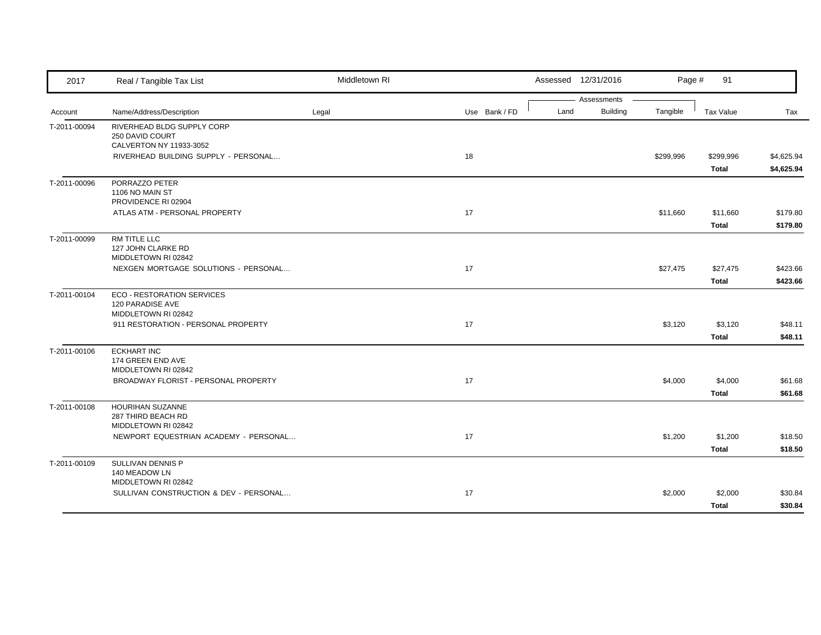| 2017         | Real / Tangible Tax List                              | Middletown RI |               |      | Assessed 12/31/2016 | Page #    | 91               |            |
|--------------|-------------------------------------------------------|---------------|---------------|------|---------------------|-----------|------------------|------------|
|              |                                                       |               |               |      | Assessments         |           |                  |            |
| Account      | Name/Address/Description                              | Legal         | Use Bank / FD | Land | Building            | Tangible  | <b>Tax Value</b> | Tax        |
| T-2011-00094 | RIVERHEAD BLDG SUPPLY CORP                            |               |               |      |                     |           |                  |            |
|              | 250 DAVID COURT<br>CALVERTON NY 11933-3052            |               |               |      |                     |           |                  |            |
|              | RIVERHEAD BUILDING SUPPLY - PERSONAL                  |               | 18            |      |                     | \$299,996 | \$299,996        | \$4,625.94 |
|              |                                                       |               |               |      |                     |           | <b>Total</b>     | \$4,625.94 |
| T-2011-00096 | PORRAZZO PETER                                        |               |               |      |                     |           |                  |            |
|              | 1106 NO MAIN ST                                       |               |               |      |                     |           |                  |            |
|              | PROVIDENCE RI 02904                                   |               |               |      |                     |           |                  |            |
|              | ATLAS ATM - PERSONAL PROPERTY                         |               | 17            |      |                     | \$11,660  | \$11,660         | \$179.80   |
|              |                                                       |               |               |      |                     |           | <b>Total</b>     | \$179.80   |
| T-2011-00099 | RM TITLE LLC                                          |               |               |      |                     |           |                  |            |
|              | 127 JOHN CLARKE RD                                    |               |               |      |                     |           |                  |            |
|              | MIDDLETOWN RI 02842                                   |               |               |      |                     |           |                  |            |
|              | NEXGEN MORTGAGE SOLUTIONS - PERSONAL                  |               | 17            |      |                     | \$27,475  | \$27,475         | \$423.66   |
|              |                                                       |               |               |      |                     |           | Total            | \$423.66   |
| T-2011-00104 | <b>ECO - RESTORATION SERVICES</b><br>120 PARADISE AVE |               |               |      |                     |           |                  |            |
|              | MIDDLETOWN RI 02842                                   |               |               |      |                     |           |                  |            |
|              | 911 RESTORATION - PERSONAL PROPERTY                   |               | 17            |      |                     | \$3,120   | \$3,120          | \$48.11    |
|              |                                                       |               |               |      |                     |           | Total            | \$48.11    |
| T-2011-00106 | <b>ECKHART INC</b>                                    |               |               |      |                     |           |                  |            |
|              | 174 GREEN END AVE                                     |               |               |      |                     |           |                  |            |
|              | MIDDLETOWN RI 02842                                   |               |               |      |                     |           |                  |            |
|              | BROADWAY FLORIST - PERSONAL PROPERTY                  |               | 17            |      |                     | \$4,000   | \$4,000          | \$61.68    |
|              |                                                       |               |               |      |                     |           | Total            | \$61.68    |
| T-2011-00108 | HOURIHAN SUZANNE                                      |               |               |      |                     |           |                  |            |
|              | 287 THIRD BEACH RD<br>MIDDLETOWN RI 02842             |               |               |      |                     |           |                  |            |
|              | NEWPORT EQUESTRIAN ACADEMY - PERSONAL                 |               | 17            |      |                     | \$1,200   | \$1,200          | \$18.50    |
|              |                                                       |               |               |      |                     |           | Total            | \$18.50    |
| T-2011-00109 | SULLIVAN DENNIS P                                     |               |               |      |                     |           |                  |            |
|              | 140 MEADOW LN                                         |               |               |      |                     |           |                  |            |
|              | MIDDLETOWN RI 02842                                   |               |               |      |                     |           |                  |            |
|              | SULLIVAN CONSTRUCTION & DEV - PERSONAL                |               | 17            |      |                     | \$2,000   | \$2,000          | \$30.84    |
|              |                                                       |               |               |      |                     |           | Total            | \$30.84    |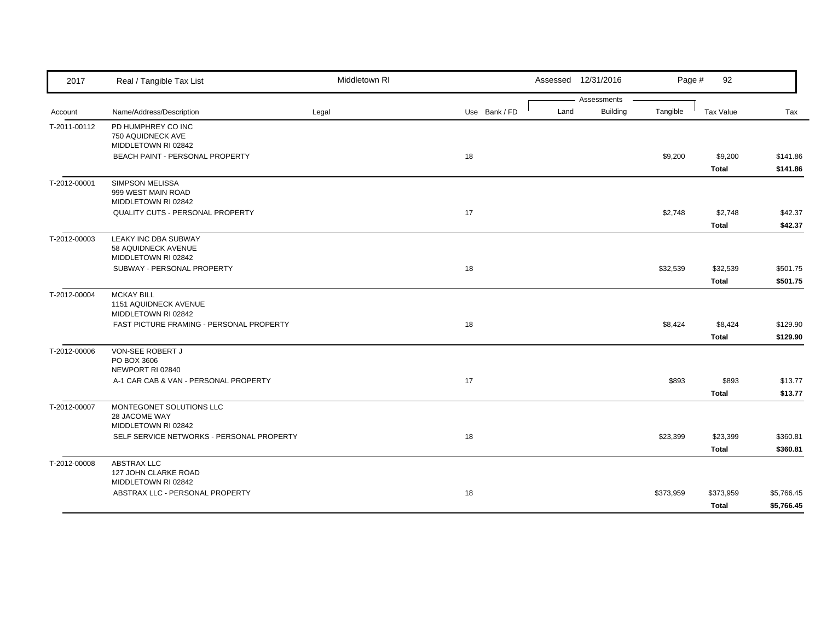| 2017         | Real / Tangible Tax List                   | Middletown RI |               |      | Assessed 12/31/2016 | Page #    | 92               |            |
|--------------|--------------------------------------------|---------------|---------------|------|---------------------|-----------|------------------|------------|
|              |                                            |               |               |      | Assessments         |           |                  |            |
| Account      | Name/Address/Description                   | Legal         | Use Bank / FD | Land | <b>Building</b>     | Tangible  | <b>Tax Value</b> | Tax        |
| T-2011-00112 | PD HUMPHREY CO INC                         |               |               |      |                     |           |                  |            |
|              | 750 AQUIDNECK AVE<br>MIDDLETOWN RI 02842   |               |               |      |                     |           |                  |            |
|              | BEACH PAINT - PERSONAL PROPERTY            |               | 18            |      |                     | \$9,200   | \$9,200          | \$141.86   |
|              |                                            |               |               |      |                     |           | Total            | \$141.86   |
| T-2012-00001 | <b>SIMPSON MELISSA</b>                     |               |               |      |                     |           |                  |            |
|              | 999 WEST MAIN ROAD                         |               |               |      |                     |           |                  |            |
|              | MIDDLETOWN RI 02842                        |               |               |      |                     |           |                  |            |
|              | QUALITY CUTS - PERSONAL PROPERTY           |               | 17            |      |                     | \$2,748   | \$2,748          | \$42.37    |
|              |                                            |               |               |      |                     |           | <b>Total</b>     | \$42.37    |
| T-2012-00003 | LEAKY INC DBA SUBWAY                       |               |               |      |                     |           |                  |            |
|              | 58 AQUIDNECK AVENUE<br>MIDDLETOWN RI 02842 |               |               |      |                     |           |                  |            |
|              | SUBWAY - PERSONAL PROPERTY                 |               | 18            |      |                     | \$32,539  | \$32,539         | \$501.75   |
|              |                                            |               |               |      |                     |           | Total            | \$501.75   |
|              | <b>MCKAY BILL</b>                          |               |               |      |                     |           |                  |            |
| T-2012-00004 | 1151 AQUIDNECK AVENUE                      |               |               |      |                     |           |                  |            |
|              | MIDDLETOWN RI 02842                        |               |               |      |                     |           |                  |            |
|              | FAST PICTURE FRAMING - PERSONAL PROPERTY   |               | 18            |      |                     | \$8,424   | \$8,424          | \$129.90   |
|              |                                            |               |               |      |                     |           | <b>Total</b>     | \$129.90   |
| T-2012-00006 | VON-SEE ROBERT J                           |               |               |      |                     |           |                  |            |
|              | PO BOX 3606                                |               |               |      |                     |           |                  |            |
|              | NEWPORT RI 02840                           |               |               |      |                     |           |                  |            |
|              | A-1 CAR CAB & VAN - PERSONAL PROPERTY      |               | 17            |      |                     | \$893     | \$893            | \$13.77    |
|              |                                            |               |               |      |                     |           | Total            | \$13.77    |
| T-2012-00007 | MONTEGONET SOLUTIONS LLC<br>28 JACOME WAY  |               |               |      |                     |           |                  |            |
|              | MIDDLETOWN RI 02842                        |               |               |      |                     |           |                  |            |
|              | SELF SERVICE NETWORKS - PERSONAL PROPERTY  |               | 18            |      |                     | \$23,399  | \$23,399         | \$360.81   |
|              |                                            |               |               |      |                     |           | <b>Total</b>     | \$360.81   |
| T-2012-00008 | ABSTRAX LLC                                |               |               |      |                     |           |                  |            |
|              | 127 JOHN CLARKE ROAD                       |               |               |      |                     |           |                  |            |
|              | MIDDLETOWN RI 02842                        |               |               |      |                     |           |                  |            |
|              | ABSTRAX LLC - PERSONAL PROPERTY            |               | 18            |      |                     | \$373,959 | \$373,959        | \$5,766.45 |
|              |                                            |               |               |      |                     |           | Total            | \$5,766.45 |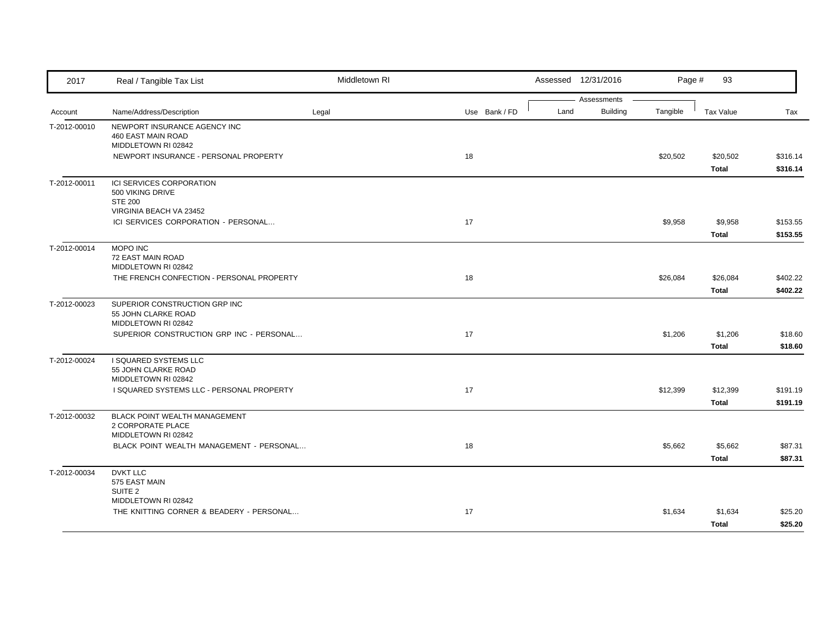| 2017         | Real / Tangible Tax List                                                                  | Middletown RI |               | Assessed 12/31/2016 |                             | Page #<br>93             |                      |
|--------------|-------------------------------------------------------------------------------------------|---------------|---------------|---------------------|-----------------------------|--------------------------|----------------------|
| Account      | Name/Address/Description                                                                  | Legal         | Use Bank / FD | Assessments<br>Land | <b>Building</b><br>Tangible | Tax Value                | Tax                  |
| T-2012-00010 | NEWPORT INSURANCE AGENCY INC<br>460 EAST MAIN ROAD<br>MIDDLETOWN RI 02842                 |               |               |                     |                             |                          |                      |
|              | NEWPORT INSURANCE - PERSONAL PROPERTY                                                     |               | 18            |                     | \$20,502                    | \$20,502<br>Total        | \$316.14<br>\$316.14 |
| T-2012-00011 | ICI SERVICES CORPORATION<br>500 VIKING DRIVE<br><b>STE 200</b><br>VIRGINIA BEACH VA 23452 |               |               |                     |                             |                          |                      |
|              | ICI SERVICES CORPORATION - PERSONAL                                                       |               | 17            |                     | \$9,958                     | \$9,958<br><b>Total</b>  | \$153.55<br>\$153.55 |
| T-2012-00014 | MOPO INC<br>72 EAST MAIN ROAD<br>MIDDLETOWN RI 02842                                      |               |               |                     |                             |                          |                      |
|              | THE FRENCH CONFECTION - PERSONAL PROPERTY                                                 |               | 18            |                     | \$26,084                    | \$26,084<br><b>Total</b> | \$402.22<br>\$402.22 |
| T-2012-00023 | SUPERIOR CONSTRUCTION GRP INC<br>55 JOHN CLARKE ROAD<br>MIDDLETOWN RI 02842               |               |               |                     |                             |                          |                      |
|              | SUPERIOR CONSTRUCTION GRP INC - PERSONAL                                                  |               | 17            |                     | \$1,206                     | \$1,206<br><b>Total</b>  | \$18.60<br>\$18.60   |
| T-2012-00024 | I SQUARED SYSTEMS LLC<br>55 JOHN CLARKE ROAD<br>MIDDLETOWN RI 02842                       |               |               |                     |                             |                          |                      |
|              | I SQUARED SYSTEMS LLC - PERSONAL PROPERTY                                                 |               | 17            |                     | \$12,399                    | \$12,399<br><b>Total</b> | \$191.19<br>\$191.19 |
| T-2012-00032 | BLACK POINT WEALTH MANAGEMENT<br>2 CORPORATE PLACE<br>MIDDLETOWN RI 02842                 |               |               |                     |                             |                          |                      |
|              | BLACK POINT WEALTH MANAGEMENT - PERSONAL                                                  |               | 18            |                     | \$5,662                     | \$5,662<br><b>Total</b>  | \$87.31<br>\$87.31   |
| T-2012-00034 | <b>DVKT LLC</b><br>575 EAST MAIN<br>SUITE <sub>2</sub>                                    |               |               |                     |                             |                          |                      |
|              | MIDDLETOWN RI 02842<br>THE KNITTING CORNER & BEADERY - PERSONAL                           |               | 17            |                     | \$1,634                     | \$1,634<br>Total         | \$25.20<br>\$25.20   |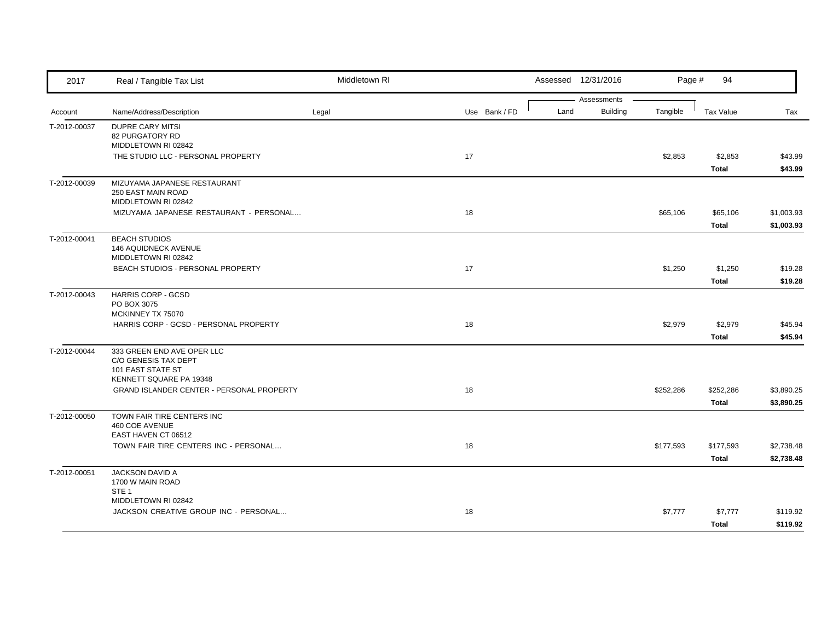| 2017         | Real / Tangible Tax List                                                       | Middletown RI |               |      | Assessed 12/31/2016            | Page #    | 94                        |                          |
|--------------|--------------------------------------------------------------------------------|---------------|---------------|------|--------------------------------|-----------|---------------------------|--------------------------|
| Account      | Name/Address/Description                                                       | Legal         | Use Bank / FD | Land | Assessments<br><b>Building</b> | Tangible  | Tax Value                 | Tax                      |
| T-2012-00037 | <b>DUPRE CARY MITSI</b><br>82 PURGATORY RD<br>MIDDLETOWN RI 02842              |               |               |      |                                |           |                           |                          |
|              | THE STUDIO LLC - PERSONAL PROPERTY                                             |               | 17            |      |                                | \$2,853   | \$2,853<br><b>Total</b>   | \$43.99<br>\$43.99       |
| T-2012-00039 | MIZUYAMA JAPANESE RESTAURANT<br>250 EAST MAIN ROAD<br>MIDDLETOWN RI 02842      |               |               |      |                                |           |                           |                          |
|              | MIZUYAMA JAPANESE RESTAURANT - PERSONAL                                        |               | 18            |      |                                | \$65,106  | \$65,106<br>Total         | \$1,003.93<br>\$1,003.93 |
| T-2012-00041 | <b>BEACH STUDIOS</b><br>146 AQUIDNECK AVENUE<br>MIDDLETOWN RI 02842            |               |               |      |                                |           |                           |                          |
|              | BEACH STUDIOS - PERSONAL PROPERTY                                              |               | 17            |      |                                | \$1,250   | \$1,250<br><b>Total</b>   | \$19.28<br>\$19.28       |
| T-2012-00043 | <b>HARRIS CORP - GCSD</b><br>PO BOX 3075                                       |               |               |      |                                |           |                           |                          |
|              | MCKINNEY TX 75070<br>HARRIS CORP - GCSD - PERSONAL PROPERTY                    |               | 18            |      |                                | \$2,979   | \$2,979<br><b>Total</b>   | \$45.94<br>\$45.94       |
| T-2012-00044 | 333 GREEN END AVE OPER LLC<br>C/O GENESIS TAX DEPT<br><b>101 EAST STATE ST</b> |               |               |      |                                |           |                           |                          |
|              | KENNETT SQUARE PA 19348<br>GRAND ISLANDER CENTER - PERSONAL PROPERTY           |               | 18            |      |                                | \$252,286 | \$252,286<br><b>Total</b> | \$3,890.25<br>\$3,890.25 |
| T-2012-00050 | TOWN FAIR TIRE CENTERS INC<br>460 COE AVENUE<br>EAST HAVEN CT 06512            |               |               |      |                                |           |                           |                          |
|              | TOWN FAIR TIRE CENTERS INC - PERSONAL                                          |               | 18            |      |                                | \$177,593 | \$177,593<br><b>Total</b> | \$2,738.48<br>\$2,738.48 |
| T-2012-00051 | JACKSON DAVID A<br>1700 W MAIN ROAD<br>STE <sub>1</sub>                        |               |               |      |                                |           |                           |                          |
|              | MIDDLETOWN RI 02842<br>JACKSON CREATIVE GROUP INC - PERSONAL                   |               | 18            |      |                                | \$7,777   | \$7,777<br>Total          | \$119.92<br>\$119.92     |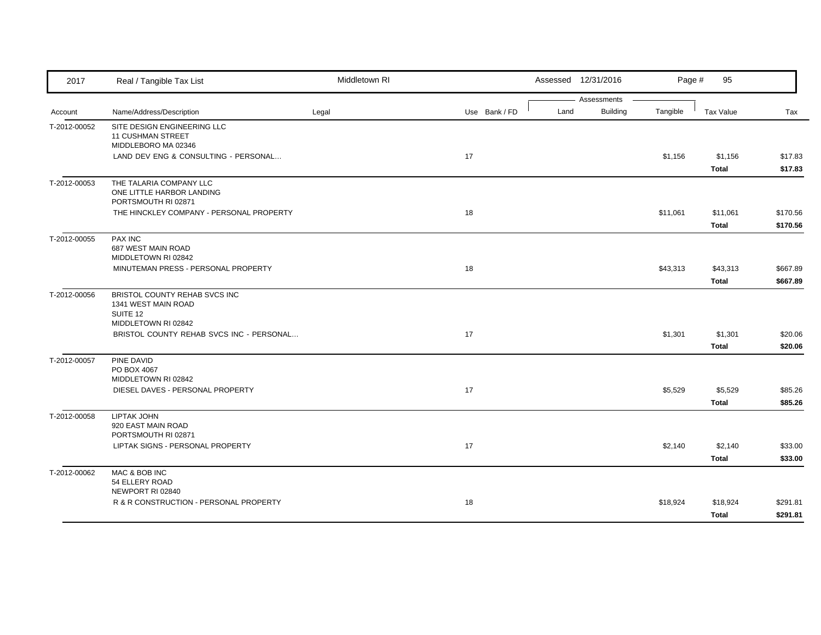| 2017         | Real / Tangible Tax List                                        | Middletown RI |               | Assessed 12/31/2016 |                                | Page #   | 95           |          |
|--------------|-----------------------------------------------------------------|---------------|---------------|---------------------|--------------------------------|----------|--------------|----------|
| Account      | Name/Address/Description                                        | Legal         | Use Bank / FD | Land                | Assessments<br><b>Building</b> | Tangible | Tax Value    | Tax      |
| T-2012-00052 | SITE DESIGN ENGINEERING LLC                                     |               |               |                     |                                |          |              |          |
|              | <b>11 CUSHMAN STREET</b>                                        |               |               |                     |                                |          |              |          |
|              | MIDDLEBORO MA 02346                                             |               |               |                     |                                |          |              |          |
|              | LAND DEV ENG & CONSULTING - PERSONAL                            |               | 17            |                     |                                | \$1,156  | \$1,156      | \$17.83  |
|              |                                                                 |               |               |                     |                                |          | Total        | \$17.83  |
| T-2012-00053 | THE TALARIA COMPANY LLC                                         |               |               |                     |                                |          |              |          |
|              | ONE LITTLE HARBOR LANDING                                       |               |               |                     |                                |          |              |          |
|              | PORTSMOUTH RI 02871<br>THE HINCKLEY COMPANY - PERSONAL PROPERTY |               | 18            |                     |                                | \$11,061 | \$11,061     | \$170.56 |
|              |                                                                 |               |               |                     |                                |          |              |          |
|              |                                                                 |               |               |                     |                                |          | Total        | \$170.56 |
| T-2012-00055 | <b>PAX INC</b><br>687 WEST MAIN ROAD                            |               |               |                     |                                |          |              |          |
|              | MIDDLETOWN RI 02842                                             |               |               |                     |                                |          |              |          |
|              | MINUTEMAN PRESS - PERSONAL PROPERTY                             |               | 18            |                     |                                | \$43,313 | \$43,313     | \$667.89 |
|              |                                                                 |               |               |                     |                                |          | <b>Total</b> | \$667.89 |
| T-2012-00056 | BRISTOL COUNTY REHAB SVCS INC                                   |               |               |                     |                                |          |              |          |
|              | 1341 WEST MAIN ROAD                                             |               |               |                     |                                |          |              |          |
|              | SUITE 12                                                        |               |               |                     |                                |          |              |          |
|              | MIDDLETOWN RI 02842<br>BRISTOL COUNTY REHAB SVCS INC - PERSONAL |               | 17            |                     |                                | \$1,301  | \$1,301      | \$20.06  |
|              |                                                                 |               |               |                     |                                |          | <b>Total</b> | \$20.06  |
|              | PINE DAVID                                                      |               |               |                     |                                |          |              |          |
| T-2012-00057 | PO BOX 4067                                                     |               |               |                     |                                |          |              |          |
|              | MIDDLETOWN RI 02842                                             |               |               |                     |                                |          |              |          |
|              | DIESEL DAVES - PERSONAL PROPERTY                                |               | 17            |                     |                                | \$5,529  | \$5,529      | \$85.26  |
|              |                                                                 |               |               |                     |                                |          | <b>Total</b> | \$85.26  |
| T-2012-00058 | LIPTAK JOHN                                                     |               |               |                     |                                |          |              |          |
|              | 920 EAST MAIN ROAD                                              |               |               |                     |                                |          |              |          |
|              | PORTSMOUTH RI 02871                                             |               |               |                     |                                |          |              |          |
|              | LIPTAK SIGNS - PERSONAL PROPERTY                                |               | 17            |                     |                                | \$2,140  | \$2,140      | \$33.00  |
|              |                                                                 |               |               |                     |                                |          | Total        | \$33.00  |
| T-2012-00062 | MAC & BOB INC                                                   |               |               |                     |                                |          |              |          |
|              | 54 ELLERY ROAD<br>NEWPORT RI 02840                              |               |               |                     |                                |          |              |          |
|              | R & R CONSTRUCTION - PERSONAL PROPERTY                          |               | 18            |                     |                                | \$18,924 | \$18,924     | \$291.81 |
|              |                                                                 |               |               |                     |                                |          | Total        | \$291.81 |
|              |                                                                 |               |               |                     |                                |          |              |          |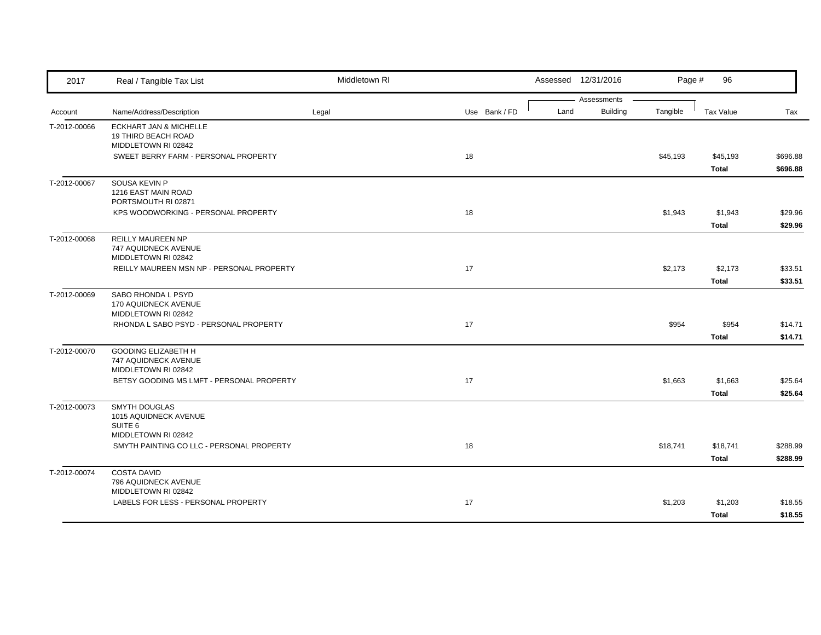| 2017         | Real / Tangible Tax List                                 | Middletown RI |               |      | Assessed 12/31/2016     | Page #   | 96           |          |
|--------------|----------------------------------------------------------|---------------|---------------|------|-------------------------|----------|--------------|----------|
|              | Name/Address/Description                                 | Legal         | Use Bank / FD | Land | Assessments<br>Building | Tangible | Tax Value    | Tax      |
| Account      |                                                          |               |               |      |                         |          |              |          |
| T-2012-00066 | <b>ECKHART JAN &amp; MICHELLE</b><br>19 THIRD BEACH ROAD |               |               |      |                         |          |              |          |
|              | MIDDLETOWN RI 02842                                      |               |               |      |                         |          |              |          |
|              | SWEET BERRY FARM - PERSONAL PROPERTY                     |               | 18            |      |                         | \$45,193 | \$45,193     | \$696.88 |
|              |                                                          |               |               |      |                         |          | Total        | \$696.88 |
| T-2012-00067 | SOUSA KEVIN P                                            |               |               |      |                         |          |              |          |
|              | 1216 EAST MAIN ROAD                                      |               |               |      |                         |          |              |          |
|              | PORTSMOUTH RI 02871                                      |               |               |      |                         |          |              |          |
|              | KPS WOODWORKING - PERSONAL PROPERTY                      |               | 18            |      |                         | \$1,943  | \$1,943      | \$29.96  |
|              |                                                          |               |               |      |                         |          | Total        | \$29.96  |
| T-2012-00068 | <b>REILLY MAUREEN NP</b>                                 |               |               |      |                         |          |              |          |
|              | 747 AQUIDNECK AVENUE<br>MIDDLETOWN RI 02842              |               |               |      |                         |          |              |          |
|              | REILLY MAUREEN MSN NP - PERSONAL PROPERTY                |               | 17            |      |                         | \$2,173  | \$2,173      | \$33.51  |
|              |                                                          |               |               |      |                         |          | Total        | \$33.51  |
| T-2012-00069 | SABO RHONDA L PSYD                                       |               |               |      |                         |          |              |          |
|              | 170 AQUIDNECK AVENUE                                     |               |               |      |                         |          |              |          |
|              | MIDDLETOWN RI 02842                                      |               |               |      |                         |          |              |          |
|              | RHONDA L SABO PSYD - PERSONAL PROPERTY                   |               | 17            |      |                         | \$954    | \$954        | \$14.71  |
|              |                                                          |               |               |      |                         |          | Total        | \$14.71  |
| T-2012-00070 | <b>GOODING ELIZABETH H</b>                               |               |               |      |                         |          |              |          |
|              | 747 AQUIDNECK AVENUE                                     |               |               |      |                         |          |              |          |
|              | MIDDLETOWN RI 02842                                      |               |               |      |                         |          |              |          |
|              | BETSY GOODING MS LMFT - PERSONAL PROPERTY                |               | 17            |      |                         | \$1,663  | \$1,663      | \$25.64  |
|              |                                                          |               |               |      |                         |          | <b>Total</b> | \$25.64  |
| T-2012-00073 | SMYTH DOUGLAS                                            |               |               |      |                         |          |              |          |
|              | 1015 AQUIDNECK AVENUE<br>SUITE <sub>6</sub>              |               |               |      |                         |          |              |          |
|              | MIDDLETOWN RI 02842                                      |               |               |      |                         |          |              |          |
|              | SMYTH PAINTING CO LLC - PERSONAL PROPERTY                |               | 18            |      |                         | \$18,741 | \$18,741     | \$288.99 |
|              |                                                          |               |               |      |                         |          | Total        | \$288.99 |
| T-2012-00074 | <b>COSTA DAVID</b>                                       |               |               |      |                         |          |              |          |
|              | 796 AQUIDNECK AVENUE                                     |               |               |      |                         |          |              |          |
|              | MIDDLETOWN RI 02842                                      |               |               |      |                         |          |              |          |
|              | LABELS FOR LESS - PERSONAL PROPERTY                      |               | 17            |      |                         | \$1,203  | \$1,203      | \$18.55  |
|              |                                                          |               |               |      |                         |          | Total        | \$18.55  |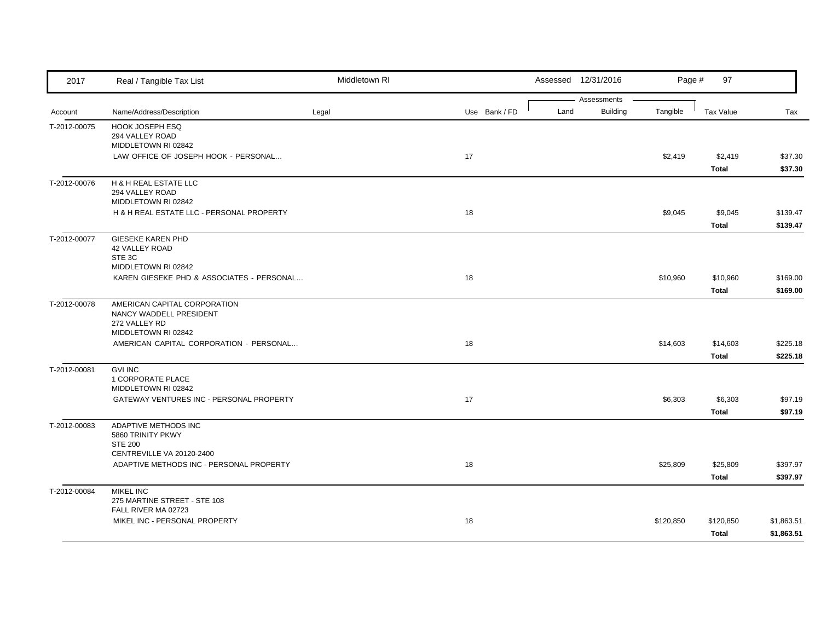| 2017         | Real / Tangible Tax List                                                                        | Middletown RI |               |      | Assessed 12/31/2016            | Page #    | 97                |                      |
|--------------|-------------------------------------------------------------------------------------------------|---------------|---------------|------|--------------------------------|-----------|-------------------|----------------------|
| Account      | Name/Address/Description                                                                        | Legal         | Use Bank / FD | Land | Assessments<br><b>Building</b> | Tangible  | Tax Value         | Tax                  |
| T-2012-00075 | HOOK JOSEPH ESQ<br>294 VALLEY ROAD                                                              |               |               |      |                                |           |                   |                      |
|              | MIDDLETOWN RI 02842<br>LAW OFFICE OF JOSEPH HOOK - PERSONAL                                     |               | 17            |      |                                | \$2,419   | \$2,419           | \$37.30              |
|              |                                                                                                 |               |               |      |                                |           | Total             | \$37.30              |
| T-2012-00076 | H & H REAL ESTATE LLC<br>294 VALLEY ROAD<br>MIDDLETOWN RI 02842                                 |               |               |      |                                |           |                   |                      |
|              | H & H REAL ESTATE LLC - PERSONAL PROPERTY                                                       |               | 18            |      |                                | \$9,045   | \$9,045           | \$139.47             |
|              |                                                                                                 |               |               |      |                                |           | Total             | \$139.47             |
| T-2012-00077 | GIESEKE KAREN PHD<br>42 VALLEY ROAD<br>STE 3C<br>MIDDLETOWN RI 02842                            |               |               |      |                                |           |                   |                      |
|              | KAREN GIESEKE PHD & ASSOCIATES - PERSONAL                                                       |               | 18            |      |                                | \$10,960  | \$10,960          | \$169.00             |
|              |                                                                                                 |               |               |      |                                |           | <b>Total</b>      | \$169.00             |
| T-2012-00078 | AMERICAN CAPITAL CORPORATION<br>NANCY WADDELL PRESIDENT<br>272 VALLEY RD<br>MIDDLETOWN RI 02842 |               |               |      |                                |           |                   |                      |
|              | AMERICAN CAPITAL CORPORATION - PERSONAL                                                         |               | 18            |      |                                | \$14,603  | \$14,603          | \$225.18             |
|              |                                                                                                 |               |               |      |                                |           | Total             | \$225.18             |
| T-2012-00081 | <b>GVI INC</b><br>1 CORPORATE PLACE<br>MIDDLETOWN RI 02842                                      |               |               |      |                                |           |                   |                      |
|              | GATEWAY VENTURES INC - PERSONAL PROPERTY                                                        |               | 17            |      |                                | \$6,303   | \$6,303           | \$97.19              |
|              |                                                                                                 |               |               |      |                                |           | Total             | \$97.19              |
| T-2012-00083 | ADAPTIVE METHODS INC<br>5860 TRINITY PKWY<br><b>STE 200</b>                                     |               |               |      |                                |           |                   |                      |
|              | CENTREVILLE VA 20120-2400                                                                       |               |               |      |                                |           |                   |                      |
|              | ADAPTIVE METHODS INC - PERSONAL PROPERTY                                                        |               | 18            |      |                                | \$25,809  | \$25,809<br>Total | \$397.97<br>\$397.97 |
|              | <b>MIKEL INC</b>                                                                                |               |               |      |                                |           |                   |                      |
| T-2012-00084 | 275 MARTINE STREET - STE 108<br>FALL RIVER MA 02723                                             |               |               |      |                                |           |                   |                      |
|              | MIKEL INC - PERSONAL PROPERTY                                                                   |               | 18            |      |                                | \$120,850 | \$120,850         | \$1,863.51           |
|              |                                                                                                 |               |               |      |                                |           | Total             | \$1,863.51           |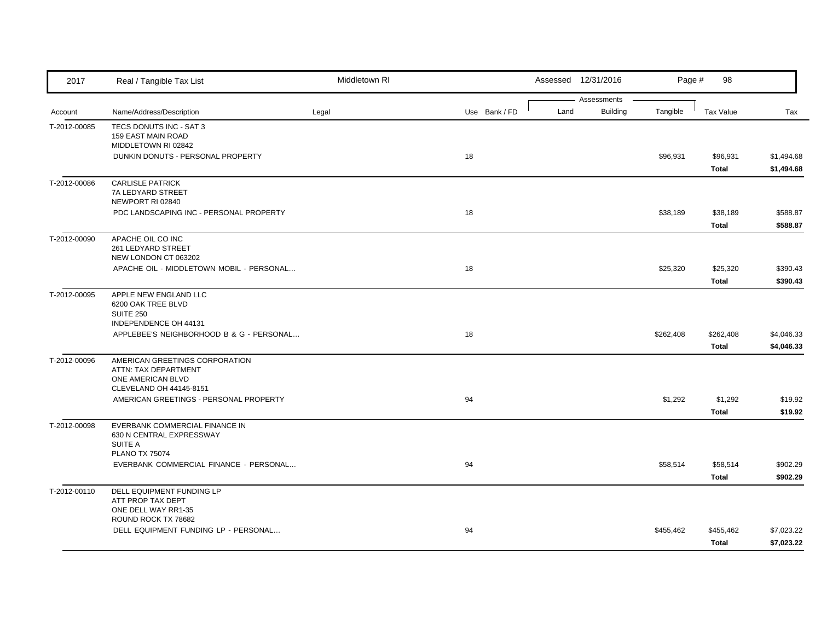| 2017         | Real / Tangible Tax List                                                                               | Middletown RI |               |      | Assessed 12/31/2016            | Page #    | 98                        |                          |
|--------------|--------------------------------------------------------------------------------------------------------|---------------|---------------|------|--------------------------------|-----------|---------------------------|--------------------------|
| Account      | Name/Address/Description                                                                               | Legal         | Use Bank / FD | Land | Assessments<br><b>Building</b> | Tangible  | Tax Value                 | Tax                      |
| T-2012-00085 | TECS DONUTS INC - SAT 3<br>159 EAST MAIN ROAD<br>MIDDLETOWN RI 02842                                   |               |               |      |                                |           |                           |                          |
|              | DUNKIN DONUTS - PERSONAL PROPERTY                                                                      |               | 18            |      |                                | \$96,931  | \$96,931<br>Total         | \$1,494.68<br>\$1,494.68 |
| T-2012-00086 | <b>CARLISLE PATRICK</b><br>7A LEDYARD STREET<br>NEWPORT RI 02840                                       |               |               |      |                                |           |                           |                          |
|              | PDC LANDSCAPING INC - PERSONAL PROPERTY                                                                |               | 18            |      |                                | \$38,189  | \$38,189<br>Total         | \$588.87<br>\$588.87     |
| T-2012-00090 | APACHE OIL CO INC<br>261 LEDYARD STREET<br>NEW LONDON CT 063202                                        |               |               |      |                                |           |                           |                          |
|              | APACHE OIL - MIDDLETOWN MOBIL - PERSONAL                                                               |               | 18            |      |                                | \$25,320  | \$25,320<br>Total         | \$390.43<br>\$390.43     |
| T-2012-00095 | APPLE NEW ENGLAND LLC<br>6200 OAK TREE BLVD<br><b>SUITE 250</b>                                        |               |               |      |                                |           |                           |                          |
|              | INDEPENDENCE OH 44131<br>APPLEBEE'S NEIGHBORHOOD B & G - PERSONAL                                      |               | 18            |      |                                | \$262,408 | \$262,408<br><b>Total</b> | \$4,046.33<br>\$4,046.33 |
| T-2012-00096 | AMERICAN GREETINGS CORPORATION<br>ATTN: TAX DEPARTMENT<br>ONE AMERICAN BLVD<br>CLEVELAND OH 44145-8151 |               |               |      |                                |           |                           |                          |
|              | AMERICAN GREETINGS - PERSONAL PROPERTY                                                                 |               | 94            |      |                                | \$1,292   | \$1,292<br>Total          | \$19.92<br>\$19.92       |
| T-2012-00098 | EVERBANK COMMERCIAL FINANCE IN<br>630 N CENTRAL EXPRESSWAY<br>SUITE A<br><b>PLANO TX 75074</b>         |               |               |      |                                |           |                           |                          |
|              | EVERBANK COMMERCIAL FINANCE - PERSONAL                                                                 |               | 94            |      |                                | \$58,514  | \$58,514<br>Total         | \$902.29<br>\$902.29     |
| T-2012-00110 | DELL EQUIPMENT FUNDING LP<br>ATT PROP TAX DEPT<br>ONE DELL WAY RR1-35<br>ROUND ROCK TX 78682           |               |               |      |                                |           |                           |                          |
|              | DELL EQUIPMENT FUNDING LP - PERSONAL                                                                   |               | 94            |      |                                | \$455,462 | \$455,462<br>Total        | \$7,023.22<br>\$7,023.22 |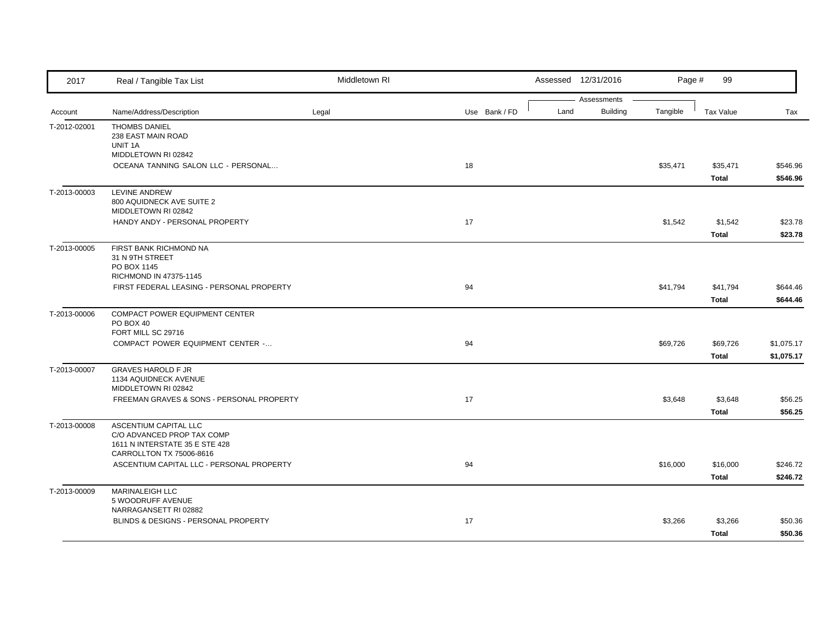| 2017         | Real / Tangible Tax List                                              | Middletown RI |               |      | Assessed 12/31/2016            | Page #   | 99                |                      |
|--------------|-----------------------------------------------------------------------|---------------|---------------|------|--------------------------------|----------|-------------------|----------------------|
| Account      | Name/Address/Description                                              | Legal         | Use Bank / FD | Land | Assessments<br><b>Building</b> | Tangible | <b>Tax Value</b>  | Tax                  |
| T-2012-02001 | <b>THOMBS DANIEL</b>                                                  |               |               |      |                                |          |                   |                      |
|              | 238 EAST MAIN ROAD                                                    |               |               |      |                                |          |                   |                      |
|              | UNIT 1A                                                               |               |               |      |                                |          |                   |                      |
|              | MIDDLETOWN RI 02842                                                   |               |               |      |                                |          |                   |                      |
|              | OCEANA TANNING SALON LLC - PERSONAL                                   |               | 18            |      |                                | \$35,471 | \$35,471<br>Total | \$546.96<br>\$546.96 |
| T-2013-00003 | LEVINE ANDREW                                                         |               |               |      |                                |          |                   |                      |
|              | 800 AQUIDNECK AVE SUITE 2<br>MIDDLETOWN RI 02842                      |               |               |      |                                |          |                   |                      |
|              | HANDY ANDY - PERSONAL PROPERTY                                        |               | 17            |      |                                | \$1,542  | \$1,542           | \$23.78              |
|              |                                                                       |               |               |      |                                |          | Total             | \$23.78              |
| T-2013-00005 | FIRST BANK RICHMOND NA<br>31 N 9TH STREET                             |               |               |      |                                |          |                   |                      |
|              | PO BOX 1145                                                           |               |               |      |                                |          |                   |                      |
|              | RICHMOND IN 47375-1145                                                |               |               |      |                                |          |                   |                      |
|              | FIRST FEDERAL LEASING - PERSONAL PROPERTY                             |               | 94            |      |                                | \$41,794 | \$41,794          | \$644.46             |
|              |                                                                       |               |               |      |                                |          | Total             | \$644.46             |
| T-2013-00006 | COMPACT POWER EQUIPMENT CENTER                                        |               |               |      |                                |          |                   |                      |
|              | PO BOX 40<br>FORT MILL SC 29716                                       |               |               |      |                                |          |                   |                      |
|              | COMPACT POWER EQUIPMENT CENTER -                                      |               | 94            |      |                                | \$69,726 | \$69,726          | \$1,075.17           |
|              |                                                                       |               |               |      |                                |          | Total             | \$1,075.17           |
| T-2013-00007 | <b>GRAVES HAROLD F JR</b>                                             |               |               |      |                                |          |                   |                      |
|              | 1134 AQUIDNECK AVENUE                                                 |               |               |      |                                |          |                   |                      |
|              | MIDDLETOWN RI 02842                                                   |               |               |      |                                |          |                   |                      |
|              | FREEMAN GRAVES & SONS - PERSONAL PROPERTY                             |               | 17            |      |                                | \$3,648  | \$3,648<br>Total  | \$56.25<br>\$56.25   |
| T-2013-00008 | ASCENTIUM CAPITAL LLC                                                 |               |               |      |                                |          |                   |                      |
|              | C/O ADVANCED PROP TAX COMP                                            |               |               |      |                                |          |                   |                      |
|              | 1611 N INTERSTATE 35 E STE 428                                        |               |               |      |                                |          |                   |                      |
|              | CARROLLTON TX 75006-8616<br>ASCENTIUM CAPITAL LLC - PERSONAL PROPERTY |               | 94            |      |                                | \$16,000 | \$16,000          | \$246.72             |
|              |                                                                       |               |               |      |                                |          | Total             | \$246.72             |
| T-2013-00009 | MARINALEIGH LLC                                                       |               |               |      |                                |          |                   |                      |
|              | 5 WOODRUFF AVENUE                                                     |               |               |      |                                |          |                   |                      |
|              | NARRAGANSETT RI 02882                                                 |               |               |      |                                |          |                   |                      |
|              | BLINDS & DESIGNS - PERSONAL PROPERTY                                  |               | 17            |      |                                | \$3,266  | \$3,266           | \$50.36              |
|              |                                                                       |               |               |      |                                |          | Total             | \$50.36              |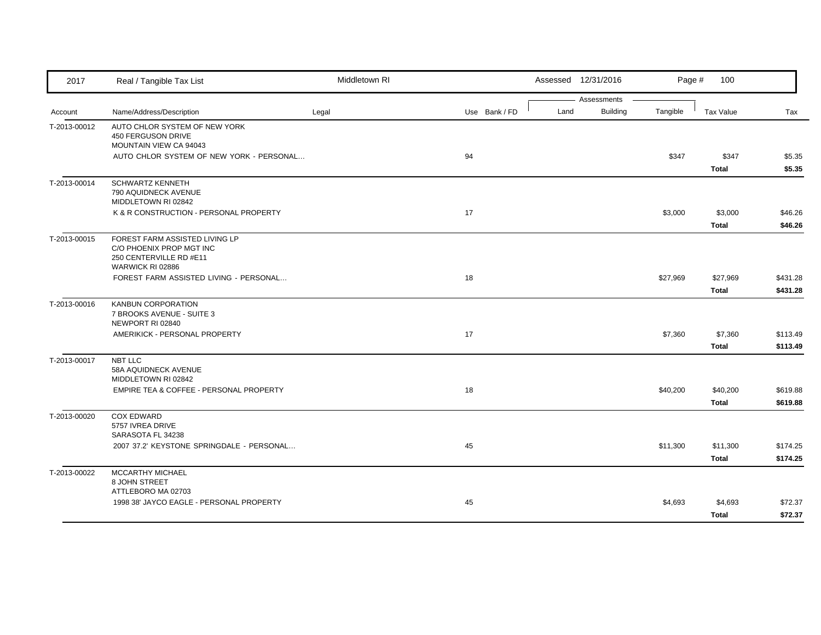| 2017         | Real / Tangible Tax List                                                                                  | Middletown RI |               |      | Assessed 12/31/2016            | Page #   | 100               |                      |
|--------------|-----------------------------------------------------------------------------------------------------------|---------------|---------------|------|--------------------------------|----------|-------------------|----------------------|
| Account      | Name/Address/Description                                                                                  | Legal         | Use Bank / FD | Land | Assessments<br><b>Building</b> | Tangible | Tax Value         | Tax                  |
| T-2013-00012 | AUTO CHLOR SYSTEM OF NEW YORK<br>450 FERGUSON DRIVE<br>MOUNTAIN VIEW CA 94043                             |               |               |      |                                |          |                   |                      |
|              | AUTO CHLOR SYSTEM OF NEW YORK - PERSONAL                                                                  |               | 94            |      |                                | \$347    | \$347<br>Total    | \$5.35<br>\$5.35     |
| T-2013-00014 | <b>SCHWARTZ KENNETH</b><br>790 AQUIDNECK AVENUE<br>MIDDLETOWN RI 02842                                    |               |               |      |                                |          |                   |                      |
|              | K & R CONSTRUCTION - PERSONAL PROPERTY                                                                    |               | 17            |      |                                | \$3,000  | \$3,000<br>Total  | \$46.26<br>\$46.26   |
| T-2013-00015 | FOREST FARM ASSISTED LIVING LP<br>C/O PHOENIX PROP MGT INC<br>250 CENTERVILLE RD #E11<br>WARWICK RI 02886 |               |               |      |                                |          |                   |                      |
|              | FOREST FARM ASSISTED LIVING - PERSONAL                                                                    |               | 18            |      |                                | \$27,969 | \$27,969<br>Total | \$431.28<br>\$431.28 |
| T-2013-00016 | KANBUN CORPORATION<br>7 BROOKS AVENUE - SUITE 3<br>NEWPORT RI 02840                                       |               |               |      |                                |          |                   |                      |
|              | AMERIKICK - PERSONAL PROPERTY                                                                             |               | 17            |      |                                | \$7,360  | \$7,360<br>Total  | \$113.49<br>\$113.49 |
| T-2013-00017 | <b>NBT LLC</b><br>58A AQUIDNECK AVENUE<br>MIDDLETOWN RI 02842                                             |               |               |      |                                |          |                   |                      |
|              | EMPIRE TEA & COFFEE - PERSONAL PROPERTY                                                                   |               | 18            |      |                                | \$40,200 | \$40,200<br>Total | \$619.88<br>\$619.88 |
| T-2013-00020 | <b>COX EDWARD</b><br>5757 IVREA DRIVE<br>SARASOTA FL 34238                                                |               |               |      |                                |          |                   |                      |
|              | 2007 37.2' KEYSTONE SPRINGDALE - PERSONAL                                                                 |               | 45            |      |                                | \$11,300 | \$11,300<br>Total | \$174.25<br>\$174.25 |
| T-2013-00022 | MCCARTHY MICHAEL<br>8 JOHN STREET<br>ATTLEBORO MA 02703                                                   |               |               |      |                                |          |                   |                      |
|              | 1998 38' JAYCO EAGLE - PERSONAL PROPERTY                                                                  |               | 45            |      |                                | \$4,693  | \$4,693<br>Total  | \$72.37<br>\$72.37   |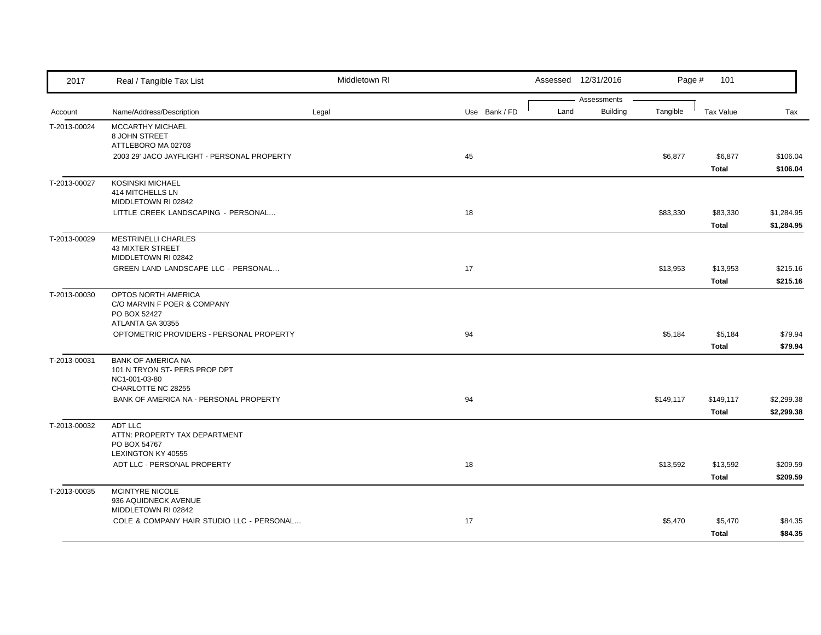| 2017         | Real / Tangible Tax List                                                                          | Middletown RI |               |      | Assessed 12/31/2016            | Page #    | 101                       |                          |
|--------------|---------------------------------------------------------------------------------------------------|---------------|---------------|------|--------------------------------|-----------|---------------------------|--------------------------|
| Account      | Name/Address/Description                                                                          | Legal         | Use Bank / FD | Land | Assessments<br><b>Building</b> | Tangible  | <b>Tax Value</b>          | Tax                      |
| T-2013-00024 | MCCARTHY MICHAEL<br>8 JOHN STREET<br>ATTLEBORO MA 02703                                           |               |               |      |                                |           |                           |                          |
|              | 2003 29' JACO JAYFLIGHT - PERSONAL PROPERTY                                                       |               | 45            |      |                                | \$6,877   | \$6,877<br>Total          | \$106.04<br>\$106.04     |
| T-2013-00027 | <b>KOSINSKI MICHAEL</b><br><b>414 MITCHELLS LN</b><br>MIDDLETOWN RI 02842                         |               |               |      |                                |           |                           |                          |
|              | LITTLE CREEK LANDSCAPING - PERSONAL                                                               |               | 18            |      |                                | \$83,330  | \$83,330<br>Total         | \$1,284.95<br>\$1,284.95 |
| T-2013-00029 | <b>MESTRINELLI CHARLES</b><br>43 MIXTER STREET<br>MIDDLETOWN RI 02842                             |               |               |      |                                |           |                           |                          |
|              | GREEN LAND LANDSCAPE LLC - PERSONAL                                                               |               | 17            |      |                                | \$13,953  | \$13,953<br>Total         | \$215.16<br>\$215.16     |
| T-2013-00030 | OPTOS NORTH AMERICA<br>C/O MARVIN F POER & COMPANY<br>PO BOX 52427                                |               |               |      |                                |           |                           |                          |
|              | ATLANTA GA 30355<br>OPTOMETRIC PROVIDERS - PERSONAL PROPERTY                                      |               | 94            |      |                                | \$5,184   | \$5,184<br>Total          | \$79.94<br>\$79.94       |
| T-2013-00031 | <b>BANK OF AMERICA NA</b><br>101 N TRYON ST- PERS PROP DPT<br>NC1-001-03-80<br>CHARLOTTE NC 28255 |               |               |      |                                |           |                           |                          |
|              | BANK OF AMERICA NA - PERSONAL PROPERTY                                                            |               | 94            |      |                                | \$149,117 | \$149,117<br><b>Total</b> | \$2,299.38<br>\$2,299.38 |
| T-2013-00032 | ADT LLC<br>ATTN: PROPERTY TAX DEPARTMENT<br>PO BOX 54767<br>LEXINGTON KY 40555                    |               |               |      |                                |           |                           |                          |
|              | ADT LLC - PERSONAL PROPERTY                                                                       |               | 18            |      |                                | \$13,592  | \$13,592<br>Total         | \$209.59<br>\$209.59     |
| T-2013-00035 | MCINTYRE NICOLE<br>936 AQUIDNECK AVENUE<br>MIDDLETOWN RI 02842                                    |               |               |      |                                |           |                           |                          |
|              | COLE & COMPANY HAIR STUDIO LLC - PERSONAL                                                         |               | 17            |      |                                | \$5,470   | \$5,470<br>Total          | \$84.35<br>\$84.35       |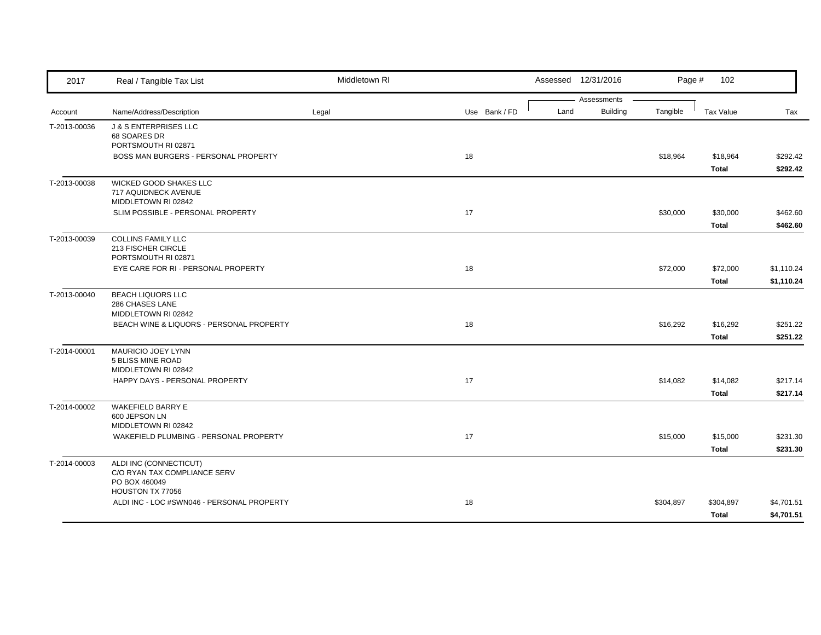| 2017         | Real / Tangible Tax List                                                | Middletown RI |               | Assessed 12/31/2016                    | Page #    | 102                      |                          |
|--------------|-------------------------------------------------------------------------|---------------|---------------|----------------------------------------|-----------|--------------------------|--------------------------|
| Account      | Name/Address/Description                                                | Legal         | Use Bank / FD | Assessments<br><b>Building</b><br>Land | Tangible  | Tax Value                | Tax                      |
| T-2013-00036 | <b>J &amp; S ENTERPRISES LLC</b><br>68 SOARES DR<br>PORTSMOUTH RI 02871 |               |               |                                        |           |                          |                          |
|              | BOSS MAN BURGERS - PERSONAL PROPERTY                                    |               | 18            |                                        | \$18,964  | \$18,964<br>Total        | \$292.42<br>\$292.42     |
| T-2013-00038 | WICKED GOOD SHAKES LLC<br>717 AQUIDNECK AVENUE<br>MIDDLETOWN RI 02842   |               |               |                                        |           |                          |                          |
|              | SLIM POSSIBLE - PERSONAL PROPERTY                                       |               | 17            |                                        | \$30,000  | \$30,000<br>Total        | \$462.60<br>\$462.60     |
| T-2013-00039 | <b>COLLINS FAMILY LLC</b><br>213 FISCHER CIRCLE<br>PORTSMOUTH RI 02871  |               |               |                                        |           |                          |                          |
|              | EYE CARE FOR RI - PERSONAL PROPERTY                                     |               | 18            |                                        | \$72,000  | \$72,000<br><b>Total</b> | \$1,110.24<br>\$1,110.24 |
| T-2013-00040 | <b>BEACH LIQUORS LLC</b><br>286 CHASES LANE<br>MIDDLETOWN RI 02842      |               |               |                                        |           |                          |                          |
|              | BEACH WINE & LIQUORS - PERSONAL PROPERTY                                |               | 18            |                                        | \$16,292  | \$16,292<br><b>Total</b> | \$251.22<br>\$251.22     |
| T-2014-00001 | MAURICIO JOEY LYNN<br>5 BLISS MINE ROAD<br>MIDDLETOWN RI 02842          |               |               |                                        |           |                          |                          |
|              | HAPPY DAYS - PERSONAL PROPERTY                                          |               | 17            |                                        | \$14,082  | \$14,082<br>Total        | \$217.14<br>\$217.14     |
| T-2014-00002 | WAKEFIELD BARRY E<br>600 JEPSON LN<br>MIDDLETOWN RI 02842               |               |               |                                        |           |                          |                          |
|              | WAKEFIELD PLUMBING - PERSONAL PROPERTY                                  |               | 17            |                                        | \$15,000  | \$15,000<br><b>Total</b> | \$231.30<br>\$231.30     |
| T-2014-00003 | ALDI INC (CONNECTICUT)<br>C/O RYAN TAX COMPLIANCE SERV<br>PO BOX 460049 |               |               |                                        |           |                          |                          |
|              | HOUSTON TX 77056<br>ALDI INC - LOC #SWN046 - PERSONAL PROPERTY          |               | 18            |                                        | \$304,897 | \$304,897<br>Total       | \$4,701.51<br>\$4,701.51 |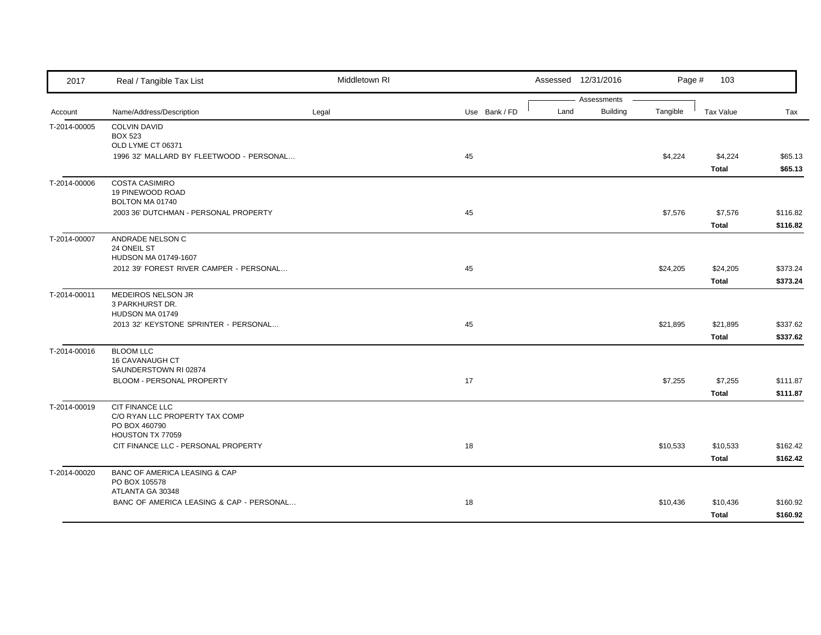| 2017         | Real / Tangible Tax List                                  | Middletown RI |               |      | Assessed 12/31/2016            | Page #   | 103          |          |
|--------------|-----------------------------------------------------------|---------------|---------------|------|--------------------------------|----------|--------------|----------|
|              | Name/Address/Description                                  |               |               | Land | Assessments<br><b>Building</b> | Tangible | Tax Value    |          |
| Account      |                                                           | Legal         | Use Bank / FD |      |                                |          |              | Tax      |
| T-2014-00005 | <b>COLVIN DAVID</b><br><b>BOX 523</b>                     |               |               |      |                                |          |              |          |
|              | OLD LYME CT 06371                                         |               |               |      |                                |          |              |          |
|              | 1996 32' MALLARD BY FLEETWOOD - PERSONAL                  |               | 45            |      |                                | \$4,224  | \$4,224      | \$65.13  |
|              |                                                           |               |               |      |                                |          | Total        | \$65.13  |
| T-2014-00006 | <b>COSTA CASIMIRO</b>                                     |               |               |      |                                |          |              |          |
|              | 19 PINEWOOD ROAD                                          |               |               |      |                                |          |              |          |
|              | BOLTON MA 01740                                           |               |               |      |                                |          |              |          |
|              | 2003 36' DUTCHMAN - PERSONAL PROPERTY                     |               | 45            |      |                                | \$7,576  | \$7,576      | \$116.82 |
|              |                                                           |               |               |      |                                |          | Total        | \$116.82 |
| T-2014-00007 | ANDRADE NELSON C                                          |               |               |      |                                |          |              |          |
|              | 24 ONEIL ST                                               |               |               |      |                                |          |              |          |
|              | HUDSON MA 01749-1607                                      |               |               |      |                                |          |              |          |
|              | 2012 39' FOREST RIVER CAMPER - PERSONAL                   |               | 45            |      |                                | \$24,205 | \$24,205     | \$373.24 |
|              |                                                           |               |               |      |                                |          | <b>Total</b> | \$373.24 |
| T-2014-00011 | MEDEIROS NELSON JR                                        |               |               |      |                                |          |              |          |
|              | 3 PARKHURST DR.                                           |               |               |      |                                |          |              |          |
|              | HUDSON MA 01749                                           |               |               |      |                                |          |              |          |
|              | 2013 32' KEYSTONE SPRINTER - PERSONAL                     |               | 45            |      |                                | \$21,895 | \$21,895     | \$337.62 |
|              |                                                           |               |               |      |                                |          | Total        | \$337.62 |
| T-2014-00016 | <b>BLOOM LLC</b>                                          |               |               |      |                                |          |              |          |
|              | 16 CAVANAUGH CT                                           |               |               |      |                                |          |              |          |
|              | SAUNDERSTOWN RI 02874                                     |               |               |      |                                |          |              |          |
|              | BLOOM - PERSONAL PROPERTY                                 |               | 17            |      |                                | \$7,255  | \$7,255      | \$111.87 |
|              |                                                           |               |               |      |                                |          | <b>Total</b> | \$111.87 |
| T-2014-00019 | CIT FINANCE LLC                                           |               |               |      |                                |          |              |          |
|              | C/O RYAN LLC PROPERTY TAX COMP                            |               |               |      |                                |          |              |          |
|              | PO BOX 460790<br>HOUSTON TX 77059                         |               |               |      |                                |          |              |          |
|              | CIT FINANCE LLC - PERSONAL PROPERTY                       |               | 18            |      |                                | \$10,533 | \$10,533     | \$162.42 |
|              |                                                           |               |               |      |                                |          |              |          |
|              |                                                           |               |               |      |                                |          | Total        | \$162.42 |
| T-2014-00020 | <b>BANC OF AMERICA LEASING &amp; CAP</b><br>PO BOX 105578 |               |               |      |                                |          |              |          |
|              | ATLANTA GA 30348                                          |               |               |      |                                |          |              |          |
|              | BANC OF AMERICA LEASING & CAP - PERSONAL                  |               | 18            |      |                                | \$10,436 | \$10,436     | \$160.92 |
|              |                                                           |               |               |      |                                |          | Total        | \$160.92 |
|              |                                                           |               |               |      |                                |          |              |          |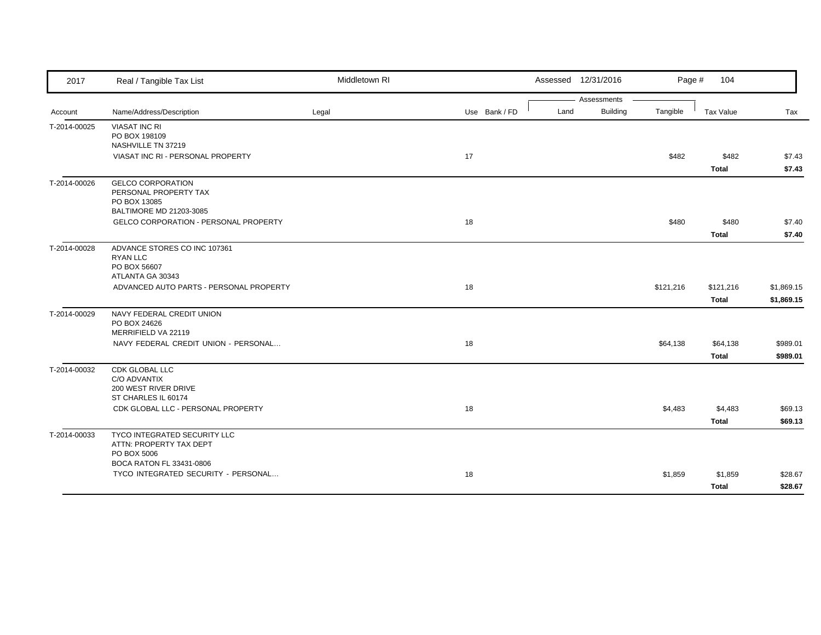| 2017         | Real / Tangible Tax List                     | Middletown RI |               |      | Assessed 12/31/2016            | Page #    | 104          |            |
|--------------|----------------------------------------------|---------------|---------------|------|--------------------------------|-----------|--------------|------------|
|              | Name/Address/Description                     |               | Use Bank / FD | Land | Assessments<br><b>Building</b> | Tangible  | Tax Value    | Tax        |
| Account      |                                              | Legal         |               |      |                                |           |              |            |
| T-2014-00025 | <b>VIASAT INC RI</b><br>PO BOX 198109        |               |               |      |                                |           |              |            |
|              | NASHVILLE TN 37219                           |               |               |      |                                |           |              |            |
|              | VIASAT INC RI - PERSONAL PROPERTY            |               | 17            |      |                                | \$482     | \$482        | \$7.43     |
|              |                                              |               |               |      |                                |           | <b>Total</b> | \$7.43     |
| T-2014-00026 | <b>GELCO CORPORATION</b>                     |               |               |      |                                |           |              |            |
|              | PERSONAL PROPERTY TAX                        |               |               |      |                                |           |              |            |
|              | PO BOX 13085<br>BALTIMORE MD 21203-3085      |               |               |      |                                |           |              |            |
|              | <b>GELCO CORPORATION - PERSONAL PROPERTY</b> |               | 18            |      |                                | \$480     | \$480        | \$7.40     |
|              |                                              |               |               |      |                                |           | <b>Total</b> | \$7.40     |
| T-2014-00028 | ADVANCE STORES CO INC 107361                 |               |               |      |                                |           |              |            |
|              | <b>RYAN LLC</b>                              |               |               |      |                                |           |              |            |
|              | PO BOX 56607                                 |               |               |      |                                |           |              |            |
|              | ATLANTA GA 30343                             |               |               |      |                                |           |              |            |
|              | ADVANCED AUTO PARTS - PERSONAL PROPERTY      |               | 18            |      |                                | \$121,216 | \$121,216    | \$1,869.15 |
|              |                                              |               |               |      |                                |           | Total        | \$1,869.15 |
| T-2014-00029 | NAVY FEDERAL CREDIT UNION                    |               |               |      |                                |           |              |            |
|              | PO BOX 24626<br>MERRIFIELD VA 22119          |               |               |      |                                |           |              |            |
|              | NAVY FEDERAL CREDIT UNION - PERSONAL         |               | 18            |      |                                | \$64,138  | \$64,138     | \$989.01   |
|              |                                              |               |               |      |                                |           |              | \$989.01   |
|              |                                              |               |               |      |                                |           | Total        |            |
| T-2014-00032 | <b>CDK GLOBAL LLC</b><br>C/O ADVANTIX        |               |               |      |                                |           |              |            |
|              | 200 WEST RIVER DRIVE                         |               |               |      |                                |           |              |            |
|              | ST CHARLES IL 60174                          |               |               |      |                                |           |              |            |
|              | CDK GLOBAL LLC - PERSONAL PROPERTY           |               | 18            |      |                                | \$4,483   | \$4,483      | \$69.13    |
|              |                                              |               |               |      |                                |           | <b>Total</b> | \$69.13    |
| T-2014-00033 | TYCO INTEGRATED SECURITY LLC                 |               |               |      |                                |           |              |            |
|              | ATTN: PROPERTY TAX DEPT                      |               |               |      |                                |           |              |            |
|              | PO BOX 5006<br>BOCA RATON FL 33431-0806      |               |               |      |                                |           |              |            |
|              | TYCO INTEGRATED SECURITY - PERSONAL          |               | 18            |      |                                | \$1,859   | \$1,859      | \$28.67    |
|              |                                              |               |               |      |                                |           |              |            |
|              |                                              |               |               |      |                                |           | Total        | \$28.67    |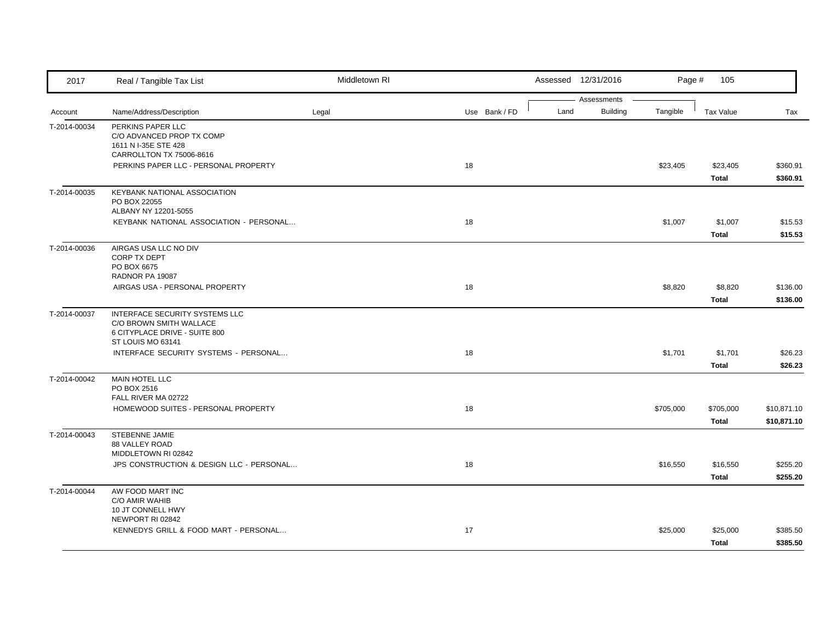| 2017         | Real / Tangible Tax List                                                                                                                    | Middletown RI |               | Assessed 12/31/2016 | Page #                                     | 105                       |                            |
|--------------|---------------------------------------------------------------------------------------------------------------------------------------------|---------------|---------------|---------------------|--------------------------------------------|---------------------------|----------------------------|
| Account      | Name/Address/Description                                                                                                                    | Legal         | Use Bank / FD | Land                | Assessments<br><b>Building</b><br>Tangible | Tax Value                 | Tax                        |
| T-2014-00034 | PERKINS PAPER LLC<br>C/O ADVANCED PROP TX COMP<br>1611 N I-35E STE 428<br>CARROLLTON TX 75006-8616<br>PERKINS PAPER LLC - PERSONAL PROPERTY |               | 18            |                     | \$23,405                                   | \$23,405                  | \$360.91                   |
|              |                                                                                                                                             |               |               |                     |                                            | <b>Total</b>              | \$360.91                   |
| T-2014-00035 | KEYBANK NATIONAL ASSOCIATION<br>PO BOX 22055<br>ALBANY NY 12201-5055                                                                        |               |               |                     |                                            |                           |                            |
|              | KEYBANK NATIONAL ASSOCIATION - PERSONAL                                                                                                     |               | 18            |                     | \$1,007                                    | \$1,007<br>Total          | \$15.53<br>\$15.53         |
| T-2014-00036 | AIRGAS USA LLC NO DIV<br>CORP TX DEPT<br>PO BOX 6675<br>RADNOR PA 19087                                                                     |               |               |                     |                                            |                           |                            |
|              | AIRGAS USA - PERSONAL PROPERTY                                                                                                              |               | 18            |                     | \$8,820                                    | \$8,820<br><b>Total</b>   | \$136.00<br>\$136.00       |
| T-2014-00037 | INTERFACE SECURITY SYSTEMS LLC<br>C/O BROWN SMITH WALLACE<br>6 CITYPLACE DRIVE - SUITE 800<br>ST LOUIS MO 63141                             |               |               |                     |                                            |                           |                            |
|              | INTERFACE SECURITY SYSTEMS - PERSONAL                                                                                                       |               | 18            |                     | \$1,701                                    | \$1,701<br><b>Total</b>   | \$26.23<br>\$26.23         |
| T-2014-00042 | MAIN HOTEL LLC<br>PO BOX 2516<br>FALL RIVER MA 02722                                                                                        |               |               |                     |                                            |                           |                            |
|              | HOMEWOOD SUITES - PERSONAL PROPERTY                                                                                                         |               | 18            |                     | \$705,000                                  | \$705,000<br><b>Total</b> | \$10,871.10<br>\$10,871.10 |
| T-2014-00043 | STEBENNE JAMIE<br>88 VALLEY ROAD<br>MIDDLETOWN RI 02842                                                                                     |               |               |                     |                                            |                           |                            |
|              | JPS CONSTRUCTION & DESIGN LLC - PERSONAL                                                                                                    |               | 18            |                     | \$16,550                                   | \$16,550<br><b>Total</b>  | \$255.20<br>\$255.20       |
| T-2014-00044 | AW FOOD MART INC<br>C/O AMIR WAHIB<br>10 JT CONNELL HWY<br>NEWPORT RI 02842                                                                 |               |               |                     |                                            |                           |                            |
|              | KENNEDYS GRILL & FOOD MART - PERSONAL                                                                                                       |               | 17            |                     | \$25,000                                   | \$25,000<br><b>Total</b>  | \$385.50<br>\$385.50       |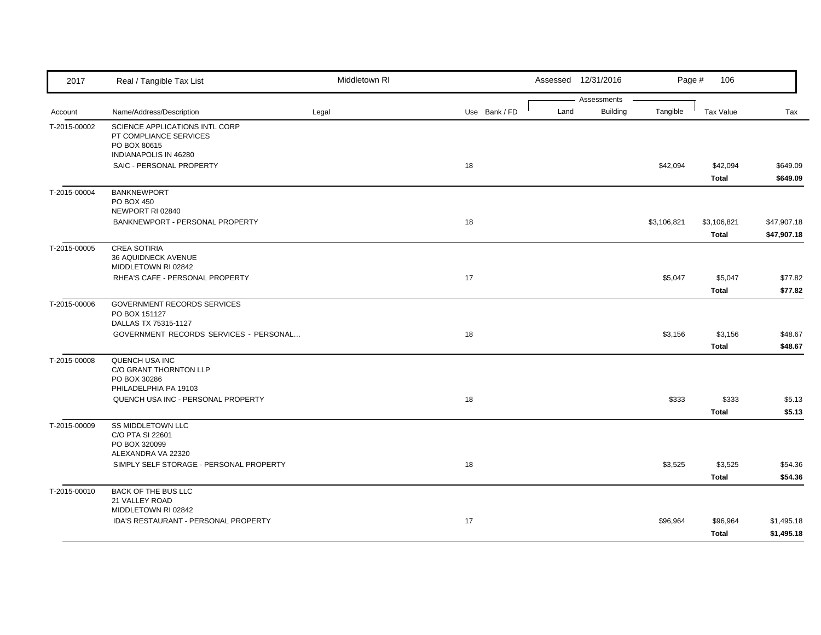| 2017         | Real / Tangible Tax List                                                                          | Middletown RI |               |      | Assessed 12/31/2016            | Page #      | 106                         |                            |
|--------------|---------------------------------------------------------------------------------------------------|---------------|---------------|------|--------------------------------|-------------|-----------------------------|----------------------------|
| Account      | Name/Address/Description                                                                          | Legal         | Use Bank / FD | Land | Assessments<br><b>Building</b> | Tangible    | <b>Tax Value</b>            | Tax                        |
| T-2015-00002 | SCIENCE APPLICATIONS INTL CORP<br>PT COMPLIANCE SERVICES<br>PO BOX 80615<br>INDIANAPOLIS IN 46280 |               |               |      |                                |             |                             |                            |
|              | SAIC - PERSONAL PROPERTY                                                                          |               | 18            |      |                                | \$42,094    | \$42,094<br><b>Total</b>    | \$649.09<br>\$649.09       |
| T-2015-00004 | <b>BANKNEWPORT</b><br>PO BOX 450<br>NEWPORT RI 02840                                              |               |               |      |                                |             |                             |                            |
|              | BANKNEWPORT - PERSONAL PROPERTY                                                                   |               | 18            |      |                                | \$3,106,821 | \$3,106,821<br><b>Total</b> | \$47,907.18<br>\$47,907.18 |
| T-2015-00005 | <b>CREA SOTIRIA</b><br>36 AQUIDNECK AVENUE<br>MIDDLETOWN RI 02842                                 |               |               |      |                                |             |                             |                            |
|              | RHEA'S CAFE - PERSONAL PROPERTY                                                                   |               | 17            |      |                                | \$5,047     | \$5,047<br>Total            | \$77.82<br>\$77.82         |
| T-2015-00006 | GOVERNMENT RECORDS SERVICES<br>PO BOX 151127<br>DALLAS TX 75315-1127                              |               |               |      |                                |             |                             |                            |
|              | GOVERNMENT RECORDS SERVICES - PERSONAL                                                            |               | 18            |      |                                | \$3,156     | \$3,156<br><b>Total</b>     | \$48.67<br>\$48.67         |
| T-2015-00008 | QUENCH USA INC<br>C/O GRANT THORNTON LLP<br>PO BOX 30286<br>PHILADELPHIA PA 19103                 |               |               |      |                                |             |                             |                            |
|              | QUENCH USA INC - PERSONAL PROPERTY                                                                |               | 18            |      |                                | \$333       | \$333<br><b>Total</b>       | \$5.13<br>\$5.13           |
| T-2015-00009 | <b>SS MIDDLETOWN LLC</b><br>C/O PTA SI 22601<br>PO BOX 320099                                     |               |               |      |                                |             |                             |                            |
|              | ALEXANDRA VA 22320<br>SIMPLY SELF STORAGE - PERSONAL PROPERTY                                     |               | 18            |      |                                | \$3,525     | \$3,525<br>Total            | \$54.36<br>\$54.36         |
| T-2015-00010 | BACK OF THE BUS LLC<br>21 VALLEY ROAD<br>MIDDLETOWN RI 02842                                      |               |               |      |                                |             |                             |                            |
|              | IDA'S RESTAURANT - PERSONAL PROPERTY                                                              |               | 17            |      |                                | \$96,964    | \$96,964<br>Total           | \$1,495.18<br>\$1,495.18   |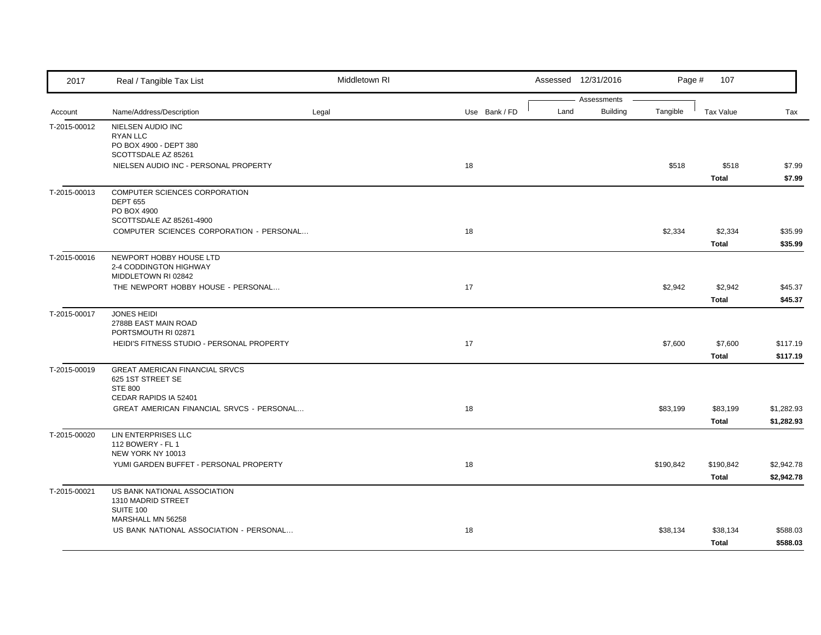| 2017         | Real / Tangible Tax List                                                                              | Middletown RI |               |      | Assessed 12/31/2016     | Page #    | 107                     |                          |
|--------------|-------------------------------------------------------------------------------------------------------|---------------|---------------|------|-------------------------|-----------|-------------------------|--------------------------|
| Account      | Name/Address/Description                                                                              | Legal         | Use Bank / FD | Land | Assessments<br>Building | Tangible  | <b>Tax Value</b>        | Tax                      |
| T-2015-00012 | NIELSEN AUDIO INC<br><b>RYAN LLC</b><br>PO BOX 4900 - DEPT 380<br>SCOTTSDALE AZ 85261                 |               |               |      |                         |           |                         |                          |
|              | NIELSEN AUDIO INC - PERSONAL PROPERTY                                                                 |               | 18            |      |                         | \$518     | \$518<br><b>Total</b>   | \$7.99<br>\$7.99         |
| T-2015-00013 | COMPUTER SCIENCES CORPORATION<br><b>DEPT 655</b><br>PO BOX 4900<br>SCOTTSDALE AZ 85261-4900           |               |               |      |                         |           |                         |                          |
|              | COMPUTER SCIENCES CORPORATION - PERSONAL                                                              |               | 18            |      |                         | \$2,334   | \$2,334<br><b>Total</b> | \$35.99<br>\$35.99       |
| T-2015-00016 | NEWPORT HOBBY HOUSE LTD<br>2-4 CODDINGTON HIGHWAY<br>MIDDLETOWN RI 02842                              |               |               |      |                         |           |                         |                          |
|              | THE NEWPORT HOBBY HOUSE - PERSONAL                                                                    |               | 17            |      |                         | \$2,942   | \$2,942<br>Total        | \$45.37<br>\$45.37       |
| T-2015-00017 | <b>JONES HEIDI</b><br>2788B EAST MAIN ROAD<br>PORTSMOUTH RI 02871                                     |               |               |      |                         |           |                         |                          |
|              | HEIDI'S FITNESS STUDIO - PERSONAL PROPERTY                                                            |               | 17            |      |                         | \$7,600   | \$7,600<br>Total        | \$117.19<br>\$117.19     |
| T-2015-00019 | <b>GREAT AMERICAN FINANCIAL SRVCS</b><br>625 1ST STREET SE<br><b>STE 800</b><br>CEDAR RAPIDS IA 52401 |               |               |      |                         |           |                         |                          |
|              | GREAT AMERICAN FINANCIAL SRVCS - PERSONAL                                                             |               | 18            |      |                         | \$83,199  | \$83,199<br>Total       | \$1,282.93<br>\$1,282.93 |
| T-2015-00020 | LIN ENTERPRISES LLC<br>112 BOWERY - FL 1<br>NEW YORK NY 10013                                         |               |               |      |                         |           |                         |                          |
|              | YUMI GARDEN BUFFET - PERSONAL PROPERTY                                                                |               | 18            |      |                         | \$190,842 | \$190,842<br>Total      | \$2,942.78<br>\$2,942.78 |
| T-2015-00021 | US BANK NATIONAL ASSOCIATION<br>1310 MADRID STREET<br>SUITE 100                                       |               |               |      |                         |           |                         |                          |
|              | MARSHALL MN 56258<br>US BANK NATIONAL ASSOCIATION - PERSONAL                                          |               | 18            |      |                         | \$38,134  | \$38,134<br>Total       | \$588.03<br>\$588.03     |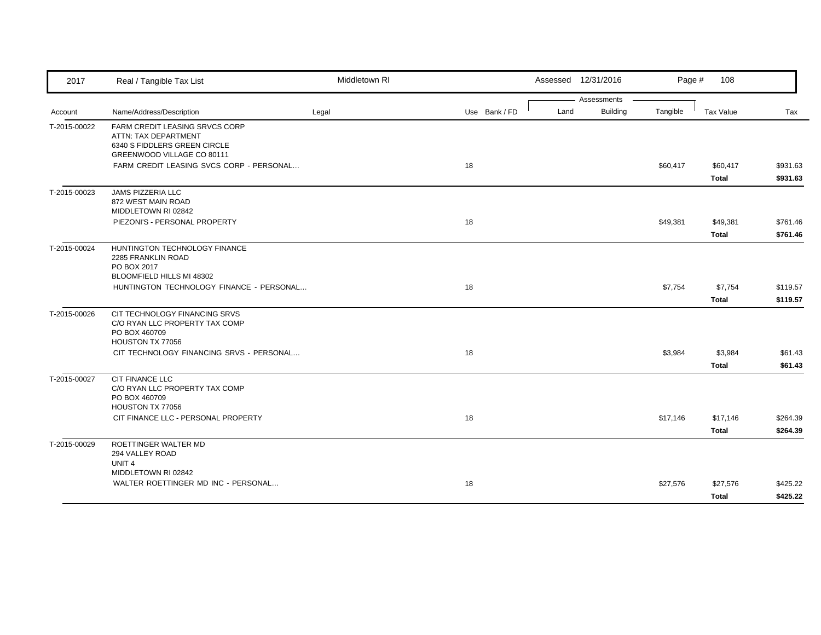| 2017         | Real / Tangible Tax List                                                                                             | Middletown RI |               |      | Assessed 12/31/2016     | Page #   | 108               |                      |
|--------------|----------------------------------------------------------------------------------------------------------------------|---------------|---------------|------|-------------------------|----------|-------------------|----------------------|
| Account      | Name/Address/Description                                                                                             | Legal         | Use Bank / FD | Land | Assessments<br>Building | Tangible | Tax Value         | Tax                  |
| T-2015-00022 | FARM CREDIT LEASING SRVCS CORP<br>ATTN: TAX DEPARTMENT<br>6340 S FIDDLERS GREEN CIRCLE<br>GREENWOOD VILLAGE CO 80111 |               |               |      |                         |          |                   |                      |
|              | FARM CREDIT LEASING SVCS CORP - PERSONAL                                                                             |               | 18            |      |                         | \$60,417 | \$60,417<br>Total | \$931.63<br>\$931.63 |
| T-2015-00023 | JAMS PIZZERIA LLC<br>872 WEST MAIN ROAD<br>MIDDLETOWN RI 02842                                                       |               |               |      |                         |          |                   |                      |
|              | PIEZONI'S - PERSONAL PROPERTY                                                                                        |               | 18            |      |                         | \$49,381 | \$49,381<br>Total | \$761.46<br>\$761.46 |
| T-2015-00024 | HUNTINGTON TECHNOLOGY FINANCE<br>2285 FRANKLIN ROAD<br>PO BOX 2017<br>BLOOMFIELD HILLS MI 48302                      |               |               |      |                         |          |                   |                      |
|              | HUNTINGTON TECHNOLOGY FINANCE - PERSONAL                                                                             |               | 18            |      |                         | \$7,754  | \$7,754<br>Total  | \$119.57<br>\$119.57 |
| T-2015-00026 | CIT TECHNOLOGY FINANCING SRVS<br>C/O RYAN LLC PROPERTY TAX COMP<br>PO BOX 460709<br>HOUSTON TX 77056                 |               |               |      |                         |          |                   |                      |
|              | CIT TECHNOLOGY FINANCING SRVS - PERSONAL                                                                             |               | 18            |      |                         | \$3,984  | \$3,984<br>Total  | \$61.43<br>\$61.43   |
| T-2015-00027 | <b>CIT FINANCE LLC</b><br>C/O RYAN LLC PROPERTY TAX COMP<br>PO BOX 460709<br>HOUSTON TX 77056                        |               |               |      |                         |          |                   |                      |
|              | CIT FINANCE LLC - PERSONAL PROPERTY                                                                                  |               | 18            |      |                         | \$17,146 | \$17,146<br>Total | \$264.39<br>\$264.39 |
| T-2015-00029 | ROETTINGER WALTER MD<br>294 VALLEY ROAD<br>UNIT <sub>4</sub>                                                         |               |               |      |                         |          |                   |                      |
|              | MIDDLETOWN RI 02842<br>WALTER ROETTINGER MD INC - PERSONAL                                                           |               | 18            |      |                         | \$27,576 | \$27,576<br>Total | \$425.22<br>\$425.22 |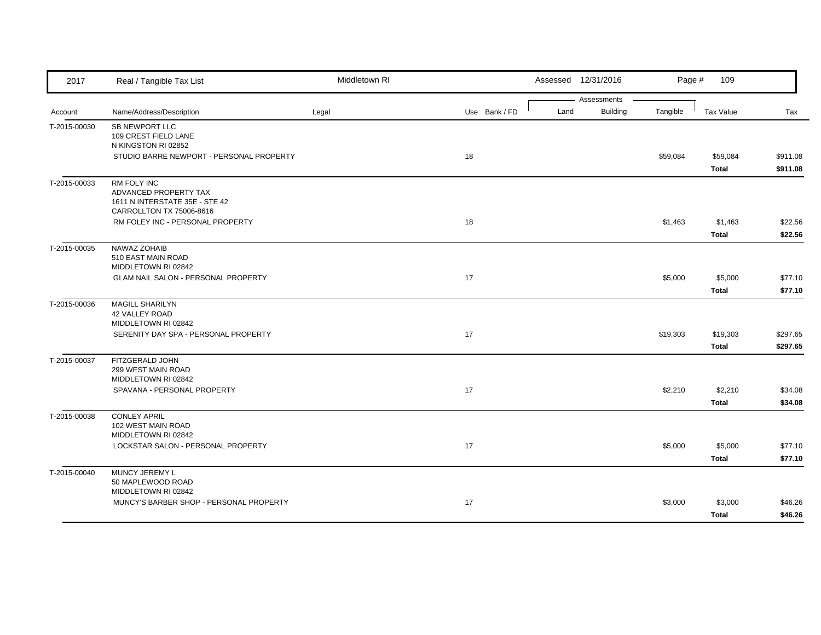| 2017         | Real / Tangible Tax List                                                                           | Middletown RI |               | Assessed 12/31/2016                    | Page #   | 109                     |                      |
|--------------|----------------------------------------------------------------------------------------------------|---------------|---------------|----------------------------------------|----------|-------------------------|----------------------|
| Account      | Name/Address/Description                                                                           | Legal         | Use Bank / FD | Assessments<br><b>Building</b><br>Land | Tangible | Tax Value               | Tax                  |
| T-2015-00030 | SB NEWPORT LLC<br>109 CREST FIELD LANE<br>N KINGSTON RI 02852                                      |               |               |                                        |          |                         |                      |
|              | STUDIO BARRE NEWPORT - PERSONAL PROPERTY                                                           |               | 18            |                                        | \$59,084 | \$59,084<br>Total       | \$911.08<br>\$911.08 |
| T-2015-00033 | RM FOLY INC<br>ADVANCED PROPERTY TAX<br>1611 N INTERSTATE 35E - STE 42<br>CARROLLTON TX 75006-8616 |               |               |                                        |          |                         |                      |
|              | RM FOLEY INC - PERSONAL PROPERTY                                                                   |               | 18            |                                        | \$1,463  | \$1,463<br><b>Total</b> | \$22.56<br>\$22.56   |
| T-2015-00035 | NAWAZ ZOHAIB<br>510 EAST MAIN ROAD<br>MIDDLETOWN RI 02842                                          |               |               |                                        |          |                         |                      |
|              | GLAM NAIL SALON - PERSONAL PROPERTY                                                                |               | 17            |                                        | \$5,000  | \$5,000<br>Total        | \$77.10<br>\$77.10   |
| T-2015-00036 | <b>MAGILL SHARILYN</b><br>42 VALLEY ROAD<br>MIDDLETOWN RI 02842                                    |               |               |                                        |          |                         |                      |
|              | SERENITY DAY SPA - PERSONAL PROPERTY                                                               |               | 17            |                                        | \$19,303 | \$19,303<br>Total       | \$297.65<br>\$297.65 |
| T-2015-00037 | FITZGERALD JOHN<br>299 WEST MAIN ROAD<br>MIDDLETOWN RI 02842                                       |               |               |                                        |          |                         |                      |
|              | SPAVANA - PERSONAL PROPERTY                                                                        |               | 17            |                                        | \$2,210  | \$2,210<br>Total        | \$34.08<br>\$34.08   |
| T-2015-00038 | <b>CONLEY APRIL</b><br>102 WEST MAIN ROAD<br>MIDDLETOWN RI 02842                                   |               |               |                                        |          |                         |                      |
|              | LOCKSTAR SALON - PERSONAL PROPERTY                                                                 |               | 17            |                                        | \$5,000  | \$5,000<br>Total        | \$77.10<br>\$77.10   |
| T-2015-00040 | MUNCY JEREMY L<br>50 MAPLEWOOD ROAD<br>MIDDLETOWN RI 02842                                         |               |               |                                        |          |                         |                      |
|              | MUNCY'S BARBER SHOP - PERSONAL PROPERTY                                                            |               | 17            |                                        | \$3,000  | \$3,000<br>Total        | \$46.26<br>\$46.26   |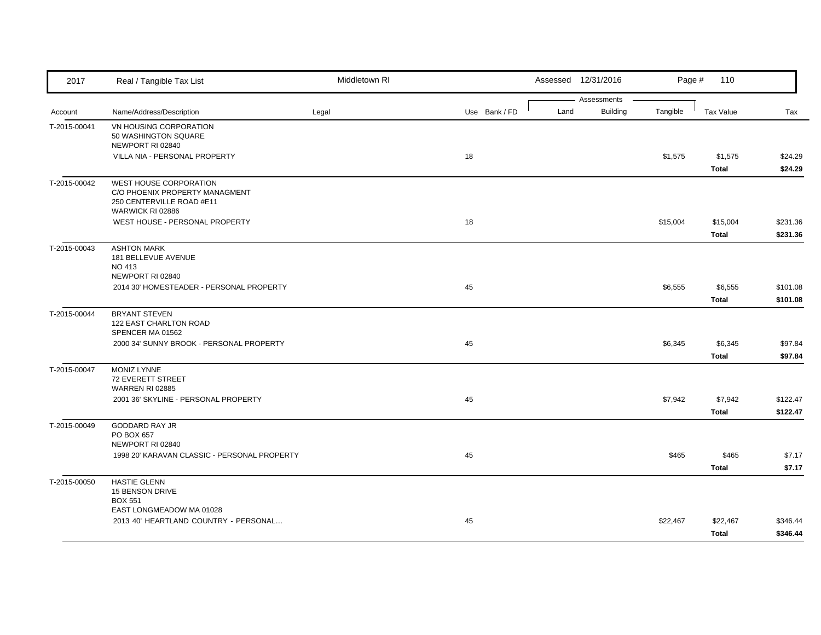| 2017         | Real / Tangible Tax List                                                                                  | Middletown RI |               |      | Assessed 12/31/2016 | Page #   | 110                      |                      |
|--------------|-----------------------------------------------------------------------------------------------------------|---------------|---------------|------|---------------------|----------|--------------------------|----------------------|
|              |                                                                                                           |               |               |      | Assessments         |          |                          |                      |
| Account      | Name/Address/Description                                                                                  | Legal         | Use Bank / FD | Land | <b>Building</b>     | Tangible | <b>Tax Value</b>         | Tax                  |
| T-2015-00041 | VN HOUSING CORPORATION<br>50 WASHINGTON SQUARE<br>NEWPORT RI 02840                                        |               |               |      |                     |          |                          |                      |
|              | VILLA NIA - PERSONAL PROPERTY                                                                             |               | 18            |      |                     | \$1,575  | \$1,575                  | \$24.29              |
|              |                                                                                                           |               |               |      |                     |          | Total                    | \$24.29              |
| T-2015-00042 | WEST HOUSE CORPORATION<br>C/O PHOENIX PROPERTY MANAGMENT<br>250 CENTERVILLE ROAD #E11<br>WARWICK RI 02886 |               |               |      |                     |          |                          |                      |
|              | WEST HOUSE - PERSONAL PROPERTY                                                                            |               | 18            |      |                     | \$15,004 | \$15,004<br><b>Total</b> | \$231.36<br>\$231.36 |
| T-2015-00043 | <b>ASHTON MARK</b><br>181 BELLEVUE AVENUE<br><b>NO 413</b><br>NEWPORT RI 02840                            |               |               |      |                     |          |                          |                      |
|              | 2014 30' HOMESTEADER - PERSONAL PROPERTY                                                                  |               | 45            |      |                     | \$6,555  | \$6,555<br>Total         | \$101.08<br>\$101.08 |
| T-2015-00044 | <b>BRYANT STEVEN</b><br>122 EAST CHARLTON ROAD<br>SPENCER MA 01562                                        |               |               |      |                     |          |                          |                      |
|              | 2000 34' SUNNY BROOK - PERSONAL PROPERTY                                                                  |               | 45            |      |                     | \$6,345  | \$6,345<br><b>Total</b>  | \$97.84<br>\$97.84   |
| T-2015-00047 | <b>MONIZ LYNNE</b><br>72 EVERETT STREET<br><b>WARREN RI 02885</b>                                         |               |               |      |                     |          |                          |                      |
|              | 2001 36' SKYLINE - PERSONAL PROPERTY                                                                      |               | 45            |      |                     | \$7,942  | \$7,942<br>Total         | \$122.47<br>\$122.47 |
| T-2015-00049 | <b>GODDARD RAY JR</b><br>PO BOX 657<br>NEWPORT RI 02840                                                   |               |               |      |                     |          |                          |                      |
|              | 1998 20' KARAVAN CLASSIC - PERSONAL PROPERTY                                                              |               | 45            |      |                     | \$465    | \$465<br><b>Total</b>    | \$7.17<br>\$7.17     |
| T-2015-00050 | <b>HASTIE GLENN</b><br>15 BENSON DRIVE<br><b>BOX 551</b>                                                  |               |               |      |                     |          |                          |                      |
|              | EAST LONGMEADOW MA 01028                                                                                  |               |               |      |                     |          |                          |                      |
|              | 2013 40' HEARTLAND COUNTRY - PERSONAL                                                                     |               | 45            |      |                     | \$22,467 | \$22,467                 | \$346.44             |
|              |                                                                                                           |               |               |      |                     |          | Total                    | \$346.44             |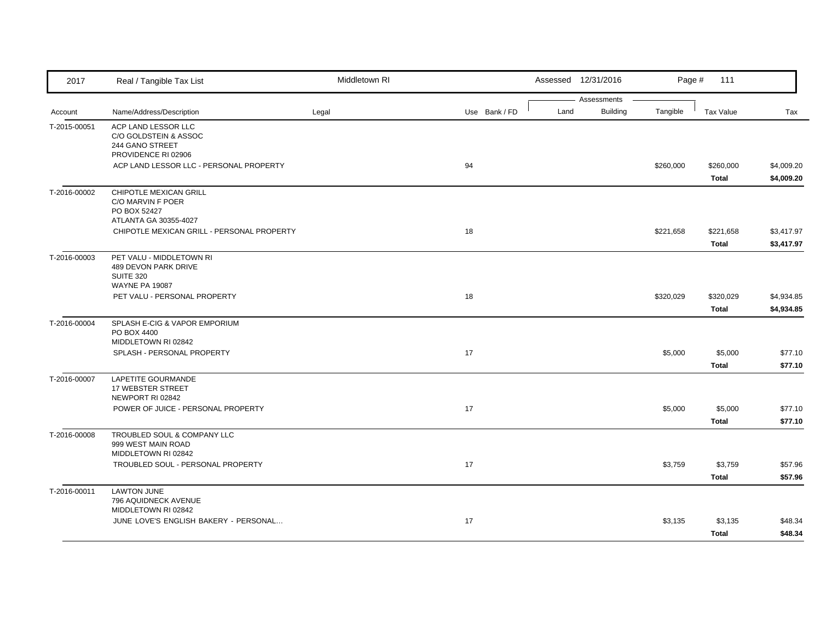| 2017         | Real / Tangible Tax List                                                                      | Middletown RI |               |      | Assessed 12/31/2016     | Page #    | 111                     |                          |
|--------------|-----------------------------------------------------------------------------------------------|---------------|---------------|------|-------------------------|-----------|-------------------------|--------------------------|
| Account      | Name/Address/Description                                                                      | Legal         | Use Bank / FD | Land | Assessments<br>Building | Tangible  | <b>Tax Value</b>        | Tax                      |
| T-2015-00051 | ACP LAND LESSOR LLC<br>C/O GOLDSTEIN & ASSOC<br>244 GANO STREET<br>PROVIDENCE RI 02906        |               |               |      |                         |           |                         |                          |
|              | ACP LAND LESSOR LLC - PERSONAL PROPERTY                                                       |               | 94            |      |                         | \$260,000 | \$260,000<br>Total      | \$4,009.20<br>\$4,009.20 |
| T-2016-00002 | CHIPOTLE MEXICAN GRILL<br>C/O MARVIN F POER<br>PO BOX 52427<br>ATLANTA GA 30355-4027          |               |               |      |                         |           |                         |                          |
|              | CHIPOTLE MEXICAN GRILL - PERSONAL PROPERTY                                                    |               | 18            |      |                         | \$221,658 | \$221,658<br>Total      | \$3,417.97<br>\$3,417.97 |
| T-2016-00003 | PET VALU - MIDDLETOWN RI<br>489 DEVON PARK DRIVE<br><b>SUITE 320</b><br><b>WAYNE PA 19087</b> |               |               |      |                         |           |                         |                          |
|              | PET VALU - PERSONAL PROPERTY                                                                  |               | 18            |      |                         | \$320,029 | \$320,029<br>Total      | \$4,934.85<br>\$4,934.85 |
| T-2016-00004 | SPLASH E-CIG & VAPOR EMPORIUM<br>PO BOX 4400<br>MIDDLETOWN RI 02842                           |               |               |      |                         |           |                         |                          |
|              | SPLASH - PERSONAL PROPERTY                                                                    |               | 17            |      |                         | \$5,000   | \$5,000<br>Total        | \$77.10<br>\$77.10       |
| T-2016-00007 | LAPETITE GOURMANDE<br>17 WEBSTER STREET<br>NEWPORT RI 02842                                   |               |               |      |                         |           |                         |                          |
|              | POWER OF JUICE - PERSONAL PROPERTY                                                            |               | 17            |      |                         | \$5,000   | \$5,000<br><b>Total</b> | \$77.10<br>\$77.10       |
| T-2016-00008 | TROUBLED SOUL & COMPANY LLC<br>999 WEST MAIN ROAD<br>MIDDLETOWN RI 02842                      |               |               |      |                         |           |                         |                          |
|              | TROUBLED SOUL - PERSONAL PROPERTY                                                             |               | 17            |      |                         | \$3,759   | \$3,759<br>Total        | \$57.96<br>\$57.96       |
| T-2016-00011 | <b>LAWTON JUNE</b><br>796 AQUIDNECK AVENUE<br>MIDDLETOWN RI 02842                             |               |               |      |                         |           |                         |                          |
|              | JUNE LOVE'S ENGLISH BAKERY - PERSONAL                                                         |               | 17            |      |                         | \$3,135   | \$3,135<br>Total        | \$48.34<br>\$48.34       |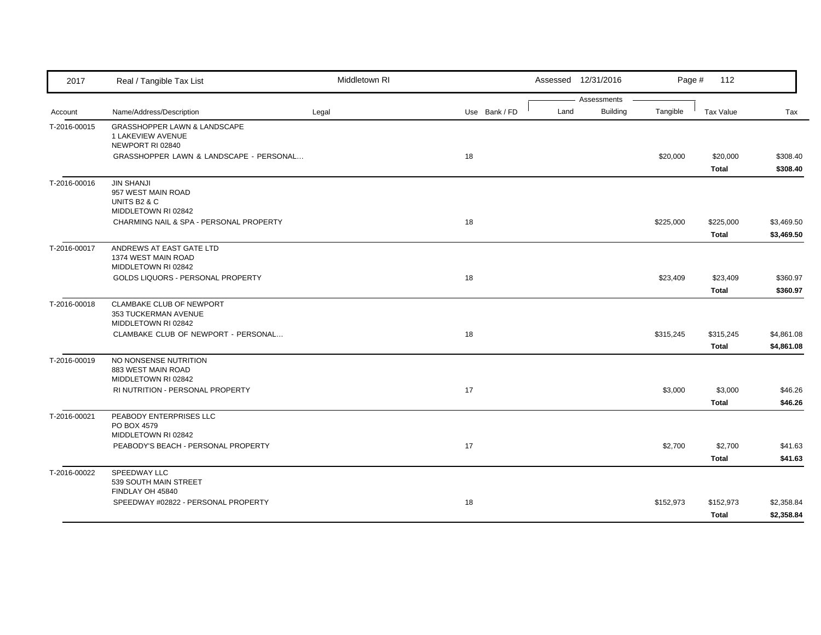| 2017         | Real / Tangible Tax List                                                | Middletown RI |               |      | Assessed 12/31/2016            | Page #    | 112                       |                          |
|--------------|-------------------------------------------------------------------------|---------------|---------------|------|--------------------------------|-----------|---------------------------|--------------------------|
|              |                                                                         |               |               | Land | Assessments<br><b>Building</b> | Tangible  |                           |                          |
| Account      | Name/Address/Description                                                | Legal         | Use Bank / FD |      |                                |           | Tax Value                 | Tax                      |
| T-2016-00015 | GRASSHOPPER LAWN & LANDSCAPE<br>1 LAKEVIEW AVENUE<br>NEWPORT RI 02840   |               |               |      |                                |           |                           |                          |
|              | GRASSHOPPER LAWN & LANDSCAPE - PERSONAL                                 |               | 18            |      |                                | \$20,000  | \$20,000<br>Total         | \$308.40<br>\$308.40     |
| T-2016-00016 | <b>JIN SHANJI</b><br>957 WEST MAIN ROAD<br>UNITS B2 & C                 |               |               |      |                                |           |                           |                          |
|              | MIDDLETOWN RI 02842<br>CHARMING NAIL & SPA - PERSONAL PROPERTY          |               | 18            |      |                                | \$225,000 | \$225,000<br><b>Total</b> | \$3,469.50<br>\$3,469.50 |
| T-2016-00017 | ANDREWS AT EAST GATE LTD<br>1374 WEST MAIN ROAD<br>MIDDLETOWN RI 02842  |               |               |      |                                |           |                           |                          |
|              | GOLDS LIQUORS - PERSONAL PROPERTY                                       |               | 18            |      |                                | \$23,409  | \$23,409<br>Total         | \$360.97<br>\$360.97     |
| T-2016-00018 | CLAMBAKE CLUB OF NEWPORT<br>353 TUCKERMAN AVENUE<br>MIDDLETOWN RI 02842 |               |               |      |                                |           |                           |                          |
|              | CLAMBAKE CLUB OF NEWPORT - PERSONAL                                     |               | 18            |      |                                | \$315,245 | \$315,245<br><b>Total</b> | \$4,861.08<br>\$4,861.08 |
| T-2016-00019 | NO NONSENSE NUTRITION<br>883 WEST MAIN ROAD<br>MIDDLETOWN RI 02842      |               |               |      |                                |           |                           |                          |
|              | RI NUTRITION - PERSONAL PROPERTY                                        |               | 17            |      |                                | \$3,000   | \$3,000<br>Total          | \$46.26<br>\$46.26       |
| T-2016-00021 | PEABODY ENTERPRISES LLC<br>PO BOX 4579<br>MIDDLETOWN RI 02842           |               |               |      |                                |           |                           |                          |
|              | PEABODY'S BEACH - PERSONAL PROPERTY                                     |               | 17            |      |                                | \$2,700   | \$2,700<br>Total          | \$41.63<br>\$41.63       |
| T-2016-00022 | SPEEDWAY LLC<br>539 SOUTH MAIN STREET<br>FINDLAY OH 45840               |               |               |      |                                |           |                           |                          |
|              | SPEEDWAY #02822 - PERSONAL PROPERTY                                     |               | 18            |      |                                | \$152,973 | \$152,973<br><b>Total</b> | \$2,358.84<br>\$2,358.84 |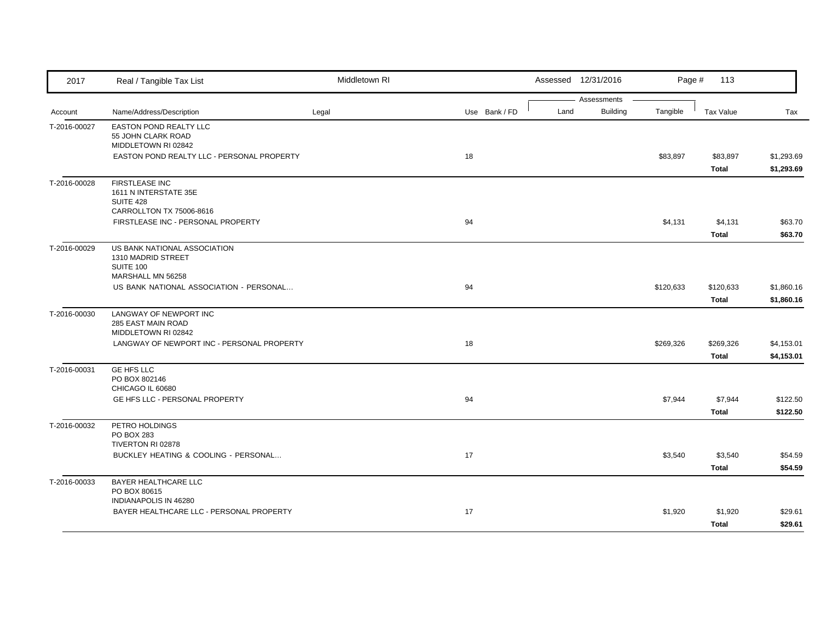| 2017         | Real / Tangible Tax List                                            | Middletown RI |    |               |      | Assessed 12/31/2016            | Page #    | 113                       |                          |
|--------------|---------------------------------------------------------------------|---------------|----|---------------|------|--------------------------------|-----------|---------------------------|--------------------------|
|              |                                                                     |               |    |               | Land | Assessments<br><b>Building</b> | Tangible  |                           |                          |
| Account      | Name/Address/Description                                            | Legal         |    | Use Bank / FD |      |                                |           | <b>Tax Value</b>          | Tax                      |
| T-2016-00027 | EASTON POND REALTY LLC<br>55 JOHN CLARK ROAD<br>MIDDLETOWN RI 02842 |               |    |               |      |                                |           |                           |                          |
|              | EASTON POND REALTY LLC - PERSONAL PROPERTY                          |               | 18 |               |      |                                | \$83,897  | \$83,897                  | \$1,293.69               |
| T-2016-00028 | <b>FIRSTLEASE INC</b>                                               |               |    |               |      |                                |           | Total                     | \$1,293.69               |
|              | 1611 N INTERSTATE 35E<br><b>SUITE 428</b>                           |               |    |               |      |                                |           |                           |                          |
|              | CARROLLTON TX 75006-8616                                            |               |    |               |      |                                |           |                           |                          |
|              | FIRSTLEASE INC - PERSONAL PROPERTY                                  |               | 94 |               |      |                                | \$4,131   | \$4,131                   | \$63.70                  |
|              |                                                                     |               |    |               |      |                                |           | Total                     | \$63.70                  |
| T-2016-00029 | US BANK NATIONAL ASSOCIATION<br>1310 MADRID STREET                  |               |    |               |      |                                |           |                           |                          |
|              | <b>SUITE 100</b><br>MARSHALL MN 56258                               |               |    |               |      |                                |           |                           |                          |
|              | US BANK NATIONAL ASSOCIATION - PERSONAL                             |               | 94 |               |      |                                | \$120,633 | \$120,633                 | \$1,860.16               |
|              |                                                                     |               |    |               |      |                                |           | Total                     | \$1,860.16               |
| T-2016-00030 | LANGWAY OF NEWPORT INC<br>285 EAST MAIN ROAD                        |               |    |               |      |                                |           |                           |                          |
|              | MIDDLETOWN RI 02842                                                 |               |    |               |      |                                |           |                           |                          |
|              | LANGWAY OF NEWPORT INC - PERSONAL PROPERTY                          |               | 18 |               |      |                                | \$269,326 | \$269,326<br><b>Total</b> | \$4,153.01<br>\$4,153.01 |
| T-2016-00031 | <b>GE HFS LLC</b>                                                   |               |    |               |      |                                |           |                           |                          |
|              | PO BOX 802146<br>CHICAGO IL 60680                                   |               |    |               |      |                                |           |                           |                          |
|              | GE HFS LLC - PERSONAL PROPERTY                                      |               | 94 |               |      |                                | \$7,944   | \$7,944                   | \$122.50                 |
|              |                                                                     |               |    |               |      |                                |           | <b>Total</b>              | \$122.50                 |
| T-2016-00032 | PETRO HOLDINGS                                                      |               |    |               |      |                                |           |                           |                          |
|              | PO BOX 283<br>TIVERTON RI 02878                                     |               |    |               |      |                                |           |                           |                          |
|              | BUCKLEY HEATING & COOLING - PERSONAL                                |               | 17 |               |      |                                | \$3,540   | \$3,540                   | \$54.59                  |
|              |                                                                     |               |    |               |      |                                |           | Total                     | \$54.59                  |
| T-2016-00033 | BAYER HEALTHCARE LLC<br>PO BOX 80615                                |               |    |               |      |                                |           |                           |                          |
|              | INDIANAPOLIS IN 46280                                               |               |    |               |      |                                |           |                           |                          |
|              | BAYER HEALTHCARE LLC - PERSONAL PROPERTY                            |               | 17 |               |      |                                | \$1,920   | \$1,920                   | \$29.61                  |
|              |                                                                     |               |    |               |      |                                |           | Total                     | \$29.61                  |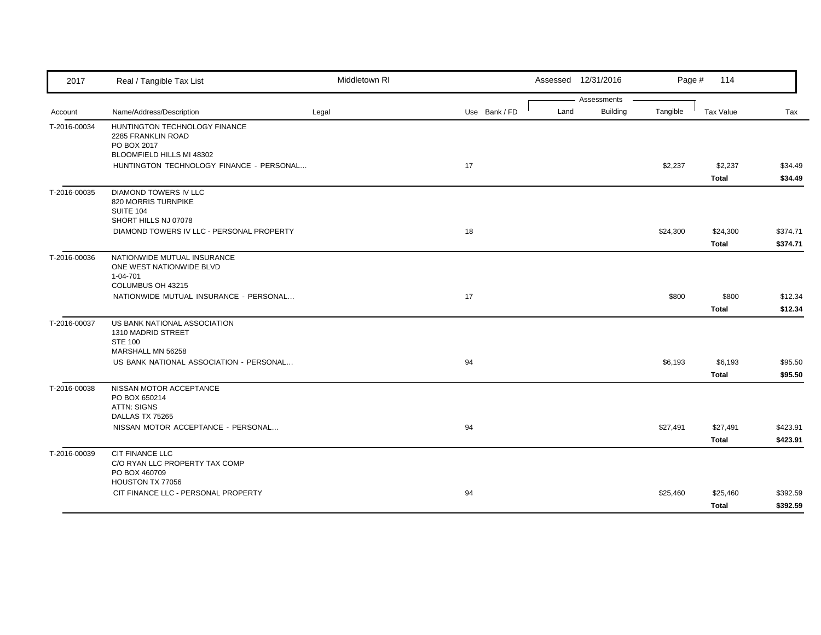| 2017         | Real / Tangible Tax List                            | Middletown RI |               |      | Assessed 12/31/2016 | Page #   | 114          |          |
|--------------|-----------------------------------------------------|---------------|---------------|------|---------------------|----------|--------------|----------|
|              |                                                     |               |               |      | Assessments         |          |              |          |
| Account      | Name/Address/Description                            | Legal         | Use Bank / FD | Land | Building            | Tangible | Tax Value    | Tax      |
| T-2016-00034 | HUNTINGTON TECHNOLOGY FINANCE<br>2285 FRANKLIN ROAD |               |               |      |                     |          |              |          |
|              | PO BOX 2017                                         |               |               |      |                     |          |              |          |
|              | BLOOMFIELD HILLS MI 48302                           |               |               |      |                     |          |              |          |
|              | HUNTINGTON TECHNOLOGY FINANCE - PERSONAL            |               | 17            |      |                     | \$2,237  | \$2,237      | \$34.49  |
|              |                                                     |               |               |      |                     |          | <b>Total</b> | \$34.49  |
| T-2016-00035 | <b>DIAMOND TOWERS IV LLC</b>                        |               |               |      |                     |          |              |          |
|              | 820 MORRIS TURNPIKE<br>SUITE 104                    |               |               |      |                     |          |              |          |
|              | SHORT HILLS NJ 07078                                |               |               |      |                     |          |              |          |
|              | DIAMOND TOWERS IV LLC - PERSONAL PROPERTY           |               | 18            |      |                     | \$24,300 | \$24,300     | \$374.71 |
|              |                                                     |               |               |      |                     |          | <b>Total</b> | \$374.71 |
| T-2016-00036 | NATIONWIDE MUTUAL INSURANCE                         |               |               |      |                     |          |              |          |
|              | ONE WEST NATIONWIDE BLVD<br>1-04-701                |               |               |      |                     |          |              |          |
|              | COLUMBUS OH 43215                                   |               |               |      |                     |          |              |          |
|              | NATIONWIDE MUTUAL INSURANCE - PERSONAL              |               | 17            |      |                     | \$800    | \$800        | \$12.34  |
|              |                                                     |               |               |      |                     |          | Total        | \$12.34  |
| T-2016-00037 | US BANK NATIONAL ASSOCIATION                        |               |               |      |                     |          |              |          |
|              | 1310 MADRID STREET<br><b>STE 100</b>                |               |               |      |                     |          |              |          |
|              | MARSHALL MN 56258                                   |               |               |      |                     |          |              |          |
|              | US BANK NATIONAL ASSOCIATION - PERSONAL             |               | 94            |      |                     | \$6,193  | \$6,193      | \$95.50  |
|              |                                                     |               |               |      |                     |          | Total        | \$95.50  |
| T-2016-00038 | NISSAN MOTOR ACCEPTANCE                             |               |               |      |                     |          |              |          |
|              | PO BOX 650214<br><b>ATTN: SIGNS</b>                 |               |               |      |                     |          |              |          |
|              | DALLAS TX 75265                                     |               |               |      |                     |          |              |          |
|              | NISSAN MOTOR ACCEPTANCE - PERSONAL                  |               | 94            |      |                     | \$27,491 | \$27,491     | \$423.91 |
|              |                                                     |               |               |      |                     |          | Total        | \$423.91 |
| T-2016-00039 | <b>CIT FINANCE LLC</b>                              |               |               |      |                     |          |              |          |
|              | C/O RYAN LLC PROPERTY TAX COMP                      |               |               |      |                     |          |              |          |
|              | PO BOX 460709<br>HOUSTON TX 77056                   |               |               |      |                     |          |              |          |
|              | CIT FINANCE LLC - PERSONAL PROPERTY                 |               | 94            |      |                     | \$25,460 | \$25,460     | \$392.59 |
|              |                                                     |               |               |      |                     |          | Total        | \$392.59 |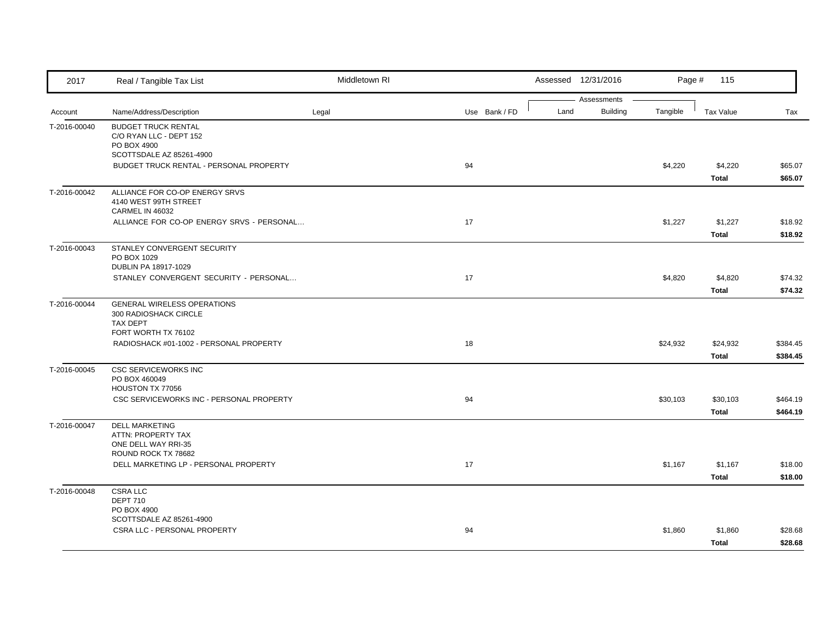| 2017         | Real / Tangible Tax List                                                                         | Middletown RI |               | Assessed 12/31/2016 |                             | Page #<br>115            |                      |
|--------------|--------------------------------------------------------------------------------------------------|---------------|---------------|---------------------|-----------------------------|--------------------------|----------------------|
| Account      | Name/Address/Description                                                                         | Legal         | Use Bank / FD | Assessments<br>Land | <b>Building</b><br>Tangible | Tax Value                | Tax                  |
| T-2016-00040 | <b>BUDGET TRUCK RENTAL</b><br>C/O RYAN LLC - DEPT 152<br>PO BOX 4900<br>SCOTTSDALE AZ 85261-4900 |               |               |                     |                             |                          |                      |
|              | BUDGET TRUCK RENTAL - PERSONAL PROPERTY                                                          |               | 94            |                     | \$4,220                     | \$4,220<br><b>Total</b>  | \$65.07<br>\$65.07   |
| T-2016-00042 | ALLIANCE FOR CO-OP ENERGY SRVS<br>4140 WEST 99TH STREET<br>CARMEL IN 46032                       |               |               |                     |                             |                          |                      |
|              | ALLIANCE FOR CO-OP ENERGY SRVS - PERSONAL                                                        |               | 17            |                     | \$1,227                     | \$1,227<br>Total         | \$18.92<br>\$18.92   |
| T-2016-00043 | STANLEY CONVERGENT SECURITY<br>PO BOX 1029<br>DUBLIN PA 18917-1029                               |               |               |                     |                             |                          |                      |
|              | STANLEY CONVERGENT SECURITY - PERSONAL                                                           |               | 17            |                     | \$4,820                     | \$4,820<br>Total         | \$74.32<br>\$74.32   |
| T-2016-00044 | <b>GENERAL WIRELESS OPERATIONS</b><br>300 RADIOSHACK CIRCLE<br>TAX DEPT                          |               |               |                     |                             |                          |                      |
|              | FORT WORTH TX 76102<br>RADIOSHACK #01-1002 - PERSONAL PROPERTY                                   |               | 18            |                     | \$24,932                    | \$24,932<br><b>Total</b> | \$384.45<br>\$384.45 |
| T-2016-00045 | <b>CSC SERVICEWORKS INC</b><br>PO BOX 460049<br>HOUSTON TX 77056                                 |               |               |                     |                             |                          |                      |
|              | CSC SERVICEWORKS INC - PERSONAL PROPERTY                                                         |               | 94            |                     | \$30,103                    | \$30,103<br><b>Total</b> | \$464.19<br>\$464.19 |
| T-2016-00047 | <b>DELL MARKETING</b><br>ATTN: PROPERTY TAX<br>ONE DELL WAY RRI-35<br>ROUND ROCK TX 78682        |               |               |                     |                             |                          |                      |
|              | DELL MARKETING LP - PERSONAL PROPERTY                                                            |               | 17            |                     | \$1,167                     | \$1,167<br><b>Total</b>  | \$18.00<br>\$18.00   |
| T-2016-00048 | <b>CSRA LLC</b><br><b>DEPT 710</b><br>PO BOX 4900                                                |               |               |                     |                             |                          |                      |
|              | SCOTTSDALE AZ 85261-4900<br>CSRA LLC - PERSONAL PROPERTY                                         |               | 94            |                     | \$1,860                     | \$1,860<br><b>Total</b>  | \$28.68<br>\$28.68   |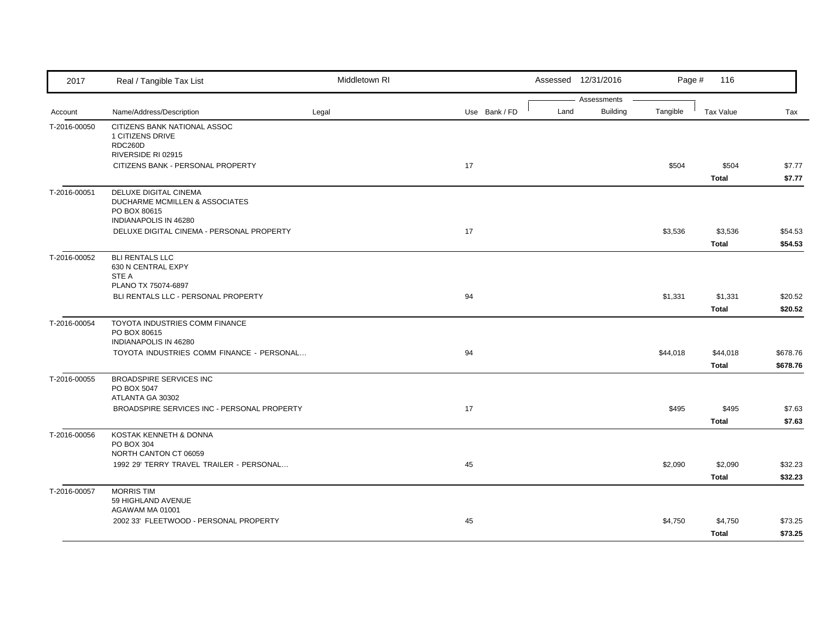| 2017         | Real / Tangible Tax List                                                                         | Middletown RI |               |      | Assessed 12/31/2016     | Page #   | 116                     |                      |
|--------------|--------------------------------------------------------------------------------------------------|---------------|---------------|------|-------------------------|----------|-------------------------|----------------------|
| Account      | Name/Address/Description                                                                         | Legal         | Use Bank / FD | Land | Assessments<br>Building | Tangible | <b>Tax Value</b>        | Tax                  |
| T-2016-00050 | CITIZENS BANK NATIONAL ASSOC<br>1 CITIZENS DRIVE<br>RDC260D<br>RIVERSIDE RI 02915                |               |               |      |                         |          |                         |                      |
|              | CITIZENS BANK - PERSONAL PROPERTY                                                                |               | 17            |      |                         | \$504    | \$504<br><b>Total</b>   | \$7.77<br>\$7.77     |
| T-2016-00051 | DELUXE DIGITAL CINEMA<br>DUCHARME MCMILLEN & ASSOCIATES<br>PO BOX 80615<br>INDIANAPOLIS IN 46280 |               |               |      |                         |          |                         |                      |
|              | DELUXE DIGITAL CINEMA - PERSONAL PROPERTY                                                        |               | 17            |      |                         | \$3,536  | \$3,536<br><b>Total</b> | \$54.53<br>\$54.53   |
| T-2016-00052 | <b>BLI RENTALS LLC</b><br>630 N CENTRAL EXPY<br>STE A<br>PLANO TX 75074-6897                     |               |               |      |                         |          |                         |                      |
|              | BLI RENTALS LLC - PERSONAL PROPERTY                                                              |               | 94            |      |                         | \$1,331  | \$1,331<br>Total        | \$20.52<br>\$20.52   |
| T-2016-00054 | TOYOTA INDUSTRIES COMM FINANCE<br>PO BOX 80615<br>INDIANAPOLIS IN 46280                          |               |               |      |                         |          |                         |                      |
|              | TOYOTA INDUSTRIES COMM FINANCE - PERSONAL                                                        |               | 94            |      |                         | \$44,018 | \$44,018<br>Total       | \$678.76<br>\$678.76 |
| T-2016-00055 | <b>BROADSPIRE SERVICES INC</b><br>PO BOX 5047<br>ATLANTA GA 30302                                |               |               |      |                         |          |                         |                      |
|              | BROADSPIRE SERVICES INC - PERSONAL PROPERTY                                                      |               | 17            |      |                         | \$495    | \$495<br><b>Total</b>   | \$7.63<br>\$7.63     |
| T-2016-00056 | KOSTAK KENNETH & DONNA<br>PO BOX 304<br>NORTH CANTON CT 06059                                    |               |               |      |                         |          |                         |                      |
|              | 1992 29' TERRY TRAVEL TRAILER - PERSONAL                                                         |               | 45            |      |                         | \$2,090  | \$2,090<br>Total        | \$32.23<br>\$32.23   |
| T-2016-00057 | <b>MORRIS TIM</b><br>59 HIGHLAND AVENUE<br>AGAWAM MA 01001                                       |               |               |      |                         |          |                         |                      |
|              | 2002 33' FLEETWOOD - PERSONAL PROPERTY                                                           |               | 45            |      |                         | \$4,750  | \$4,750<br>Total        | \$73.25<br>\$73.25   |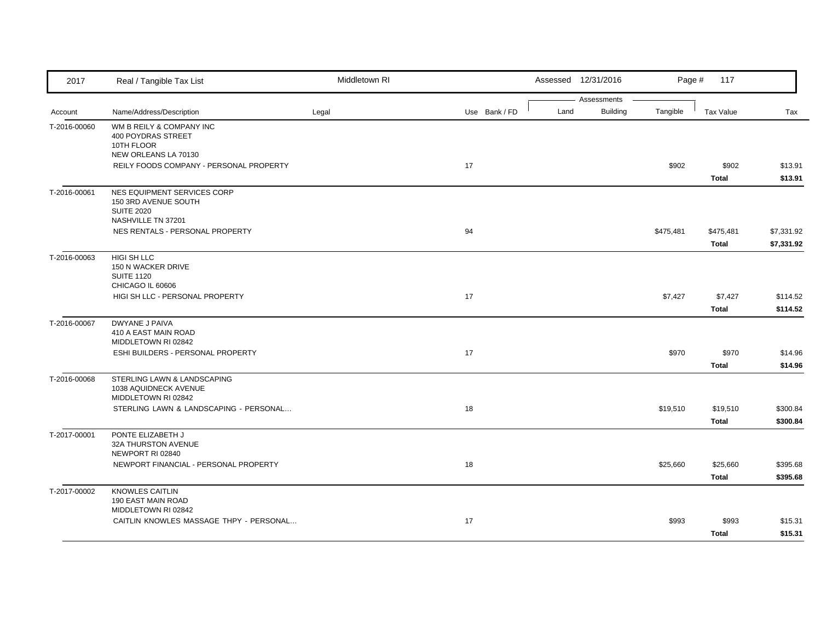| 2017         | Real / Tangible Tax List                                                                       | Middletown RI |               | Assessed 12/31/2016 |                                | Page #    | 117                     |                          |
|--------------|------------------------------------------------------------------------------------------------|---------------|---------------|---------------------|--------------------------------|-----------|-------------------------|--------------------------|
| Account      | Name/Address/Description                                                                       | Legal         | Use Bank / FD | Land                | Assessments<br><b>Building</b> | Tangible  | <b>Tax Value</b>        | Tax                      |
| T-2016-00060 | WM B REILY & COMPANY INC<br>400 POYDRAS STREET<br>10TH FLOOR<br>NEW ORLEANS LA 70130           |               |               |                     |                                |           |                         |                          |
|              | REILY FOODS COMPANY - PERSONAL PROPERTY                                                        |               | 17            |                     |                                | \$902     | \$902<br><b>Total</b>   | \$13.91<br>\$13.91       |
| T-2016-00061 | NES EQUIPMENT SERVICES CORP<br>150 3RD AVENUE SOUTH<br><b>SUITE 2020</b><br>NASHVILLE TN 37201 |               |               |                     |                                |           |                         |                          |
|              | NES RENTALS - PERSONAL PROPERTY                                                                |               | 94            |                     |                                | \$475,481 | \$475,481<br>Total      | \$7,331.92<br>\$7,331.92 |
| T-2016-00063 | HIGI SH LLC<br>150 N WACKER DRIVE<br><b>SUITE 1120</b><br>CHICAGO IL 60606                     |               |               |                     |                                |           |                         |                          |
|              | HIGI SH LLC - PERSONAL PROPERTY                                                                |               | 17            |                     |                                | \$7,427   | \$7,427<br><b>Total</b> | \$114.52<br>\$114.52     |
| T-2016-00067 | <b>DWYANE J PAIVA</b><br>410 A EAST MAIN ROAD<br>MIDDLETOWN RI 02842                           |               |               |                     |                                |           |                         |                          |
|              | ESHI BUILDERS - PERSONAL PROPERTY                                                              |               | 17            |                     |                                | \$970     | \$970<br>Total          | \$14.96<br>\$14.96       |
| T-2016-00068 | STERLING LAWN & LANDSCAPING<br>1038 AQUIDNECK AVENUE<br>MIDDLETOWN RI 02842                    |               |               |                     |                                |           |                         |                          |
|              | STERLING LAWN & LANDSCAPING - PERSONAL                                                         |               | 18            |                     |                                | \$19,510  | \$19,510<br>Total       | \$300.84<br>\$300.84     |
| T-2017-00001 | PONTE ELIZABETH J<br>32A THURSTON AVENUE<br>NEWPORT RI 02840                                   |               |               |                     |                                |           |                         |                          |
|              | NEWPORT FINANCIAL - PERSONAL PROPERTY                                                          |               | 18            |                     |                                | \$25,660  | \$25,660<br>Total       | \$395.68<br>\$395.68     |
| T-2017-00002 | <b>KNOWLES CAITLIN</b><br>190 EAST MAIN ROAD<br>MIDDLETOWN RI 02842                            |               |               |                     |                                |           |                         |                          |
|              | CAITLIN KNOWLES MASSAGE THPY - PERSONAL                                                        |               | 17            |                     |                                | \$993     | \$993<br>Total          | \$15.31<br>\$15.31       |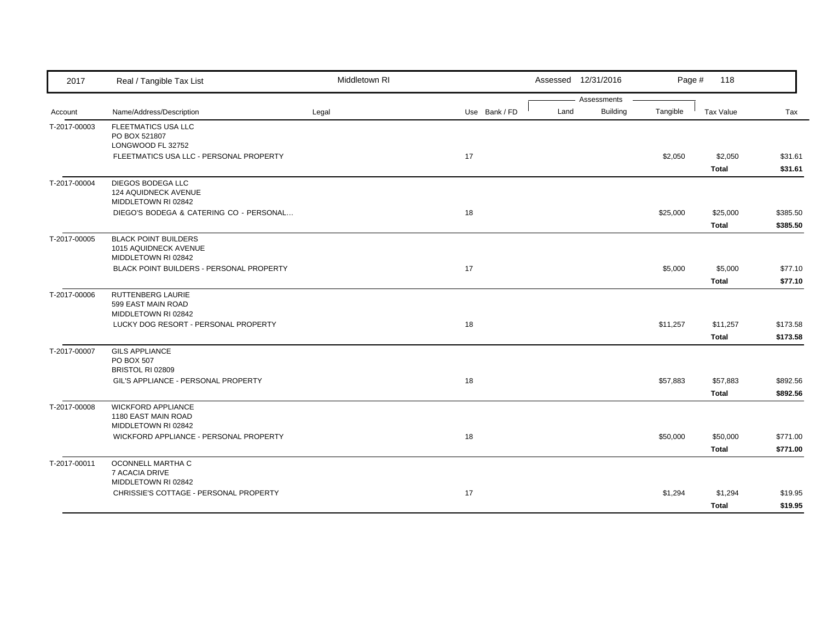| 2017         | Real / Tangible Tax List                                                                                                | Middletown RI |               |      | Assessed 12/31/2016            | Page #   | 118                                     |                                |
|--------------|-------------------------------------------------------------------------------------------------------------------------|---------------|---------------|------|--------------------------------|----------|-----------------------------------------|--------------------------------|
| Account      | Name/Address/Description                                                                                                | Legal         | Use Bank / FD | Land | Assessments<br><b>Building</b> | Tangible | Tax Value                               | Tax                            |
| T-2017-00003 | FLEETMATICS USA LLC<br>PO BOX 521807<br>LONGWOOD FL 32752<br>FLEETMATICS USA LLC - PERSONAL PROPERTY                    |               | 17            |      |                                | \$2,050  | \$2,050<br>Total                        | \$31.61<br>\$31.61             |
| T-2017-00004 | DIEGOS BODEGA LLC<br>124 AQUIDNECK AVENUE<br>MIDDLETOWN RI 02842<br>DIEGO'S BODEGA & CATERING CO - PERSONAL             |               | 18            |      |                                | \$25,000 | \$25,000                                | \$385.50                       |
| T-2017-00005 | <b>BLACK POINT BUILDERS</b><br>1015 AQUIDNECK AVENUE<br>MIDDLETOWN RI 02842<br>BLACK POINT BUILDERS - PERSONAL PROPERTY |               | 17            |      |                                | \$5,000  | <b>Total</b><br>\$5,000<br><b>Total</b> | \$385.50<br>\$77.10<br>\$77.10 |
| T-2017-00006 | RUTTENBERG LAURIE<br>599 EAST MAIN ROAD<br>MIDDLETOWN RI 02842<br>LUCKY DOG RESORT - PERSONAL PROPERTY                  |               | 18            |      |                                | \$11,257 | \$11,257<br>Total                       | \$173.58<br>\$173.58           |
| T-2017-00007 | <b>GILS APPLIANCE</b><br><b>PO BOX 507</b><br>BRISTOL RI 02809<br>GIL'S APPLIANCE - PERSONAL PROPERTY                   |               | 18            |      |                                | \$57,883 | \$57,883<br>Total                       | \$892.56<br>\$892.56           |
| T-2017-00008 | <b>WICKFORD APPLIANCE</b><br>1180 EAST MAIN ROAD<br>MIDDLETOWN RI 02842<br>WICKFORD APPLIANCE - PERSONAL PROPERTY       |               | 18            |      |                                | \$50,000 | \$50,000<br><b>Total</b>                | \$771.00<br>\$771.00           |
| T-2017-00011 | OCONNELL MARTHA C<br>7 ACACIA DRIVE<br>MIDDLETOWN RI 02842<br>CHRISSIE'S COTTAGE - PERSONAL PROPERTY                    |               | 17            |      |                                | \$1,294  | \$1,294<br><b>Total</b>                 | \$19.95<br>\$19.95             |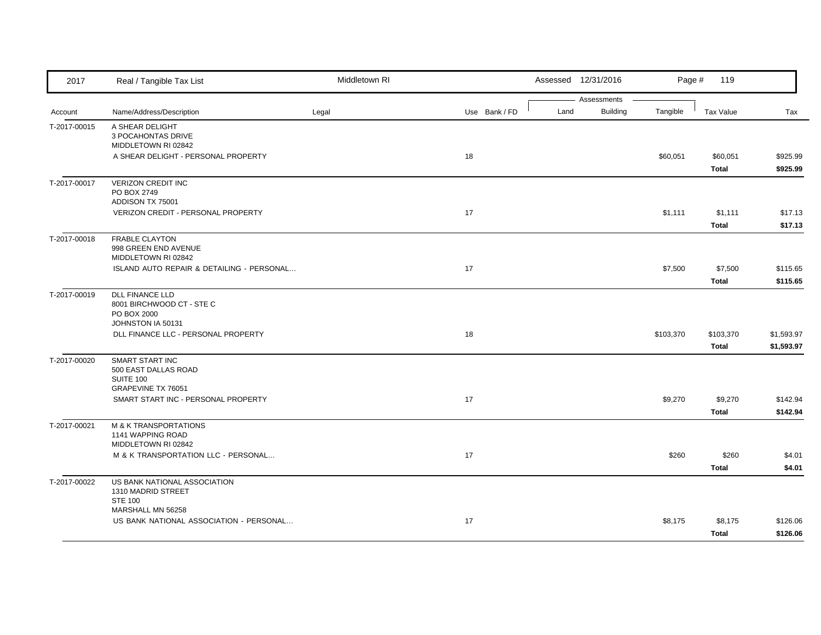| 2017         | Real / Tangible Tax List                                                                 | Middletown RI |               |      | Assessed 12/31/2016            | Page #    | 119                     |                          |
|--------------|------------------------------------------------------------------------------------------|---------------|---------------|------|--------------------------------|-----------|-------------------------|--------------------------|
| Account      | Name/Address/Description                                                                 | Legal         | Use Bank / FD | Land | Assessments<br><b>Building</b> | Tangible  | <b>Tax Value</b>        | Tax                      |
| T-2017-00015 | A SHEAR DELIGHT<br>3 POCAHONTAS DRIVE<br>MIDDLETOWN RI 02842                             |               |               |      |                                |           |                         |                          |
|              | A SHEAR DELIGHT - PERSONAL PROPERTY                                                      |               | 18            |      |                                | \$60,051  | \$60,051<br>Total       | \$925.99<br>\$925.99     |
| T-2017-00017 | <b>VERIZON CREDIT INC</b><br>PO BOX 2749<br>ADDISON TX 75001                             |               |               |      |                                |           |                         |                          |
|              | VERIZON CREDIT - PERSONAL PROPERTY                                                       |               | 17            |      |                                | \$1,111   | \$1,111<br>Total        | \$17.13<br>\$17.13       |
| T-2017-00018 | <b>FRABLE CLAYTON</b><br>998 GREEN END AVENUE<br>MIDDLETOWN RI 02842                     |               |               |      |                                |           |                         |                          |
|              | ISLAND AUTO REPAIR & DETAILING - PERSONAL                                                |               | 17            |      |                                | \$7,500   | \$7,500<br><b>Total</b> | \$115.65<br>\$115.65     |
| T-2017-00019 | <b>DLL FINANCE LLD</b><br>8001 BIRCHWOOD CT - STE C<br>PO BOX 2000                       |               |               |      |                                |           |                         |                          |
|              | JOHNSTON IA 50131<br>DLL FINANCE LLC - PERSONAL PROPERTY                                 |               | 18            |      |                                | \$103,370 | \$103,370<br>Total      | \$1,593.97<br>\$1,593.97 |
| T-2017-00020 | <b>SMART START INC</b><br>500 EAST DALLAS ROAD<br><b>SUITE 100</b><br>GRAPEVINE TX 76051 |               |               |      |                                |           |                         |                          |
|              | SMART START INC - PERSONAL PROPERTY                                                      |               | 17            |      |                                | \$9,270   | \$9,270<br>Total        | \$142.94<br>\$142.94     |
| T-2017-00021 | <b>M &amp; K TRANSPORTATIONS</b><br>1141 WAPPING ROAD<br>MIDDLETOWN RI 02842             |               |               |      |                                |           |                         |                          |
|              | M & K TRANSPORTATION LLC - PERSONAL                                                      |               | 17            |      |                                | \$260     | \$260<br><b>Total</b>   | \$4.01<br>\$4.01         |
| T-2017-00022 | US BANK NATIONAL ASSOCIATION<br>1310 MADRID STREET<br><b>STE 100</b>                     |               |               |      |                                |           |                         |                          |
|              | MARSHALL MN 56258<br>US BANK NATIONAL ASSOCIATION - PERSONAL                             |               | 17            |      |                                | \$8,175   | \$8,175<br><b>Total</b> | \$126.06<br>\$126.06     |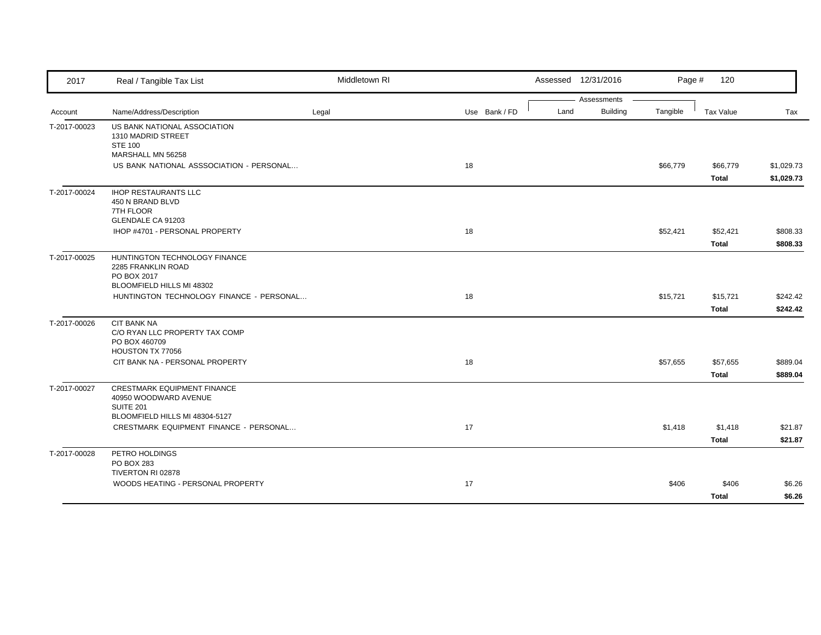| 2017         | Real / Tangible Tax List                                                                        | Middletown RI |               |  |      | Assessed 12/31/2016            |          | Page #<br>120     |                          |
|--------------|-------------------------------------------------------------------------------------------------|---------------|---------------|--|------|--------------------------------|----------|-------------------|--------------------------|
| Account      | Name/Address/Description                                                                        | Legal         | Use Bank / FD |  | Land | Assessments<br><b>Building</b> | Tangible | <b>Tax Value</b>  | Tax                      |
| T-2017-00023 | US BANK NATIONAL ASSOCIATION<br>1310 MADRID STREET<br><b>STE 100</b><br>MARSHALL MN 56258       |               |               |  |      |                                |          |                   |                          |
|              | US BANK NATIONAL ASSSOCIATION - PERSONAL                                                        |               | 18            |  |      |                                | \$66,779 | \$66,779<br>Total | \$1,029.73<br>\$1,029.73 |
| T-2017-00024 | <b>IHOP RESTAURANTS LLC</b><br>450 N BRAND BLVD<br>7TH FLOOR<br>GLENDALE CA 91203               |               |               |  |      |                                |          |                   |                          |
|              | IHOP #4701 - PERSONAL PROPERTY                                                                  |               | 18            |  |      |                                | \$52,421 | \$52,421<br>Total | \$808.33<br>\$808.33     |
| T-2017-00025 | HUNTINGTON TECHNOLOGY FINANCE<br>2285 FRANKLIN ROAD<br>PO BOX 2017<br>BLOOMFIELD HILLS MI 48302 |               |               |  |      |                                |          |                   |                          |
|              | HUNTINGTON TECHNOLOGY FINANCE - PERSONAL                                                        |               | 18            |  |      |                                | \$15,721 | \$15,721<br>Total | \$242.42<br>\$242.42     |
| T-2017-00026 | <b>CIT BANK NA</b><br>C/O RYAN LLC PROPERTY TAX COMP<br>PO BOX 460709<br>HOUSTON TX 77056       |               |               |  |      |                                |          |                   |                          |
|              | CIT BANK NA - PERSONAL PROPERTY                                                                 |               | 18            |  |      |                                | \$57,655 | \$57,655<br>Total | \$889.04<br>\$889.04     |
| T-2017-00027 | <b>CRESTMARK EQUIPMENT FINANCE</b><br>40950 WOODWARD AVENUE<br>SUITE 201                        |               |               |  |      |                                |          |                   |                          |
|              | BLOOMFIELD HILLS MI 48304-5127<br>CRESTMARK EQUIPMENT FINANCE - PERSONAL                        |               | 17            |  |      |                                | \$1,418  | \$1,418<br>Total  | \$21.87<br>\$21.87       |
| T-2017-00028 | PETRO HOLDINGS<br>PO BOX 283<br>TIVERTON RI 02878                                               |               |               |  |      |                                |          |                   |                          |
|              | WOODS HEATING - PERSONAL PROPERTY                                                               |               | 17            |  |      |                                | \$406    | \$406<br>Total    | \$6.26<br>\$6.26         |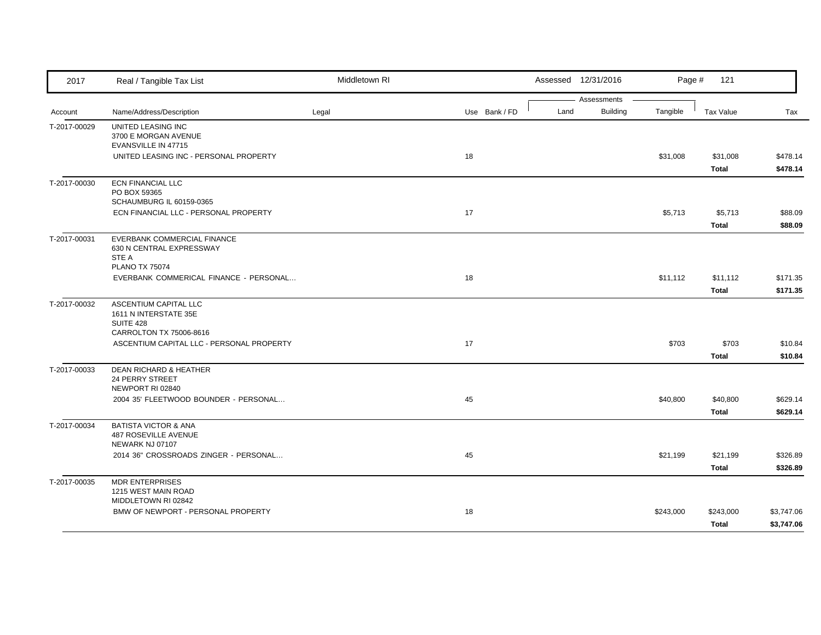| 2017         | Real / Tangible Tax List                                                                  | Middletown RI |               |      | Assessed 12/31/2016            | Page #    | 121                |                          |
|--------------|-------------------------------------------------------------------------------------------|---------------|---------------|------|--------------------------------|-----------|--------------------|--------------------------|
|              | Name/Address/Description                                                                  |               | Use Bank / FD | Land | Assessments<br><b>Building</b> | Tangible  | <b>Tax Value</b>   |                          |
| Account      |                                                                                           | Legal         |               |      |                                |           |                    | Tax                      |
| T-2017-00029 | UNITED LEASING INC<br>3700 E MORGAN AVENUE<br>EVANSVILLE IN 47715                         |               |               |      |                                |           |                    |                          |
|              | UNITED LEASING INC - PERSONAL PROPERTY                                                    |               | 18            |      |                                | \$31,008  | \$31,008<br>Total  | \$478.14<br>\$478.14     |
| T-2017-00030 | <b>ECN FINANCIAL LLC</b><br>PO BOX 59365                                                  |               |               |      |                                |           |                    |                          |
|              | SCHAUMBURG IL 60159-0365<br>ECN FINANCIAL LLC - PERSONAL PROPERTY                         |               | 17            |      |                                | \$5,713   | \$5,713<br>Total   | \$88.09<br>\$88.09       |
| T-2017-00031 | EVERBANK COMMERCIAL FINANCE<br>630 N CENTRAL EXPRESSWAY<br>STE A<br><b>PLANO TX 75074</b> |               |               |      |                                |           |                    |                          |
|              | EVERBANK COMMERICAL FINANCE - PERSONAL                                                    |               | 18            |      |                                | \$11,112  | \$11,112<br>Total  | \$171.35<br>\$171.35     |
| T-2017-00032 | ASCENTIUM CAPITAL LLC<br>1611 N INTERSTATE 35E<br><b>SUITE 428</b>                        |               |               |      |                                |           |                    |                          |
|              | CARROLTON TX 75006-8616<br>ASCENTIUM CAPITAL LLC - PERSONAL PROPERTY                      |               | 17            |      |                                | \$703     | \$703<br>Total     | \$10.84<br>\$10.84       |
| T-2017-00033 | <b>DEAN RICHARD &amp; HEATHER</b><br>24 PERRY STREET<br>NEWPORT RI 02840                  |               |               |      |                                |           |                    |                          |
|              | 2004 35' FLEETWOOD BOUNDER - PERSONAL                                                     |               | 45            |      |                                | \$40,800  | \$40,800<br>Total  | \$629.14<br>\$629.14     |
| T-2017-00034 | <b>BATISTA VICTOR &amp; ANA</b><br>487 ROSEVILLE AVENUE<br>NEWARK NJ 07107                |               |               |      |                                |           |                    |                          |
|              | 2014 36" CROSSROADS ZINGER - PERSONAL                                                     |               | 45            |      |                                | \$21,199  | \$21,199<br>Total  | \$326.89<br>\$326.89     |
| T-2017-00035 | <b>MDR ENTERPRISES</b><br>1215 WEST MAIN ROAD<br>MIDDLETOWN RI 02842                      |               |               |      |                                |           |                    |                          |
|              | BMW OF NEWPORT - PERSONAL PROPERTY                                                        |               | 18            |      |                                | \$243,000 | \$243,000<br>Total | \$3,747.06<br>\$3,747.06 |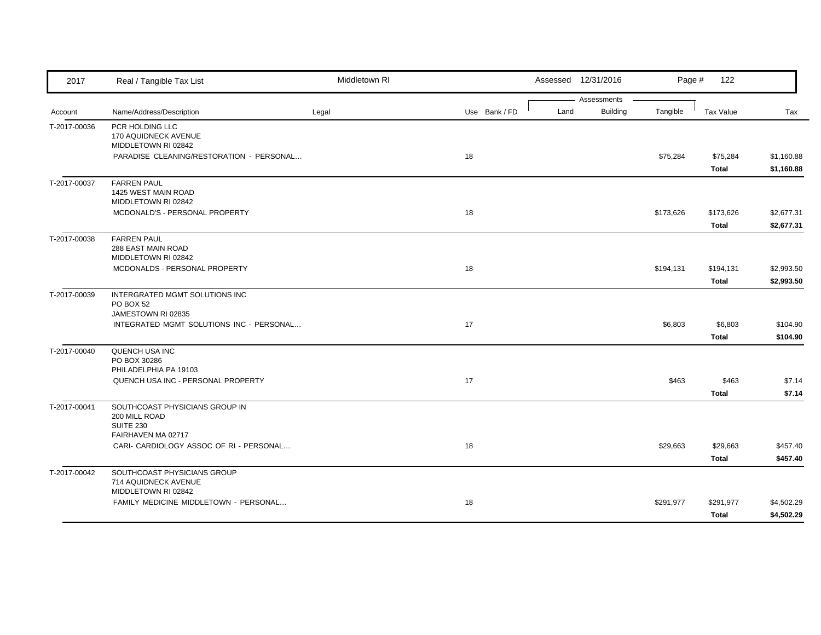| 2017         | Real / Tangible Tax List                                                 | Middletown RI |               |      | Assessed 12/31/2016            | Page #    | 122                      |                          |
|--------------|--------------------------------------------------------------------------|---------------|---------------|------|--------------------------------|-----------|--------------------------|--------------------------|
| Account      | Name/Address/Description                                                 | Legal         | Use Bank / FD | Land | Assessments<br><b>Building</b> | Tangible  | <b>Tax Value</b>         | Tax                      |
| T-2017-00036 | PCR HOLDING LLC<br>170 AQUIDNECK AVENUE<br>MIDDLETOWN RI 02842           |               |               |      |                                |           |                          |                          |
|              | PARADISE CLEANING/RESTORATION - PERSONAL                                 |               | 18            |      |                                | \$75,284  | \$75,284<br>Total        | \$1,160.88<br>\$1,160.88 |
| T-2017-00037 | <b>FARREN PAUL</b><br>1425 WEST MAIN ROAD<br>MIDDLETOWN RI 02842         |               |               |      |                                |           |                          |                          |
|              | MCDONALD'S - PERSONAL PROPERTY                                           |               | 18            |      |                                | \$173,626 | \$173,626<br>Total       | \$2,677.31<br>\$2,677.31 |
| T-2017-00038 | <b>FARREN PAUL</b><br><b>288 EAST MAIN ROAD</b><br>MIDDLETOWN RI 02842   |               |               |      |                                |           |                          |                          |
|              | MCDONALDS - PERSONAL PROPERTY                                            |               | 18            |      |                                | \$194,131 | \$194,131<br>Total       | \$2,993.50<br>\$2,993.50 |
| T-2017-00039 | INTERGRATED MGMT SOLUTIONS INC<br><b>PO BOX 52</b><br>JAMESTOWN RI 02835 |               |               |      |                                |           |                          |                          |
|              | INTEGRATED MGMT SOLUTIONS INC - PERSONAL                                 |               | 17            |      |                                | \$6,803   | \$6,803<br>Total         | \$104.90<br>\$104.90     |
| T-2017-00040 | QUENCH USA INC<br>PO BOX 30286                                           |               |               |      |                                |           |                          |                          |
|              | PHILADELPHIA PA 19103<br>QUENCH USA INC - PERSONAL PROPERTY              |               | 17            |      |                                | \$463     | \$463<br>Total           | \$7.14<br>\$7.14         |
| T-2017-00041 | SOUTHCOAST PHYSICIANS GROUP IN<br>200 MILL ROAD<br><b>SUITE 230</b>      |               |               |      |                                |           |                          |                          |
|              | FAIRHAVEN MA 02717<br>CARI- CARDIOLOGY ASSOC OF RI - PERSONAL            |               | 18            |      |                                | \$29,663  | \$29,663<br><b>Total</b> | \$457.40<br>\$457.40     |
| T-2017-00042 | SOUTHCOAST PHYSICIANS GROUP<br>714 AQUIDNECK AVENUE                      |               |               |      |                                |           |                          |                          |
|              | MIDDLETOWN RI 02842<br>FAMILY MEDICINE MIDDLETOWN - PERSONAL             |               | 18            |      |                                | \$291,977 | \$291,977<br>Total       | \$4,502.29<br>\$4,502.29 |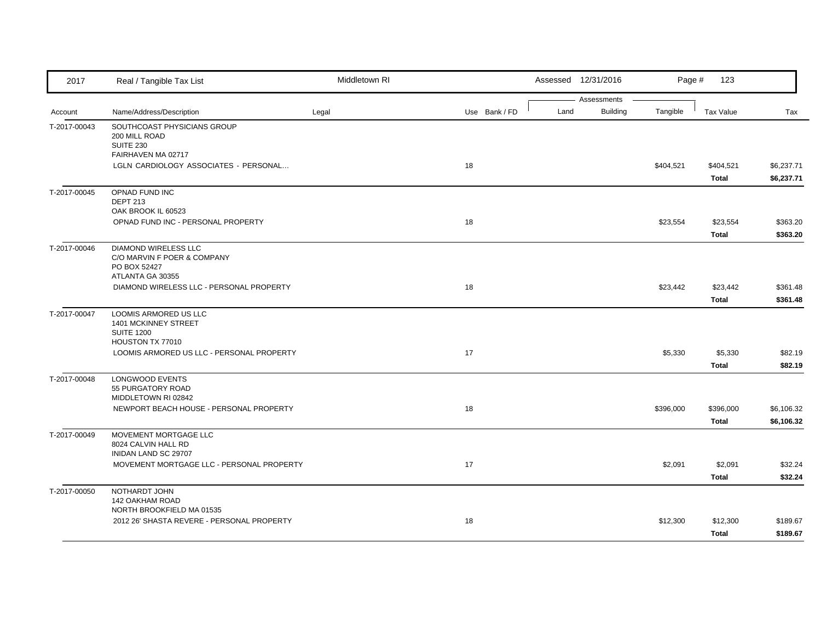| 2017         | Real / Tangible Tax List                                                                | Middletown RI |               |      | Assessed 12/31/2016            | Page #    | 123                       |                          |
|--------------|-----------------------------------------------------------------------------------------|---------------|---------------|------|--------------------------------|-----------|---------------------------|--------------------------|
| Account      | Name/Address/Description                                                                | Legal         | Use Bank / FD | Land | Assessments<br><b>Building</b> | Tangible  | <b>Tax Value</b>          | Tax                      |
| T-2017-00043 | SOUTHCOAST PHYSICIANS GROUP<br>200 MILL ROAD<br><b>SUITE 230</b><br>FAIRHAVEN MA 02717  |               |               |      |                                |           |                           |                          |
|              | LGLN CARDIOLOGY ASSOCIATES - PERSONAL                                                   |               | 18            |      |                                | \$404,521 | \$404,521<br><b>Total</b> | \$6,237.71<br>\$6,237.71 |
| T-2017-00045 | OPNAD FUND INC<br><b>DEPT 213</b><br>OAK BROOK IL 60523                                 |               |               |      |                                |           |                           |                          |
|              | OPNAD FUND INC - PERSONAL PROPERTY                                                      |               | 18            |      |                                | \$23,554  | \$23,554<br>Total         | \$363.20<br>\$363.20     |
| T-2017-00046 | DIAMOND WIRELESS LLC<br>C/O MARVIN F POER & COMPANY<br>PO BOX 52427<br>ATLANTA GA 30355 |               |               |      |                                |           |                           |                          |
|              | DIAMOND WIRELESS LLC - PERSONAL PROPERTY                                                |               | 18            |      |                                | \$23,442  | \$23,442<br>Total         | \$361.48<br>\$361.48     |
| T-2017-00047 | LOOMIS ARMORED US LLC<br>1401 MCKINNEY STREET<br><b>SUITE 1200</b>                      |               |               |      |                                |           |                           |                          |
|              | HOUSTON TX 77010<br>LOOMIS ARMORED US LLC - PERSONAL PROPERTY                           |               | 17            |      |                                | \$5,330   | \$5,330<br>Total          | \$82.19<br>\$82.19       |
| T-2017-00048 | LONGWOOD EVENTS<br>55 PURGATORY ROAD<br>MIDDLETOWN RI 02842                             |               |               |      |                                |           |                           |                          |
|              | NEWPORT BEACH HOUSE - PERSONAL PROPERTY                                                 |               | 18            |      |                                | \$396,000 | \$396,000<br>Total        | \$6,106.32<br>\$6,106.32 |
| T-2017-00049 | MOVEMENT MORTGAGE LLC<br>8024 CALVIN HALL RD<br>INIDAN LAND SC 29707                    |               |               |      |                                |           |                           |                          |
|              | MOVEMENT MORTGAGE LLC - PERSONAL PROPERTY                                               |               | 17            |      |                                | \$2,091   | \$2,091<br>Total          | \$32.24<br>\$32.24       |
| T-2017-00050 | NOTHARDT JOHN<br>142 OAKHAM ROAD<br>NORTH BROOKFIELD MA 01535                           |               |               |      |                                |           |                           |                          |
|              | 2012 26' SHASTA REVERE - PERSONAL PROPERTY                                              |               | 18            |      |                                | \$12,300  | \$12,300<br><b>Total</b>  | \$189.67<br>\$189.67     |